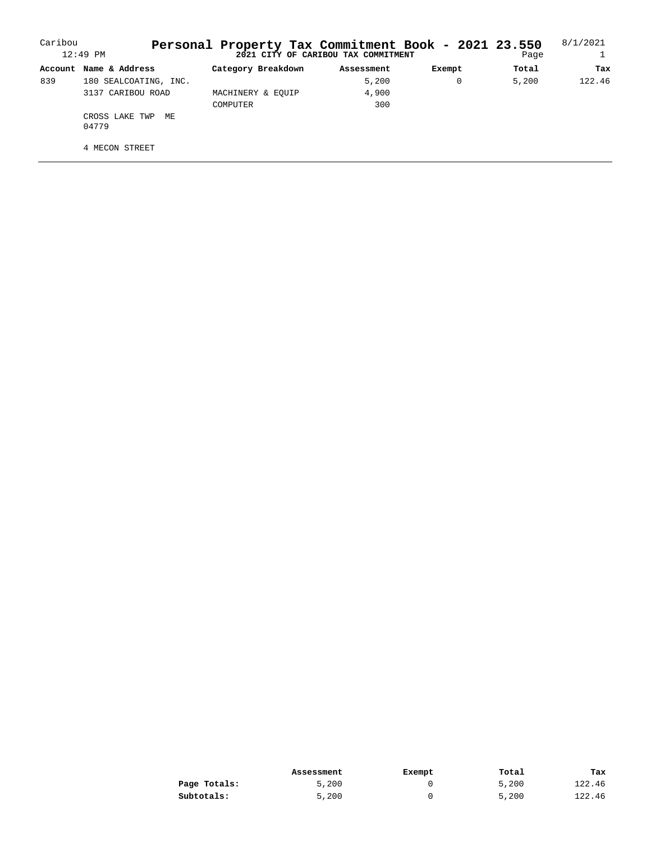| Caribou | $12:49$ PM                     | Personal Property Tax Commitment Book - 2021 23.550 | 2021 CITY OF CARIBOU TAX COMMITMENT |        | Page  | 8/1/2021 |
|---------|--------------------------------|-----------------------------------------------------|-------------------------------------|--------|-------|----------|
|         | Account Name & Address         | Category Breakdown                                  | Assessment                          | Exempt | Total | Tax      |
| 839     | 180 SEALCOATING, INC.          |                                                     | 5,200                               | 0      | 5.200 | 122.46   |
|         | 3137 CARIBOU ROAD              | MACHINERY & EOUIP                                   | 4,900                               |        |       |          |
|         |                                | COMPUTER                                            | 300                                 |        |       |          |
|         | CROSS LAKE TWP<br>MF.<br>04779 |                                                     |                                     |        |       |          |
|         | 4 MECON STREET                 |                                                     |                                     |        |       |          |

|              | Assessment | Exempt | Total | Tax    |
|--------------|------------|--------|-------|--------|
| Page Totals: | 5.200      |        | 5,200 | 122.46 |
| Subtotals:   | 5,200      |        | 5,200 | 122.46 |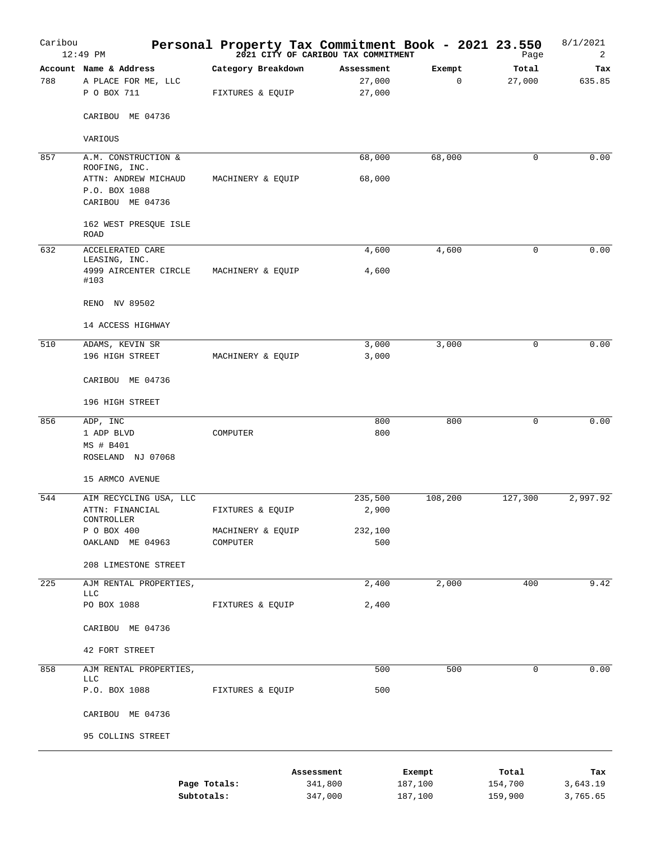| Caribou | $12:49$ PM                                                   |                                        | 2021 CITY OF CARIBOU TAX COMMITMENT |                                | Personal Property Tax Commitment Book - 2021 23.550 | Page               | 8/1/2021<br>2        |
|---------|--------------------------------------------------------------|----------------------------------------|-------------------------------------|--------------------------------|-----------------------------------------------------|--------------------|----------------------|
| 788     | Account Name & Address<br>A PLACE FOR ME, LLC<br>P O BOX 711 | Category Breakdown<br>FIXTURES & EQUIP |                                     | Assessment<br>27,000<br>27,000 | Exempt<br>$\mathsf 0$                               | Total<br>27,000    | Tax<br>635.85        |
|         | CARIBOU ME 04736                                             |                                        |                                     |                                |                                                     |                    |                      |
|         | VARIOUS                                                      |                                        |                                     |                                |                                                     |                    |                      |
| 857     | A.M. CONSTRUCTION &<br>ROOFING, INC.                         |                                        |                                     | 68,000                         | 68,000                                              | $\mathbf 0$        | 0.00                 |
|         | ATTN: ANDREW MICHAUD<br>P.O. BOX 1088<br>CARIBOU ME 04736    | MACHINERY & EQUIP                      |                                     | 68,000                         |                                                     |                    |                      |
|         | 162 WEST PRESQUE ISLE<br>ROAD                                |                                        |                                     |                                |                                                     |                    |                      |
| 632     | <b>ACCELERATED CARE</b><br>LEASING, INC.                     |                                        |                                     | 4,600                          | 4,600                                               | 0                  | 0.00                 |
|         | 4999 AIRCENTER CIRCLE<br>#103                                | MACHINERY & EQUIP                      |                                     | 4,600                          |                                                     |                    |                      |
|         | RENO NV 89502                                                |                                        |                                     |                                |                                                     |                    |                      |
|         | 14 ACCESS HIGHWAY                                            |                                        |                                     |                                |                                                     |                    |                      |
| 510     | ADAMS, KEVIN SR<br>196 HIGH STREET                           | MACHINERY & EQUIP                      |                                     | 3,000<br>3,000                 | 3,000                                               | 0                  | 0.00                 |
|         | CARIBOU ME 04736                                             |                                        |                                     |                                |                                                     |                    |                      |
|         | 196 HIGH STREET                                              |                                        |                                     |                                |                                                     |                    |                      |
| 856     | ADP, INC<br>1 ADP BLVD<br>MS # B401                          | COMPUTER                               |                                     | 800<br>800                     | 800                                                 | 0                  | 0.00                 |
|         | ROSELAND NJ 07068                                            |                                        |                                     |                                |                                                     |                    |                      |
|         | 15 ARMCO AVENUE                                              |                                        |                                     |                                |                                                     |                    |                      |
| 544     | AIM RECYCLING USA, LLC<br>ATTN: FINANCIAL                    | FIXTURES & EQUIP                       |                                     | 235,500<br>2,900               | 108,200                                             | 127,300            | 2,997.92             |
|         | CONTROLLER                                                   |                                        |                                     |                                |                                                     |                    |                      |
|         | P O BOX 400<br>OAKLAND ME 04963                              | MACHINERY & EQUIP<br>COMPUTER          |                                     | 232,100<br>500                 |                                                     |                    |                      |
|         | 208 LIMESTONE STREET                                         |                                        |                                     |                                |                                                     |                    |                      |
| 225     | AJM RENTAL PROPERTIES,<br><b>LLC</b>                         |                                        |                                     | 2,400                          | 2,000                                               | 400                | 9.42                 |
|         | PO BOX 1088                                                  | FIXTURES & EQUIP                       |                                     | 2,400                          |                                                     |                    |                      |
|         | CARIBOU ME 04736                                             |                                        |                                     |                                |                                                     |                    |                      |
|         | 42 FORT STREET                                               |                                        |                                     |                                |                                                     |                    |                      |
| 858     | AJM RENTAL PROPERTIES,<br><b>LLC</b>                         |                                        |                                     | 500                            | 500                                                 | 0                  | 0.00                 |
|         | P.O. BOX 1088                                                | FIXTURES & EQUIP                       |                                     | 500                            |                                                     |                    |                      |
|         | CARIBOU ME 04736                                             |                                        |                                     |                                |                                                     |                    |                      |
|         | 95 COLLINS STREET                                            |                                        |                                     |                                |                                                     |                    |                      |
|         |                                                              |                                        | Assessment                          |                                | Exempt                                              | Total              | Tax                  |
|         | Subtotals:                                                   | Page Totals:                           | 341,800<br>347,000                  |                                | 187,100<br>187,100                                  | 154,700<br>159,900 | 3,643.19<br>3,765.65 |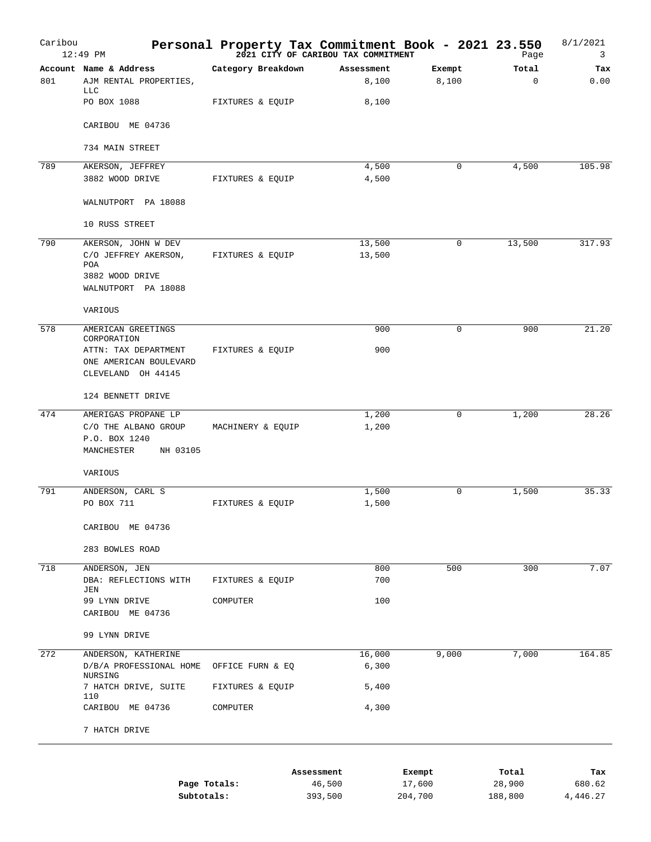| Caribou | $12:49$ PM                                                                                                | Personal Property Tax Commitment Book - 2021 23.550 | 2021 CITY OF CARIBOU TAX COMMITMENT |                  | Page              | 8/1/2021<br>3 |
|---------|-----------------------------------------------------------------------------------------------------------|-----------------------------------------------------|-------------------------------------|------------------|-------------------|---------------|
| 801     | Account Name & Address<br>AJM RENTAL PROPERTIES,                                                          | Category Breakdown                                  | Assessment<br>8,100                 | Exempt<br>8,100  | Total<br>$\Omega$ | Tax<br>0.00   |
|         | <b>LLC</b><br>PO BOX 1088                                                                                 | FIXTURES & EQUIP                                    | 8,100                               |                  |                   |               |
|         | CARIBOU ME 04736                                                                                          |                                                     |                                     |                  |                   |               |
|         | 734 MAIN STREET                                                                                           |                                                     |                                     |                  |                   |               |
| 789     | AKERSON, JEFFREY<br>3882 WOOD DRIVE                                                                       | FIXTURES & EQUIP                                    | 4,500<br>4,500                      | $\mathbf 0$      | 4,500             | 105.98        |
|         | WALNUTPORT PA 18088                                                                                       |                                                     |                                     |                  |                   |               |
|         | 10 RUSS STREET                                                                                            |                                                     |                                     |                  |                   |               |
| 790     | AKERSON, JOHN W DEV<br>C/O JEFFREY AKERSON,<br>POA<br>3882 WOOD DRIVE<br>WALNUTPORT PA 18088              | FIXTURES & EQUIP                                    | 13,500<br>13,500                    | $\mathbf 0$      | 13,500            | 317.93        |
|         | VARIOUS                                                                                                   |                                                     |                                     |                  |                   |               |
| 578     | AMERICAN GREETINGS<br>CORPORATION<br>ATTN: TAX DEPARTMENT<br>ONE AMERICAN BOULEVARD<br>CLEVELAND OH 44145 | FIXTURES & EQUIP                                    | 900<br>900                          | 0                | 900               | 21.20         |
|         | 124 BENNETT DRIVE                                                                                         |                                                     |                                     |                  |                   |               |
| 474     | AMERIGAS PROPANE LP<br>C/O THE ALBANO GROUP<br>P.O. BOX 1240<br>MANCHESTER<br>NH 03105                    | MACHINERY & EQUIP                                   | 1,200<br>1,200                      | $\mathbf 0$      | 1,200             | 28.26         |
|         | VARIOUS                                                                                                   |                                                     |                                     |                  |                   |               |
| 791     | ANDERSON, CARL S<br>PO BOX 711                                                                            | FIXTURES & EQUIP                                    | 1,500<br>1,500                      | $\mathbf 0$      | 1,500             | 35.33         |
|         | CARIBOU ME 04736                                                                                          |                                                     |                                     |                  |                   |               |
|         | 283 BOWLES ROAD                                                                                           |                                                     |                                     |                  |                   |               |
| 718     | ANDERSON, JEN<br>DBA: REFLECTIONS WITH                                                                    | FIXTURES & EQUIP                                    | 800<br>700                          | 500              | 300               | 7.07          |
|         | JEN<br>99 LYNN DRIVE<br>CARIBOU ME 04736                                                                  | COMPUTER                                            | 100                                 |                  |                   |               |
|         | 99 LYNN DRIVE                                                                                             |                                                     |                                     |                  |                   |               |
| 272     | ANDERSON, KATHERINE<br>D/B/A PROFESSIONAL HOME<br>NURSING                                                 | OFFICE FURN & EQ                                    | 16,000<br>6,300                     | 9,000            | 7,000             | 164.85        |
|         | 7 HATCH DRIVE, SUITE<br>110                                                                               | FIXTURES & EQUIP                                    | 5,400                               |                  |                   |               |
|         | CARIBOU ME 04736                                                                                          | COMPUTER                                            | 4,300                               |                  |                   |               |
|         | 7 HATCH DRIVE                                                                                             |                                                     |                                     |                  |                   |               |
|         |                                                                                                           | Page Totals:                                        | Assessment<br>46,500                | Exempt<br>17,600 | Total<br>28,900   | Tax<br>680.62 |
|         |                                                                                                           | Subtotals:                                          | 393,500                             | 204,700          | 188,800           | 4,446.27      |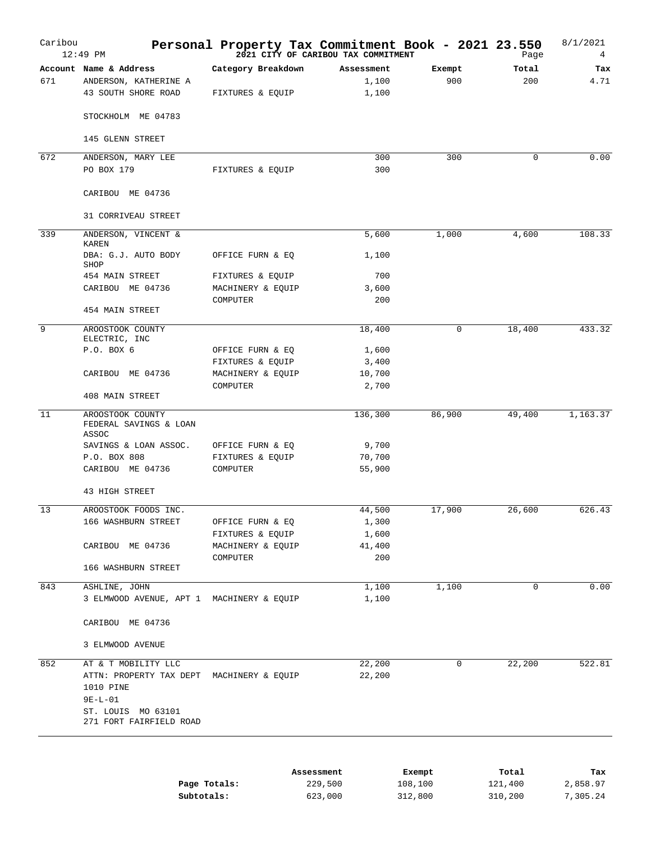| Caribou<br>$12:49$ PM                                                  | Personal Property Tax Commitment Book - 2021 23.550 | 2021 CITY OF CARIBOU TAX COMMITMENT       |                      | Page         | 8/1/2021<br>4   |
|------------------------------------------------------------------------|-----------------------------------------------------|-------------------------------------------|----------------------|--------------|-----------------|
| Account Name & Address<br>ANDERSON, KATHERINE A<br>43 SOUTH SHORE ROAD | Category Breakdown<br>FIXTURES & EQUIP              | Assessment<br>1,100<br>1,100              | Exempt<br>900        | Total<br>200 | Tax<br>4.71     |
| STOCKHOLM ME 04783                                                     |                                                     |                                           |                      |              |                 |
| 145 GLENN STREET                                                       |                                                     |                                           |                      |              |                 |
|                                                                        |                                                     |                                           |                      |              |                 |
| ANDERSON, MARY LEE<br>PO BOX 179                                       | FIXTURES & EQUIP                                    | 300<br>300                                | 300                  | 0            | 0.00            |
|                                                                        |                                                     |                                           |                      |              |                 |
| CARIBOU ME 04736                                                       |                                                     |                                           |                      |              |                 |
| 31 CORRIVEAU STREET                                                    |                                                     |                                           |                      |              |                 |
| ANDERSON, VINCENT &<br><b>KAREN</b>                                    |                                                     | 5,600                                     | 1,000                | 4,600        | 108.33          |
| DBA: G.J. AUTO BODY                                                    | OFFICE FURN & EQ                                    | 1,100                                     |                      |              |                 |
| SHOP<br>454 MAIN STREET                                                | FIXTURES & EQUIP                                    | 700                                       |                      |              |                 |
| CARIBOU ME 04736                                                       | MACHINERY & EQUIP                                   | 3,600                                     |                      |              |                 |
|                                                                        | COMPUTER                                            | 200                                       |                      |              |                 |
| 454 MAIN STREET                                                        |                                                     |                                           |                      |              |                 |
| AROOSTOOK COUNTY                                                       |                                                     | 18,400                                    | 0                    | 18,400       | 433.32          |
| ELECTRIC, INC<br>P.O. BOX 6                                            | OFFICE FURN & EQ                                    | 1,600                                     |                      |              |                 |
|                                                                        | FIXTURES & EQUIP                                    | 3,400                                     |                      |              |                 |
| CARIBOU ME 04736                                                       | MACHINERY & EQUIP                                   | 10,700                                    |                      |              |                 |
|                                                                        | COMPUTER                                            | 2,700                                     |                      |              |                 |
| 408 MAIN STREET                                                        |                                                     |                                           |                      |              |                 |
| AROOSTOOK COUNTY<br>FEDERAL SAVINGS & LOAN<br>ASSOC                    |                                                     | 136,300                                   | 86,900               | 49,400       | 1, 163.37       |
| SAVINGS & LOAN ASSOC.                                                  | OFFICE FURN & EQ                                    | 9,700                                     |                      |              |                 |
| P.O. BOX 808                                                           | FIXTURES & EQUIP                                    | 70,700                                    |                      |              |                 |
| CARIBOU ME 04736                                                       | COMPUTER                                            | 55,900                                    |                      |              |                 |
| 43 HIGH STREET                                                         |                                                     |                                           |                      |              |                 |
| AROOSTOOK FOODS INC.                                                   |                                                     | 44,500                                    | 17,900               | 26,600       | 626.43          |
| 166 WASHBURN STREET                                                    | OFFICE FURN & EQ                                    | 1,300                                     |                      |              |                 |
|                                                                        | FIXTURES & EQUIP                                    | 1,600                                     |                      |              |                 |
| CARIBOU ME 04736                                                       | MACHINERY & EQUIP                                   | 41,400                                    |                      |              |                 |
| 166 WASHBURN STREET                                                    | COMPUTER                                            | 200                                       |                      |              |                 |
| ASHLINE, JOHN                                                          |                                                     | 1,100                                     | 1,100                | 0            | 0.00            |
| 3 ELMWOOD AVENUE, APT 1 MACHINERY & EQUIP                              |                                                     | 1,100                                     |                      |              |                 |
| CARIBOU ME 04736                                                       |                                                     |                                           |                      |              |                 |
| 3 ELMWOOD AVENUE                                                       |                                                     |                                           |                      |              |                 |
| AT & T MOBILITY LLC                                                    |                                                     |                                           |                      |              | 522.81          |
| 1010 PINE<br>$9E-L-01$                                                 |                                                     | 22,200                                    |                      |              |                 |
| ST. LOUIS MO 63101<br>271 FORT FAIRFIELD ROAD                          |                                                     |                                           |                      |              |                 |
|                                                                        |                                                     | ATTN: PROPERTY TAX DEPT MACHINERY & EQUIP | 22,200<br>Assessment | 0<br>Exempt  | 22,200<br>Total |

|              | ------------- | -------- | -----   | -----    |
|--------------|---------------|----------|---------|----------|
| Page Totals: | 229,500       | 108,100  | 121,400 | 2,858.97 |
| Subtotals:   | 623,000       | 312,800  | 310,200 | 7,305.24 |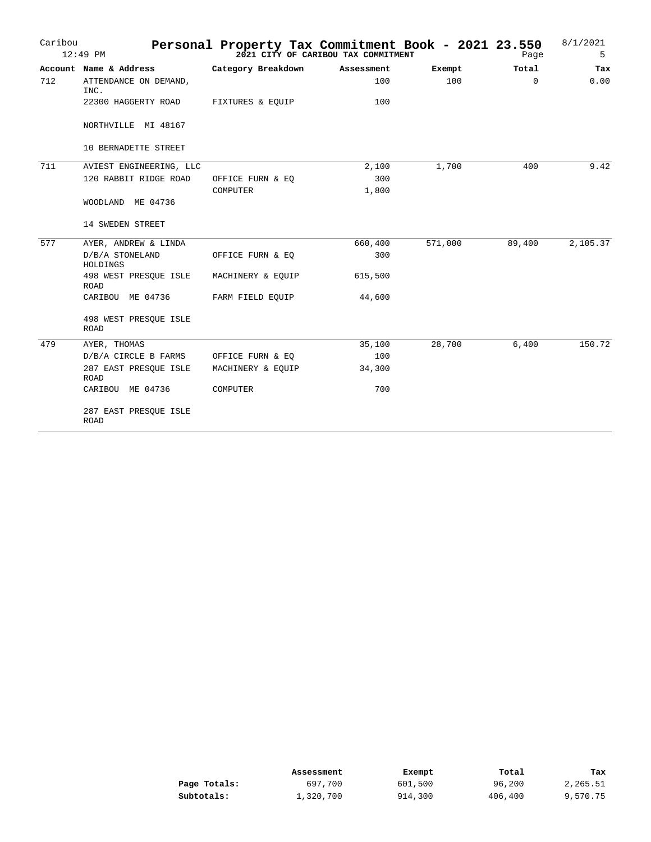| Caribou | $12:49$ PM                           |                    | Personal Property Tax Commitment Book - 2021 23.550<br>2021 CITY OF CARIBOU TAX COMMITMENT |         | Page     | 8/1/2021<br>5 |
|---------|--------------------------------------|--------------------|--------------------------------------------------------------------------------------------|---------|----------|---------------|
|         | Account Name & Address               | Category Breakdown | Assessment                                                                                 | Exempt  | Total    | Tax           |
| 712     | ATTENDANCE ON DEMAND,<br>INC.        |                    | 100                                                                                        | 100     | $\Omega$ | 0.00          |
|         | 22300 HAGGERTY ROAD                  | FIXTURES & EOUIP   | 100                                                                                        |         |          |               |
|         | NORTHVILLE MI 48167                  |                    |                                                                                            |         |          |               |
|         | 10 BERNADETTE STREET                 |                    |                                                                                            |         |          |               |
| 711     | AVIEST ENGINEERING, LLC              |                    | 2,100                                                                                      | 1,700   | 400      | 9.42          |
|         | 120 RABBIT RIDGE ROAD                | OFFICE FURN & EQ   | 300                                                                                        |         |          |               |
|         |                                      | COMPUTER           | 1,800                                                                                      |         |          |               |
|         | WOODLAND ME 04736                    |                    |                                                                                            |         |          |               |
|         | 14 SWEDEN STREET                     |                    |                                                                                            |         |          |               |
| 577     | AYER, ANDREW & LINDA                 |                    | 660,400                                                                                    | 571,000 | 89,400   | 2,105.37      |
|         | D/B/A STONELAND<br>HOLDINGS          | OFFICE FURN & EQ   | 300                                                                                        |         |          |               |
|         | 498 WEST PRESQUE ISLE<br><b>ROAD</b> | MACHINERY & EQUIP  | 615,500                                                                                    |         |          |               |
|         | CARIBOU ME 04736                     | FARM FIELD EQUIP   | 44,600                                                                                     |         |          |               |
|         | 498 WEST PRESQUE ISLE<br>ROAD        |                    |                                                                                            |         |          |               |
| 479     | AYER, THOMAS                         |                    | 35,100                                                                                     | 28,700  | 6,400    | 150.72        |
|         | D/B/A CIRCLE B FARMS                 | OFFICE FURN & EQ   | 100                                                                                        |         |          |               |
|         | 287 EAST PRESQUE ISLE<br><b>ROAD</b> | MACHINERY & EQUIP  | 34,300                                                                                     |         |          |               |
|         | CARIBOU ME 04736                     | COMPUTER           | 700                                                                                        |         |          |               |
|         | 287 EAST PRESQUE ISLE<br><b>ROAD</b> |                    |                                                                                            |         |          |               |

|              | Assessment | Exempt  | Total   | Tax      |
|--------------|------------|---------|---------|----------|
| Page Totals: | 697,700    | 601,500 | 96,200  | 2,265.51 |
| Subtotals:   | 1,320,700  | 914,300 | 406,400 | 9,570.75 |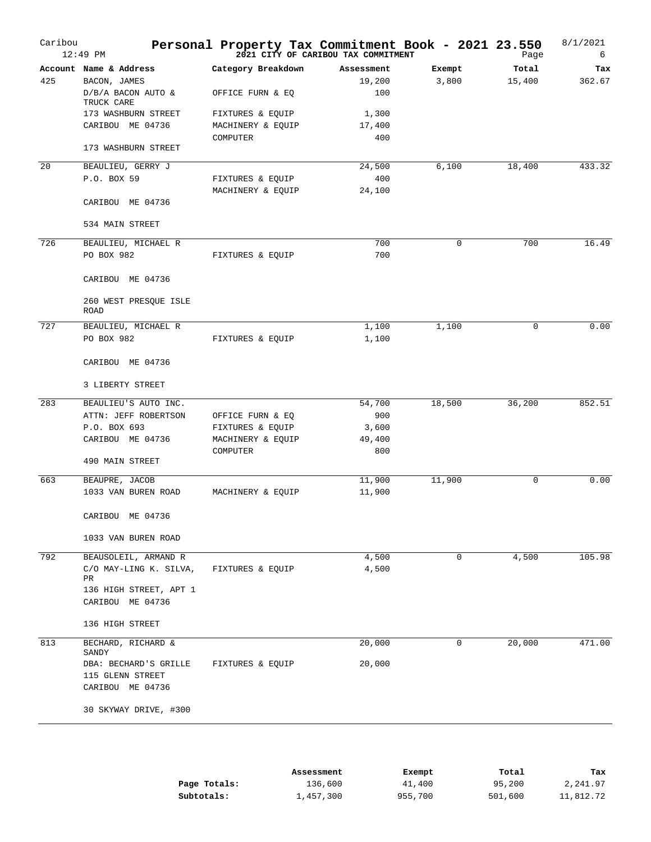| Caribou | $12:49$ PM                           | Personal Property Tax Commitment Book - 2021 23.550 | 2021 CITY OF CARIBOU TAX COMMITMENT |        | Page   | 8/1/2021<br>6 |
|---------|--------------------------------------|-----------------------------------------------------|-------------------------------------|--------|--------|---------------|
|         | Account Name & Address               | Category Breakdown                                  | Assessment                          | Exempt | Total  | Tax           |
| 425     | BACON, JAMES                         |                                                     | 19,200                              | 3,800  | 15,400 | 362.67        |
|         | D/B/A BACON AUTO &<br>TRUCK CARE     | OFFICE FURN & EQ                                    | 100                                 |        |        |               |
|         | 173 WASHBURN STREET                  | FIXTURES & EQUIP                                    | 1,300                               |        |        |               |
|         | CARIBOU ME 04736                     | MACHINERY & EQUIP                                   | 17,400                              |        |        |               |
|         |                                      | COMPUTER                                            | 400                                 |        |        |               |
|         | 173 WASHBURN STREET                  |                                                     |                                     |        |        |               |
| 20      | BEAULIEU, GERRY J                    |                                                     | 24,500                              | 6,100  | 18,400 | 433.32        |
|         | P.O. BOX 59                          | FIXTURES & EQUIP                                    | 400                                 |        |        |               |
|         |                                      | MACHINERY & EQUIP                                   | 24,100                              |        |        |               |
|         | CARIBOU ME 04736                     |                                                     |                                     |        |        |               |
|         | 534 MAIN STREET                      |                                                     |                                     |        |        |               |
| 726     | BEAULIEU, MICHAEL R                  |                                                     | 700                                 | 0      | 700    | 16.49         |
|         | PO BOX 982                           | FIXTURES & EQUIP                                    | 700                                 |        |        |               |
|         | CARIBOU ME 04736                     |                                                     |                                     |        |        |               |
|         | 260 WEST PRESQUE ISLE<br>ROAD        |                                                     |                                     |        |        |               |
| 727     | BEAULIEU, MICHAEL R                  |                                                     | 1,100                               | 1,100  | 0      | 0.00          |
|         | PO BOX 982                           | FIXTURES & EQUIP                                    | 1,100                               |        |        |               |
|         | CARIBOU ME 04736                     |                                                     |                                     |        |        |               |
|         | 3 LIBERTY STREET                     |                                                     |                                     |        |        |               |
| 283     | BEAULIEU'S AUTO INC.                 |                                                     | 54,700                              | 18,500 | 36,200 | 852.51        |
|         | ATTN: JEFF ROBERTSON                 | OFFICE FURN & EQ                                    | 900                                 |        |        |               |
|         | P.O. BOX 693                         | FIXTURES & EQUIP                                    | 3,600                               |        |        |               |
|         | CARIBOU ME 04736                     | MACHINERY & EQUIP                                   | 49,400                              |        |        |               |
|         |                                      | COMPUTER                                            | 800                                 |        |        |               |
|         | 490 MAIN STREET                      |                                                     |                                     |        |        |               |
| 663     | BEAUPRE, JACOB                       |                                                     | 11,900                              | 11,900 | 0      | 0.00          |
|         | 1033 VAN BUREN ROAD                  | MACHINERY & EQUIP                                   | 11,900                              |        |        |               |
|         | CARIBOU ME 04736                     |                                                     |                                     |        |        |               |
|         | 1033 VAN BUREN ROAD                  |                                                     |                                     |        |        |               |
| 792     | BEAUSOLEIL, ARMAND R                 |                                                     | 4,500                               | 0      | 4,500  | 105.98        |
|         | C/O MAY-LING K. SILVA,               | FIXTURES & EQUIP                                    | 4,500                               |        |        |               |
|         | PR<br>136 HIGH STREET, APT 1         |                                                     |                                     |        |        |               |
|         | CARIBOU ME 04736                     |                                                     |                                     |        |        |               |
|         | 136 HIGH STREET                      |                                                     |                                     |        |        |               |
| 813     | BECHARD, RICHARD &<br>SANDY          |                                                     | 20,000                              | 0      | 20,000 | 471.00        |
|         | DBA: BECHARD'S GRILLE                | FIXTURES & EQUIP                                    | 20,000                              |        |        |               |
|         | 115 GLENN STREET<br>CARIBOU ME 04736 |                                                     |                                     |        |        |               |
|         | 30 SKYWAY DRIVE, #300                |                                                     |                                     |        |        |               |
|         |                                      |                                                     |                                     |        |        |               |

|              | Assessment | Exempt  | Total   | Tax       |
|--------------|------------|---------|---------|-----------|
| Page Totals: | 136,600    | 41,400  | 95,200  | 2,241.97  |
| Subtotals:   | 1,457,300  | 955,700 | 501,600 | 11,812.72 |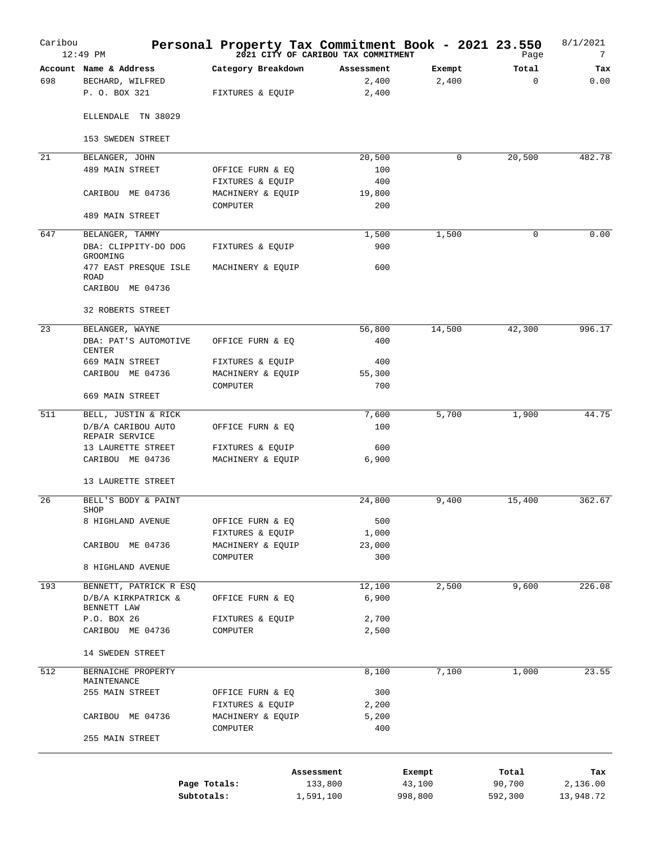| Caribou | $12:49$ PM                             | Personal Property Tax Commitment Book - 2021 23.550 | 2021 CITY OF CARIBOU TAX COMMITMENT |         | Page        | 8/1/2021<br>7 |
|---------|----------------------------------------|-----------------------------------------------------|-------------------------------------|---------|-------------|---------------|
|         | Account Name & Address                 | Category Breakdown                                  | Assessment                          | Exempt  | Total       | Tax           |
| 698     | BECHARD, WILFRED<br>P. O. BOX 321      | FIXTURES & EQUIP                                    | 2,400<br>2,400                      | 2,400   | $\mathbf 0$ | 0.00          |
|         | ELLENDALE TN 38029                     |                                                     |                                     |         |             |               |
|         | 153 SWEDEN STREET                      |                                                     |                                     |         |             |               |
| 21      | BELANGER, JOHN                         |                                                     | 20,500                              | 0       | 20,500      | 482.78        |
|         | 489 MAIN STREET                        | OFFICE FURN & EQ                                    | 100                                 |         |             |               |
|         |                                        | FIXTURES & EQUIP                                    | 400                                 |         |             |               |
|         | CARIBOU ME 04736                       | MACHINERY & EQUIP                                   | 19,800                              |         |             |               |
|         | 489 MAIN STREET                        | COMPUTER                                            | 200                                 |         |             |               |
| 647     | BELANGER, TAMMY                        |                                                     | 1,500                               | 1,500   | $\Omega$    | 0.00          |
|         | DBA: CLIPPITY-DO DOG<br>GROOMING       | FIXTURES & EQUIP                                    | 900                                 |         |             |               |
|         | 477 EAST PRESQUE ISLE<br><b>ROAD</b>   | MACHINERY & EQUIP                                   | 600                                 |         |             |               |
|         | CARIBOU ME 04736                       |                                                     |                                     |         |             |               |
|         | 32 ROBERTS STREET                      |                                                     |                                     |         |             |               |
| 23      | BELANGER, WAYNE                        |                                                     | 56,800                              | 14,500  | 42,300      | 996.17        |
|         | DBA: PAT'S AUTOMOTIVE<br><b>CENTER</b> | OFFICE FURN & EO                                    | 400                                 |         |             |               |
|         | 669 MAIN STREET                        | FIXTURES & EQUIP                                    | 400                                 |         |             |               |
|         | CARIBOU ME 04736                       | MACHINERY & EQUIP                                   | 55,300                              |         |             |               |
|         | 669 MAIN STREET                        | COMPUTER                                            | 700                                 |         |             |               |
| 511     | BELL, JUSTIN & RICK                    |                                                     | 7,600                               | 5,700   | 1,900       | 44.75         |
|         | D/B/A CARIBOU AUTO<br>REPAIR SERVICE   | OFFICE FURN & EQ                                    | 100                                 |         |             |               |
|         | 13 LAURETTE STREET                     | FIXTURES & EQUIP                                    | 600                                 |         |             |               |
|         | CARIBOU ME 04736                       | MACHINERY & EQUIP                                   | 6,900                               |         |             |               |
|         | 13 LAURETTE STREET                     |                                                     |                                     |         |             |               |
| 26      | BELL'S BODY & PAINT<br>SHOP            |                                                     | 24,800                              | 9,400   | 15,400      | 362.67        |
|         | 8 HIGHLAND AVENUE                      | OFFICE FURN & EQ                                    | 500                                 |         |             |               |
|         |                                        | FIXTURES & EQUIP                                    | 1,000                               |         |             |               |
|         | CARIBOU ME 04736                       | MACHINERY & EQUIP                                   | 23,000                              |         |             |               |
|         | 8 HIGHLAND AVENUE                      | COMPUTER                                            | 300                                 |         |             |               |
| 193     | BENNETT, PATRICK R ESQ                 |                                                     | 12,100                              | 2,500   | 9,600       | 226.08        |
|         | D/B/A KIRKPATRICK &                    | OFFICE FURN & EQ                                    | 6,900                               |         |             |               |
|         | BENNETT LAW                            |                                                     |                                     |         |             |               |
|         | P.O. BOX 26                            | FIXTURES & EQUIP                                    | 2,700                               |         |             |               |
|         | CARIBOU ME 04736                       | COMPUTER                                            | 2,500                               |         |             |               |
|         | 14 SWEDEN STREET                       |                                                     |                                     |         |             |               |
| 512     | BERNAICHE PROPERTY<br>MAINTENANCE      |                                                     | 8,100                               | 7,100   | 1,000       | 23.55         |
|         | 255 MAIN STREET                        | OFFICE FURN & EQ                                    | 300                                 |         |             |               |
|         |                                        | FIXTURES & EQUIP                                    | 2,200                               |         |             |               |
|         | CARIBOU ME 04736                       | MACHINERY & EQUIP                                   | 5,200                               |         |             |               |
|         | 255 MAIN STREET                        | COMPUTER                                            | 400                                 |         |             |               |
|         |                                        |                                                     |                                     |         |             |               |
|         |                                        | Assessment                                          |                                     | Exempt  | Total       | Tax           |
|         |                                        | Page Totals:                                        | 133,800                             | 43,100  | 90,700      | 2,136.00      |
|         |                                        | Subtotals:                                          | 1,591,100                           | 998,800 | 592,300     | 13,948.72     |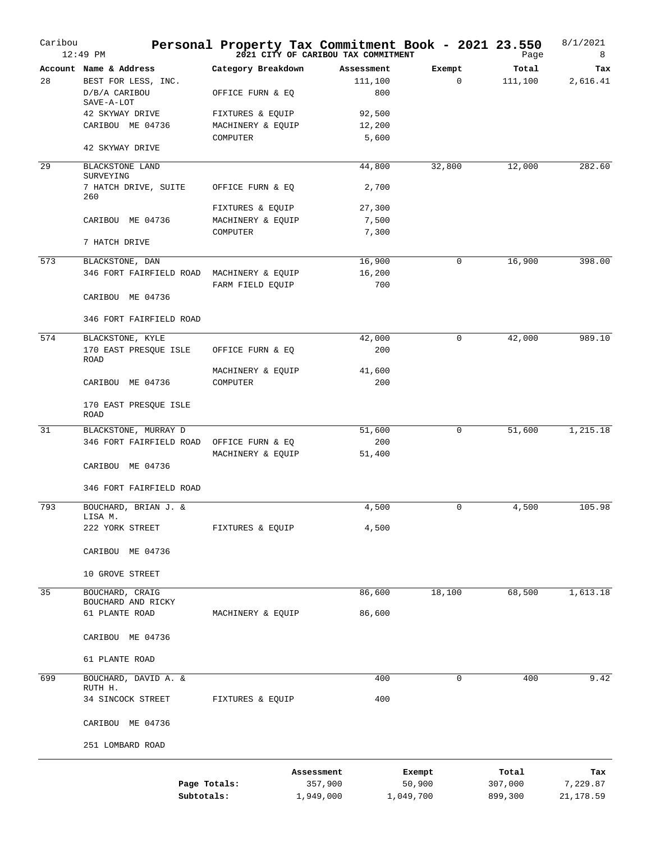| Caribou | 12:49 PM                                      | Personal Property Tax Commitment Book - 2021 23.550 | 2021 CITY OF CARIBOU TAX COMMITMENT |                       |           |             | Page             | 8/1/2021<br>8   |
|---------|-----------------------------------------------|-----------------------------------------------------|-------------------------------------|-----------------------|-----------|-------------|------------------|-----------------|
| 28      | Account Name & Address<br>BEST FOR LESS, INC. | Category Breakdown                                  |                                     | Assessment<br>111,100 | Exempt    | $\mathbf 0$ | Total<br>111,100 | Tax<br>2,616.41 |
|         | D/B/A CARIBOU<br>SAVE-A-LOT                   | OFFICE FURN & EQ                                    |                                     | 800                   |           |             |                  |                 |
|         | 42 SKYWAY DRIVE                               | FIXTURES & EQUIP                                    |                                     | 92,500                |           |             |                  |                 |
|         | CARIBOU ME 04736                              | MACHINERY & EQUIP                                   |                                     | 12,200                |           |             |                  |                 |
|         | 42 SKYWAY DRIVE                               | COMPUTER                                            |                                     | 5,600                 |           |             |                  |                 |
| 29      | BLACKSTONE LAND<br>SURVEYING                  |                                                     |                                     | 44,800                | 32,800    |             | 12,000           | 282.60          |
|         | 7 HATCH DRIVE, SUITE<br>260                   | OFFICE FURN & EQ                                    |                                     | 2,700                 |           |             |                  |                 |
|         |                                               | FIXTURES & EQUIP                                    |                                     | 27,300                |           |             |                  |                 |
|         | CARIBOU ME 04736                              | MACHINERY & EQUIP                                   |                                     | 7,500                 |           |             |                  |                 |
|         |                                               | COMPUTER                                            |                                     | 7,300                 |           |             |                  |                 |
|         | 7 HATCH DRIVE                                 |                                                     |                                     |                       |           |             |                  |                 |
| 573     | BLACKSTONE, DAN                               |                                                     |                                     | 16,900                |           | $\mathbf 0$ | 16,900           | 398.00          |
|         | 346 FORT FAIRFIELD ROAD                       | MACHINERY & EQUIP                                   |                                     | 16,200                |           |             |                  |                 |
|         | CARIBOU ME 04736                              | FARM FIELD EQUIP                                    |                                     | 700                   |           |             |                  |                 |
|         | 346 FORT FAIRFIELD ROAD                       |                                                     |                                     |                       |           |             |                  |                 |
| 574     | BLACKSTONE, KYLE                              |                                                     |                                     | 42,000                |           | 0           | 42,000           | 989.10          |
|         | 170 EAST PRESQUE ISLE<br><b>ROAD</b>          | OFFICE FURN & EQ                                    |                                     | 200                   |           |             |                  |                 |
|         |                                               | MACHINERY & EQUIP                                   |                                     | 41,600                |           |             |                  |                 |
|         | CARIBOU ME 04736                              | COMPUTER                                            |                                     | 200                   |           |             |                  |                 |
|         | 170 EAST PRESQUE ISLE<br>ROAD                 |                                                     |                                     |                       |           |             |                  |                 |
| 31      | BLACKSTONE, MURRAY D                          |                                                     |                                     | 51,600                |           | 0           | 51,600           | 1,215.18        |
|         | 346 FORT FAIRFIELD ROAD                       | OFFICE FURN & EQ                                    |                                     | 200                   |           |             |                  |                 |
|         | CARIBOU ME 04736                              | MACHINERY & EQUIP                                   |                                     | 51,400                |           |             |                  |                 |
|         | 346 FORT FAIRFIELD ROAD                       |                                                     |                                     |                       |           |             |                  |                 |
|         |                                               |                                                     |                                     |                       |           |             |                  |                 |
| 793     | BOUCHARD, BRIAN J. &<br>LISA M.               |                                                     |                                     | 4,500                 |           | $\mathbf 0$ | 4,500            | 105.98          |
|         | 222 YORK STREET                               | FIXTURES & EQUIP                                    |                                     | 4,500                 |           |             |                  |                 |
|         | CARIBOU ME 04736                              |                                                     |                                     |                       |           |             |                  |                 |
|         | 10 GROVE STREET                               |                                                     |                                     |                       |           |             |                  |                 |
| 35      | BOUCHARD, CRAIG                               |                                                     |                                     | 86,600                | 18,100    |             | 68,500           | 1,613.18        |
|         | BOUCHARD AND RICKY                            |                                                     |                                     |                       |           |             |                  |                 |
|         | 61 PLANTE ROAD                                | MACHINERY & EQUIP                                   |                                     | 86,600                |           |             |                  |                 |
|         | CARIBOU ME 04736                              |                                                     |                                     |                       |           |             |                  |                 |
|         | 61 PLANTE ROAD                                |                                                     |                                     |                       |           |             |                  |                 |
| 699     | BOUCHARD, DAVID A. &<br>RUTH H.               |                                                     |                                     | 400                   |           | 0           | 400              | 9.42            |
|         | 34 SINCOCK STREET                             | FIXTURES & EQUIP                                    |                                     | 400                   |           |             |                  |                 |
|         | CARIBOU ME 04736                              |                                                     |                                     |                       |           |             |                  |                 |
|         | 251 LOMBARD ROAD                              |                                                     |                                     |                       |           |             |                  |                 |
|         |                                               |                                                     | Assessment                          |                       | Exempt    |             | Total            | Tax             |
|         |                                               | Page Totals:                                        | 357,900                             |                       | 50,900    |             | 307,000          | 7,229.87        |
|         |                                               | Subtotals:                                          | 1,949,000                           |                       | 1,049,700 |             | 899,300          | 21,178.59       |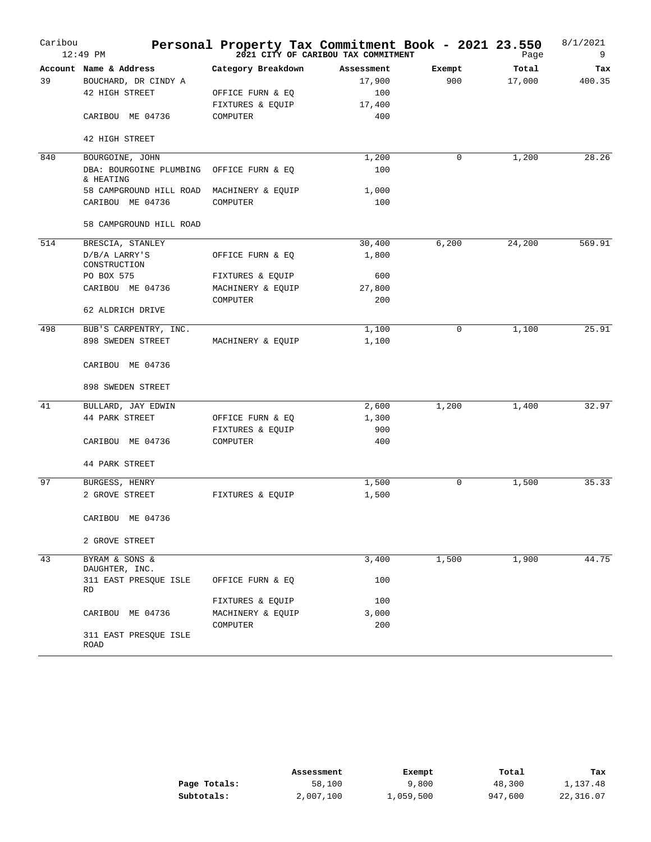| Caribou | $12:49$ PM                           | Personal Property Tax Commitment Book - 2021 23.550 | 2021 CITY OF CARIBOU TAX COMMITMENT |        | Page   | 8/1/2021<br>9 |
|---------|--------------------------------------|-----------------------------------------------------|-------------------------------------|--------|--------|---------------|
|         | Account Name & Address               | Category Breakdown                                  | Assessment                          | Exempt | Total  | Tax           |
| 39      | BOUCHARD, DR CINDY A                 |                                                     | 17,900                              | 900    | 17,000 | 400.35        |
|         | 42 HIGH STREET                       | OFFICE FURN & EQ                                    | 100                                 |        |        |               |
|         |                                      | FIXTURES & EQUIP                                    | 17,400                              |        |        |               |
|         | CARIBOU ME 04736                     | COMPUTER                                            | 400                                 |        |        |               |
|         | 42 HIGH STREET                       |                                                     |                                     |        |        |               |
| 840     | BOURGOINE, JOHN                      |                                                     | 1,200                               | 0      | 1,200  | 28.26         |
|         | DBA: BOURGOINE PLUMBING<br>& HEATING | OFFICE FURN & EQ                                    | 100                                 |        |        |               |
|         | 58 CAMPGROUND HILL ROAD              | MACHINERY & EQUIP                                   | 1,000                               |        |        |               |
|         | CARIBOU ME 04736                     | COMPUTER                                            | 100                                 |        |        |               |
|         | 58 CAMPGROUND HILL ROAD              |                                                     |                                     |        |        |               |
| 514     | BRESCIA, STANLEY                     |                                                     | 30,400                              | 6,200  | 24,200 | 569.91        |
|         | $D/B/A$ LARRY'S<br>CONSTRUCTION      | OFFICE FURN & EQ                                    | 1,800                               |        |        |               |
|         | PO BOX 575                           | FIXTURES & EQUIP                                    | 600                                 |        |        |               |
|         | CARIBOU ME 04736                     | MACHINERY & EQUIP                                   | 27,800                              |        |        |               |
|         |                                      | COMPUTER                                            | 200                                 |        |        |               |
|         | 62 ALDRICH DRIVE                     |                                                     |                                     |        |        |               |
| 498     | BUB'S CARPENTRY, INC.                |                                                     | 1,100                               | 0      | 1,100  | 25.91         |
|         | 898 SWEDEN STREET                    | MACHINERY & EQUIP                                   | 1,100                               |        |        |               |
|         | CARIBOU ME 04736                     |                                                     |                                     |        |        |               |
|         | 898 SWEDEN STREET                    |                                                     |                                     |        |        |               |
| 41      | BULLARD, JAY EDWIN                   |                                                     | 2,600                               | 1,200  | 1,400  | 32.97         |
|         | <b>44 PARK STREET</b>                | OFFICE FURN & EQ                                    | 1,300                               |        |        |               |
|         |                                      | FIXTURES & EQUIP                                    | 900                                 |        |        |               |
|         | CARIBOU ME 04736                     | COMPUTER                                            | 400                                 |        |        |               |
|         | 44 PARK STREET                       |                                                     |                                     |        |        |               |
| 97      | BURGESS, HENRY                       |                                                     | 1,500                               | 0      | 1,500  | 35.33         |
|         | 2 GROVE STREET                       | FIXTURES & EOUIP                                    | 1,500                               |        |        |               |
|         | CARIBOU ME 04736                     |                                                     |                                     |        |        |               |
|         | 2 GROVE STREET                       |                                                     |                                     |        |        |               |
| 43      | BYRAM & SONS &                       |                                                     | 3,400                               | 1,500  | 1,900  | 44.75         |
|         | DAUGHTER, INC.                       |                                                     |                                     |        |        |               |
|         | 311 EAST PRESQUE ISLE<br>RD          | OFFICE FURN & EQ                                    | 100                                 |        |        |               |
|         |                                      | FIXTURES & EQUIP                                    | 100                                 |        |        |               |
|         | CARIBOU ME 04736                     | MACHINERY & EQUIP                                   | 3,000                               |        |        |               |
|         | 311 EAST PRESQUE ISLE                | COMPUTER                                            | 200                                 |        |        |               |
|         | ROAD                                 |                                                     |                                     |        |        |               |

|              | Assessment | Exempt    | Total   | Тах       |
|--------------|------------|-----------|---------|-----------|
| Page Totals: | 58,100     | 9,800     | 48,300  | 1,137.48  |
| Subtotals:   | 2,007,100  | 1,059,500 | 947,600 | 22,316.07 |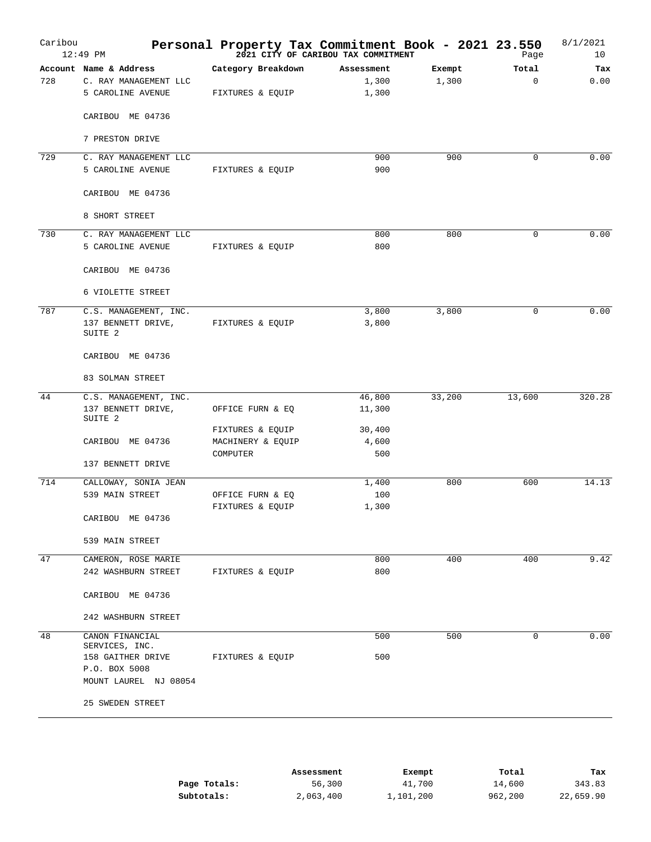| Account Name & Address<br>Category Breakdown<br>Exempt<br>Total<br>Assessment<br>1,300<br>$\Omega$<br>728<br>C. RAY MANAGEMENT LLC<br>1,300<br>1,300<br>5 CAROLINE AVENUE<br>FIXTURES & EQUIP<br>CARIBOU ME 04736<br>7 PRESTON DRIVE<br>729<br>900<br>$\mathbf 0$<br>C. RAY MANAGEMENT LLC<br>900<br>900<br>5 CAROLINE AVENUE<br>FIXTURES & EQUIP<br>CARIBOU ME 04736<br>8 SHORT STREET<br>730<br>C. RAY MANAGEMENT LLC<br>800<br>$\mathbf 0$<br>800<br>800<br>5 CAROLINE AVENUE<br>FIXTURES & EQUIP<br>CARIBOU ME 04736<br>6 VIOLETTE STREET<br>787<br>3,800<br>3,800<br>$\mathbf 0$<br>C.S. MANAGEMENT, INC.<br>137 BENNETT DRIVE,<br>FIXTURES & EQUIP<br>3,800<br>SUITE <sub>2</sub> |        |
|-----------------------------------------------------------------------------------------------------------------------------------------------------------------------------------------------------------------------------------------------------------------------------------------------------------------------------------------------------------------------------------------------------------------------------------------------------------------------------------------------------------------------------------------------------------------------------------------------------------------------------------------------------------------------------------------|--------|
|                                                                                                                                                                                                                                                                                                                                                                                                                                                                                                                                                                                                                                                                                         | Tax    |
|                                                                                                                                                                                                                                                                                                                                                                                                                                                                                                                                                                                                                                                                                         | 0.00   |
|                                                                                                                                                                                                                                                                                                                                                                                                                                                                                                                                                                                                                                                                                         |        |
|                                                                                                                                                                                                                                                                                                                                                                                                                                                                                                                                                                                                                                                                                         |        |
|                                                                                                                                                                                                                                                                                                                                                                                                                                                                                                                                                                                                                                                                                         |        |
|                                                                                                                                                                                                                                                                                                                                                                                                                                                                                                                                                                                                                                                                                         | 0.00   |
|                                                                                                                                                                                                                                                                                                                                                                                                                                                                                                                                                                                                                                                                                         |        |
|                                                                                                                                                                                                                                                                                                                                                                                                                                                                                                                                                                                                                                                                                         |        |
|                                                                                                                                                                                                                                                                                                                                                                                                                                                                                                                                                                                                                                                                                         |        |
|                                                                                                                                                                                                                                                                                                                                                                                                                                                                                                                                                                                                                                                                                         | 0.00   |
|                                                                                                                                                                                                                                                                                                                                                                                                                                                                                                                                                                                                                                                                                         |        |
|                                                                                                                                                                                                                                                                                                                                                                                                                                                                                                                                                                                                                                                                                         |        |
|                                                                                                                                                                                                                                                                                                                                                                                                                                                                                                                                                                                                                                                                                         |        |
|                                                                                                                                                                                                                                                                                                                                                                                                                                                                                                                                                                                                                                                                                         | 0.00   |
|                                                                                                                                                                                                                                                                                                                                                                                                                                                                                                                                                                                                                                                                                         |        |
| CARIBOU ME 04736                                                                                                                                                                                                                                                                                                                                                                                                                                                                                                                                                                                                                                                                        |        |
| 83 SOLMAN STREET                                                                                                                                                                                                                                                                                                                                                                                                                                                                                                                                                                                                                                                                        |        |
| 44<br>33,200<br>13,600<br>C.S. MANAGEMENT, INC.<br>46,800                                                                                                                                                                                                                                                                                                                                                                                                                                                                                                                                                                                                                               | 320.28 |
| 137 BENNETT DRIVE,<br>11,300<br>OFFICE FURN & EQ<br>SUITE 2                                                                                                                                                                                                                                                                                                                                                                                                                                                                                                                                                                                                                             |        |
| FIXTURES & EQUIP<br>30,400                                                                                                                                                                                                                                                                                                                                                                                                                                                                                                                                                                                                                                                              |        |
| CARIBOU ME 04736<br>MACHINERY & EQUIP<br>4,600                                                                                                                                                                                                                                                                                                                                                                                                                                                                                                                                                                                                                                          |        |
| 500<br>COMPUTER                                                                                                                                                                                                                                                                                                                                                                                                                                                                                                                                                                                                                                                                         |        |
| 137 BENNETT DRIVE                                                                                                                                                                                                                                                                                                                                                                                                                                                                                                                                                                                                                                                                       |        |
| 714<br>CALLOWAY, SONIA JEAN<br>1,400<br>800<br>600                                                                                                                                                                                                                                                                                                                                                                                                                                                                                                                                                                                                                                      | 14.13  |
| 539 MAIN STREET<br>OFFICE FURN & EQ<br>100                                                                                                                                                                                                                                                                                                                                                                                                                                                                                                                                                                                                                                              |        |
| FIXTURES & EQUIP<br>1,300<br>CARIBOU ME 04736                                                                                                                                                                                                                                                                                                                                                                                                                                                                                                                                                                                                                                           |        |
|                                                                                                                                                                                                                                                                                                                                                                                                                                                                                                                                                                                                                                                                                         |        |
| 539 MAIN STREET                                                                                                                                                                                                                                                                                                                                                                                                                                                                                                                                                                                                                                                                         |        |
| 47<br>800<br>400<br>400<br>CAMERON, ROSE MARIE                                                                                                                                                                                                                                                                                                                                                                                                                                                                                                                                                                                                                                          | 9.42   |
| 800<br>242 WASHBURN STREET<br>FIXTURES & EQUIP                                                                                                                                                                                                                                                                                                                                                                                                                                                                                                                                                                                                                                          |        |
| CARIBOU ME 04736                                                                                                                                                                                                                                                                                                                                                                                                                                                                                                                                                                                                                                                                        |        |
| 242 WASHBURN STREET                                                                                                                                                                                                                                                                                                                                                                                                                                                                                                                                                                                                                                                                     |        |
| 48<br>500<br>$\mathbf 0$<br>CANON FINANCIAL<br>500<br>SERVICES, INC.                                                                                                                                                                                                                                                                                                                                                                                                                                                                                                                                                                                                                    | 0.00   |
| 158 GAITHER DRIVE<br>500<br>FIXTURES & EQUIP                                                                                                                                                                                                                                                                                                                                                                                                                                                                                                                                                                                                                                            |        |
| P.O. BOX 5008<br>MOUNT LAUREL NJ 08054                                                                                                                                                                                                                                                                                                                                                                                                                                                                                                                                                                                                                                                  |        |
|                                                                                                                                                                                                                                                                                                                                                                                                                                                                                                                                                                                                                                                                                         |        |
| 25 SWEDEN STREET                                                                                                                                                                                                                                                                                                                                                                                                                                                                                                                                                                                                                                                                        |        |

|              | Assessment | Exempt    | Total   | Tax       |
|--------------|------------|-----------|---------|-----------|
| Page Totals: | 56,300     | 41,700    | 14,600  | 343.83    |
| Subtotals:   | 2,063,400  | 1,101,200 | 962,200 | 22,659.90 |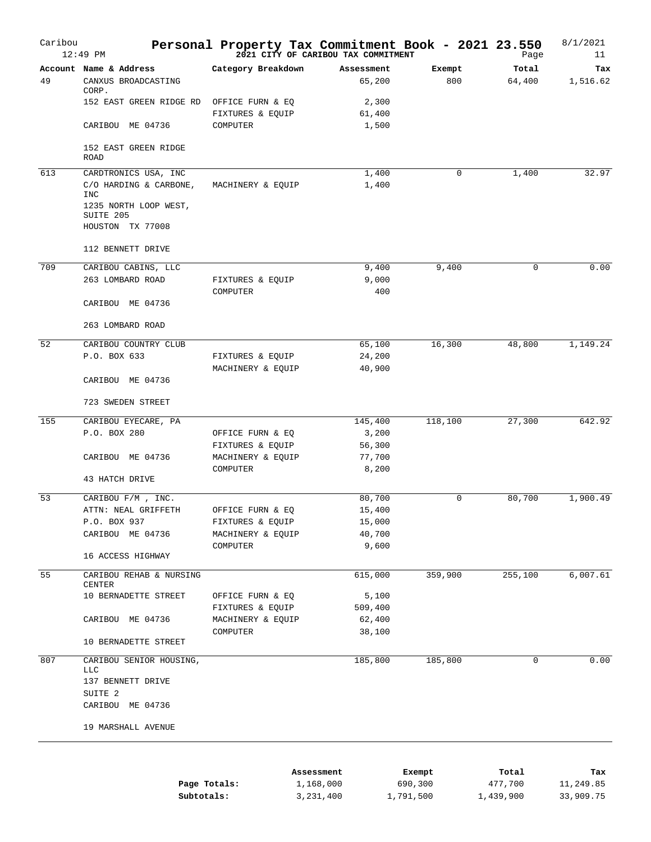| Caribou | 12:49 PM                             | Personal Property Tax Commitment Book - 2021 23.550 | 2021 CITY OF CARIBOU TAX COMMITMENT |         | Page        | 8/1/2021<br>11 |
|---------|--------------------------------------|-----------------------------------------------------|-------------------------------------|---------|-------------|----------------|
|         | Account Name & Address               | Category Breakdown                                  | Assessment                          | Exempt  | Total       | Tax            |
| 49      | CANXUS BROADCASTING<br>CORP.         |                                                     | 65,200                              | 800     | 64,400      | 1,516.62       |
|         | 152 EAST GREEN RIDGE RD              | OFFICE FURN & EQ                                    | 2,300                               |         |             |                |
|         |                                      | FIXTURES & EQUIP                                    | 61,400                              |         |             |                |
|         | CARIBOU ME 04736                     | COMPUTER                                            | 1,500                               |         |             |                |
|         | 152 EAST GREEN RIDGE<br><b>ROAD</b>  |                                                     |                                     |         |             |                |
| 613     | CARDTRONICS USA, INC                 |                                                     | 1,400                               | 0       | 1,400       | 32.97          |
|         | C/O HARDING & CARBONE,<br><b>INC</b> | MACHINERY & EQUIP                                   | 1,400                               |         |             |                |
|         | 1235 NORTH LOOP WEST,<br>SUITE 205   |                                                     |                                     |         |             |                |
|         | HOUSTON TX 77008                     |                                                     |                                     |         |             |                |
|         | 112 BENNETT DRIVE                    |                                                     |                                     |         |             |                |
| 709     | CARIBOU CABINS, LLC                  |                                                     | 9,400                               | 9,400   | 0           | 0.00           |
|         | 263 LOMBARD ROAD                     | FIXTURES & EQUIP                                    | 9,000                               |         |             |                |
|         | CARIBOU ME 04736                     | COMPUTER                                            | 400                                 |         |             |                |
|         | 263 LOMBARD ROAD                     |                                                     |                                     |         |             |                |
| 52      | CARIBOU COUNTRY CLUB                 |                                                     | 65,100                              | 16,300  | 48,800      | 1,149.24       |
|         | P.O. BOX 633                         | FIXTURES & EQUIP                                    | 24,200                              |         |             |                |
|         |                                      | MACHINERY & EQUIP                                   | 40,900                              |         |             |                |
|         | CARIBOU ME 04736                     |                                                     |                                     |         |             |                |
|         | 723 SWEDEN STREET                    |                                                     |                                     |         |             |                |
| 155     | CARIBOU EYECARE, PA                  |                                                     | 145,400                             | 118,100 | 27,300      | 642.92         |
|         | P.O. BOX 280                         | OFFICE FURN & EQ                                    | 3,200                               |         |             |                |
|         |                                      | FIXTURES & EQUIP                                    | 56,300                              |         |             |                |
|         | CARIBOU ME 04736                     | MACHINERY & EQUIP                                   | 77,700                              |         |             |                |
|         | 43 HATCH DRIVE                       | COMPUTER                                            | 8,200                               |         |             |                |
| 53      | CARIBOU F/M , INC.                   |                                                     | 80,700                              | 0       | 80,700      | 1,900.49       |
|         | ATTN: NEAL GRIFFETH                  | OFFICE FURN & EQ                                    | 15,400                              |         |             |                |
|         | P.O. BOX 937                         | FIXTURES & EQUIP                                    | 15,000                              |         |             |                |
|         | CARIBOU ME 04736                     | MACHINERY & EQUIP                                   | 40,700                              |         |             |                |
|         |                                      | COMPUTER                                            | 9,600                               |         |             |                |
|         | 16 ACCESS HIGHWAY                    |                                                     |                                     |         |             |                |
| 55      | CARIBOU REHAB & NURSING<br>CENTER    |                                                     | 615,000                             | 359,900 | 255,100     | 6,007.61       |
|         | 10 BERNADETTE STREET                 | OFFICE FURN & EQ                                    | 5,100                               |         |             |                |
|         |                                      | FIXTURES & EQUIP                                    | 509,400                             |         |             |                |
|         | CARIBOU ME 04736                     | MACHINERY & EQUIP                                   | 62,400                              |         |             |                |
|         |                                      | COMPUTER                                            | 38,100                              |         |             |                |
|         | 10 BERNADETTE STREET                 |                                                     |                                     |         |             |                |
| 807     | CARIBOU SENIOR HOUSING,              |                                                     | 185,800                             | 185,800 | $\mathbf 0$ | 0.00           |
|         | <b>LLC</b><br>137 BENNETT DRIVE      |                                                     |                                     |         |             |                |
|         | SUITE 2                              |                                                     |                                     |         |             |                |
|         | CARIBOU ME 04736                     |                                                     |                                     |         |             |                |
|         | 19 MARSHALL AVENUE                   |                                                     |                                     |         |             |                |
|         |                                      |                                                     |                                     |         |             |                |

|              | Assessment | Exempt    | Total     | Tax       |
|--------------|------------|-----------|-----------|-----------|
| Page Totals: | 1,168,000  | 690,300   | 477,700   | 11,249.85 |
| Subtotals:   | 3,231,400  | 1,791,500 | 1,439,900 | 33,909.75 |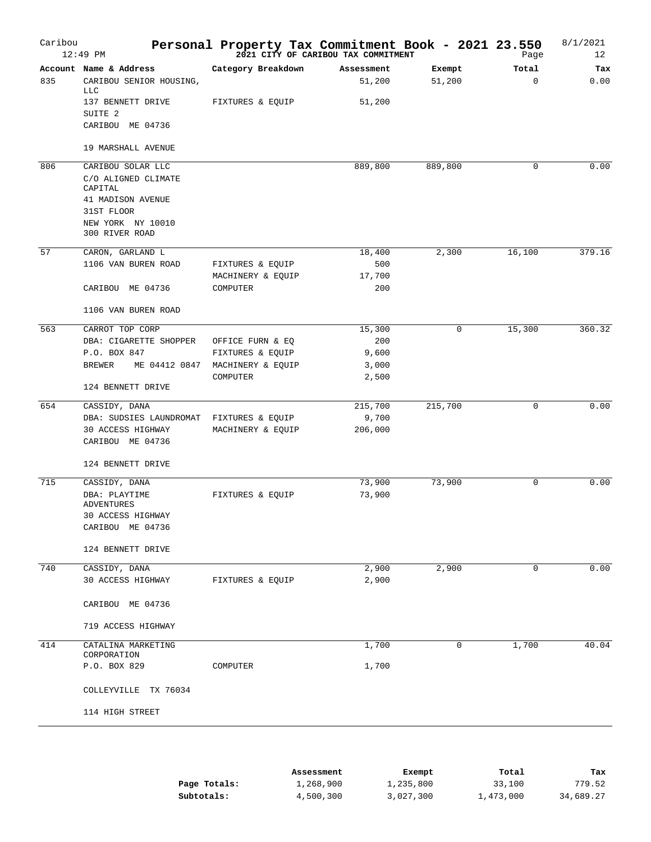| Caribou | $12:49$ PM                              | Personal Property Tax Commitment Book - 2021 23.550 | 2021 CITY OF CARIBOU TAX COMMITMENT |         | Page   | 8/1/2021<br>12 |
|---------|-----------------------------------------|-----------------------------------------------------|-------------------------------------|---------|--------|----------------|
|         | Account Name & Address                  | Category Breakdown                                  | Assessment                          | Exempt  | Total  | Tax            |
| 835     | CARIBOU SENIOR HOUSING,<br><b>LLC</b>   |                                                     | 51,200                              | 51,200  | 0      | 0.00           |
|         | 137 BENNETT DRIVE<br>SUITE <sub>2</sub> | FIXTURES & EQUIP                                    | 51,200                              |         |        |                |
|         | CARIBOU ME 04736                        |                                                     |                                     |         |        |                |
|         | 19 MARSHALL AVENUE                      |                                                     |                                     |         |        |                |
| 806     | CARIBOU SOLAR LLC                       |                                                     | 889,800                             | 889,800 | 0      | 0.00           |
|         | C/O ALIGNED CLIMATE                     |                                                     |                                     |         |        |                |
|         | CAPITAL                                 |                                                     |                                     |         |        |                |
|         | 41 MADISON AVENUE                       |                                                     |                                     |         |        |                |
|         | 31ST FLOOR                              |                                                     |                                     |         |        |                |
|         | NEW YORK NY 10010<br>300 RIVER ROAD     |                                                     |                                     |         |        |                |
|         |                                         |                                                     |                                     |         |        |                |
| 57      | CARON, GARLAND L                        |                                                     | 18,400                              | 2,300   | 16,100 | 379.16         |
|         | 1106 VAN BUREN ROAD                     | FIXTURES & EQUIP                                    | 500                                 |         |        |                |
|         |                                         | MACHINERY & EQUIP                                   | 17,700                              |         |        |                |
|         | CARIBOU ME 04736                        | COMPUTER                                            | 200                                 |         |        |                |
|         | 1106 VAN BUREN ROAD                     |                                                     |                                     |         |        |                |
| 563     | CARROT TOP CORP                         |                                                     | 15,300                              | 0       | 15,300 | 360.32         |
|         | DBA: CIGARETTE SHOPPER                  | OFFICE FURN & EQ                                    | 200                                 |         |        |                |
|         | P.O. BOX 847                            | FIXTURES & EQUIP                                    | 9,600                               |         |        |                |
|         | <b>BREWER</b><br>ME 04412 0847          | MACHINERY & EQUIP                                   | 3,000                               |         |        |                |
|         |                                         | COMPUTER                                            | 2,500                               |         |        |                |
|         | 124 BENNETT DRIVE                       |                                                     |                                     |         |        |                |
| 654     | CASSIDY, DANA                           |                                                     | 215,700                             | 215,700 | 0      | 0.00           |
|         | DBA: SUDSIES LAUNDROMAT                 | FIXTURES & EQUIP                                    | 9,700                               |         |        |                |
|         | 30 ACCESS HIGHWAY                       | MACHINERY & EQUIP                                   | 206,000                             |         |        |                |
|         | CARIBOU ME 04736                        |                                                     |                                     |         |        |                |
|         | 124 BENNETT DRIVE                       |                                                     |                                     |         |        |                |
| 715     | CASSIDY, DANA                           |                                                     | 73,900                              | 73,900  | 0      | 0.00           |
|         | DBA: PLAYTIME                           | FIXTURES & EOUIP                                    | 73,900                              |         |        |                |
|         | ADVENTURES                              |                                                     |                                     |         |        |                |
|         | 30 ACCESS HIGHWAY                       |                                                     |                                     |         |        |                |
|         | CARIBOU ME 04736                        |                                                     |                                     |         |        |                |
|         | 124 BENNETT DRIVE                       |                                                     |                                     |         |        |                |
| 740     | CASSIDY, DANA                           |                                                     | 2,900                               | 2,900   | 0      | 0.00           |
|         | 30 ACCESS HIGHWAY                       | FIXTURES & EQUIP                                    | 2,900                               |         |        |                |
|         | CARIBOU ME 04736                        |                                                     |                                     |         |        |                |
|         | 719 ACCESS HIGHWAY                      |                                                     |                                     |         |        |                |
| 414     | CATALINA MARKETING                      |                                                     | 1,700                               | 0       | 1,700  | 40.04          |
|         | CORPORATION                             |                                                     |                                     |         |        |                |
|         | P.O. BOX 829                            | COMPUTER                                            | 1,700                               |         |        |                |
|         | COLLEYVILLE TX 76034                    |                                                     |                                     |         |        |                |
|         | 114 HIGH STREET                         |                                                     |                                     |         |        |                |

|              | Assessment | Exempt    | Total     | Tax       |
|--------------|------------|-----------|-----------|-----------|
| Page Totals: | 1,268,900  | 1,235,800 | 33,100    | 779.52    |
| Subtotals:   | 4,500,300  | 3,027,300 | 1,473,000 | 34,689.27 |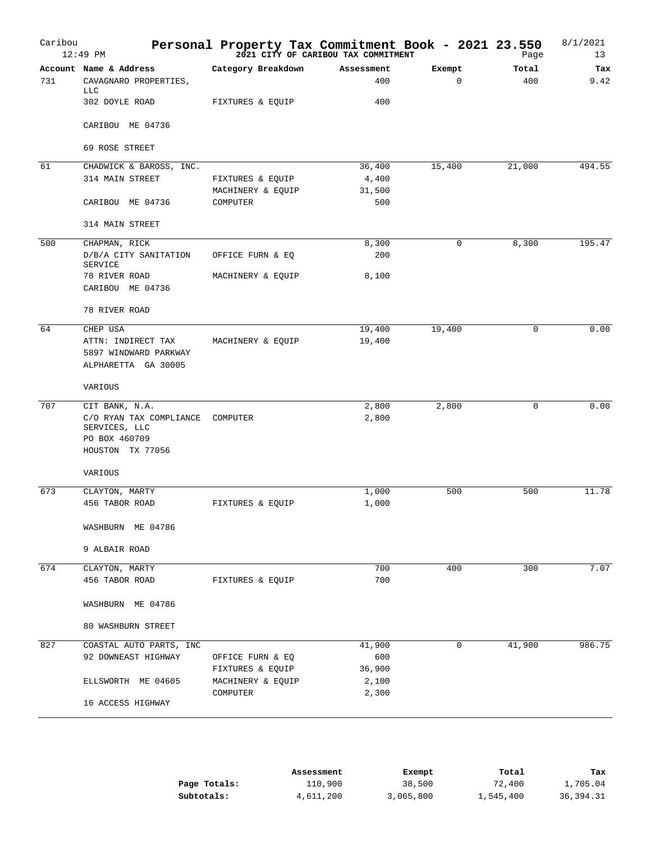| Caribou | $12:49$ PM                                                    | Personal Property Tax Commitment Book - 2021 23.550 | 2021 CITY OF CARIBOU TAX COMMITMENT |                       | Page         | 8/1/2021<br>13 |
|---------|---------------------------------------------------------------|-----------------------------------------------------|-------------------------------------|-----------------------|--------------|----------------|
| 731     | Account Name & Address<br>CAVAGNARO PROPERTIES,<br><b>LLC</b> | Category Breakdown                                  | Assessment<br>400                   | Exempt<br>$\mathbf 0$ | Total<br>400 | Tax<br>9.42    |
|         | 302 DOYLE ROAD                                                | FIXTURES & EQUIP                                    | 400                                 |                       |              |                |
|         | CARIBOU ME 04736                                              |                                                     |                                     |                       |              |                |
|         | 69 ROSE STREET                                                |                                                     |                                     |                       |              |                |
| 61      | CHADWICK & BAROSS, INC.                                       |                                                     | 36,400                              | 15,400                | 21,000       | 494.55         |
|         | 314 MAIN STREET                                               | FIXTURES & EQUIP                                    | 4,400                               |                       |              |                |
|         | CARIBOU ME 04736                                              | MACHINERY & EQUIP<br>COMPUTER                       | 31,500<br>500                       |                       |              |                |
|         | 314 MAIN STREET                                               |                                                     |                                     |                       |              |                |
| 500     | CHAPMAN, RICK                                                 |                                                     | 8,300                               | 0                     | 8,300        | 195.47         |
|         | D/B/A CITY SANITATION                                         | OFFICE FURN & EQ                                    | 200                                 |                       |              |                |
|         | SERVICE                                                       |                                                     |                                     |                       |              |                |
|         | 78 RIVER ROAD<br>CARIBOU ME 04736                             | MACHINERY & EQUIP                                   | 8,100                               |                       |              |                |
|         | 78 RIVER ROAD                                                 |                                                     |                                     |                       |              |                |
| 64      | CHEP USA                                                      |                                                     | 19,400                              | 19,400                | 0            | 0.00           |
|         | ATTN: INDIRECT TAX                                            | MACHINERY & EQUIP                                   | 19,400                              |                       |              |                |
|         | 5897 WINDWARD PARKWAY                                         |                                                     |                                     |                       |              |                |
|         | ALPHARETTA GA 30005                                           |                                                     |                                     |                       |              |                |
|         | VARIOUS                                                       |                                                     |                                     |                       |              |                |
| 707     | CIT BANK, N.A.                                                |                                                     | 2,800                               | 2,800                 | $\mathbf 0$  | 0.00           |
|         | C/O RYAN TAX COMPLIANCE<br>SERVICES, LLC                      | COMPUTER                                            | 2,800                               |                       |              |                |
|         | PO BOX 460709<br>HOUSTON TX 77056                             |                                                     |                                     |                       |              |                |
|         | VARIOUS                                                       |                                                     |                                     |                       |              |                |
| 673     | CLAYTON, MARTY                                                |                                                     | 1,000                               | 500                   | 500          | 11.78          |
|         | 456 TABOR ROAD                                                | FIXTURES & EQUIP                                    | 1,000                               |                       |              |                |
|         | WASHBURN ME 04786                                             |                                                     |                                     |                       |              |                |
|         | 9 ALBAIR ROAD                                                 |                                                     |                                     |                       |              |                |
| 674     | CLAYTON, MARTY                                                |                                                     | 700                                 | 400                   | 300          | 7.07           |
|         | 456 TABOR ROAD                                                | FIXTURES & EQUIP                                    | 700                                 |                       |              |                |
|         | WASHBURN ME 04786                                             |                                                     |                                     |                       |              |                |
|         | 80 WASHBURN STREET                                            |                                                     |                                     |                       |              |                |
| 827     | COASTAL AUTO PARTS, INC                                       |                                                     | 41,900                              | $\mathbf 0$           | 41,900       | 986.75         |
|         | 92 DOWNEAST HIGHWAY                                           | OFFICE FURN & EQ                                    | 600                                 |                       |              |                |
|         |                                                               | FIXTURES & EQUIP                                    | 36,900                              |                       |              |                |
|         | ELLSWORTH ME 04605                                            | MACHINERY & EQUIP                                   | 2,100                               |                       |              |                |
|         | 16 ACCESS HIGHWAY                                             | COMPUTER                                            | 2,300                               |                       |              |                |
|         |                                                               |                                                     |                                     |                       |              |                |

|              | Assessment | Exempt    | Total     | Tax       |
|--------------|------------|-----------|-----------|-----------|
| Page Totals: | 110,900    | 38,500    | 72,400    | 1,705.04  |
| Subtotals:   | 4,611,200  | 3,065,800 | 1,545,400 | 36,394.31 |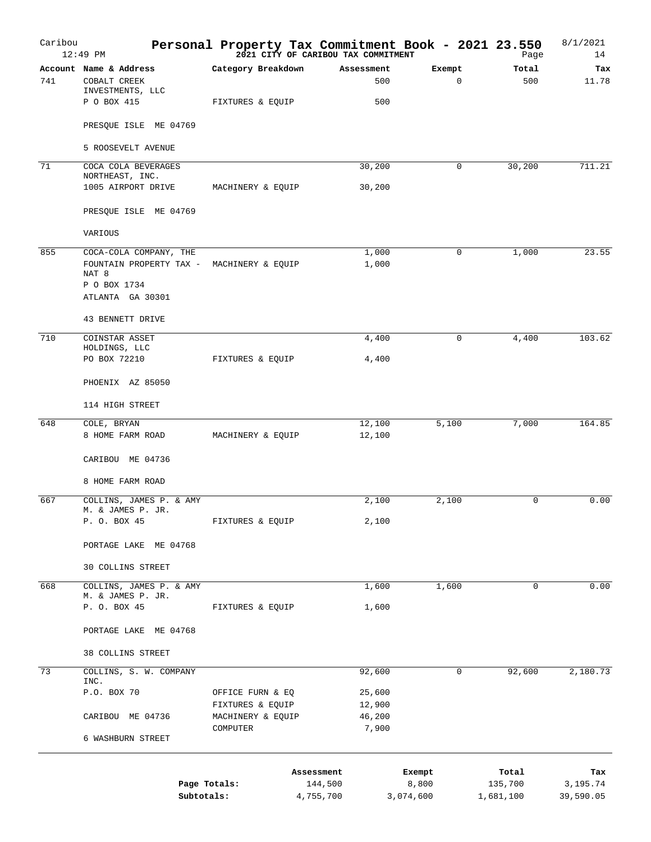| Caribou | $12:49$ PM                                                                                                                  |                                        | Personal Property Tax Commitment Book - 2021 23.550<br>2021 CITY OF CARIBOU TAX COMMITMENT |                       | Page             | 8/1/2021<br>14  |
|---------|-----------------------------------------------------------------------------------------------------------------------------|----------------------------------------|--------------------------------------------------------------------------------------------|-----------------------|------------------|-----------------|
| 741     | Account Name & Address<br>COBALT CREEK<br>INVESTMENTS, LLC<br>P O BOX 415                                                   | Category Breakdown<br>FIXTURES & EQUIP | Assessment<br>500<br>500                                                                   | Exempt<br>$\mathbf 0$ | Total<br>500     | Tax<br>11.78    |
|         | PRESQUE ISLE ME 04769                                                                                                       |                                        |                                                                                            |                       |                  |                 |
|         | 5 ROOSEVELT AVENUE                                                                                                          |                                        |                                                                                            |                       |                  |                 |
| 71      | COCA COLA BEVERAGES<br>NORTHEAST, INC.                                                                                      |                                        | 30,200                                                                                     | 0                     | 30,200           | 711.21          |
|         | 1005 AIRPORT DRIVE                                                                                                          | MACHINERY & EQUIP                      | 30,200                                                                                     |                       |                  |                 |
|         | PRESQUE ISLE ME 04769                                                                                                       |                                        |                                                                                            |                       |                  |                 |
|         | VARIOUS                                                                                                                     |                                        |                                                                                            |                       |                  |                 |
| 855     | COCA-COLA COMPANY, THE<br>FOUNTAIN PROPERTY TAX - MACHINERY & EQUIP<br>NAT <sup>8</sup><br>P O BOX 1734<br>ATLANTA GA 30301 |                                        | 1,000<br>1,000                                                                             | 0                     | 1,000            | 23.55           |
|         | 43 BENNETT DRIVE                                                                                                            |                                        |                                                                                            |                       |                  |                 |
| 710     | COINSTAR ASSET                                                                                                              |                                        | 4,400                                                                                      | $\mathbf 0$           | 4,400            | 103.62          |
|         | HOLDINGS, LLC<br>PO BOX 72210                                                                                               | FIXTURES & EQUIP                       | 4,400                                                                                      |                       |                  |                 |
|         | PHOENIX AZ 85050                                                                                                            |                                        |                                                                                            |                       |                  |                 |
|         | 114 HIGH STREET                                                                                                             |                                        |                                                                                            |                       |                  |                 |
| 648     | COLE, BRYAN<br>8 HOME FARM ROAD                                                                                             | MACHINERY & EQUIP                      | 12,100<br>12,100                                                                           | 5,100                 | 7,000            | 164.85          |
|         | CARIBOU ME 04736                                                                                                            |                                        |                                                                                            |                       |                  |                 |
|         | 8 HOME FARM ROAD                                                                                                            |                                        |                                                                                            |                       |                  |                 |
| 667     | COLLINS, JAMES P. & AMY<br>M. & JAMES P. JR.                                                                                |                                        | 2,100                                                                                      | 2,100                 | 0                | 0.00            |
|         | P. O. BOX 45                                                                                                                | FIXTURES & EQUIP                       | 2,100                                                                                      |                       |                  |                 |
|         | PORTAGE LAKE ME 04768                                                                                                       |                                        |                                                                                            |                       |                  |                 |
|         | <b>30 COLLINS STREET</b>                                                                                                    |                                        |                                                                                            |                       |                  |                 |
| 668     | COLLINS, JAMES P. & AMY<br>M. & JAMES P. JR.                                                                                |                                        | 1,600                                                                                      | 1,600                 | 0                | 0.00            |
|         | P. O. BOX 45                                                                                                                | FIXTURES & EQUIP                       | 1,600                                                                                      |                       |                  |                 |
|         | PORTAGE LAKE ME 04768                                                                                                       |                                        |                                                                                            |                       |                  |                 |
|         | 38 COLLINS STREET                                                                                                           |                                        |                                                                                            |                       |                  |                 |
| 73      | COLLINS, S. W. COMPANY<br>INC.                                                                                              |                                        | 92,600                                                                                     | 0                     | 92,600           | 2,180.73        |
|         | P.O. BOX 70                                                                                                                 | OFFICE FURN & EQ<br>FIXTURES & EQUIP   | 25,600<br>12,900                                                                           |                       |                  |                 |
|         | CARIBOU ME 04736                                                                                                            | MACHINERY & EQUIP<br>COMPUTER          | 46,200<br>7,900                                                                            |                       |                  |                 |
|         | 6 WASHBURN STREET                                                                                                           |                                        |                                                                                            |                       |                  |                 |
|         |                                                                                                                             | Page Totals:                           | Assessment<br>144,500                                                                      | Exempt<br>8,800       | Total<br>135,700 | Tax<br>3,195.74 |
|         | Subtotals:                                                                                                                  |                                        | 4,755,700                                                                                  | 3,074,600             | 1,681,100        | 39,590.05       |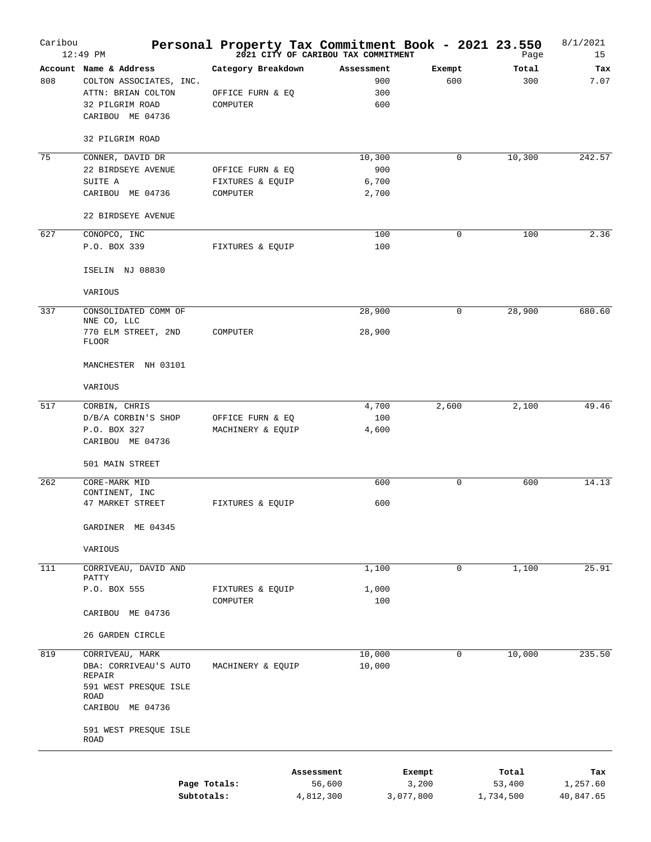| Caribou | $12:49$ PM                                                                                                                        | Personal Property Tax Commitment Book - 2021 23.550 | 2021 CITY OF CARIBOU TAX COMMITMENT |                 | Page            | 8/1/2021<br>15  |
|---------|-----------------------------------------------------------------------------------------------------------------------------------|-----------------------------------------------------|-------------------------------------|-----------------|-----------------|-----------------|
| 808     | Account Name & Address<br>COLTON ASSOCIATES, INC.<br>ATTN: BRIAN COLTON<br>32 PILGRIM ROAD<br>CARIBOU ME 04736<br>32 PILGRIM ROAD | Category Breakdown<br>OFFICE FURN & EQ<br>COMPUTER  | Assessment<br>900<br>300<br>600     | Exempt<br>600   | Total<br>300    | Tax<br>7.07     |
|         |                                                                                                                                   |                                                     |                                     |                 |                 |                 |
| 75      | CONNER, DAVID DR<br>22 BIRDSEYE AVENUE<br>SUITE A<br>CARIBOU ME 04736                                                             | OFFICE FURN & EQ<br>FIXTURES & EQUIP<br>COMPUTER    | 10,300<br>900<br>6,700<br>2,700     | 0               | 10,300          | 242.57          |
|         | 22 BIRDSEYE AVENUE                                                                                                                |                                                     |                                     |                 |                 |                 |
| 627     | CONOPCO, INC<br>P.O. BOX 339<br>ISELIN NJ 08830                                                                                   | FIXTURES & EQUIP                                    | 100<br>100                          | 0               | 100             | 2.36            |
|         | VARIOUS                                                                                                                           |                                                     |                                     |                 |                 |                 |
| 337     | CONSOLIDATED COMM OF                                                                                                              |                                                     | 28,900                              | 0               | 28,900          | 680.60          |
|         | NNE CO, LLC<br>770 ELM STREET, 2ND<br><b>FLOOR</b>                                                                                | COMPUTER                                            | 28,900                              |                 |                 |                 |
|         | MANCHESTER NH 03101                                                                                                               |                                                     |                                     |                 |                 |                 |
|         | VARIOUS                                                                                                                           |                                                     |                                     |                 |                 |                 |
| 517     | CORBIN, CHRIS<br>D/B/A CORBIN'S SHOP<br>P.O. BOX 327<br>CARIBOU ME 04736                                                          | OFFICE FURN & EQ<br>MACHINERY & EQUIP               | 4,700<br>100<br>4,600               | 2,600           | 2,100           | 49.46           |
|         | 501 MAIN STREET                                                                                                                   |                                                     |                                     |                 |                 |                 |
| 262     | CORE-MARK MID<br>CONTINENT, INC<br>47 MARKET STREET                                                                               | FIXTURES & EQUIP                                    | 600<br>600                          | 0               | 600             | 14.13           |
|         | GARDINER ME 04345                                                                                                                 |                                                     |                                     |                 |                 |                 |
|         | VARIOUS                                                                                                                           |                                                     |                                     |                 |                 |                 |
| 111     | CORRIVEAU, DAVID AND                                                                                                              |                                                     | 1,100                               | 0               | 1,100           | 25.91           |
|         | PATTY<br>P.O. BOX 555                                                                                                             | FIXTURES & EQUIP<br>COMPUTER                        | 1,000<br>100                        |                 |                 |                 |
|         | CARIBOU ME 04736                                                                                                                  |                                                     |                                     |                 |                 |                 |
|         | 26 GARDEN CIRCLE                                                                                                                  |                                                     |                                     |                 |                 |                 |
| 819     | CORRIVEAU, MARK<br>DBA: CORRIVEAU'S AUTO<br>REPAIR<br>591 WEST PRESQUE ISLE<br>ROAD                                               | MACHINERY & EQUIP                                   | 10,000<br>10,000                    | 0               | 10,000          | 235.50          |
|         | CARIBOU ME 04736<br>591 WEST PRESQUE ISLE<br>ROAD                                                                                 |                                                     |                                     |                 |                 |                 |
|         |                                                                                                                                   | Page Totals:                                        | Assessment<br>56,600                | Exempt<br>3,200 | Total<br>53,400 | Tax<br>1,257.60 |

**Subtotals:** 4,812,300 3,077,800 1,734,500 40,847.65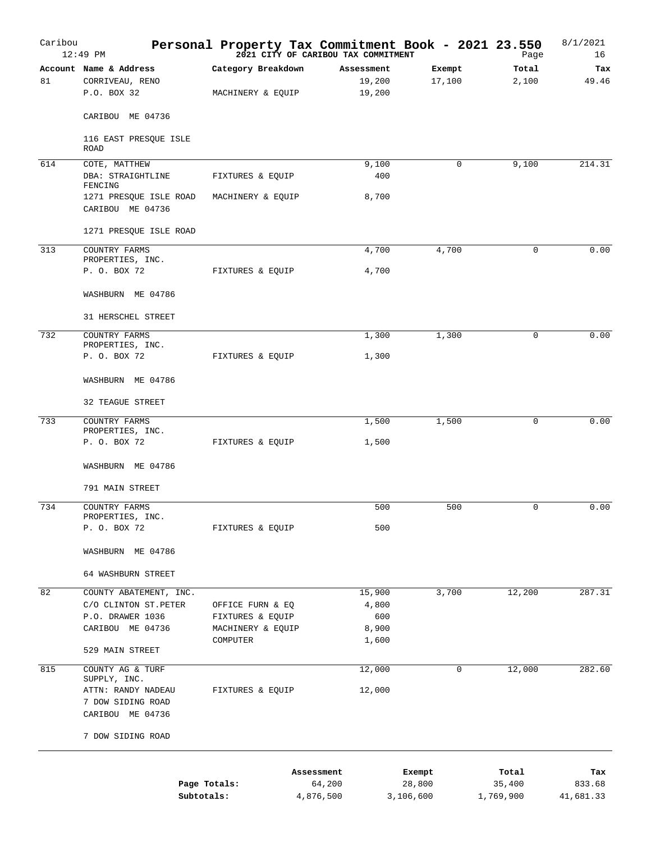| Caribou | $12:49$ PM                                 | Personal Property Tax Commitment Book - 2021 23.550 | 2021 CITY OF CARIBOU TAX COMMITMENT |        | Page        | 8/1/2021<br>16 |
|---------|--------------------------------------------|-----------------------------------------------------|-------------------------------------|--------|-------------|----------------|
|         | Account Name & Address                     | Category Breakdown                                  | Assessment                          | Exempt | Total       | Tax            |
| 81      | CORRIVEAU, RENO<br>P.O. BOX 32             | MACHINERY & EQUIP                                   | 19,200<br>19,200                    | 17,100 | 2,100       | 49.46          |
|         | CARIBOU ME 04736                           |                                                     |                                     |        |             |                |
|         | 116 EAST PRESQUE ISLE<br>ROAD              |                                                     |                                     |        |             |                |
| 614     | COTE, MATTHEW                              |                                                     | 9,100                               | 0      | 9,100       | 214.31         |
|         | DBA: STRAIGHTLINE<br>FENCING               | FIXTURES & EQUIP                                    | 400                                 |        |             |                |
|         | 1271 PRESQUE ISLE ROAD<br>CARIBOU ME 04736 | MACHINERY & EQUIP                                   | 8,700                               |        |             |                |
|         | 1271 PRESQUE ISLE ROAD                     |                                                     |                                     |        |             |                |
| 313     | COUNTRY FARMS                              |                                                     | 4,700                               | 4,700  | 0           | 0.00           |
|         | PROPERTIES, INC.<br>P. O. BOX 72           | FIXTURES & EQUIP                                    | 4,700                               |        |             |                |
|         | WASHBURN ME 04786                          |                                                     |                                     |        |             |                |
|         | 31 HERSCHEL STREET                         |                                                     |                                     |        |             |                |
| 732     | COUNTRY FARMS                              |                                                     | 1,300                               | 1,300  | $\mathbf 0$ | 0.00           |
|         | PROPERTIES, INC.<br>P. O. BOX 72           | FIXTURES & EQUIP                                    | 1,300                               |        |             |                |
|         | WASHBURN ME 04786                          |                                                     |                                     |        |             |                |
|         | 32 TEAGUE STREET                           |                                                     |                                     |        |             |                |
| 733     | COUNTRY FARMS                              |                                                     | 1,500                               | 1,500  | 0           | 0.00           |
|         | PROPERTIES, INC.<br>P. O. BOX 72           | FIXTURES & EQUIP                                    | 1,500                               |        |             |                |
|         | WASHBURN ME 04786                          |                                                     |                                     |        |             |                |
|         | 791 MAIN STREET                            |                                                     |                                     |        |             |                |
| 734     | COUNTRY FARMS<br>PROPERTIES, INC.          |                                                     | 500                                 | 500    | 0           | 0.00           |
|         | P. O. BOX 72                               | FIXTURES & EQUIP                                    | 500                                 |        |             |                |
|         | WASHBURN ME 04786                          |                                                     |                                     |        |             |                |
|         | 64 WASHBURN STREET                         |                                                     |                                     |        |             |                |
| 82      | COUNTY ABATEMENT, INC.                     |                                                     | 15,900                              | 3,700  | 12,200      | 287.31         |
|         | C/O CLINTON ST. PETER                      | OFFICE FURN & EQ                                    | 4,800                               |        |             |                |
|         | P.O. DRAWER 1036                           | FIXTURES & EQUIP                                    | 600                                 |        |             |                |
|         | CARIBOU ME 04736                           | MACHINERY & EQUIP                                   | 8,900                               |        |             |                |
|         | 529 MAIN STREET                            | COMPUTER                                            | 1,600                               |        |             |                |
| 815     | COUNTY AG & TURF<br>SUPPLY, INC.           |                                                     | 12,000                              | 0      | 12,000      | 282.60         |
|         | ATTN: RANDY NADEAU                         | FIXTURES & EQUIP                                    | 12,000                              |        |             |                |
|         | 7 DOW SIDING ROAD<br>CARIBOU ME 04736      |                                                     |                                     |        |             |                |
|         | 7 DOW SIDING ROAD                          |                                                     |                                     |        |             |                |
|         |                                            |                                                     |                                     |        |             |                |
|         |                                            | Assessment                                          |                                     | Exempt | Total       | Tax            |
|         |                                            |                                                     |                                     |        |             |                |

|              | Assessment | Exempt    | тосат     | тах       |
|--------------|------------|-----------|-----------|-----------|
| Page Totals: | 64,200     | 28,800    | 35,400    | 833.68    |
| Subtotals:   | 4,876,500  | 3,106,600 | 1,769,900 | 41,681.33 |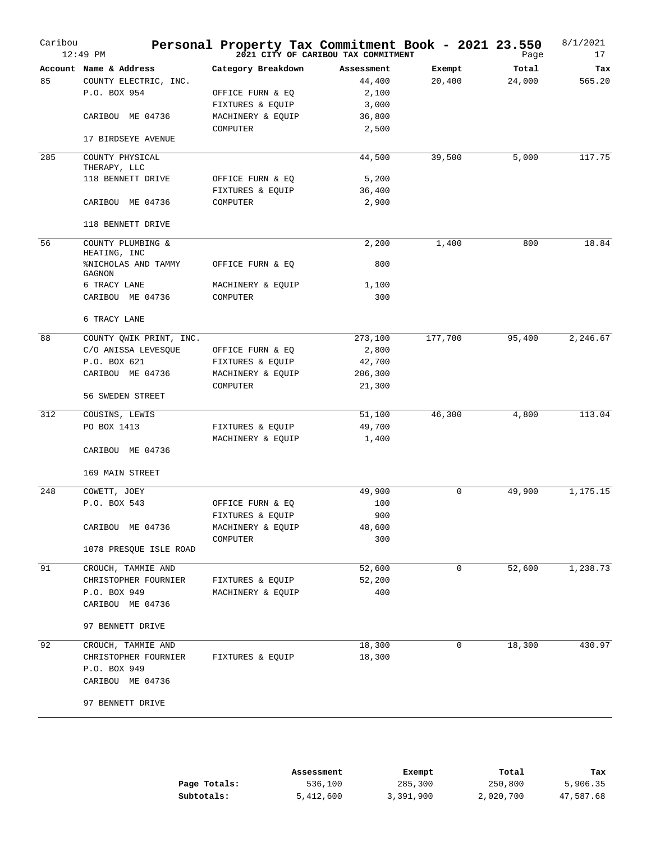| Account Name & Address<br>Category Breakdown<br>Assessment<br>Exempt<br>85<br>COUNTY ELECTRIC, INC.<br>44,400<br>20,400<br>P.O. BOX 954<br>OFFICE FURN & EQ<br>2,100<br>FIXTURES & EQUIP<br>3,000<br>CARIBOU ME 04736<br>MACHINERY & EQUIP<br>36,800<br>2,500<br>COMPUTER<br>17 BIRDSEYE AVENUE<br>285<br>44,500<br>39,500<br>COUNTY PHYSICAL | Total<br>24,000<br>5,000 | Tax<br>565.20<br>117.75 |
|-----------------------------------------------------------------------------------------------------------------------------------------------------------------------------------------------------------------------------------------------------------------------------------------------------------------------------------------------|--------------------------|-------------------------|
|                                                                                                                                                                                                                                                                                                                                               |                          |                         |
|                                                                                                                                                                                                                                                                                                                                               |                          |                         |
|                                                                                                                                                                                                                                                                                                                                               |                          |                         |
|                                                                                                                                                                                                                                                                                                                                               |                          |                         |
|                                                                                                                                                                                                                                                                                                                                               |                          |                         |
|                                                                                                                                                                                                                                                                                                                                               |                          |                         |
|                                                                                                                                                                                                                                                                                                                                               |                          |                         |
| THERAPY, LLC                                                                                                                                                                                                                                                                                                                                  |                          |                         |
| 118 BENNETT DRIVE<br>OFFICE FURN & EQ<br>5,200                                                                                                                                                                                                                                                                                                |                          |                         |
| FIXTURES & EQUIP<br>36,400                                                                                                                                                                                                                                                                                                                    |                          |                         |
| CARIBOU ME 04736<br>COMPUTER<br>2,900                                                                                                                                                                                                                                                                                                         |                          |                         |
| 118 BENNETT DRIVE                                                                                                                                                                                                                                                                                                                             |                          |                         |
| 56<br>COUNTY PLUMBING &<br>2,200<br>1,400<br>HEATING, INC                                                                                                                                                                                                                                                                                     | 800                      | 18.84                   |
| <b>%NICHOLAS AND TAMMY</b><br>OFFICE FURN & EQ<br>800<br>GAGNON                                                                                                                                                                                                                                                                               |                          |                         |
| 6 TRACY LANE<br>MACHINERY & EQUIP<br>1,100                                                                                                                                                                                                                                                                                                    |                          |                         |
| CARIBOU ME 04736<br>300<br>COMPUTER                                                                                                                                                                                                                                                                                                           |                          |                         |
| 6 TRACY LANE                                                                                                                                                                                                                                                                                                                                  |                          |                         |
| 88<br>177,700<br>COUNTY QWIK PRINT, INC.<br>273,100                                                                                                                                                                                                                                                                                           | 95,400                   | 2,246.67                |
| C/O ANISSA LEVESQUE<br>2,800<br>OFFICE FURN & EQ                                                                                                                                                                                                                                                                                              |                          |                         |
| P.O. BOX 621<br>42,700<br>FIXTURES & EQUIP                                                                                                                                                                                                                                                                                                    |                          |                         |
| CARIBOU ME 04736<br>206,300<br>MACHINERY & EQUIP                                                                                                                                                                                                                                                                                              |                          |                         |
| 21,300<br>COMPUTER<br>56 SWEDEN STREET                                                                                                                                                                                                                                                                                                        |                          |                         |
|                                                                                                                                                                                                                                                                                                                                               |                          |                         |
| 312<br>46,300<br>COUSINS, LEWIS<br>51,100                                                                                                                                                                                                                                                                                                     | 4,800                    | 113.04                  |
| PO BOX 1413<br>49,700<br>FIXTURES & EQUIP                                                                                                                                                                                                                                                                                                     |                          |                         |
| MACHINERY & EQUIP<br>1,400<br>CARIBOU ME 04736                                                                                                                                                                                                                                                                                                |                          |                         |
| 169 MAIN STREET                                                                                                                                                                                                                                                                                                                               |                          |                         |
|                                                                                                                                                                                                                                                                                                                                               |                          |                         |
| 49,900<br>248<br>0<br>COWETT, JOEY                                                                                                                                                                                                                                                                                                            | 49,900                   | 1,175.15                |
| P.O. BOX 543<br>100<br>OFFICE FURN & EQ                                                                                                                                                                                                                                                                                                       |                          |                         |
| FIXTURES & EQUIP<br>900                                                                                                                                                                                                                                                                                                                       |                          |                         |
| 48,600<br>CARIBOU ME 04736<br>MACHINERY & EQUIP                                                                                                                                                                                                                                                                                               |                          |                         |
| 300<br>COMPUTER<br>1078 PRESQUE ISLE ROAD                                                                                                                                                                                                                                                                                                     |                          |                         |
| 91<br>52,600<br>CROUCH, TAMMIE AND<br>0                                                                                                                                                                                                                                                                                                       | 52,600                   | 1,238.73                |
| 52,200<br>CHRISTOPHER FOURNIER<br>FIXTURES & EQUIP                                                                                                                                                                                                                                                                                            |                          |                         |
| P.O. BOX 949<br>400<br>MACHINERY & EQUIP                                                                                                                                                                                                                                                                                                      |                          |                         |
| CARIBOU ME 04736                                                                                                                                                                                                                                                                                                                              |                          |                         |
| 97 BENNETT DRIVE                                                                                                                                                                                                                                                                                                                              |                          |                         |
| 18,300<br>92<br>CROUCH, TAMMIE AND<br>0                                                                                                                                                                                                                                                                                                       | 18,300                   | 430.97                  |
| 18,300<br>CHRISTOPHER FOURNIER<br>FIXTURES & EQUIP                                                                                                                                                                                                                                                                                            |                          |                         |
| P.O. BOX 949                                                                                                                                                                                                                                                                                                                                  |                          |                         |
| CARIBOU ME 04736                                                                                                                                                                                                                                                                                                                              |                          |                         |
| 97 BENNETT DRIVE                                                                                                                                                                                                                                                                                                                              |                          |                         |

|              | Assessment | Exempt    | Total     | тах       |
|--------------|------------|-----------|-----------|-----------|
| Page Totals: | 536,100    | 285,300   | 250,800   | 5,906.35  |
| Subtotals:   | 5,412,600  | 3,391,900 | 2,020,700 | 47,587.68 |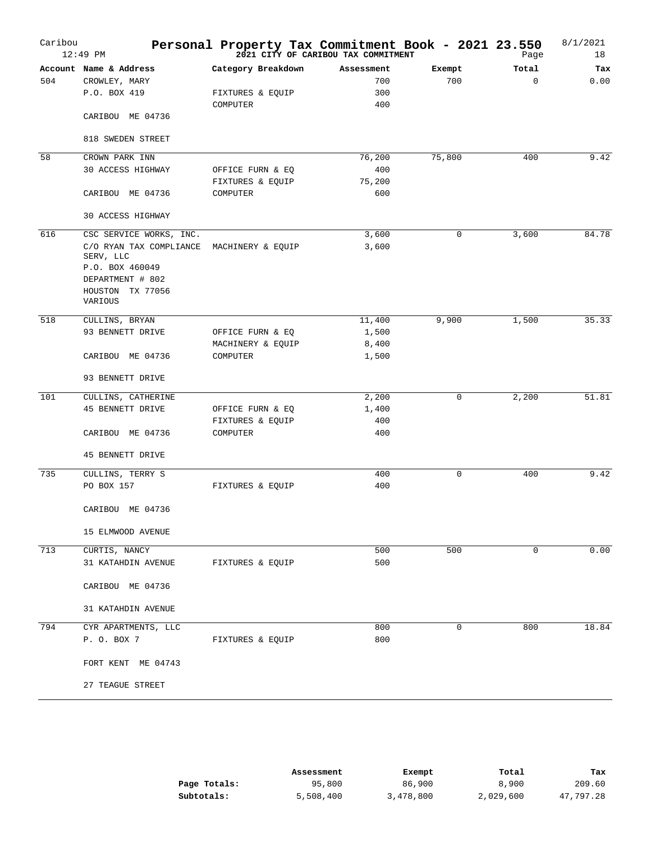| Caribou | $12:49$ PM              | Personal Property Tax Commitment Book - 2021 23.550<br>2021 23:50 Page 2021 CITY OF CARIBOU TAX COMMITMENT |            |             | Page     | 8/1/2021<br>18 |
|---------|-------------------------|------------------------------------------------------------------------------------------------------------|------------|-------------|----------|----------------|
|         | Account Name & Address  | Category Breakdown                                                                                         | Assessment | Exempt      | Total    | Tax            |
| 504     | CROWLEY, MARY           |                                                                                                            | 700        | 700         | $\Omega$ | 0.00           |
|         | P.O. BOX 419            | FIXTURES & EQUIP                                                                                           | 300        |             |          |                |
|         | CARIBOU ME 04736        | COMPUTER                                                                                                   | 400        |             |          |                |
|         | 818 SWEDEN STREET       |                                                                                                            |            |             |          |                |
| 58      | CROWN PARK INN          |                                                                                                            | 76,200     | 75,800      | 400      | 9.42           |
|         | 30 ACCESS HIGHWAY       | OFFICE FURN & EQ                                                                                           | 400        |             |          |                |
|         |                         | FIXTURES & EQUIP                                                                                           | 75,200     |             |          |                |
|         | CARIBOU ME 04736        | COMPUTER                                                                                                   | 600        |             |          |                |
|         | 30 ACCESS HIGHWAY       |                                                                                                            |            |             |          |                |
| 616     | CSC SERVICE WORKS, INC. |                                                                                                            | 3,600      | $\mathbf 0$ | 3,600    | 84.78          |
|         | C/O RYAN TAX COMPLIANCE | MACHINERY & EQUIP                                                                                          | 3,600      |             |          |                |
|         | SERV, LLC               |                                                                                                            |            |             |          |                |
|         | P.O. BOX 460049         |                                                                                                            |            |             |          |                |
|         | DEPARTMENT # 802        |                                                                                                            |            |             |          |                |
|         | HOUSTON TX 77056        |                                                                                                            |            |             |          |                |
|         | VARIOUS                 |                                                                                                            |            |             |          |                |
| 518     | CULLINS, BRYAN          |                                                                                                            | 11,400     | 9,900       | 1,500    | 35.33          |
|         | 93 BENNETT DRIVE        | OFFICE FURN & EQ                                                                                           | 1,500      |             |          |                |
|         |                         | MACHINERY & EQUIP                                                                                          | 8,400      |             |          |                |
|         | CARIBOU ME 04736        | COMPUTER                                                                                                   | 1,500      |             |          |                |
|         | 93 BENNETT DRIVE        |                                                                                                            |            |             |          |                |
| 101     | CULLINS, CATHERINE      |                                                                                                            | 2,200      | 0           | 2,200    | 51.81          |
|         | <b>45 BENNETT DRIVE</b> | OFFICE FURN & EQ                                                                                           | 1,400      |             |          |                |
|         |                         | FIXTURES & EQUIP                                                                                           | 400        |             |          |                |
|         | CARIBOU ME 04736        | COMPUTER                                                                                                   | 400        |             |          |                |
|         |                         |                                                                                                            |            |             |          |                |
|         | 45 BENNETT DRIVE        |                                                                                                            |            |             |          |                |
| 735     | CULLINS, TERRY S        |                                                                                                            | 400        | $\mathbf 0$ | 400      | 9.42           |
|         | PO BOX 157              | FIXTURES & EQUIP                                                                                           | 400        |             |          |                |
|         | CARIBOU ME 04736        |                                                                                                            |            |             |          |                |
|         | 15 ELMWOOD AVENUE       |                                                                                                            |            |             |          |                |
| 713     | CURTIS, NANCY           |                                                                                                            | 500        | 500         | 0        | 0.00           |
|         | 31 KATAHDIN AVENUE      | FIXTURES & EQUIP                                                                                           | 500        |             |          |                |
|         |                         |                                                                                                            |            |             |          |                |
|         | CARIBOU ME 04736        |                                                                                                            |            |             |          |                |
|         | 31 KATAHDIN AVENUE      |                                                                                                            |            |             |          |                |
| 794     | CYR APARTMENTS, LLC     |                                                                                                            | 800        | $\mathbf 0$ | 800      | 18.84          |
|         | P. O. BOX 7             | FIXTURES & EQUIP                                                                                           | 800        |             |          |                |
|         |                         |                                                                                                            |            |             |          |                |
|         | FORT KENT ME 04743      |                                                                                                            |            |             |          |                |
|         | 27 TEAGUE STREET        |                                                                                                            |            |             |          |                |

|              | Assessment | Exempt    | Total     | тах       |
|--------------|------------|-----------|-----------|-----------|
| Page Totals: | 95,800     | 86,900    | 8,900     | 209.60    |
| Subtotals:   | 5,508,400  | 3,478,800 | 2,029,600 | 47,797.28 |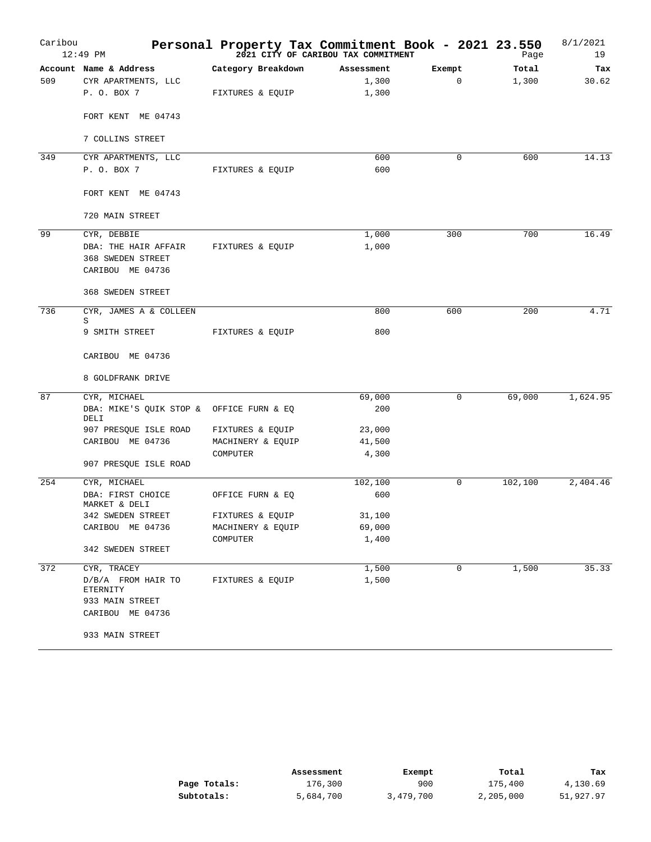| Caribou | 12:49 PM                                           | Personal Property Tax Commitment Book - 2021 23.550<br>2021 23:50 Page 2021 CITY OF CARIBOU TAX COMMITMENT |            |             | Page    | 8/1/2021<br>19 |
|---------|----------------------------------------------------|------------------------------------------------------------------------------------------------------------|------------|-------------|---------|----------------|
|         | Account Name & Address                             | Category Breakdown                                                                                         | Assessment | Exempt      | Total   | Tax            |
| 509     | CYR APARTMENTS, LLC                                |                                                                                                            | 1,300      | $\mathbf 0$ | 1,300   | 30.62          |
|         | P. O. BOX 7                                        | FIXTURES & EQUIP                                                                                           | 1,300      |             |         |                |
|         | FORT KENT ME 04743                                 |                                                                                                            |            |             |         |                |
|         | 7 COLLINS STREET                                   |                                                                                                            |            |             |         |                |
| 349     | CYR APARTMENTS, LLC                                |                                                                                                            | 600        | $\Omega$    | 600     | 14.13          |
|         | P. O. BOX 7                                        | FIXTURES & EOUIP                                                                                           | 600        |             |         |                |
|         | FORT KENT ME 04743                                 |                                                                                                            |            |             |         |                |
|         | 720 MAIN STREET                                    |                                                                                                            |            |             |         |                |
| 99      | CYR, DEBBIE                                        |                                                                                                            | 1,000      | 300         | 700     | 16.49          |
|         | DBA: THE HAIR AFFAIR                               | FIXTURES & EQUIP                                                                                           | 1,000      |             |         |                |
|         | <b>368 SWEDEN STREET</b><br>CARIBOU ME 04736       |                                                                                                            |            |             |         |                |
|         | <b>368 SWEDEN STREET</b>                           |                                                                                                            |            |             |         |                |
| 736     | CYR, JAMES A & COLLEEN<br>S                        |                                                                                                            | 800        | 600         | 200     | 4.71           |
|         | 9 SMITH STREET                                     | FIXTURES & EQUIP                                                                                           | 800        |             |         |                |
|         | CARIBOU ME 04736                                   |                                                                                                            |            |             |         |                |
|         | 8 GOLDFRANK DRIVE                                  |                                                                                                            |            |             |         |                |
| 87      | CYR, MICHAEL                                       |                                                                                                            | 69,000     | 0           | 69,000  | 1,624.95       |
|         | DBA: MIKE'S QUIK STOP & OFFICE FURN & EQ<br>DELI   |                                                                                                            | 200        |             |         |                |
|         | 907 PRESQUE ISLE ROAD                              | FIXTURES & EQUIP                                                                                           | 23,000     |             |         |                |
|         | CARIBOU ME 04736                                   | MACHINERY & EQUIP                                                                                          | 41,500     |             |         |                |
|         | 907 PRESQUE ISLE ROAD                              | COMPUTER                                                                                                   | 4,300      |             |         |                |
| 254     |                                                    |                                                                                                            | 102,100    | 0           | 102,100 | 2,404.46       |
|         | CYR, MICHAEL<br>DBA: FIRST CHOICE<br>MARKET & DELI | OFFICE FURN & EQ                                                                                           | 600        |             |         |                |
|         | 342 SWEDEN STREET                                  | FIXTURES & EQUIP                                                                                           | 31,100     |             |         |                |
|         | CARIBOU ME 04736                                   | MACHINERY & EQUIP                                                                                          | 69,000     |             |         |                |
|         |                                                    | COMPUTER                                                                                                   | 1,400      |             |         |                |
|         | 342 SWEDEN STREET                                  |                                                                                                            |            |             |         |                |
| 372     | CYR, TRACEY                                        |                                                                                                            | 1,500      | 0           | 1,500   | 35.33          |
|         | D/B/A FROM HAIR TO<br>ETERNITY                     | FIXTURES & EQUIP                                                                                           | 1,500      |             |         |                |
|         | 933 MAIN STREET<br>CARIBOU ME 04736                |                                                                                                            |            |             |         |                |
|         | 933 MAIN STREET                                    |                                                                                                            |            |             |         |                |

|              | Assessment | Exempt    | Total     | Tax       |
|--------------|------------|-----------|-----------|-----------|
| Page Totals: | 176,300    | 900       | 175,400   | 4,130.69  |
| Subtotals:   | 5,684,700  | 3,479,700 | 2,205,000 | 51,927.97 |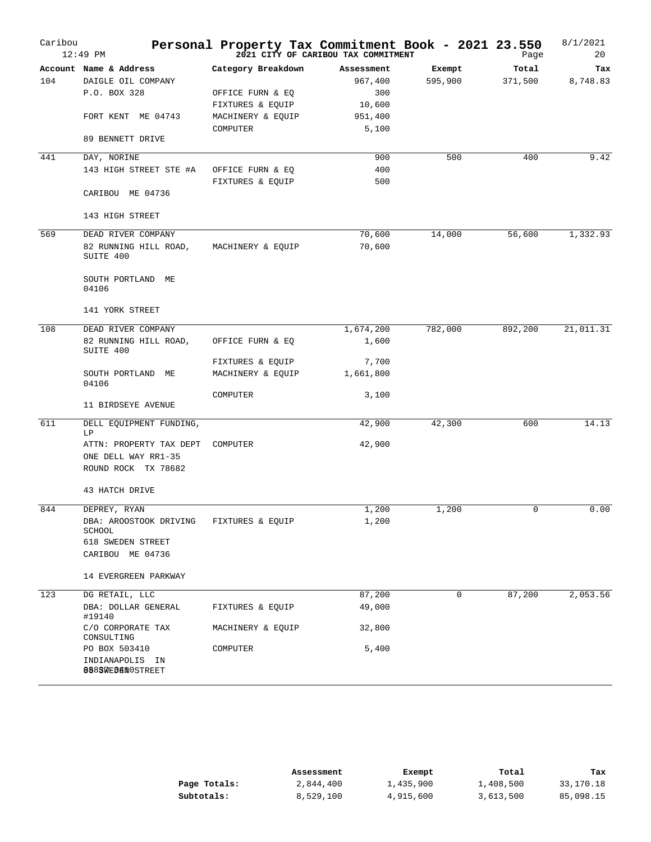| Caribou | $12:49$ PM                            | Personal Property Tax Commitment Book - 2021 23.550 | 2021 CITY OF CARIBOU TAX COMMITMENT |         | Page     | 8/1/2021<br>20 |
|---------|---------------------------------------|-----------------------------------------------------|-------------------------------------|---------|----------|----------------|
|         | Account Name & Address                | Category Breakdown                                  | Assessment                          | Exempt  | Total    | Tax            |
| 104     | DAIGLE OIL COMPANY                    |                                                     | 967,400                             | 595,900 | 371,500  | 8,748.83       |
|         | P.O. BOX 328                          | OFFICE FURN & EQ                                    | 300                                 |         |          |                |
|         |                                       | FIXTURES & EQUIP                                    | 10,600                              |         |          |                |
|         | FORT KENT ME 04743                    | MACHINERY & EQUIP                                   | 951,400                             |         |          |                |
|         | 89 BENNETT DRIVE                      | COMPUTER                                            | 5,100                               |         |          |                |
| 441     |                                       |                                                     | 900                                 | 500     | 400      | 9.42           |
|         | DAY, NORINE<br>143 HIGH STREET STE #A | OFFICE FURN & EQ                                    | 400                                 |         |          |                |
|         |                                       | FIXTURES & EQUIP                                    | 500                                 |         |          |                |
|         | CARIBOU ME 04736                      |                                                     |                                     |         |          |                |
|         | 143 HIGH STREET                       |                                                     |                                     |         |          |                |
| 569     | DEAD RIVER COMPANY                    |                                                     | 70,600                              | 14,000  | 56,600   | 1,332.93       |
|         | 82 RUNNING HILL ROAD,                 | MACHINERY & EQUIP                                   | 70,600                              |         |          |                |
|         | SUITE 400                             |                                                     |                                     |         |          |                |
|         | SOUTH PORTLAND ME<br>04106            |                                                     |                                     |         |          |                |
|         | 141 YORK STREET                       |                                                     |                                     |         |          |                |
| 108     | DEAD RIVER COMPANY                    |                                                     | 1,674,200                           | 782,000 | 892,200  | 21,011.31      |
|         | 82 RUNNING HILL ROAD,<br>SUITE 400    | OFFICE FURN & EQ                                    | 1,600                               |         |          |                |
|         |                                       | FIXTURES & EQUIP                                    | 7,700                               |         |          |                |
|         | SOUTH PORTLAND ME<br>04106            | MACHINERY & EQUIP                                   | 1,661,800                           |         |          |                |
|         | 11 BIRDSEYE AVENUE                    | COMPUTER                                            | 3,100                               |         |          |                |
| 611     | DELL EQUIPMENT FUNDING,               |                                                     | 42,900                              | 42,300  | 600      | 14.13          |
|         | LΡ                                    |                                                     |                                     |         |          |                |
|         | ATTN: PROPERTY TAX DEPT               | COMPUTER                                            | 42,900                              |         |          |                |
|         | ONE DELL WAY RR1-35                   |                                                     |                                     |         |          |                |
|         | ROUND ROCK TX 78682                   |                                                     |                                     |         |          |                |
|         | 43 HATCH DRIVE                        |                                                     |                                     |         |          |                |
| 844     |                                       |                                                     | 1,200                               | 1,200   | $\Omega$ | 0.00           |
|         | DEPREY, RYAN                          |                                                     |                                     |         |          |                |
|         | DBA: AROOSTOOK DRIVING<br>SCHOOL      | FIXTURES & EQUIP                                    | 1,200                               |         |          |                |
|         | 618 SWEDEN STREET                     |                                                     |                                     |         |          |                |
|         | CARIBOU ME 04736                      |                                                     |                                     |         |          |                |
|         | 14 EVERGREEN PARKWAY                  |                                                     |                                     |         |          |                |
| 123     | DG RETAIL, LLC                        |                                                     | 87,200                              | 0       | 87,200   | 2,053.56       |
|         | DBA: DOLLAR GENERAL                   |                                                     | 49,000                              |         |          |                |
|         | #19140<br>C/O CORPORATE TAX           | FIXTURES & EQUIP<br>MACHINERY & EQUIP               |                                     |         |          |                |
|         | CONSULTING                            |                                                     | 32,800                              |         |          |                |
|         | PO BOX 503410                         | COMPUTER                                            | 5,400                               |         |          |                |
|         | INDIANAPOLIS IN<br>8883WEBENOSTREET   |                                                     |                                     |         |          |                |

|              | Assessment | Exempt    | Total     | Tax       |
|--------------|------------|-----------|-----------|-----------|
| Page Totals: | 2,844,400  | 1,435,900 | 1,408,500 | 33,170.18 |
| Subtotals:   | 8,529,100  | 4,915,600 | 3,613,500 | 85,098.15 |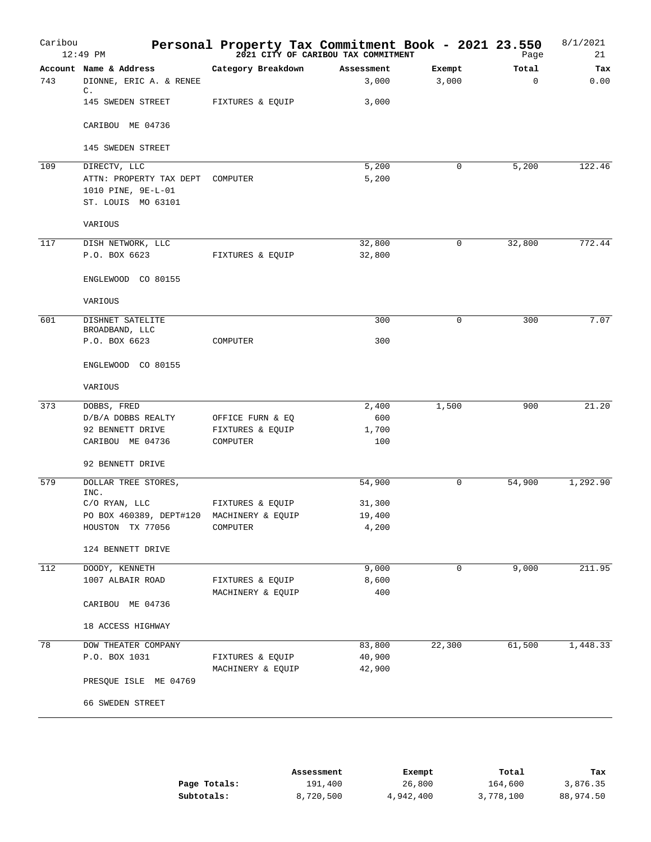| Caribou | 12:49 PM                            | Personal Property Tax Commitment Book - 2021 23.550<br><sup>2021</sup> <sup>2021</sup> CITY OF CARIBOU TAX COMMITMENT |              |             | Page        | 8/1/2021<br>21 |
|---------|-------------------------------------|-----------------------------------------------------------------------------------------------------------------------|--------------|-------------|-------------|----------------|
|         | Account Name & Address              | Category Breakdown                                                                                                    | Assessment   | Exempt      | Total       | Tax            |
| 743     | DIONNE, ERIC A. & RENEE             |                                                                                                                       | 3,000        | 3,000       | $\mathbf 0$ | 0.00           |
|         | $\mathbb{C}$ .<br>145 SWEDEN STREET | FIXTURES & EQUIP                                                                                                      | 3,000        |             |             |                |
|         | CARIBOU ME 04736                    |                                                                                                                       |              |             |             |                |
|         | 145 SWEDEN STREET                   |                                                                                                                       |              |             |             |                |
| 109     | DIRECTV, LLC                        |                                                                                                                       | 5,200        | $\mathbf 0$ | 5,200       | 122.46         |
|         | ATTN: PROPERTY TAX DEPT             | COMPUTER                                                                                                              | 5,200        |             |             |                |
|         | 1010 PINE, 9E-L-01                  |                                                                                                                       |              |             |             |                |
|         | ST. LOUIS MO 63101                  |                                                                                                                       |              |             |             |                |
|         | VARIOUS                             |                                                                                                                       |              |             |             |                |
| 117     | DISH NETWORK, LLC                   |                                                                                                                       | 32,800       | $\mathbf 0$ | 32,800      | 772.44         |
|         | P.O. BOX 6623                       | FIXTURES & EQUIP                                                                                                      | 32,800       |             |             |                |
|         | ENGLEWOOD CO 80155                  |                                                                                                                       |              |             |             |                |
|         | VARIOUS                             |                                                                                                                       |              |             |             |                |
|         |                                     |                                                                                                                       |              |             |             |                |
| 601     | DISHNET SATELITE                    |                                                                                                                       | 300          | 0           | 300         | 7.07           |
|         | BROADBAND, LLC<br>P.O. BOX 6623     | COMPUTER                                                                                                              | 300          |             |             |                |
|         | ENGLEWOOD CO 80155                  |                                                                                                                       |              |             |             |                |
|         | VARIOUS                             |                                                                                                                       |              |             |             |                |
| 373     | DOBBS, FRED                         |                                                                                                                       | 2,400        | 1,500       | 900         | 21.20          |
|         | D/B/A DOBBS REALTY                  | OFFICE FURN & EQ                                                                                                      | 600          |             |             |                |
|         | 92 BENNETT DRIVE                    | FIXTURES & EQUIP                                                                                                      | 1,700        |             |             |                |
|         | CARIBOU ME 04736                    | COMPUTER                                                                                                              | 100          |             |             |                |
|         | 92 BENNETT DRIVE                    |                                                                                                                       |              |             |             |                |
| 579     | DOLLAR TREE STORES,<br>INC.         |                                                                                                                       | 54,900       | 0           | 54,900      | 1,292.90       |
|         | C/O RYAN, LLC                       | FIXTURES & EQUIP                                                                                                      | 31,300       |             |             |                |
|         | PO BOX 460389, DEPT#120             | MACHINERY & EQUIP                                                                                                     | 19,400       |             |             |                |
|         | HOUSTON TX 77056                    | COMPUTER                                                                                                              | 4,200        |             |             |                |
|         | 124 BENNETT DRIVE                   |                                                                                                                       |              |             |             |                |
|         |                                     |                                                                                                                       |              |             |             |                |
| 112     | DOODY, KENNETH                      |                                                                                                                       | 9,000        | $\mathbf 0$ | 9,000       | 211.95         |
|         | 1007 ALBAIR ROAD                    | FIXTURES & EQUIP<br>MACHINERY & EQUIP                                                                                 | 8,600<br>400 |             |             |                |
|         | CARIBOU ME 04736                    |                                                                                                                       |              |             |             |                |
|         | 18 ACCESS HIGHWAY                   |                                                                                                                       |              |             |             |                |
| 78      | DOW THEATER COMPANY                 |                                                                                                                       | 83,800       | 22,300      | 61,500      | 1,448.33       |
|         | P.O. BOX 1031                       | FIXTURES & EQUIP                                                                                                      | 40,900       |             |             |                |
|         |                                     | MACHINERY & EQUIP                                                                                                     | 42,900       |             |             |                |
|         | PRESQUE ISLE ME 04769               |                                                                                                                       |              |             |             |                |
|         | 66 SWEDEN STREET                    |                                                                                                                       |              |             |             |                |
|         |                                     |                                                                                                                       |              |             |             |                |

|              | Assessment | Exempt    | Total     | Tax       |
|--------------|------------|-----------|-----------|-----------|
| Page Totals: | 191,400    | 26,800    | 164,600   | 3,876.35  |
| Subtotals:   | 8,720,500  | 4,942,400 | 3,778,100 | 88,974.50 |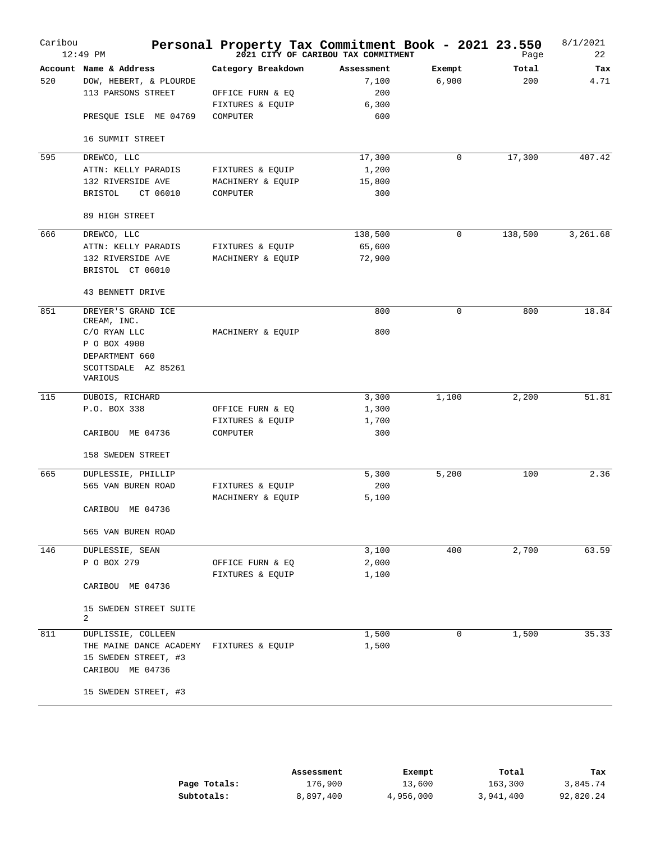| Caribou | 12:49 PM                                                                                        | Personal Property Tax Commitment Book - 2021 23.550                    | 2021 CITY OF CARIBOU TAX COMMITMENT        |                 | Page         | 8/1/2021<br>22 |
|---------|-------------------------------------------------------------------------------------------------|------------------------------------------------------------------------|--------------------------------------------|-----------------|--------------|----------------|
| 520     | Account Name & Address<br>DOW, HEBERT, & PLOURDE<br>113 PARSONS STREET<br>PRESQUE ISLE ME 04769 | Category Breakdown<br>OFFICE FURN & EQ<br>FIXTURES & EQUIP<br>COMPUTER | Assessment<br>7,100<br>200<br>6,300<br>600 | Exempt<br>6,900 | Total<br>200 | Tax<br>4.71    |
|         | 16 SUMMIT STREET                                                                                |                                                                        |                                            |                 |              |                |
| 595     | DREWCO, LLC                                                                                     |                                                                        | 17,300                                     | 0               | 17,300       | 407.42         |
|         | ATTN: KELLY PARADIS<br>132 RIVERSIDE AVE<br>CT 06010<br>BRISTOL                                 | FIXTURES & EQUIP<br>MACHINERY & EQUIP<br>COMPUTER                      | 1,200<br>15,800<br>300                     |                 |              |                |
|         | 89 HIGH STREET                                                                                  |                                                                        |                                            |                 |              |                |
| 666     | DREWCO, LLC                                                                                     |                                                                        | 138,500                                    | 0               | 138,500      | 3,261.68       |
|         | ATTN: KELLY PARADIS                                                                             | FIXTURES & EQUIP                                                       | 65,600                                     |                 |              |                |
|         | 132 RIVERSIDE AVE<br>BRISTOL CT 06010                                                           | MACHINERY & EQUIP                                                      | 72,900                                     |                 |              |                |
|         | 43 BENNETT DRIVE                                                                                |                                                                        |                                            |                 |              |                |
| 851     | DREYER'S GRAND ICE                                                                              |                                                                        | 800                                        | 0               | 800          | 18.84          |
|         | CREAM, INC.<br>C/O RYAN LLC<br>P O BOX 4900                                                     | MACHINERY & EQUIP                                                      | 800                                        |                 |              |                |
|         | DEPARTMENT 660<br>SCOTTSDALE AZ 85261<br>VARIOUS                                                |                                                                        |                                            |                 |              |                |
| 115     | DUBOIS, RICHARD                                                                                 |                                                                        | 3,300                                      | 1,100           | 2,200        | 51.81          |
|         | P.O. BOX 338                                                                                    | OFFICE FURN & EQ                                                       | 1,300                                      |                 |              |                |
|         |                                                                                                 | FIXTURES & EQUIP                                                       | 1,700                                      |                 |              |                |
|         | CARIBOU ME 04736                                                                                | COMPUTER                                                               | 300                                        |                 |              |                |
|         | 158 SWEDEN STREET                                                                               |                                                                        |                                            |                 |              |                |
| 665     | DUPLESSIE, PHILLIP                                                                              |                                                                        | 5,300                                      | 5,200           | 100          | 2.36           |
|         | 565 VAN BUREN ROAD                                                                              | FIXTURES & EQUIP                                                       | 200                                        |                 |              |                |
|         | CARIBOU ME 04736                                                                                | MACHINERY & EQUIP                                                      | 5,100                                      |                 |              |                |
|         | 565 VAN BUREN ROAD                                                                              |                                                                        |                                            |                 |              |                |
| 146     | DUPLESSIE, SEAN                                                                                 |                                                                        | 3,100                                      | 400             | 2,700        | 63.59          |
|         | P O BOX 279                                                                                     | OFFICE FURN & EQ                                                       | 2,000                                      |                 |              |                |
|         |                                                                                                 | FIXTURES & EQUIP                                                       | 1,100                                      |                 |              |                |
|         | CARIBOU ME 04736                                                                                |                                                                        |                                            |                 |              |                |
|         | 15 SWEDEN STREET SUITE<br>2                                                                     |                                                                        |                                            |                 |              |                |
| 811     | DUPLISSIE, COLLEEN                                                                              |                                                                        | 1,500                                      | 0               | 1,500        | 35.33          |
|         | THE MAINE DANCE ACADEMY FIXTURES & EQUIP<br>15 SWEDEN STREET, #3<br>CARIBOU ME 04736            |                                                                        | 1,500                                      |                 |              |                |
|         | 15 SWEDEN STREET, #3                                                                            |                                                                        |                                            |                 |              |                |

|              | Assessment | Exempt    | Total     | Tax       |
|--------------|------------|-----------|-----------|-----------|
| Page Totals: | 176,900    | 13,600    | 163,300   | 3,845.74  |
| Subtotals:   | 8,897,400  | 4,956,000 | 3,941,400 | 92,820.24 |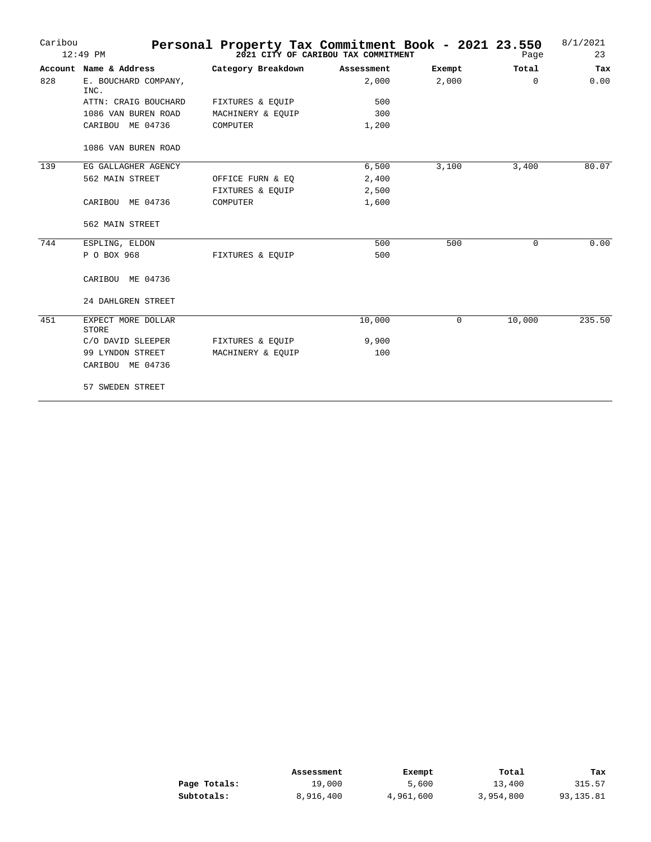| Caribou | $12:49$ PM                   | Personal Property Tax Commitment Book - 2021 23.550 | 2021 CITY OF CARIBOU TAX COMMITMENT |        | Page     | 8/1/2021<br>23 |
|---------|------------------------------|-----------------------------------------------------|-------------------------------------|--------|----------|----------------|
|         | Account Name & Address       | Category Breakdown                                  | Assessment                          | Exempt | Total    | Tax            |
| 828     | E. BOUCHARD COMPANY,<br>INC. |                                                     | 2,000                               | 2,000  | $\Omega$ | 0.00           |
|         | ATTN: CRAIG BOUCHARD         | FIXTURES & EQUIP                                    | 500                                 |        |          |                |
|         | 1086 VAN BUREN ROAD          | MACHINERY & EOUIP                                   | 300                                 |        |          |                |
|         | CARIBOU ME 04736             | COMPUTER                                            | 1,200                               |        |          |                |
|         | 1086 VAN BUREN ROAD          |                                                     |                                     |        |          |                |
| 139     | EG GALLAGHER AGENCY          |                                                     | 6,500                               | 3,100  | 3,400    | 80.07          |
|         | 562 MAIN STREET              | OFFICE FURN & EQ                                    | 2,400                               |        |          |                |
|         |                              | FIXTURES & EQUIP                                    | 2,500                               |        |          |                |
|         | CARIBOU ME 04736             | COMPUTER                                            | 1,600                               |        |          |                |
|         | 562 MAIN STREET              |                                                     |                                     |        |          |                |
| 744     | ESPLING, ELDON               |                                                     | 500                                 | 500    | 0        | 0.00           |
|         | P O BOX 968                  | FIXTURES & EQUIP                                    | 500                                 |        |          |                |
|         | CARIBOU ME 04736             |                                                     |                                     |        |          |                |
|         | 24 DAHLGREN STREET           |                                                     |                                     |        |          |                |
| 451     | EXPECT MORE DOLLAR<br>STORE  |                                                     | 10,000                              | 0      | 10,000   | 235.50         |
|         | C/O DAVID SLEEPER            | FIXTURES & EQUIP                                    | 9,900                               |        |          |                |
|         | 99 LYNDON STREET             | MACHINERY & EQUIP                                   | 100                                 |        |          |                |
|         | CARIBOU ME 04736             |                                                     |                                     |        |          |                |
|         | 57 SWEDEN STREET             |                                                     |                                     |        |          |                |

|              | Assessment | Exempt    | Total     | Tax       |
|--------------|------------|-----------|-----------|-----------|
| Page Totals: | 19,000     | 5,600     | 13,400    | 315.57    |
| Subtotals:   | 8,916,400  | 4,961,600 | 3,954,800 | 93,135.81 |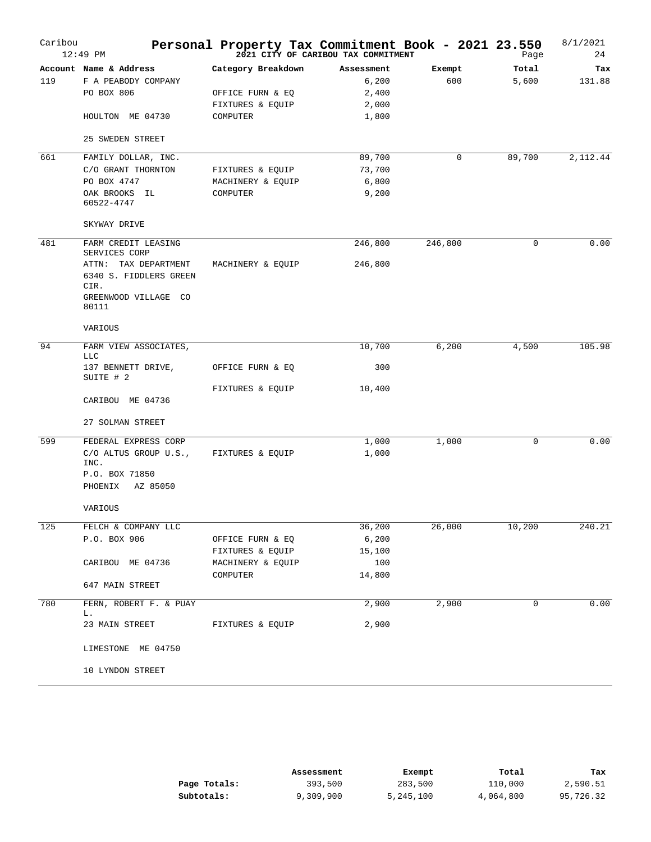| Caribou | $12:49$ PM                                                                                                                      | Personal Property Tax Commitment Book - 2021 23.550                    | 2021 CITY OF CARIBOU TAX COMMITMENT            |               | Page           | 8/1/2021<br>24 |
|---------|---------------------------------------------------------------------------------------------------------------------------------|------------------------------------------------------------------------|------------------------------------------------|---------------|----------------|----------------|
| 119     | Account Name & Address<br>F A PEABODY COMPANY<br>PO BOX 806<br>HOULTON ME 04730                                                 | Category Breakdown<br>OFFICE FURN & EQ<br>FIXTURES & EQUIP<br>COMPUTER | Assessment<br>6,200<br>2,400<br>2,000<br>1,800 | Exempt<br>600 | Total<br>5,600 | Tax<br>131.88  |
| 661     | 25 SWEDEN STREET<br>FAMILY DOLLAR, INC.<br>C/O GRANT THORNTON<br>PO BOX 4747<br>OAK BROOKS IL                                   | FIXTURES & EQUIP<br>MACHINERY & EQUIP<br>COMPUTER                      | 89,700<br>73,700<br>6,800<br>9,200             | 0             | 89,700         | 2,112.44       |
|         | 60522-4747<br>SKYWAY DRIVE                                                                                                      |                                                                        |                                                |               |                |                |
| 481     | FARM CREDIT LEASING<br>SERVICES CORP<br>ATTN: TAX DEPARTMENT<br>6340 S. FIDDLERS GREEN<br>CIR.<br>GREENWOOD VILLAGE CO<br>80111 | MACHINERY & EQUIP                                                      | 246,800<br>246,800                             | 246,800       | $\mathbf 0$    | 0.00           |
|         | VARIOUS                                                                                                                         |                                                                        |                                                |               |                |                |
| 94      | FARM VIEW ASSOCIATES,<br><b>LLC</b><br>137 BENNETT DRIVE,                                                                       | OFFICE FURN & EQ                                                       | 10,700<br>300                                  | 6,200         | 4,500          | 105.98         |
|         | SUITE # 2<br>CARIBOU ME 04736                                                                                                   | FIXTURES & EQUIP                                                       | 10,400                                         |               |                |                |
|         | 27 SOLMAN STREET                                                                                                                |                                                                        |                                                |               |                |                |
| 599     | FEDERAL EXPRESS CORP<br>C/O ALTUS GROUP U.S.,<br>INC.<br>P.O. BOX 71850<br>AZ 85050<br>PHOENIX                                  | FIXTURES & EQUIP                                                       | 1,000<br>1,000                                 | 1,000         | 0              | 0.00           |
|         | VARIOUS                                                                                                                         |                                                                        |                                                |               |                |                |
| 125     | FELCH & COMPANY LLC<br>P.O. BOX 906<br>CARIBOU ME 04736                                                                         | OFFICE FURN & EQ<br>FIXTURES & EQUIP<br>MACHINERY & EQUIP              | 36,200<br>6,200<br>15,100<br>100               | 26,000        | 10,200         | 240.21         |
|         | 647 MAIN STREET                                                                                                                 | COMPUTER                                                               | 14,800                                         |               |                |                |
| 780     | FERN, ROBERT F. & PUAY<br>L.<br>23 MAIN STREET                                                                                  | FIXTURES & EQUIP                                                       | 2,900<br>2,900                                 | 2,900         | 0              | 0.00           |
|         | LIMESTONE ME 04750                                                                                                              |                                                                        |                                                |               |                |                |
|         | 10 LYNDON STREET                                                                                                                |                                                                        |                                                |               |                |                |

|              | Assessment | Exempt    | Total     | Tax       |
|--------------|------------|-----------|-----------|-----------|
| Page Totals: | 393,500    | 283,500   | 110,000   | 2,590.51  |
| Subtotals:   | 9,309,900  | 5,245,100 | 4,064,800 | 95,726.32 |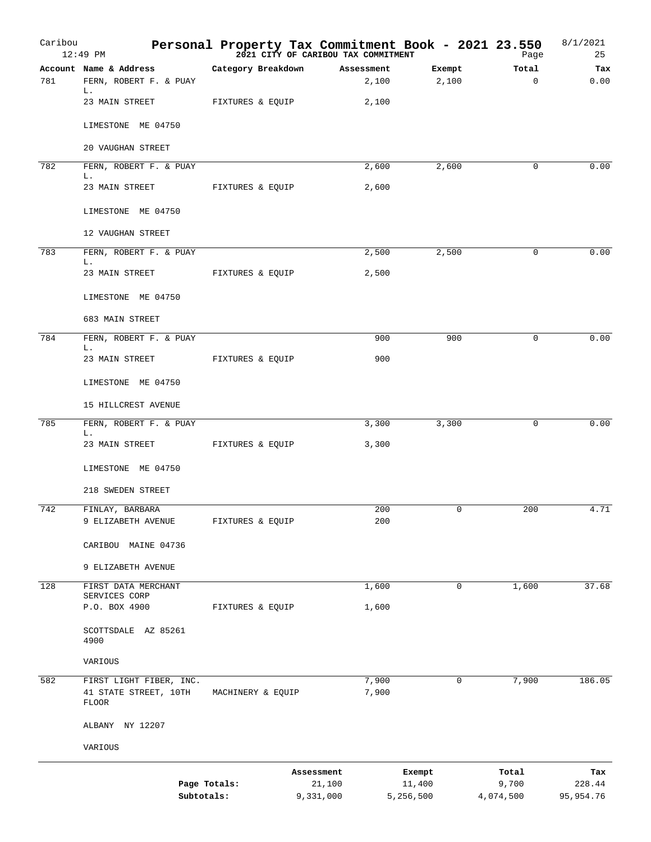| Caribou | 12:49 PM                       |                    |            |            |                     | Personal Property Tax Commitment Book - 2021 23.550<br><sup>2021</sup> <sup>2021</sup> CITY OF CARIBOU TAX COMMITMENT<br>Page | 8/1/2021<br>25        |
|---------|--------------------------------|--------------------|------------|------------|---------------------|-------------------------------------------------------------------------------------------------------------------------------|-----------------------|
|         | Account Name & Address         | Category Breakdown |            | Assessment | Exempt              | Total                                                                                                                         | Tax                   |
| 781     | FERN, ROBERT F. & PUAY<br>L.   |                    |            | 2,100      | 2,100               | $\mathbf 0$                                                                                                                   | 0.00                  |
|         | 23 MAIN STREET                 | FIXTURES & EQUIP   |            | 2,100      |                     |                                                                                                                               |                       |
|         | LIMESTONE ME 04750             |                    |            |            |                     |                                                                                                                               |                       |
|         | 20 VAUGHAN STREET              |                    |            |            |                     |                                                                                                                               |                       |
| 782     | FERN, ROBERT F. & PUAY         |                    |            | 2,600      | 2,600               | 0                                                                                                                             | 0.00                  |
|         | L.<br>23 MAIN STREET           | FIXTURES & EQUIP   |            | 2,600      |                     |                                                                                                                               |                       |
|         | LIMESTONE ME 04750             |                    |            |            |                     |                                                                                                                               |                       |
|         | 12 VAUGHAN STREET              |                    |            |            |                     |                                                                                                                               |                       |
| 783     | FERN, ROBERT F. & PUAY         |                    |            | 2,500      | 2,500               | 0                                                                                                                             | 0.00                  |
|         | L.<br>23 MAIN STREET           | FIXTURES & EQUIP   |            | 2,500      |                     |                                                                                                                               |                       |
|         | LIMESTONE ME 04750             |                    |            |            |                     |                                                                                                                               |                       |
|         |                                |                    |            |            |                     |                                                                                                                               |                       |
|         | 683 MAIN STREET                |                    |            |            |                     |                                                                                                                               |                       |
| 784     | FERN, ROBERT F. & PUAY<br>L.   |                    |            | 900        | 900                 | 0                                                                                                                             | 0.00                  |
|         | 23 MAIN STREET                 | FIXTURES & EQUIP   |            | 900        |                     |                                                                                                                               |                       |
|         | LIMESTONE ME 04750             |                    |            |            |                     |                                                                                                                               |                       |
|         | 15 HILLCREST AVENUE            |                    |            |            |                     |                                                                                                                               |                       |
| 785     | FERN, ROBERT F. & PUAY         |                    |            | 3,300      | 3,300               | $\mathbf 0$                                                                                                                   | 0.00                  |
|         | L.<br>23 MAIN STREET           | FIXTURES & EQUIP   |            | 3,300      |                     |                                                                                                                               |                       |
|         | LIMESTONE ME 04750             |                    |            |            |                     |                                                                                                                               |                       |
|         | 218 SWEDEN STREET              |                    |            |            |                     |                                                                                                                               |                       |
| 742     | FINLAY, BARBARA                |                    |            | 200        | $\mathbf 0$         | 200                                                                                                                           | 4.71                  |
|         | 9 ELIZABETH AVENUE             | FIXTURES & EQUIP   |            | 200        |                     |                                                                                                                               |                       |
|         | CARIBOU MAINE 04736            |                    |            |            |                     |                                                                                                                               |                       |
|         | 9 ELIZABETH AVENUE             |                    |            |            |                     |                                                                                                                               |                       |
| 128     | FIRST DATA MERCHANT            |                    |            | 1,600      | 0                   | 1,600                                                                                                                         | 37.68                 |
|         | SERVICES CORP<br>P.O. BOX 4900 | FIXTURES & EQUIP   |            | 1,600      |                     |                                                                                                                               |                       |
|         | SCOTTSDALE AZ 85261<br>4900    |                    |            |            |                     |                                                                                                                               |                       |
|         | VARIOUS                        |                    |            |            |                     |                                                                                                                               |                       |
| 582     | FIRST LIGHT FIBER, INC.        |                    |            | 7,900      | 0                   | 7,900                                                                                                                         | 186.05                |
|         | 41 STATE STREET, 10TH<br>FLOOR | MACHINERY & EQUIP  |            | 7,900      |                     |                                                                                                                               |                       |
|         | ALBANY NY 12207                |                    |            |            |                     |                                                                                                                               |                       |
|         | VARIOUS                        |                    |            |            |                     |                                                                                                                               |                       |
|         |                                |                    | Assessment |            | Exempt              | Total                                                                                                                         | Tax                   |
|         | Subtotals:                     | Page Totals:       | 9,331,000  | 21,100     | 11,400<br>5,256,500 | 9,700<br>4,074,500                                                                                                            | 228.44<br>95, 954. 76 |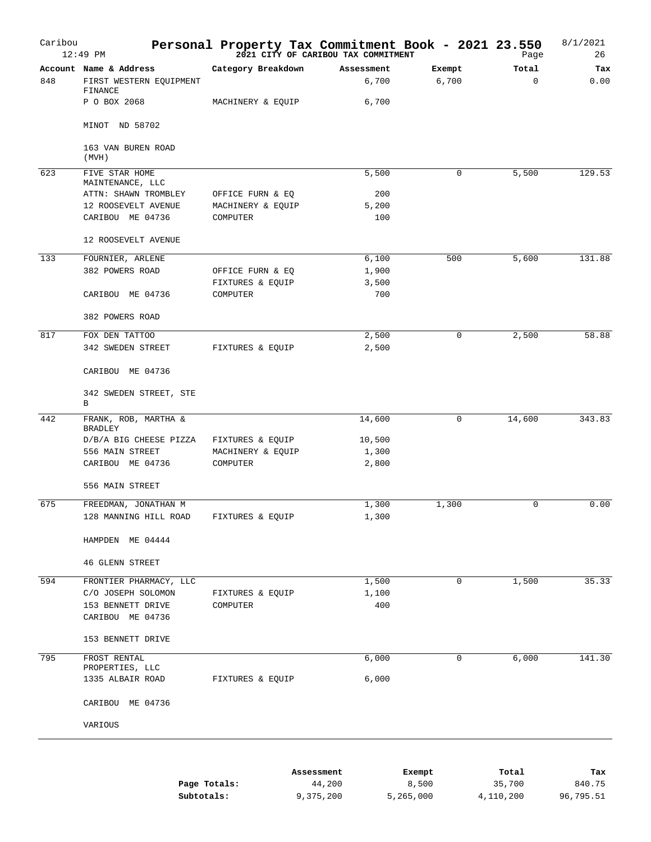| Caribou | 12:49 PM                                                     | Personal Property Tax Commitment Book - 2021 23.550<br>2021 23:59 Page |                     |                 | Page              | 8/1/2021<br>26 |
|---------|--------------------------------------------------------------|------------------------------------------------------------------------|---------------------|-----------------|-------------------|----------------|
| 848     | Account Name & Address<br>FIRST WESTERN EQUIPMENT<br>FINANCE | Category Breakdown                                                     | Assessment<br>6,700 | Exempt<br>6,700 | Total<br>$\Omega$ | Tax<br>0.00    |
|         | P O BOX 2068<br>MINOT ND 58702                               | MACHINERY & EQUIP                                                      | 6,700               |                 |                   |                |
|         | 163 VAN BUREN ROAD                                           |                                                                        |                     |                 |                   |                |
|         | (MVH)                                                        |                                                                        |                     |                 |                   |                |
| 623     | FIVE STAR HOME<br>MAINTENANCE, LLC<br>ATTN: SHAWN TROMBLEY   | OFFICE FURN & EQ                                                       | 5,500<br>200        | 0               | 5,500             | 129.53         |
|         | 12 ROOSEVELT AVENUE                                          | MACHINERY & EQUIP                                                      | 5,200               |                 |                   |                |
|         | CARIBOU ME 04736                                             | COMPUTER                                                               | 100                 |                 |                   |                |
|         | 12 ROOSEVELT AVENUE                                          |                                                                        |                     |                 |                   |                |
| 133     | FOURNIER, ARLENE                                             |                                                                        | 6,100               | 500             | 5,600             | 131.88         |
|         | 382 POWERS ROAD                                              | OFFICE FURN & EQ                                                       | 1,900               |                 |                   |                |
|         |                                                              | FIXTURES & EQUIP                                                       | 3,500               |                 |                   |                |
|         | CARIBOU ME 04736                                             | COMPUTER                                                               | 700                 |                 |                   |                |
|         | 382 POWERS ROAD                                              |                                                                        |                     |                 |                   |                |
| 817     | FOX DEN TATTOO                                               |                                                                        | 2,500               | $\mathbf 0$     | 2,500             | 58.88          |
|         | 342 SWEDEN STREET                                            | FIXTURES & EQUIP                                                       | 2,500               |                 |                   |                |
|         | CARIBOU ME 04736                                             |                                                                        |                     |                 |                   |                |
|         | 342 SWEDEN STREET, STE<br>В                                  |                                                                        |                     |                 |                   |                |
| 442     | FRANK, ROB, MARTHA &                                         |                                                                        | 14,600              | 0               | 14,600            | 343.83         |
|         | <b>BRADLEY</b>                                               |                                                                        |                     |                 |                   |                |
|         | D/B/A BIG CHEESE PIZZA                                       | FIXTURES & EQUIP                                                       | 10,500              |                 |                   |                |
|         | 556 MAIN STREET                                              | MACHINERY & EQUIP                                                      | 1,300               |                 |                   |                |
|         | CARIBOU ME 04736                                             | COMPUTER                                                               | 2,800               |                 |                   |                |
|         | 556 MAIN STREET                                              |                                                                        |                     |                 |                   |                |
| 675     | FREEDMAN, JONATHAN M                                         |                                                                        | 1,300               | 1,300           | $\mathbf 0$       | 0.00           |
|         | 128 MANNING HILL ROAD                                        | FIXTURES & EQUIP                                                       | 1,300               |                 |                   |                |
|         | HAMPDEN ME 04444                                             |                                                                        |                     |                 |                   |                |
|         | <b>46 GLENN STREET</b>                                       |                                                                        |                     |                 |                   |                |
| 594     | FRONTIER PHARMACY, LLC                                       |                                                                        | 1,500               | 0               | 1,500             | 35.33          |
|         | C/O JOSEPH SOLOMON                                           | FIXTURES & EQUIP                                                       | 1,100               |                 |                   |                |
|         | 153 BENNETT DRIVE                                            | COMPUTER                                                               | 400                 |                 |                   |                |
|         | CARIBOU ME 04736                                             |                                                                        |                     |                 |                   |                |
|         | 153 BENNETT DRIVE                                            |                                                                        |                     |                 |                   |                |
| 795     | FROST RENTAL<br>PROPERTIES, LLC                              |                                                                        | 6,000               | 0               | 6,000             | 141.30         |
|         | 1335 ALBAIR ROAD                                             | FIXTURES & EQUIP                                                       | 6,000               |                 |                   |                |
|         | CARIBOU ME 04736                                             |                                                                        |                     |                 |                   |                |
|         | VARIOUS                                                      |                                                                        |                     |                 |                   |                |
|         |                                                              |                                                                        |                     |                 |                   |                |
|         |                                                              | Assessment                                                             |                     | Exempt          | Total             | Tax            |

|              | ------------- | ______    | -------   | ----      |
|--------------|---------------|-----------|-----------|-----------|
| Page Totals: | 44,200        | 8,500     | 35,700    | 840.75    |
| Subtotals:   | 9,375,200     | 5,265,000 | 4,110,200 | 96,795.51 |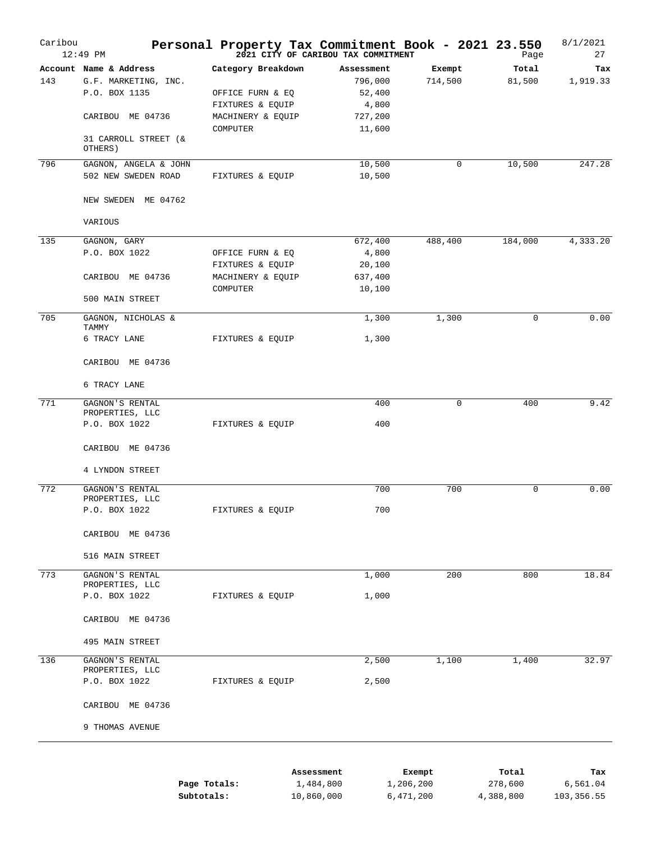| Caribou | $12:49$ PM                                                      | Personal Property Tax Commitment Book - 2021 23.550 | 2021 CITY OF CARIBOU TAX COMMITMENT |                   | Page            | 8/1/2021<br>27  |
|---------|-----------------------------------------------------------------|-----------------------------------------------------|-------------------------------------|-------------------|-----------------|-----------------|
| 143     | Account Name & Address<br>G.F. MARKETING, INC.<br>P.O. BOX 1135 | Category Breakdown<br>OFFICE FURN & EQ              | Assessment<br>796,000<br>52,400     | Exempt<br>714,500 | Total<br>81,500 | Tax<br>1,919.33 |
|         | CARIBOU ME 04736                                                | FIXTURES & EQUIP<br>MACHINERY & EQUIP               | 4,800<br>727,200                    |                   |                 |                 |
|         | 31 CARROLL STREET (&<br>OTHERS)                                 | COMPUTER                                            | 11,600                              |                   |                 |                 |
| 796     | GAGNON, ANGELA & JOHN                                           |                                                     | 10,500                              | 0                 | 10, 500         | 247.28          |
|         | 502 NEW SWEDEN ROAD                                             | FIXTURES & EQUIP                                    | 10,500                              |                   |                 |                 |
|         | NEW SWEDEN ME 04762                                             |                                                     |                                     |                   |                 |                 |
|         | VARIOUS                                                         |                                                     |                                     |                   |                 |                 |
| 135     | GAGNON, GARY                                                    |                                                     | 672,400                             | 488,400           | 184,000         | 4,333.20        |
|         | P.O. BOX 1022                                                   | OFFICE FURN & EQ                                    | 4,800                               |                   |                 |                 |
|         |                                                                 | FIXTURES & EQUIP                                    | 20,100                              |                   |                 |                 |
|         | CARIBOU ME 04736                                                | MACHINERY & EQUIP                                   | 637,400                             |                   |                 |                 |
|         |                                                                 | COMPUTER                                            | 10,100                              |                   |                 |                 |
|         | 500 MAIN STREET                                                 |                                                     |                                     |                   |                 |                 |
| 705     | GAGNON, NICHOLAS &<br>TAMMY                                     |                                                     | 1,300                               | 1,300             | 0               | 0.00            |
|         | 6 TRACY LANE                                                    | FIXTURES & EQUIP                                    | 1,300                               |                   |                 |                 |
|         | CARIBOU ME 04736                                                |                                                     |                                     |                   |                 |                 |
|         | 6 TRACY LANE                                                    |                                                     |                                     |                   |                 |                 |
| 771     | GAGNON'S RENTAL                                                 |                                                     | 400                                 | $\mathbf 0$       | 400             | 9.42            |
|         | PROPERTIES, LLC                                                 |                                                     |                                     |                   |                 |                 |
|         | P.O. BOX 1022                                                   | FIXTURES & EQUIP                                    | 400                                 |                   |                 |                 |
|         | CARIBOU ME 04736                                                |                                                     |                                     |                   |                 |                 |
|         | 4 LYNDON STREET                                                 |                                                     |                                     |                   |                 |                 |
| 772     | GAGNON'S RENTAL<br>PROPERTIES, LLC                              |                                                     | 700                                 | 700               | $\mathbf 0$     | 0.00            |
|         | P.O. BOX 1022                                                   | FIXTURES & EQUIP                                    | 700                                 |                   |                 |                 |
|         | CARIBOU ME 04736                                                |                                                     |                                     |                   |                 |                 |
|         | 516 MAIN STREET                                                 |                                                     |                                     |                   |                 |                 |
| 773     | GAGNON'S RENTAL                                                 |                                                     | 1,000                               | 200               | 800             | 18.84           |
|         | PROPERTIES, LLC                                                 |                                                     |                                     |                   |                 |                 |
|         | P.O. BOX 1022                                                   | FIXTURES & EQUIP                                    | 1,000                               |                   |                 |                 |
|         | CARIBOU ME 04736                                                |                                                     |                                     |                   |                 |                 |
|         | 495 MAIN STREET                                                 |                                                     |                                     |                   |                 |                 |
| 136     | GAGNON'S RENTAL<br>PROPERTIES, LLC                              |                                                     | 2,500                               | 1,100             | 1,400           | 32.97           |
|         | P.O. BOX 1022                                                   | FIXTURES & EQUIP                                    | 2,500                               |                   |                 |                 |
|         | CARIBOU ME 04736                                                |                                                     |                                     |                   |                 |                 |
|         | 9 THOMAS AVENUE                                                 |                                                     |                                     |                   |                 |                 |
|         |                                                                 |                                                     |                                     |                   |                 |                 |
|         |                                                                 |                                                     | Assessment                          | Exempt            | Total           | Tax             |
|         |                                                                 | Page Totals:                                        | 1,484,800                           | 1,206,200         | 278,600         | 6,561.04        |

| Page Totals: | 1,484,800  | 1,206,200 | 278,600   | 6,561.04   |
|--------------|------------|-----------|-----------|------------|
| Subtotals:   | 10,860,000 | 6,471,200 | 4,388,800 | 103,356.55 |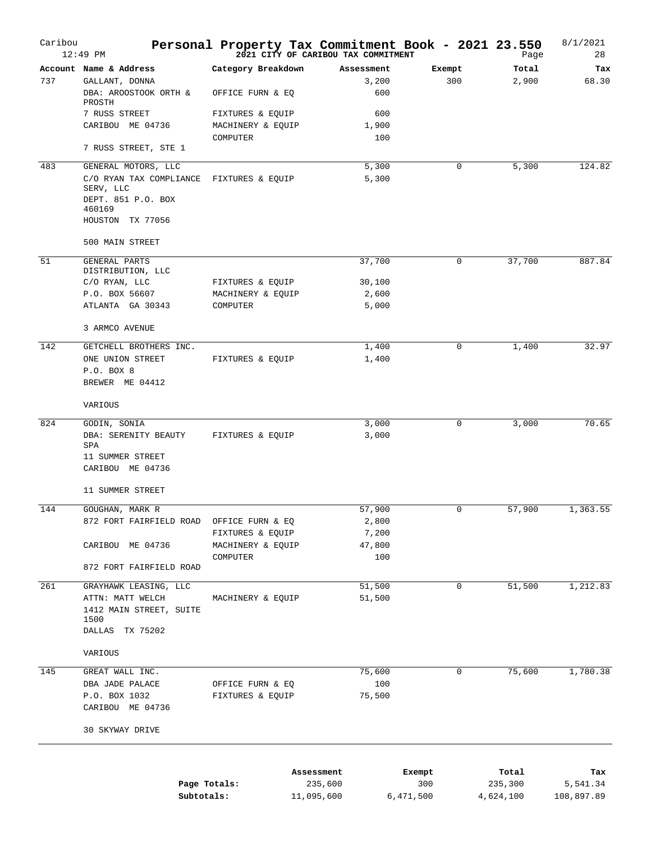| Caribou | $12:49$ PM                                                                                      | Personal Property Tax Commitment Book - 2021 23.550 | 2021 CITY OF CARIBOU TAX COMMITMENT |                  | Page                 | 8/1/2021<br>28         |
|---------|-------------------------------------------------------------------------------------------------|-----------------------------------------------------|-------------------------------------|------------------|----------------------|------------------------|
| 737     | Account Name & Address<br>GALLANT, DONNA<br>DBA: AROOSTOOK ORTH &<br>PROSTH                     | Category Breakdown<br>OFFICE FURN & EQ              | Assessment<br>3,200<br>600          | Exempt<br>300    | Total<br>2,900       | Tax<br>68.30           |
|         | 7 RUSS STREET<br>CARIBOU ME 04736                                                               | FIXTURES & EQUIP<br>MACHINERY & EQUIP               | 600<br>1,900                        |                  |                      |                        |
|         | 7 RUSS STREET, STE 1                                                                            | COMPUTER                                            | 100                                 |                  |                      |                        |
| 483     | GENERAL MOTORS, LLC                                                                             |                                                     | 5,300                               | 0                | 5,300                | 124.82                 |
|         | C/O RYAN TAX COMPLIANCE<br>SERV, LLC<br>DEPT. 851 P.O. BOX<br>460169<br>HOUSTON TX 77056        | FIXTURES & EQUIP                                    | 5,300                               |                  |                      |                        |
|         | 500 MAIN STREET                                                                                 |                                                     |                                     |                  |                      |                        |
| 51      | GENERAL PARTS<br>DISTRIBUTION, LLC                                                              |                                                     | 37,700                              | 0                | 37,700               | 887.84                 |
|         | C/O RYAN, LLC                                                                                   | FIXTURES & EQUIP                                    | 30,100                              |                  |                      |                        |
|         | P.O. BOX 56607<br>ATLANTA GA 30343                                                              | MACHINERY & EQUIP<br>COMPUTER                       | 2,600<br>5,000                      |                  |                      |                        |
|         | 3 ARMCO AVENUE                                                                                  |                                                     |                                     |                  |                      |                        |
| 142     | GETCHELL BROTHERS INC.                                                                          |                                                     | 1,400                               | 0                | 1,400                | 32.97                  |
|         | ONE UNION STREET<br>P.O. BOX 8<br>BREWER ME 04412                                               | FIXTURES & EQUIP                                    | 1,400                               |                  |                      |                        |
|         | VARIOUS                                                                                         |                                                     |                                     |                  |                      |                        |
| 824     | GODIN, SONIA                                                                                    |                                                     | 3,000                               | 0                | 3,000                | 70.65                  |
|         | DBA: SERENITY BEAUTY<br>SPA<br>11 SUMMER STREET<br>CARIBOU ME 04736                             | FIXTURES & EQUIP                                    | 3,000                               |                  |                      |                        |
|         | 11 SUMMER STREET                                                                                |                                                     |                                     |                  |                      |                        |
| 144     | GOUGHAN, MARK R                                                                                 |                                                     | 57,900                              | $\mathbf 0$      | 57,900               | 1,363.55               |
|         | 872 FORT FAIRFIELD ROAD                                                                         | OFFICE FURN & EQ                                    | 2,800                               |                  |                      |                        |
|         | CARIBOU ME 04736                                                                                | FIXTURES & EQUIP<br>MACHINERY & EQUIP               | 7,200<br>47,800                     |                  |                      |                        |
|         |                                                                                                 | COMPUTER                                            | 100                                 |                  |                      |                        |
|         | 872 FORT FAIRFIELD ROAD                                                                         |                                                     |                                     |                  |                      |                        |
| 261     | GRAYHAWK LEASING, LLC<br>ATTN: MATT WELCH<br>1412 MAIN STREET, SUITE<br>1500<br>DALLAS TX 75202 | MACHINERY & EQUIP                                   | 51,500<br>51,500                    | 0                | 51,500               | 1,212.83               |
|         | VARIOUS                                                                                         |                                                     |                                     |                  |                      |                        |
| 145     | GREAT WALL INC.                                                                                 |                                                     | 75,600                              | 0                | 75,600               | 1,780.38               |
|         | DBA JADE PALACE<br>P.O. BOX 1032<br>CARIBOU ME 04736                                            | OFFICE FURN & EQ<br>FIXTURES & EQUIP                | 100<br>75,500                       |                  |                      |                        |
|         | 30 SKYWAY DRIVE                                                                                 |                                                     |                                     |                  |                      |                        |
|         |                                                                                                 | Assessment                                          |                                     | Exempt           | Total                | Tax                    |
|         | Subtotals:                                                                                      | Page Totals:<br>11,095,600                          | 235,600                             | 300<br>6,471,500 | 235,300<br>4,624,100 | 5,541.34<br>108,897.89 |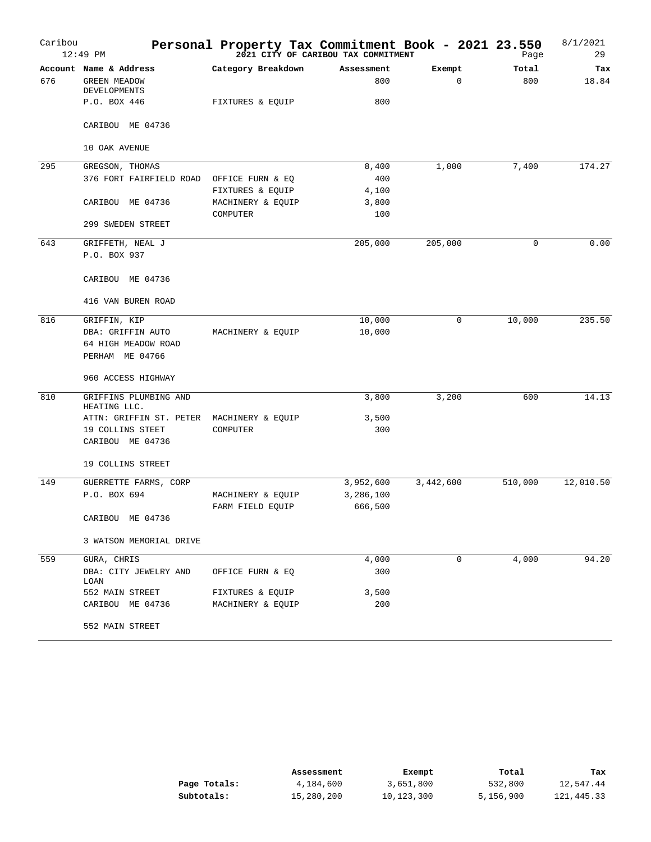| Caribou | 12:49 PM                                   |                    | Personal Property Tax Commitment Book - 2021 23.550<br>2021 CITY OF CARIBOU TAX COMMITMENT |           |             | Page        | 8/1/2021<br>29 |
|---------|--------------------------------------------|--------------------|--------------------------------------------------------------------------------------------|-----------|-------------|-------------|----------------|
|         | Account Name & Address                     | Category Breakdown | Assessment                                                                                 | Exempt    |             | Total       | Tax            |
| 676     | <b>GREEN MEADOW</b><br><b>DEVELOPMENTS</b> |                    | 800                                                                                        |           | $\mathbf 0$ | 800         | 18.84          |
|         | P.O. BOX 446                               | FIXTURES & EQUIP   | 800                                                                                        |           |             |             |                |
|         | CARIBOU ME 04736                           |                    |                                                                                            |           |             |             |                |
|         | 10 OAK AVENUE                              |                    |                                                                                            |           |             |             |                |
| 295     | GREGSON, THOMAS                            |                    | 8,400                                                                                      | 1,000     |             | 7,400       | 174.27         |
|         | 376 FORT FAIRFIELD ROAD                    | OFFICE FURN & EQ   | 400                                                                                        |           |             |             |                |
|         |                                            | FIXTURES & EQUIP   | 4,100                                                                                      |           |             |             |                |
|         | CARIBOU ME 04736                           | MACHINERY & EQUIP  | 3,800                                                                                      |           |             |             |                |
|         |                                            | COMPUTER           | 100                                                                                        |           |             |             |                |
|         | 299 SWEDEN STREET                          |                    |                                                                                            |           |             |             |                |
| 643     | GRIFFETH, NEAL J                           |                    | 205,000                                                                                    | 205,000   |             | $\mathbf 0$ | 0.00           |
|         | P.O. BOX 937                               |                    |                                                                                            |           |             |             |                |
|         | CARIBOU ME 04736                           |                    |                                                                                            |           |             |             |                |
|         | 416 VAN BUREN ROAD                         |                    |                                                                                            |           |             |             |                |
| 816     | GRIFFIN, KIP                               |                    | 10,000                                                                                     |           | 0           | 10,000      | 235.50         |
|         | DBA: GRIFFIN AUTO                          | MACHINERY & EQUIP  | 10,000                                                                                     |           |             |             |                |
|         | 64 HIGH MEADOW ROAD                        |                    |                                                                                            |           |             |             |                |
|         | PERHAM ME 04766                            |                    |                                                                                            |           |             |             |                |
|         | 960 ACCESS HIGHWAY                         |                    |                                                                                            |           |             |             |                |
| 810     | GRIFFINS PLUMBING AND<br>HEATING LLC.      |                    | 3,800                                                                                      | 3,200     |             | 600         | 14.13          |
|         | ATTN: GRIFFIN ST. PETER                    | MACHINERY & EQUIP  | 3,500                                                                                      |           |             |             |                |
|         | 19 COLLINS STEET                           | COMPUTER           | 300                                                                                        |           |             |             |                |
|         | CARIBOU ME 04736                           |                    |                                                                                            |           |             |             |                |
|         | 19 COLLINS STREET                          |                    |                                                                                            |           |             |             |                |
| 149     | GUERRETTE FARMS, CORP                      |                    | 3,952,600                                                                                  | 3,442,600 |             | 510,000     | 12,010.50      |
|         | P.O. BOX 694                               | MACHINERY & EQUIP  | 3,286,100                                                                                  |           |             |             |                |
|         |                                            | FARM FIELD EQUIP   | 666,500                                                                                    |           |             |             |                |
|         | CARIBOU ME 04736                           |                    |                                                                                            |           |             |             |                |
|         | 3 WATSON MEMORIAL DRIVE                    |                    |                                                                                            |           |             |             |                |
| 559     | GURA, CHRIS                                |                    | 4,000                                                                                      |           | 0           | 4,000       | 94.20          |
|         | DBA: CITY JEWELRY AND<br>LOAN              | OFFICE FURN & EQ   | 300                                                                                        |           |             |             |                |
|         | 552 MAIN STREET                            | FIXTURES & EQUIP   | 3,500                                                                                      |           |             |             |                |
|         | CARIBOU ME 04736                           | MACHINERY & EQUIP  | 200                                                                                        |           |             |             |                |
|         | 552 MAIN STREET                            |                    |                                                                                            |           |             |             |                |

|              | Assessment | Exempt     | Total     | Tax        |
|--------------|------------|------------|-----------|------------|
| Page Totals: | 4,184,600  | 3,651,800  | 532,800   | 12,547.44  |
| Subtotals:   | 15,280,200 | 10,123,300 | 5,156,900 | 121,445.33 |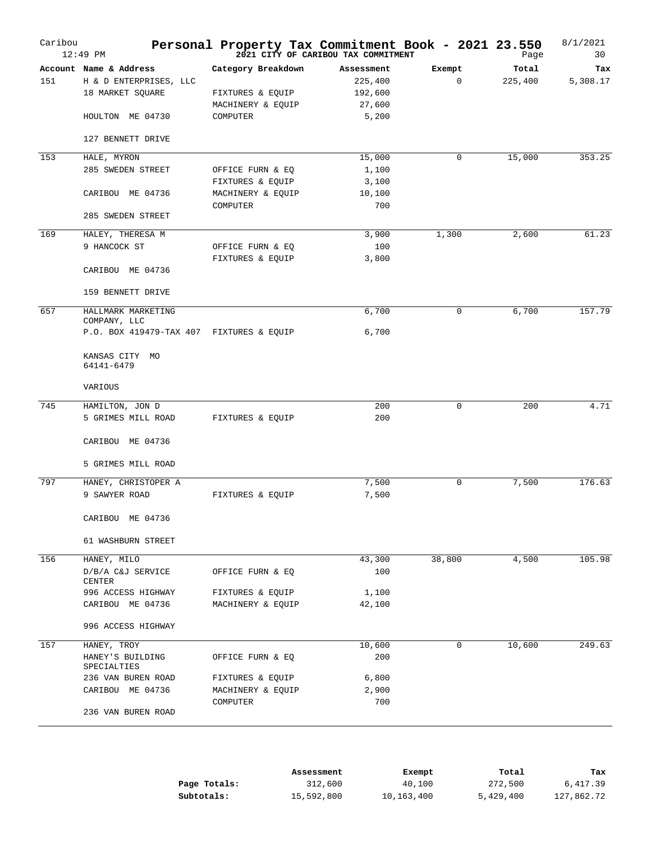| Caribou | $12:49$ PM                                                                               | Personal Property Tax Commitment Book - 2021 23.550                     | 2021 CITY OF CARIBOU TAX COMMITMENT                 |                       | Page             | 8/1/2021<br>30  |
|---------|------------------------------------------------------------------------------------------|-------------------------------------------------------------------------|-----------------------------------------------------|-----------------------|------------------|-----------------|
| 151     | Account Name & Address<br>H & D ENTERPRISES, LLC<br>18 MARKET SQUARE<br>HOULTON ME 04730 | Category Breakdown<br>FIXTURES & EQUIP<br>MACHINERY & EQUIP<br>COMPUTER | Assessment<br>225,400<br>192,600<br>27,600<br>5,200 | Exempt<br>$\mathbf 0$ | Total<br>225,400 | Tax<br>5,308.17 |
|         | 127 BENNETT DRIVE                                                                        |                                                                         |                                                     |                       |                  |                 |
| 153     | HALE, MYRON<br>285 SWEDEN STREET                                                         | OFFICE FURN & EQ                                                        | 15,000<br>1,100                                     | 0                     | 15,000           | 353.25          |
|         | CARIBOU ME 04736                                                                         | FIXTURES & EQUIP<br>MACHINERY & EQUIP<br>COMPUTER                       | 3,100<br>10,100<br>700                              |                       |                  |                 |
|         | 285 SWEDEN STREET                                                                        |                                                                         |                                                     |                       |                  |                 |
| 169     | HALEY, THERESA M<br>9 HANCOCK ST<br>CARIBOU ME 04736                                     | OFFICE FURN & EQ<br>FIXTURES & EQUIP                                    | 3,900<br>100<br>3,800                               | 1,300                 | 2,600            | 61.23           |
|         | 159 BENNETT DRIVE                                                                        |                                                                         |                                                     |                       |                  |                 |
| 657     | HALLMARK MARKETING<br>COMPANY, LLC<br>P.O. BOX 419479-TAX 407 FIXTURES & EQUIP           |                                                                         | 6,700<br>6,700                                      | 0                     | 6,700            | 157.79          |
|         | KANSAS CITY MO<br>64141-6479                                                             |                                                                         |                                                     |                       |                  |                 |
|         | VARIOUS                                                                                  |                                                                         |                                                     |                       |                  |                 |
| 745     | HAMILTON, JON D<br>5 GRIMES MILL ROAD                                                    | FIXTURES & EQUIP                                                        | 200<br>200                                          | 0                     | 200              | 4.71            |
|         | CARIBOU ME 04736                                                                         |                                                                         |                                                     |                       |                  |                 |
|         | 5 GRIMES MILL ROAD                                                                       |                                                                         |                                                     |                       |                  |                 |
| 797     | HANEY, CHRISTOPER A<br>9 SAWYER ROAD                                                     | FIXTURES & EQUIP                                                        | 7,500<br>7,500                                      | 0                     | 7,500            | 176.63          |
|         | CARIBOU ME 04736                                                                         |                                                                         |                                                     |                       |                  |                 |
|         | 61 WASHBURN STREET                                                                       |                                                                         |                                                     |                       |                  |                 |
| 156     | HANEY, MILO<br>D/B/A C&J SERVICE<br><b>CENTER</b>                                        | OFFICE FURN & EQ                                                        | 43,300<br>100                                       | 38,800                | 4,500            | 105.98          |
|         | 996 ACCESS HIGHWAY<br>CARIBOU ME 04736                                                   | FIXTURES & EQUIP<br>MACHINERY & EQUIP                                   | 1,100<br>42,100                                     |                       |                  |                 |
|         | 996 ACCESS HIGHWAY                                                                       |                                                                         |                                                     |                       |                  |                 |
| 157     | HANEY, TROY                                                                              |                                                                         | 10,600                                              | 0                     | 10,600           | 249.63          |
|         | HANEY'S BUILDING<br>SPECIALTIES                                                          | OFFICE FURN & EQ                                                        | 200                                                 |                       |                  |                 |
|         | 236 VAN BUREN ROAD<br>CARIBOU ME 04736                                                   | FIXTURES & EQUIP<br>MACHINERY & EQUIP                                   | 6,800<br>2,900                                      |                       |                  |                 |
|         | 236 VAN BUREN ROAD                                                                       | COMPUTER                                                                | 700                                                 |                       |                  |                 |
|         |                                                                                          |                                                                         |                                                     |                       |                  |                 |

|              | Assessment | Exempt     | Total     | тах        |
|--------------|------------|------------|-----------|------------|
| Page Totals: | 312,600    | 40,100     | 272,500   | 6,417.39   |
| Subtotals:   | 15,592,800 | 10,163,400 | 5,429,400 | 127,862.72 |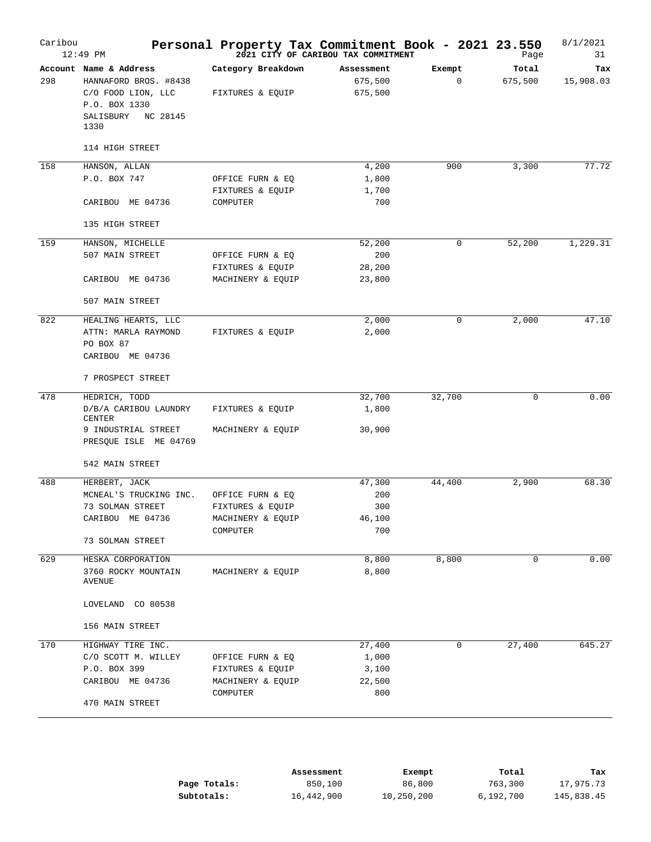| Caribou | 12:49 PM                                                                                                                |                                                                       | Personal Property Tax Commitment Book - 2021 23.550<br>2021 CITY OF CARIBOU TAX COMMITMENT |                       | Page             | 8/1/2021<br>31   |
|---------|-------------------------------------------------------------------------------------------------------------------------|-----------------------------------------------------------------------|--------------------------------------------------------------------------------------------|-----------------------|------------------|------------------|
| 298     | Account Name & Address<br>HANNAFORD BROS. #8438<br>C/O FOOD LION, LLC<br>P.O. BOX 1330<br>SALISBURY<br>NC 28145<br>1330 | Category Breakdown<br>FIXTURES & EQUIP                                | Assessment<br>675,500<br>675,500                                                           | Exempt<br>$\mathbf 0$ | Total<br>675,500 | Tax<br>15,908.03 |
|         | 114 HIGH STREET                                                                                                         |                                                                       |                                                                                            |                       |                  |                  |
| 158     | HANSON, ALLAN<br>P.O. BOX 747<br>CARIBOU ME 04736                                                                       | OFFICE FURN & EQ<br>FIXTURES & EQUIP<br>COMPUTER                      | 4,200<br>1,800<br>1,700<br>700                                                             | 900                   | 3,300            | 77.72            |
|         | 135 HIGH STREET                                                                                                         |                                                                       |                                                                                            |                       |                  |                  |
| 159     | HANSON, MICHELLE<br>507 MAIN STREET<br>CARIBOU ME 04736<br>507 MAIN STREET                                              | OFFICE FURN & EQ<br>FIXTURES & EQUIP<br>MACHINERY & EQUIP             | 52,200<br>200<br>28,200<br>23,800                                                          | 0                     | 52,200           | 1,229.31         |
| 822     | HEALING HEARTS, LLC<br>ATTN: MARLA RAYMOND<br>PO BOX 87<br>CARIBOU ME 04736<br>7 PROSPECT STREET                        | FIXTURES & EQUIP                                                      | 2,000<br>2,000                                                                             | 0                     | 2,000            | 47.10            |
| 478     | HEDRICH, TODD<br>D/B/A CARIBOU LAUNDRY<br>CENTER<br>9 INDUSTRIAL STREET<br>PRESQUE ISLE ME 04769                        | FIXTURES & EQUIP<br>MACHINERY & EQUIP                                 | 32,700<br>1,800<br>30,900                                                                  | 32,700                | $\mathbf 0$      | 0.00             |
| 488     | 542 MAIN STREET<br>HERBERT, JACK<br>MCNEAL'S TRUCKING INC.<br>73 SOLMAN STREET<br>CARIBOU ME 04736<br>73 SOLMAN STREET  | OFFICE FURN & EQ<br>FIXTURES & EQUIP<br>MACHINERY & EQUIP<br>COMPUTER | 47,300<br>200<br>300<br>46,100<br>700                                                      | 44,400                | 2,900            | 68.30            |
| 629     | HESKA CORPORATION<br>3760 ROCKY MOUNTAIN<br><b>AVENUE</b><br>LOVELAND CO 80538<br>156 MAIN STREET                       | MACHINERY & EQUIP                                                     | 8,800<br>8,800                                                                             | 8,800                 | $\mathbf 0$      | 0.00             |
| 170     | HIGHWAY TIRE INC.<br>C/O SCOTT M. WILLEY<br>P.O. BOX 399<br>CARIBOU ME 04736<br>470 MAIN STREET                         | OFFICE FURN & EQ<br>FIXTURES & EQUIP<br>MACHINERY & EQUIP<br>COMPUTER | 27,400<br>1,000<br>3,100<br>22,500<br>800                                                  | 0                     | 27,400           | 645.27           |

|              | Assessment | Exempt     | Total     | Tax        |
|--------------|------------|------------|-----------|------------|
| Page Totals: | 850,100    | 86,800     | 763,300   | 17,975.73  |
| Subtotals:   | 16,442,900 | 10,250,200 | 6,192,700 | 145,838.45 |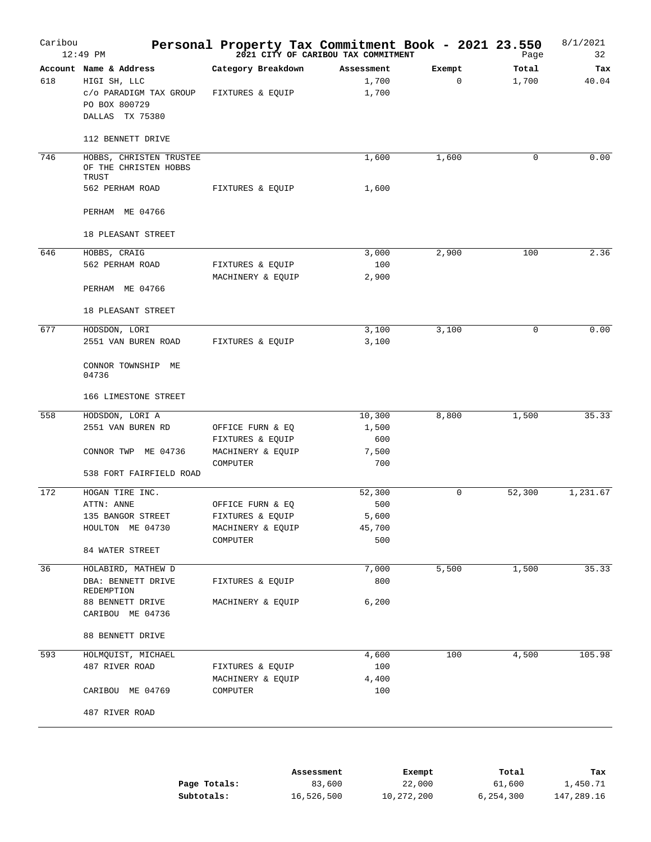| Caribou | $12:49$ PM                                                | Personal Property Tax Commitment Book - 2021 23.550 | 2021 CITY OF CARIBOU TAX COMMITMENT |             | Page   | 8/1/2021<br>32 |
|---------|-----------------------------------------------------------|-----------------------------------------------------|-------------------------------------|-------------|--------|----------------|
|         | Account Name & Address                                    | Category Breakdown                                  | Assessment                          | Exempt      | Total  | Tax            |
| 618     | HIGI SH, LLC<br>c/o PARADIGM TAX GROUP<br>PO BOX 800729   | FIXTURES & EQUIP                                    | 1,700<br>1,700                      | $\mathbf 0$ | 1,700  | 40.04          |
|         | DALLAS TX 75380                                           |                                                     |                                     |             |        |                |
|         | 112 BENNETT DRIVE                                         |                                                     |                                     |             |        |                |
| 746     | HOBBS, CHRISTEN TRUSTEE<br>OF THE CHRISTEN HOBBS<br>TRUST |                                                     | 1,600                               | 1,600       | 0      | 0.00           |
|         | 562 PERHAM ROAD                                           | FIXTURES & EQUIP                                    | 1,600                               |             |        |                |
|         | PERHAM ME 04766                                           |                                                     |                                     |             |        |                |
|         | 18 PLEASANT STREET                                        |                                                     |                                     |             |        |                |
| 646     | HOBBS, CRAIG                                              |                                                     | 3,000                               | 2,900       | 100    | 2.36           |
|         | 562 PERHAM ROAD                                           | FIXTURES & EQUIP                                    | 100                                 |             |        |                |
|         | PERHAM ME 04766                                           | MACHINERY & EQUIP                                   | 2,900                               |             |        |                |
|         | 18 PLEASANT STREET                                        |                                                     |                                     |             |        |                |
| 677     |                                                           |                                                     |                                     | 3,100       | 0      | 0.00           |
|         | HODSDON, LORI<br>2551 VAN BUREN ROAD                      | FIXTURES & EQUIP                                    | 3,100<br>3,100                      |             |        |                |
|         | CONNOR TOWNSHIP ME<br>04736                               |                                                     |                                     |             |        |                |
|         | 166 LIMESTONE STREET                                      |                                                     |                                     |             |        |                |
| 558     | HODSDON, LORI A                                           |                                                     | 10,300                              | 8,800       | 1,500  | 35.33          |
|         | 2551 VAN BUREN RD                                         | OFFICE FURN & EQ                                    | 1,500                               |             |        |                |
|         |                                                           | FIXTURES & EQUIP                                    | 600                                 |             |        |                |
|         | CONNOR TWP ME 04736                                       | MACHINERY & EQUIP<br>COMPUTER                       | 7,500<br>700                        |             |        |                |
|         | 538 FORT FAIRFIELD ROAD                                   |                                                     |                                     |             |        |                |
| 172     | HOGAN TIRE INC.                                           |                                                     | 52,300                              | 0           | 52,300 | 1,231.67       |
|         | ATTN: ANNE                                                | OFFICE FURN & EQ                                    | 500                                 |             |        |                |
|         | 135 BANGOR STREET                                         | FIXTURES & EQUIP                                    | 5,600                               |             |        |                |
|         | HOULTON ME 04730                                          | MACHINERY & EQUIP                                   | 45,700                              |             |        |                |
|         | 84 WATER STREET                                           | COMPUTER                                            | 500                                 |             |        |                |
|         |                                                           |                                                     |                                     |             |        |                |
| 36      | HOLABIRD, MATHEW D                                        |                                                     | 7,000                               | 5,500       | 1,500  | 35.33          |
|         | DBA: BENNETT DRIVE<br>REDEMPTION                          | FIXTURES & EQUIP                                    | 800                                 |             |        |                |
|         | 88 BENNETT DRIVE<br>CARIBOU ME 04736                      | MACHINERY & EQUIP                                   | 6,200                               |             |        |                |
|         | 88 BENNETT DRIVE                                          |                                                     |                                     |             |        |                |
| 593     | HOLMQUIST, MICHAEL                                        |                                                     | 4,600                               | 100         | 4,500  | 105.98         |
|         | 487 RIVER ROAD                                            | FIXTURES & EQUIP                                    | 100                                 |             |        |                |
|         |                                                           | MACHINERY & EQUIP                                   | 4,400                               |             |        |                |
|         | CARIBOU ME 04769                                          | COMPUTER                                            | 100                                 |             |        |                |
|         | 487 RIVER ROAD                                            |                                                     |                                     |             |        |                |
|         |                                                           |                                                     |                                     |             |        |                |

|              | Assessment | Exempt     | Total     | тах        |
|--------------|------------|------------|-----------|------------|
| Page Totals: | 83,600     | 22,000     | 61,600    | 1,450.71   |
| Subtotals:   | 16,526,500 | 10,272,200 | 6,254,300 | 147,289.16 |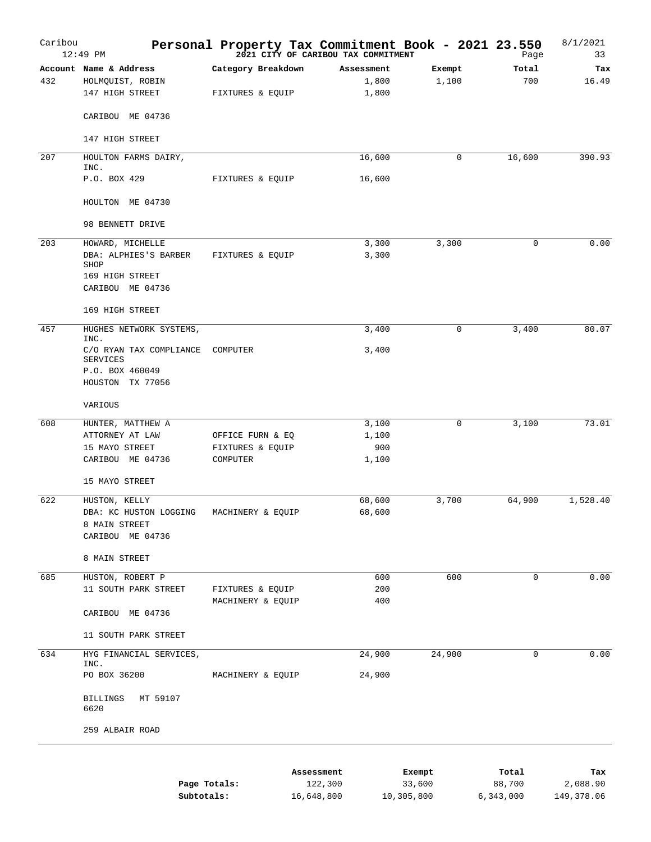| Caribou | 12:49 PM                                                                                 | Personal Property Tax Commitment Book - 2021 23.550 | 2021 CITY OF CARIBOU TAX COMMITMENT |                 | Page         | 8/1/2021<br>33 |
|---------|------------------------------------------------------------------------------------------|-----------------------------------------------------|-------------------------------------|-----------------|--------------|----------------|
| 432     | Account Name & Address<br>HOLMQUIST, ROBIN<br>147 HIGH STREET                            | Category Breakdown<br>FIXTURES & EQUIP              | Assessment<br>1,800<br>1,800        | Exempt<br>1,100 | Total<br>700 | Tax<br>16.49   |
|         | CARIBOU ME 04736                                                                         |                                                     |                                     |                 |              |                |
|         | 147 HIGH STREET                                                                          |                                                     |                                     |                 |              |                |
| 207     | HOULTON FARMS DAIRY,<br>INC.                                                             |                                                     | 16,600                              | 0               | 16,600       | 390.93         |
|         | P.O. BOX 429                                                                             | FIXTURES & EQUIP                                    | 16,600                              |                 |              |                |
|         | HOULTON ME 04730                                                                         |                                                     |                                     |                 |              |                |
|         | 98 BENNETT DRIVE                                                                         |                                                     |                                     |                 |              |                |
| 203     | HOWARD, MICHELLE<br>DBA: ALPHIES'S BARBER<br>SHOP<br>169 HIGH STREET<br>CARIBOU ME 04736 | FIXTURES & EQUIP                                    | 3,300<br>3,300                      | 3,300           | 0            | 0.00           |
|         | 169 HIGH STREET                                                                          |                                                     |                                     |                 |              |                |
| 457     | HUGHES NETWORK SYSTEMS,                                                                  |                                                     | 3,400                               | $\mathbf 0$     | 3,400        | 80.07          |
|         | INC.<br>C/O RYAN TAX COMPLIANCE<br>SERVICES<br>P.O. BOX 460049                           | COMPUTER                                            | 3,400                               |                 |              |                |
|         | HOUSTON TX 77056                                                                         |                                                     |                                     |                 |              |                |
|         | VARIOUS                                                                                  |                                                     |                                     |                 |              |                |
| 608     | HUNTER, MATTHEW A<br>ATTORNEY AT LAW<br>15 MAYO STREET<br>CARIBOU ME 04736               | OFFICE FURN & EQ<br>FIXTURES & EQUIP<br>COMPUTER    | 3,100<br>1,100<br>900<br>1,100      | 0               | 3,100        | 73.01          |
|         | 15 MAYO STREET                                                                           |                                                     |                                     |                 |              |                |
| 622     | HUSTON, KELLY<br>DBA: KC HUSTON LOGGING<br>8 MAIN STREET<br>CARIBOU ME 04736             | MACHINERY & EQUIP                                   | 68,600<br>68,600                    | 3,700           | 64,900       | 1,528.40       |
|         | 8 MAIN STREET                                                                            |                                                     |                                     |                 |              |                |
| 685     | HUSTON, ROBERT P<br>11 SOUTH PARK STREET<br>CARIBOU ME 04736                             | FIXTURES & EQUIP<br>MACHINERY & EQUIP               | 600<br>200<br>400                   | 600             | $\mathbf 0$  | 0.00           |
|         | 11 SOUTH PARK STREET                                                                     |                                                     |                                     |                 |              |                |
| 634     | HYG FINANCIAL SERVICES,                                                                  |                                                     | 24,900                              | 24,900          | 0            | 0.00           |
|         | INC.<br>PO BOX 36200                                                                     | MACHINERY & EQUIP                                   | 24,900                              |                 |              |                |
|         | BILLINGS<br>MT 59107<br>6620                                                             |                                                     |                                     |                 |              |                |
|         | 259 ALBAIR ROAD                                                                          |                                                     |                                     |                 |              |                |
|         |                                                                                          |                                                     | Assessment<br>1222222               | Exempt<br>2200  | Total        | Tax            |

|              | ----------------- | ______     |           |            |
|--------------|-------------------|------------|-----------|------------|
| Page Totals: | 122,300           | 33,600     | 88,700    | 2,088.90   |
| Subtotals:   | 16,648,800        | 10,305,800 | 6,343,000 | 149,378.06 |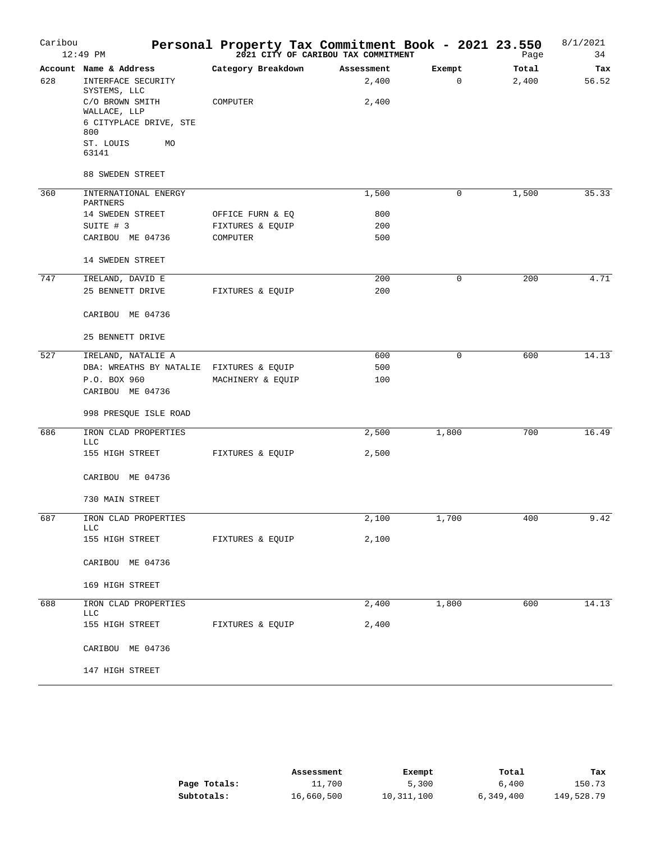| Caribou | $12:49$ PM                         | Personal Property Tax Commitment Book - 2021 23.550 | 2021 CITY OF CARIBOU TAX COMMITMENT |        | Page  | 8/1/2021<br>34 |
|---------|------------------------------------|-----------------------------------------------------|-------------------------------------|--------|-------|----------------|
|         | Account Name & Address             | Category Breakdown                                  | Assessment                          | Exempt | Total | Tax            |
| 628     | INTERFACE SECURITY<br>SYSTEMS, LLC |                                                     | 2,400                               | 0      | 2,400 | 56.52          |
|         | C/O BROWN SMITH<br>WALLACE, LLP    | COMPUTER                                            | 2,400                               |        |       |                |
|         | 6 CITYPLACE DRIVE, STE<br>800      |                                                     |                                     |        |       |                |
|         | ST. LOUIS<br>MO<br>63141           |                                                     |                                     |        |       |                |
|         | 88 SWEDEN STREET                   |                                                     |                                     |        |       |                |
| 360     | INTERNATIONAL ENERGY<br>PARTNERS   |                                                     | 1,500                               | 0      | 1,500 | 35.33          |
|         | 14 SWEDEN STREET                   | OFFICE FURN & EQ                                    | 800                                 |        |       |                |
|         | SUITE # 3                          | FIXTURES & EQUIP                                    | 200                                 |        |       |                |
|         | CARIBOU ME 04736                   | COMPUTER                                            | 500                                 |        |       |                |
|         | 14 SWEDEN STREET                   |                                                     |                                     |        |       |                |
| 747     | IRELAND, DAVID E                   |                                                     | 200                                 | 0      | 200   | 4.71           |
|         | 25 BENNETT DRIVE                   | FIXTURES & EQUIP                                    | 200                                 |        |       |                |
|         | CARIBOU ME 04736                   |                                                     |                                     |        |       |                |
|         | 25 BENNETT DRIVE                   |                                                     |                                     |        |       |                |
| 527     | IRELAND, NATALIE A                 |                                                     | 600                                 | 0      | 600   | 14.13          |
|         | DBA: WREATHS BY NATALIE            | FIXTURES & EQUIP                                    | 500                                 |        |       |                |
|         | P.O. BOX 960<br>CARIBOU ME 04736   | MACHINERY & EQUIP                                   | 100                                 |        |       |                |
|         | 998 PRESQUE ISLE ROAD              |                                                     |                                     |        |       |                |
|         |                                    |                                                     |                                     |        |       |                |
| 686     | IRON CLAD PROPERTIES<br>LLC        |                                                     | 2,500                               | 1,800  | 700   | 16.49          |
|         | 155 HIGH STREET                    | FIXTURES & EQUIP                                    | 2,500                               |        |       |                |
|         | CARIBOU ME 04736                   |                                                     |                                     |        |       |                |
|         | 730 MAIN STREET                    |                                                     |                                     |        |       |                |
| 687     | IRON CLAD PROPERTIES<br><b>LLC</b> |                                                     | 2,100                               | 1,700  | 400   | 9.42           |
|         | 155 HIGH STREET                    | FIXTURES & EQUIP                                    | 2,100                               |        |       |                |
|         | CARIBOU ME 04736                   |                                                     |                                     |        |       |                |
|         | 169 HIGH STREET                    |                                                     |                                     |        |       |                |
| 688     | IRON CLAD PROPERTIES<br><b>LLC</b> |                                                     | 2,400                               | 1,800  | 600   | 14.13          |
|         | 155 HIGH STREET                    | FIXTURES & EQUIP                                    | 2,400                               |        |       |                |
|         | CARIBOU ME 04736                   |                                                     |                                     |        |       |                |
|         | 147 HIGH STREET                    |                                                     |                                     |        |       |                |

|              | Assessment | Exempt     | Total     | тах        |
|--------------|------------|------------|-----------|------------|
| Page Totals: | 11,700     | 5,300      | 6,400     | 150.73     |
| Subtotals:   | 16,660,500 | 10,311,100 | 6,349,400 | 149,528.79 |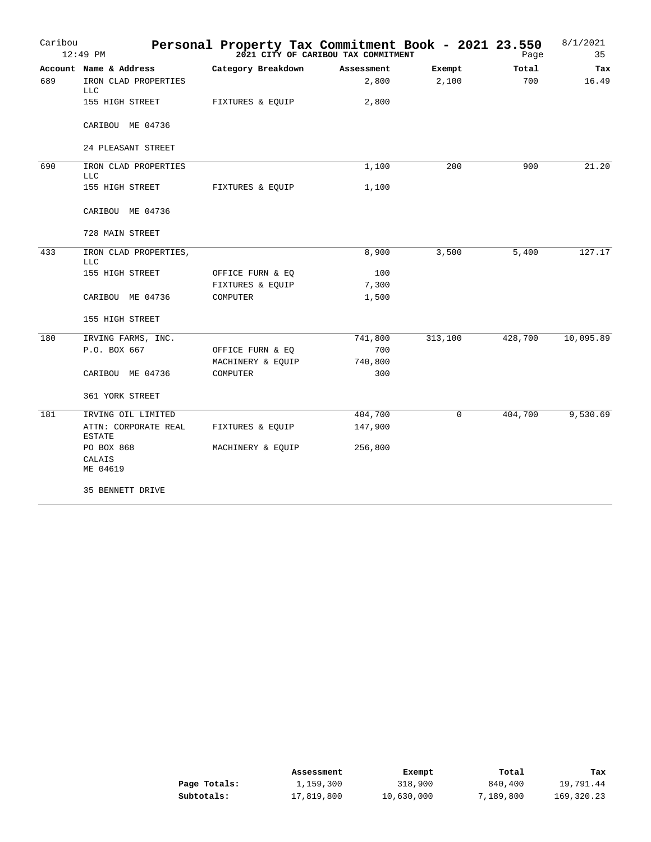| Caribou | $12:49$ PM                            |                    | Personal Property Tax Commitment Book - 2021 23.550<br>2021 CITY OF CARIBOU TAX COMMITMENT |             | Page    | 8/1/2021<br>35 |
|---------|---------------------------------------|--------------------|--------------------------------------------------------------------------------------------|-------------|---------|----------------|
|         | Account Name & Address                | Category Breakdown | Assessment                                                                                 | Exempt      | Total   | Tax            |
| 689     | IRON CLAD PROPERTIES<br><b>LLC</b>    |                    | 2,800                                                                                      | 2,100       | 700     | 16.49          |
|         | 155 HIGH STREET                       | FIXTURES & EQUIP   | 2,800                                                                                      |             |         |                |
|         | CARIBOU ME 04736                      |                    |                                                                                            |             |         |                |
|         | 24 PLEASANT STREET                    |                    |                                                                                            |             |         |                |
| 690     | IRON CLAD PROPERTIES<br><b>LLC</b>    |                    | 1,100                                                                                      | 200         | 900     | 21.20          |
|         | 155 HIGH STREET                       | FIXTURES & EQUIP   | 1,100                                                                                      |             |         |                |
|         | CARIBOU ME 04736                      |                    |                                                                                            |             |         |                |
|         | 728 MAIN STREET                       |                    |                                                                                            |             |         |                |
| 433     | IRON CLAD PROPERTIES,<br><b>LLC</b>   |                    | 8,900                                                                                      | 3,500       | 5,400   | 127.17         |
|         | 155 HIGH STREET                       | OFFICE FURN & EQ   | 100                                                                                        |             |         |                |
|         |                                       | FIXTURES & EQUIP   | 7,300                                                                                      |             |         |                |
|         | CARIBOU ME 04736                      | COMPUTER           | 1,500                                                                                      |             |         |                |
|         | 155 HIGH STREET                       |                    |                                                                                            |             |         |                |
| 180     | IRVING FARMS, INC.                    |                    | 741,800                                                                                    | 313,100     | 428,700 | 10,095.89      |
|         | P.O. BOX 667                          | OFFICE FURN & EQ   | 700                                                                                        |             |         |                |
|         |                                       | MACHINERY & EQUIP  | 740,800                                                                                    |             |         |                |
|         | CARIBOU ME 04736                      | COMPUTER           | 300                                                                                        |             |         |                |
|         | 361 YORK STREET                       |                    |                                                                                            |             |         |                |
| 181     | IRVING OIL LIMITED                    |                    | 404,700                                                                                    | $\mathbf 0$ | 404,700 | 9,530.69       |
|         | ATTN: CORPORATE REAL<br><b>ESTATE</b> | FIXTURES & EQUIP   | 147,900                                                                                    |             |         |                |
|         | PO BOX 868                            | MACHINERY & EQUIP  | 256,800                                                                                    |             |         |                |
|         | CALAIS<br>ME 04619                    |                    |                                                                                            |             |         |                |
|         | 35 BENNETT DRIVE                      |                    |                                                                                            |             |         |                |

|              | Assessment | Exempt     | Total     | тах        |
|--------------|------------|------------|-----------|------------|
| Page Totals: | 1,159,300  | 318,900    | 840,400   | 19,791.44  |
| Subtotals:   | 17,819,800 | 10,630,000 | 7,189,800 | 169,320.23 |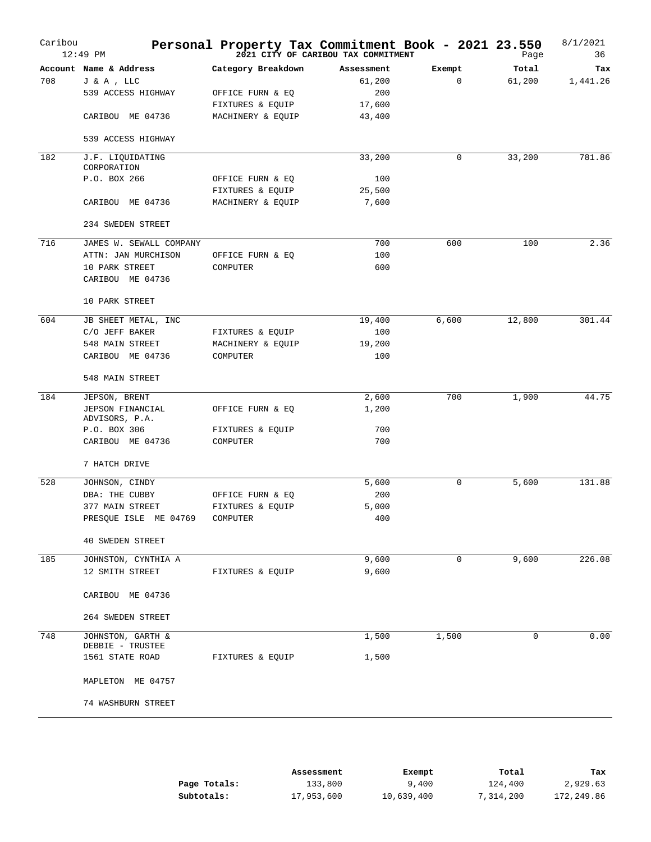| Caribou | 12:49 PM                              | Personal Property Tax Commitment Book - 2021 23.550 | 2021 CITY OF CARIBOU TAX COMMITMENT |             | Page   | 8/1/2021<br>36 |
|---------|---------------------------------------|-----------------------------------------------------|-------------------------------------|-------------|--------|----------------|
|         | Account Name & Address                | Category Breakdown                                  | Assessment                          | Exempt      | Total  | Tax            |
| 708     | J & A , LLC                           |                                                     | 61,200                              | $\mathbf 0$ | 61,200 | 1,441.26       |
|         | 539 ACCESS HIGHWAY                    | OFFICE FURN & EQ                                    | 200                                 |             |        |                |
|         |                                       | FIXTURES & EQUIP                                    | 17,600                              |             |        |                |
|         | CARIBOU ME 04736                      | MACHINERY & EQUIP                                   | 43,400                              |             |        |                |
|         | 539 ACCESS HIGHWAY                    |                                                     |                                     |             |        |                |
|         |                                       |                                                     |                                     |             |        |                |
| 182     | J.F. LIQUIDATING<br>CORPORATION       |                                                     | 33,200                              | 0           | 33,200 | 781.86         |
|         | P.O. BOX 266                          | OFFICE FURN & EQ                                    | 100                                 |             |        |                |
|         |                                       | FIXTURES & EQUIP                                    | 25,500                              |             |        |                |
|         | CARIBOU ME 04736                      | MACHINERY & EQUIP                                   | 7,600                               |             |        |                |
|         | 234 SWEDEN STREET                     |                                                     |                                     |             |        |                |
|         |                                       |                                                     |                                     |             |        |                |
| 716     | JAMES W. SEWALL COMPANY               |                                                     | 700                                 | 600         | 100    | 2.36           |
|         | ATTN: JAN MURCHISON                   | OFFICE FURN & EQ                                    | 100                                 |             |        |                |
|         | 10 PARK STREET                        | COMPUTER                                            | 600                                 |             |        |                |
|         | CARIBOU ME 04736                      |                                                     |                                     |             |        |                |
|         | 10 PARK STREET                        |                                                     |                                     |             |        |                |
| 604     | JB SHEET METAL, INC                   |                                                     | 19,400                              | 6,600       | 12,800 | 301.44         |
|         | C/O JEFF BAKER                        | FIXTURES & EQUIP                                    | 100                                 |             |        |                |
|         | 548 MAIN STREET                       | MACHINERY & EQUIP                                   | 19,200                              |             |        |                |
|         | CARIBOU ME 04736                      | COMPUTER                                            | 100                                 |             |        |                |
|         | 548 MAIN STREET                       |                                                     |                                     |             |        |                |
|         |                                       |                                                     |                                     |             |        |                |
| 184     | JEPSON, BRENT                         |                                                     | 2,600                               | 700         | 1,900  | 44.75          |
|         | JEPSON FINANCIAL<br>ADVISORS, P.A.    | OFFICE FURN & EQ                                    | 1,200                               |             |        |                |
|         | P.O. BOX 306                          | FIXTURES & EQUIP                                    | 700                                 |             |        |                |
|         | CARIBOU ME 04736                      | COMPUTER                                            | 700                                 |             |        |                |
|         |                                       |                                                     |                                     |             |        |                |
|         | 7 HATCH DRIVE                         |                                                     |                                     |             |        |                |
| 528     | JOHNSON, CINDY                        |                                                     | 5,600                               | 0           | 5,600  | 131.88         |
|         | DBA: THE CUBBY                        | OFFICE FURN & EQ                                    | 200                                 |             |        |                |
|         | 377 MAIN STREET                       | FIXTURES & EQUIP                                    | 5,000                               |             |        |                |
|         | PRESQUE ISLE ME 04769                 | COMPUTER                                            | 400                                 |             |        |                |
|         |                                       |                                                     |                                     |             |        |                |
|         | <b>40 SWEDEN STREET</b>               |                                                     |                                     |             |        |                |
| 185     | JOHNSTON, CYNTHIA A                   |                                                     | 9,600                               | 0           | 9,600  | 226.08         |
|         | 12 SMITH STREET                       | FIXTURES & EQUIP                                    | 9,600                               |             |        |                |
|         | CARIBOU ME 04736                      |                                                     |                                     |             |        |                |
|         | 264 SWEDEN STREET                     |                                                     |                                     |             |        |                |
|         |                                       |                                                     |                                     |             |        |                |
| 748     | JOHNSTON, GARTH &<br>DEBBIE - TRUSTEE |                                                     | 1,500                               | 1,500       | 0      | 0.00           |
|         | 1561 STATE ROAD                       | FIXTURES & EQUIP                                    | 1,500                               |             |        |                |
|         |                                       |                                                     |                                     |             |        |                |
|         | MAPLETON ME 04757                     |                                                     |                                     |             |        |                |
|         | 74 WASHBURN STREET                    |                                                     |                                     |             |        |                |
|         |                                       |                                                     |                                     |             |        |                |

|              | Assessment | Exempt     | Total     | Tax        |
|--------------|------------|------------|-----------|------------|
| Page Totals: | 133,800    | 9,400      | 124,400   | 2,929.63   |
| Subtotals:   | 17,953,600 | 10,639,400 | 7,314,200 | 172,249.86 |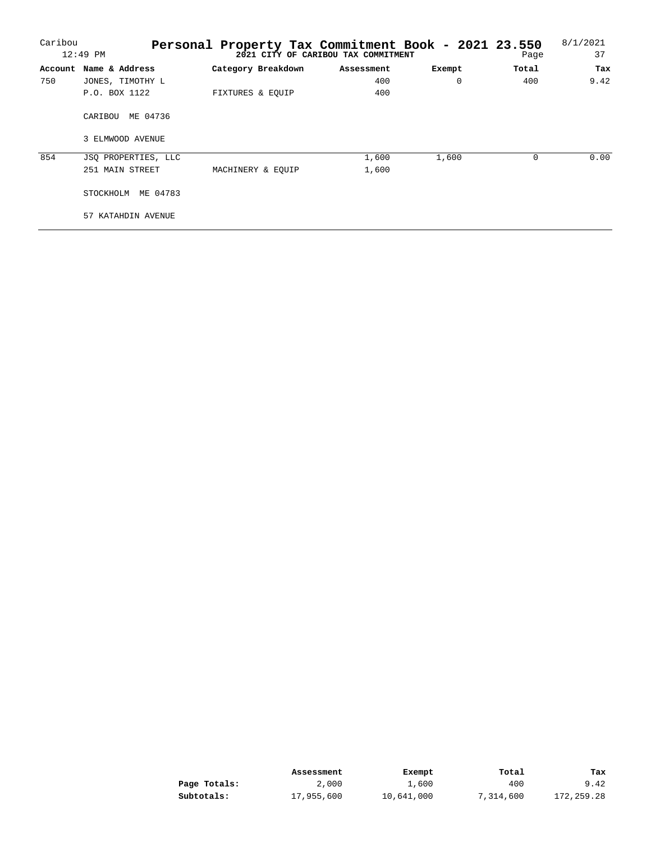| Caribou |                        | Personal Property Tax Commitment Book - 2021 23.550 |                                     |          |          | 8/1/2021 |
|---------|------------------------|-----------------------------------------------------|-------------------------------------|----------|----------|----------|
|         | $12:49$ PM             |                                                     | 2021 CITY OF CARIBOU TAX COMMITMENT |          | Page     | 37       |
|         | Account Name & Address | Category Breakdown                                  | Assessment                          | Exempt   | Total    | Tax      |
| 750     | JONES, TIMOTHY L       |                                                     | 400                                 | $\Omega$ | 400      | 9.42     |
|         | P.O. BOX 1122          | FIXTURES & EOUIP                                    | 400                                 |          |          |          |
|         | ME 04736<br>CARIBOU    |                                                     |                                     |          |          |          |
|         | 3 ELMWOOD AVENUE       |                                                     |                                     |          |          |          |
| 854     | JSO PROPERTIES, LLC    |                                                     | 1,600                               | 1,600    | $\Omega$ | 0.00     |
|         | 251 MAIN STREET        | MACHINERY & EOUIP                                   | 1,600                               |          |          |          |
|         | ME 04783<br>STOCKHOLM  |                                                     |                                     |          |          |          |
|         | 57 KATAHDIN AVENUE     |                                                     |                                     |          |          |          |

|              | Assessment | Exempt     | Total     | Tax        |
|--------------|------------|------------|-----------|------------|
| Page Totals: | 2,000      | 1,600      | 400       | 9.42       |
| Subtotals:   | 17,955,600 | 10,641,000 | 7,314,600 | 172,259.28 |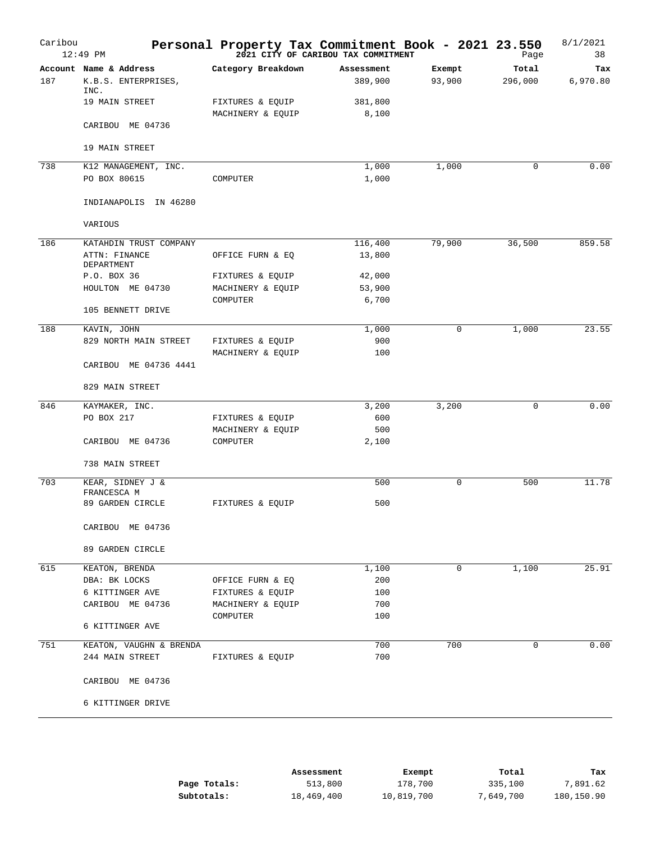| Caribou | $12:49$ PM                      | Personal Property Tax Commitment Book - 2021 23.550 | 2021 CITY OF CARIBOU TAX COMMITMENT |                  | Page             | 8/1/2021<br>38  |
|---------|---------------------------------|-----------------------------------------------------|-------------------------------------|------------------|------------------|-----------------|
| 187     | Account Name & Address          | Category Breakdown                                  | Assessment<br>389,900               | Exempt<br>93,900 | Total<br>296,000 | Tax<br>6,970.80 |
|         | K.B.S. ENTERPRISES,<br>INC.     |                                                     |                                     |                  |                  |                 |
|         | 19 MAIN STREET                  | FIXTURES & EQUIP<br>MACHINERY & EQUIP               | 381,800<br>8,100                    |                  |                  |                 |
|         | CARIBOU ME 04736                |                                                     |                                     |                  |                  |                 |
|         | 19 MAIN STREET                  |                                                     |                                     |                  |                  |                 |
| 738     | K12 MANAGEMENT, INC.            |                                                     | 1,000                               | 1,000            | $\mathbf 0$      | 0.00            |
|         | PO BOX 80615                    | COMPUTER                                            | 1,000                               |                  |                  |                 |
|         | INDIANAPOLIS IN 46280           |                                                     |                                     |                  |                  |                 |
|         | VARIOUS                         |                                                     |                                     |                  |                  |                 |
| 186     | KATAHDIN TRUST COMPANY          |                                                     | 116,400                             | 79,900           | 36,500           | 859.58          |
|         | ATTN: FINANCE<br>DEPARTMENT     | OFFICE FURN & EQ                                    | 13,800                              |                  |                  |                 |
|         | P.O. BOX 36                     | FIXTURES & EQUIP                                    | 42,000                              |                  |                  |                 |
|         | HOULTON ME 04730                | MACHINERY & EQUIP                                   | 53,900                              |                  |                  |                 |
|         | 105 BENNETT DRIVE               | COMPUTER                                            | 6,700                               |                  |                  |                 |
| 188     | KAVIN, JOHN                     |                                                     | 1,000                               | 0                | 1,000            | 23.55           |
|         | 829 NORTH MAIN STREET           | FIXTURES & EQUIP<br>MACHINERY & EQUIP               | 900<br>100                          |                  |                  |                 |
|         | CARIBOU ME 04736 4441           |                                                     |                                     |                  |                  |                 |
|         | 829 MAIN STREET                 |                                                     |                                     |                  |                  |                 |
| 846     | KAYMAKER, INC.                  |                                                     | 3,200                               | 3,200            | 0                | 0.00            |
|         | PO BOX 217                      | FIXTURES & EQUIP                                    | 600                                 |                  |                  |                 |
|         |                                 | MACHINERY & EQUIP                                   | 500                                 |                  |                  |                 |
|         | CARIBOU ME 04736                | COMPUTER                                            | 2,100                               |                  |                  |                 |
|         | 738 MAIN STREET                 |                                                     |                                     |                  |                  |                 |
| 703     | KEAR, SIDNEY J &<br>FRANCESCA M |                                                     | 500                                 | 0                | 500              | 11.78           |
|         | 89 GARDEN CIRCLE                | FIXTURES & EQUIP                                    | 500                                 |                  |                  |                 |
|         | CARIBOU ME 04736                |                                                     |                                     |                  |                  |                 |
|         | 89 GARDEN CIRCLE                |                                                     |                                     |                  |                  |                 |
| 615     | KEATON, BRENDA                  |                                                     | 1,100                               | $\mathbf 0$      | 1,100            | 25.91           |
|         | DBA: BK LOCKS                   | OFFICE FURN & EQ                                    | 200                                 |                  |                  |                 |
|         | 6 KITTINGER AVE                 | FIXTURES & EQUIP                                    | 100                                 |                  |                  |                 |
|         | CARIBOU ME 04736                | MACHINERY & EQUIP                                   | 700                                 |                  |                  |                 |
|         | 6 KITTINGER AVE                 | COMPUTER                                            | 100                                 |                  |                  |                 |
| 751     | KEATON, VAUGHN & BRENDA         |                                                     | 700                                 | 700              | 0                | 0.00            |
|         | 244 MAIN STREET                 | FIXTURES & EQUIP                                    | 700                                 |                  |                  |                 |
|         | CARIBOU ME 04736                |                                                     |                                     |                  |                  |                 |
|         | 6 KITTINGER DRIVE               |                                                     |                                     |                  |                  |                 |

|              | Assessment | Exempt     | Total     | Tax        |
|--------------|------------|------------|-----------|------------|
| Page Totals: | 513,800    | 178,700    | 335,100   | 7,891.62   |
| Subtotals:   | 18,469,400 | 10,819,700 | 7,649,700 | 180,150.90 |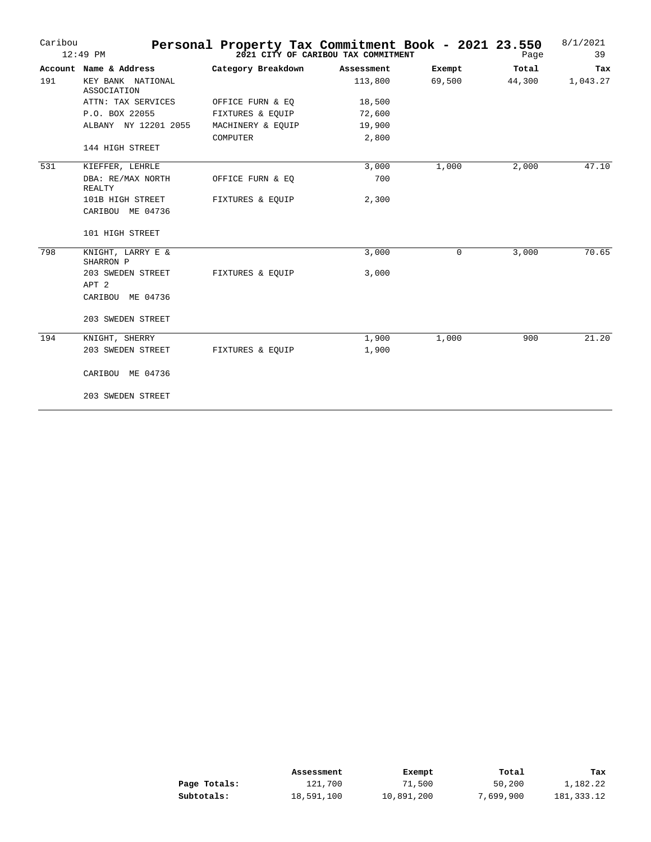| Caribou | $12:49$ PM                       | Personal Property Tax Commitment Book - 2021 23.550 | 2021 CITY OF CARIBOU TAX COMMITMENT |        | Page   | 8/1/2021<br>39 |
|---------|----------------------------------|-----------------------------------------------------|-------------------------------------|--------|--------|----------------|
|         | Account Name & Address           | Category Breakdown                                  | Assessment                          | Exempt | Total  | Tax            |
| 191     | KEY BANK NATIONAL<br>ASSOCIATION |                                                     | 113,800                             | 69,500 | 44,300 | 1,043.27       |
|         | ATTN: TAX SERVICES               | OFFICE FURN & EQ                                    | 18,500                              |        |        |                |
|         | P.O. BOX 22055                   | FIXTURES & EQUIP                                    | 72,600                              |        |        |                |
|         | ALBANY NY 12201 2055             | MACHINERY & EQUIP                                   | 19,900                              |        |        |                |
|         | 144 HIGH STREET                  | COMPUTER                                            | 2,800                               |        |        |                |
| 531     | KIEFFER, LEHRLE                  |                                                     | 3,000                               | 1,000  | 2,000  | 47.10          |
|         | DBA: RE/MAX NORTH<br>REALTY      | OFFICE FURN & EQ                                    | 700                                 |        |        |                |
|         | 101B HIGH STREET                 | FIXTURES & EQUIP                                    | 2,300                               |        |        |                |
|         | CARIBOU ME 04736                 |                                                     |                                     |        |        |                |
|         | 101 HIGH STREET                  |                                                     |                                     |        |        |                |
| 798     | KNIGHT, LARRY E &<br>SHARRON P   |                                                     | 3,000                               | 0      | 3,000  | 70.65          |
|         | 203 SWEDEN STREET                | FIXTURES & EQUIP                                    | 3,000                               |        |        |                |
|         | APT 2                            |                                                     |                                     |        |        |                |
|         | CARIBOU ME 04736                 |                                                     |                                     |        |        |                |
|         | 203 SWEDEN STREET                |                                                     |                                     |        |        |                |
| 194     | KNIGHT, SHERRY                   |                                                     | 1,900                               | 1,000  | 900    | 21.20          |
|         | 203 SWEDEN STREET                | FIXTURES & EQUIP                                    | 1,900                               |        |        |                |
|         | CARIBOU ME 04736                 |                                                     |                                     |        |        |                |
|         | 203 SWEDEN STREET                |                                                     |                                     |        |        |                |

|              | Assessment | Exempt     | Total     | Tax        |
|--------------|------------|------------|-----------|------------|
| Page Totals: | 121,700    | 71,500     | 50,200    | 1,182.22   |
| Subtotals:   | 18,591,100 | 10,891,200 | 7,699,900 | 181,333.12 |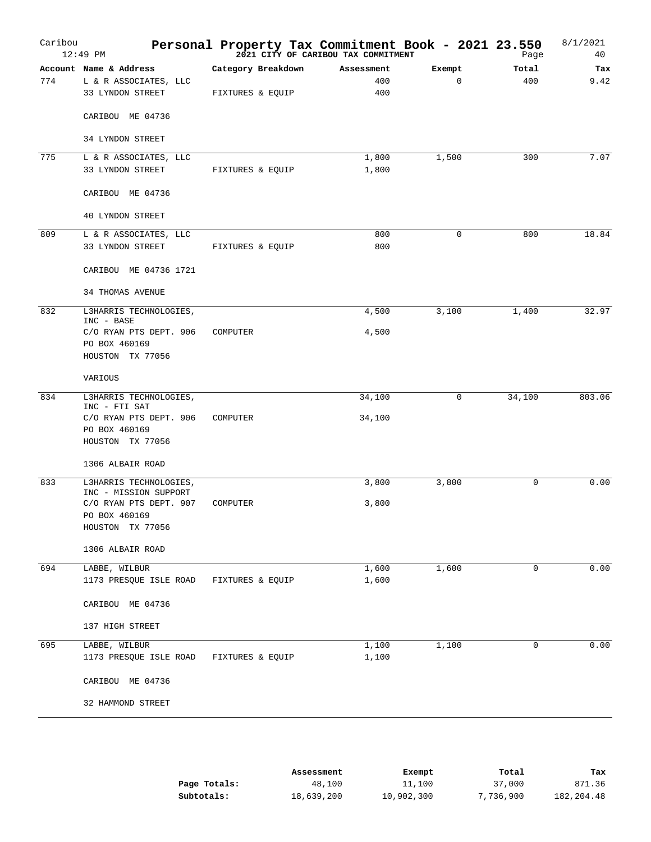| Caribou | 12:49 PM                                        | Personal Property Tax Commitment Book - 2021 23.550 | 2021 CITY OF CARIBOU TAX COMMITMENT |             | Page        | 8/1/2021<br>40 |
|---------|-------------------------------------------------|-----------------------------------------------------|-------------------------------------|-------------|-------------|----------------|
|         | Account Name & Address                          | Category Breakdown                                  | Assessment                          | Exempt      | Total       | Tax            |
| 774     | L & R ASSOCIATES, LLC<br>33 LYNDON STREET       | FIXTURES & EQUIP                                    | 400<br>400                          | $\mathbf 0$ | 400         | 9.42           |
|         | CARIBOU ME 04736                                |                                                     |                                     |             |             |                |
|         | 34 LYNDON STREET                                |                                                     |                                     |             |             |                |
| 775     | L & R ASSOCIATES, LLC                           |                                                     | 1,800                               | 1,500       | 300         | 7.07           |
|         | 33 LYNDON STREET                                | FIXTURES & EQUIP                                    | 1,800                               |             |             |                |
|         | CARIBOU ME 04736                                |                                                     |                                     |             |             |                |
|         | 40 LYNDON STREET                                |                                                     |                                     |             |             |                |
| 809     | L & R ASSOCIATES, LLC                           |                                                     | 800                                 | 0           | 800         | 18.84          |
|         | 33 LYNDON STREET                                | FIXTURES & EQUIP                                    | 800                                 |             |             |                |
|         | CARIBOU ME 04736 1721                           |                                                     |                                     |             |             |                |
|         | <b>34 THOMAS AVENUE</b>                         |                                                     |                                     |             |             |                |
| 832     | L3HARRIS TECHNOLOGIES,<br>INC - BASE            |                                                     | 4,500                               | 3,100       | 1,400       | 32.97          |
|         | C/O RYAN PTS DEPT. 906                          | COMPUTER                                            | 4,500                               |             |             |                |
|         | PO BOX 460169                                   |                                                     |                                     |             |             |                |
|         | HOUSTON TX 77056                                |                                                     |                                     |             |             |                |
|         | VARIOUS                                         |                                                     |                                     |             |             |                |
| 834     | L3HARRIS TECHNOLOGIES,<br>INC - FTI SAT         |                                                     | 34,100                              | 0           | 34,100      | 803.06         |
|         | C/O RYAN PTS DEPT. 906                          | COMPUTER                                            | 34,100                              |             |             |                |
|         | PO BOX 460169                                   |                                                     |                                     |             |             |                |
|         | HOUSTON TX 77056                                |                                                     |                                     |             |             |                |
|         | 1306 ALBAIR ROAD                                |                                                     |                                     |             |             |                |
| 833     | L3HARRIS TECHNOLOGIES,<br>INC - MISSION SUPPORT |                                                     | 3,800                               | 3,800       | 0           | 0.00           |
|         | C/O RYAN PTS DEPT. 907                          | COMPUTER                                            | 3,800                               |             |             |                |
|         | PO BOX 460169                                   |                                                     |                                     |             |             |                |
|         | HOUSTON TX 77056                                |                                                     |                                     |             |             |                |
|         | 1306 ALBAIR ROAD                                |                                                     |                                     |             |             |                |
| 694     | LABBE, WILBUR                                   |                                                     | 1,600                               | 1,600       | $\mathbf 0$ | 0.00           |
|         | 1173 PRESQUE ISLE ROAD                          | FIXTURES & EQUIP                                    | 1,600                               |             |             |                |
|         | CARIBOU ME 04736                                |                                                     |                                     |             |             |                |
|         | 137 HIGH STREET                                 |                                                     |                                     |             |             |                |
| 695     | LABBE, WILBUR                                   |                                                     | 1,100                               | 1,100       | 0           | 0.00           |
|         | 1173 PRESQUE ISLE ROAD                          | FIXTURES & EQUIP                                    | 1,100                               |             |             |                |
|         | CARIBOU ME 04736                                |                                                     |                                     |             |             |                |
|         | 32 HAMMOND STREET                               |                                                     |                                     |             |             |                |
|         |                                                 |                                                     |                                     |             |             |                |

|              | Assessment | Exempt     | Total     | Tax        |
|--------------|------------|------------|-----------|------------|
| Page Totals: | 48,100     | 11,100     | 37,000    | 871.36     |
| Subtotals:   | 18,639,200 | 10,902,300 | 7,736,900 | 182,204.48 |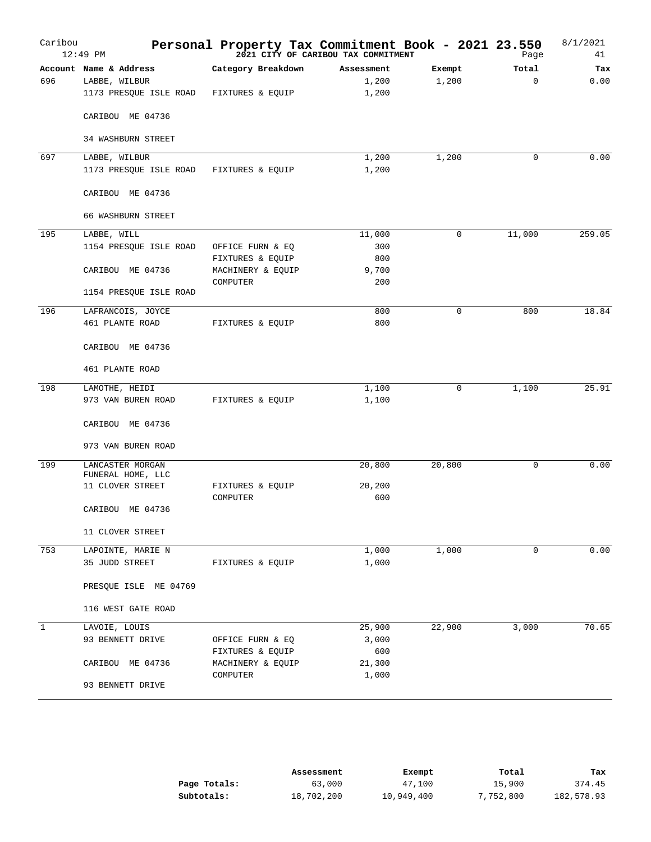| Caribou      | $12:49$ PM                            |                              | Personal Property Tax Commitment Book - 2021 23.550<br>2021 CITY OF CARIBOU TAX COMMITMENT |             | Page     | 8/1/2021<br>41 |
|--------------|---------------------------------------|------------------------------|--------------------------------------------------------------------------------------------|-------------|----------|----------------|
|              | Account Name & Address                | Category Breakdown           | Assessment                                                                                 | Exempt      | Total    | Tax            |
| 696          | LABBE, WILBUR                         |                              | 1,200                                                                                      | 1,200       | $\Omega$ | 0.00           |
|              | 1173 PRESQUE ISLE ROAD                | FIXTURES & EQUIP             | 1,200                                                                                      |             |          |                |
|              | CARIBOU ME 04736                      |                              |                                                                                            |             |          |                |
|              | <b>34 WASHBURN STREET</b>             |                              |                                                                                            |             |          |                |
| 697          | LABBE, WILBUR                         |                              | 1,200                                                                                      | 1,200       | 0        | 0.00           |
|              | 1173 PRESQUE ISLE ROAD                | FIXTURES & EQUIP             | 1,200                                                                                      |             |          |                |
|              | CARIBOU ME 04736                      |                              |                                                                                            |             |          |                |
|              | 66 WASHBURN STREET                    |                              |                                                                                            |             |          |                |
| 195          | LABBE, WILL                           |                              | 11,000                                                                                     | 0           | 11,000   | 259.05         |
|              | 1154 PRESQUE ISLE ROAD                | OFFICE FURN & EQ             | 300                                                                                        |             |          |                |
|              |                                       | FIXTURES & EQUIP             | 800                                                                                        |             |          |                |
|              | CARIBOU ME 04736                      | MACHINERY & EQUIP            | 9,700                                                                                      |             |          |                |
|              |                                       | COMPUTER                     | 200                                                                                        |             |          |                |
|              | 1154 PRESQUE ISLE ROAD                |                              |                                                                                            |             |          |                |
| 196          | LAFRANCOIS, JOYCE                     |                              | 800                                                                                        | $\mathbf 0$ | 800      | 18.84          |
|              | 461 PLANTE ROAD                       | FIXTURES & EQUIP             | 800                                                                                        |             |          |                |
|              | CARIBOU ME 04736                      |                              |                                                                                            |             |          |                |
|              | 461 PLANTE ROAD                       |                              |                                                                                            |             |          |                |
| 198          | LAMOTHE, HEIDI                        |                              | 1,100                                                                                      | 0           | 1,100    | 25.91          |
|              | 973 VAN BUREN ROAD                    | FIXTURES & EQUIP             | 1,100                                                                                      |             |          |                |
|              | CARIBOU ME 04736                      |                              |                                                                                            |             |          |                |
|              | 973 VAN BUREN ROAD                    |                              |                                                                                            |             |          |                |
| 199          | LANCASTER MORGAN<br>FUNERAL HOME, LLC |                              | 20,800                                                                                     | 20,800      | 0        | 0.00           |
|              | 11 CLOVER STREET                      | FIXTURES & EQUIP<br>COMPUTER | 20,200<br>600                                                                              |             |          |                |
|              | CARIBOU ME 04736                      |                              |                                                                                            |             |          |                |
|              | 11 CLOVER STREET                      |                              |                                                                                            |             |          |                |
| 753          | LAPOINTE, MARIE N                     |                              | 1,000                                                                                      | 1,000       | 0        | 0.00           |
|              | 35 JUDD STREET                        | FIXTURES & EQUIP             | 1,000                                                                                      |             |          |                |
|              | PRESQUE ISLE ME 04769                 |                              |                                                                                            |             |          |                |
|              | 116 WEST GATE ROAD                    |                              |                                                                                            |             |          |                |
| $\mathbf{1}$ | LAVOIE, LOUIS                         |                              | 25,900                                                                                     | 22,900      | 3,000    | 70.65          |
|              | 93 BENNETT DRIVE                      | OFFICE FURN & EQ             | 3,000                                                                                      |             |          |                |
|              |                                       | FIXTURES & EQUIP             | 600                                                                                        |             |          |                |
|              | CARIBOU ME 04736                      | MACHINERY & EQUIP            | 21,300                                                                                     |             |          |                |
|              |                                       | COMPUTER                     | 1,000                                                                                      |             |          |                |
|              | 93 BENNETT DRIVE                      |                              |                                                                                            |             |          |                |

|              | Assessment | Exempt     | Total     | Tax        |
|--------------|------------|------------|-----------|------------|
| Page Totals: | 63,000     | 47,100     | 15,900    | 374.45     |
| Subtotals:   | 18,702,200 | 10,949,400 | 7,752,800 | 182,578.93 |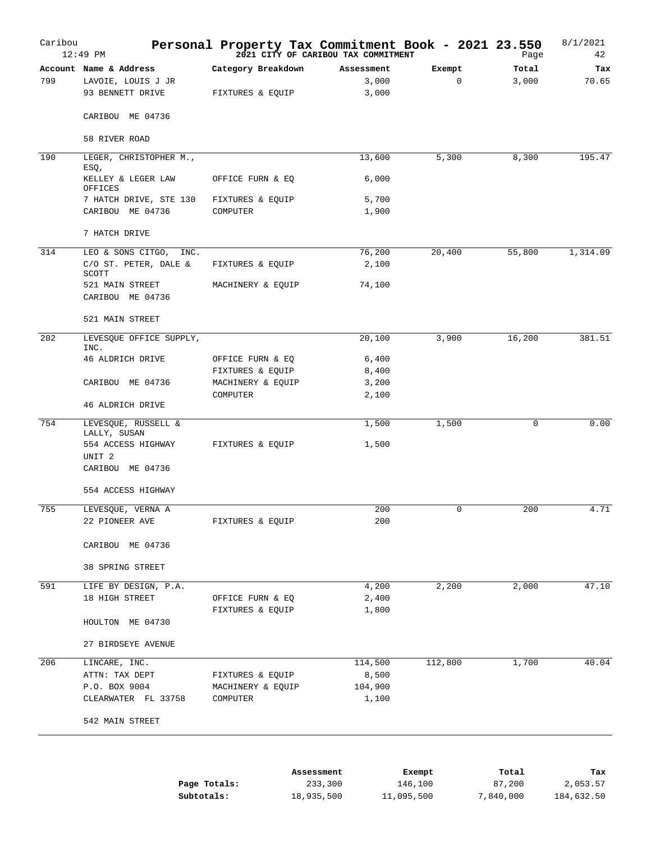| Caribou | $12:49$ PM                                                       | Personal Property Tax Commitment Book - 2021 23.550 | 2021 CITY OF CARIBOU TAX COMMITMENT |                       | Page           | 8/1/2021<br>42 |
|---------|------------------------------------------------------------------|-----------------------------------------------------|-------------------------------------|-----------------------|----------------|----------------|
| 799     | Account Name & Address<br>LAVOIE, LOUIS J JR<br>93 BENNETT DRIVE | Category Breakdown<br>FIXTURES & EQUIP              | Assessment<br>3,000<br>3,000        | Exempt<br>$\mathbf 0$ | Total<br>3,000 | Tax<br>70.65   |
|         | CARIBOU ME 04736                                                 |                                                     |                                     |                       |                |                |
|         | 58 RIVER ROAD                                                    |                                                     |                                     |                       |                |                |
| 190     | LEGER, CHRISTOPHER M.,<br>ESQ,                                   |                                                     | 13,600                              | 5,300                 | 8,300          | 195.47         |
|         | KELLEY & LEGER LAW<br>OFFICES                                    | OFFICE FURN & EQ                                    | 6,000                               |                       |                |                |
|         | 7 HATCH DRIVE, STE 130                                           | FIXTURES & EQUIP                                    | 5,700                               |                       |                |                |
|         | CARIBOU ME 04736                                                 | COMPUTER                                            | 1,900                               |                       |                |                |
|         | 7 HATCH DRIVE                                                    |                                                     |                                     |                       |                |                |
| 314     | LEO & SONS CITGO,<br>INC.<br>C/O ST. PETER, DALE &               | FIXTURES & EQUIP                                    | 76,200<br>2,100                     | 20,400                | 55,800         | 1,314.09       |
|         | <b>SCOTT</b><br>521 MAIN STREET                                  |                                                     | 74,100                              |                       |                |                |
|         | CARIBOU ME 04736                                                 | MACHINERY & EQUIP                                   |                                     |                       |                |                |
|         | 521 MAIN STREET                                                  |                                                     |                                     |                       |                |                |
| 202     | LEVESQUE OFFICE SUPPLY,<br>INC.                                  |                                                     | 20,100                              | 3,900                 | 16,200         | 381.51         |
|         | 46 ALDRICH DRIVE                                                 | OFFICE FURN & EQ                                    | 6,400                               |                       |                |                |
|         |                                                                  | FIXTURES & EQUIP                                    | 8,400                               |                       |                |                |
|         | CARIBOU ME 04736                                                 | MACHINERY & EQUIP<br>COMPUTER                       | 3,200<br>2,100                      |                       |                |                |
|         | 46 ALDRICH DRIVE                                                 |                                                     |                                     |                       |                |                |
| 754     | LEVESQUE, RUSSELL &<br>LALLY, SUSAN                              |                                                     | 1,500                               | 1,500                 | 0              | 0.00           |
|         | 554 ACCESS HIGHWAY                                               | FIXTURES & EQUIP                                    | 1,500                               |                       |                |                |
|         | UNIT <sub>2</sub><br>CARIBOU ME 04736                            |                                                     |                                     |                       |                |                |
|         | 554 ACCESS HIGHWAY                                               |                                                     |                                     |                       |                |                |
| 755     | LEVESQUE, VERNA A                                                |                                                     | 200                                 | $\mathbf 0$           | 200            | 4.71           |
|         | 22 PIONEER AVE                                                   | FIXTURES & EQUIP                                    | 200                                 |                       |                |                |
|         | CARIBOU ME 04736                                                 |                                                     |                                     |                       |                |                |
|         | 38 SPRING STREET                                                 |                                                     |                                     |                       |                |                |
| 591     | LIFE BY DESIGN, P.A.                                             |                                                     | 4,200                               | 2,200                 | 2,000          | 47.10          |
|         | 18 HIGH STREET                                                   | OFFICE FURN & EQ<br>FIXTURES & EQUIP                | 2,400<br>1,800                      |                       |                |                |
|         | HOULTON ME 04730                                                 |                                                     |                                     |                       |                |                |
|         | 27 BIRDSEYE AVENUE                                               |                                                     |                                     |                       |                |                |
| 206     | LINCARE, INC.                                                    |                                                     | 114,500                             | 112,800               | 1,700          | 40.04          |
|         | ATTN: TAX DEPT<br>P.O. BOX 9004                                  | FIXTURES & EQUIP<br>MACHINERY & EQUIP               | 8,500<br>104,900                    |                       |                |                |
|         | CLEARWATER FL 33758                                              | COMPUTER                                            | 1,100                               |                       |                |                |
|         | 542 MAIN STREET                                                  |                                                     |                                     |                       |                |                |
|         |                                                                  |                                                     |                                     |                       |                |                |
|         |                                                                  | Assessment                                          |                                     | Exempt                | Total          | Tax            |
|         |                                                                  | Page Totals:                                        | 233,300                             | 146,100               | 87,200         | 2,053.57       |

| Page Totals: | 233,300    | 146,100    | 87,200    | 2,053.57   |
|--------------|------------|------------|-----------|------------|
| Subtotals:   | 18,935,500 | 11,095,500 | 7,840,000 | 184,632.50 |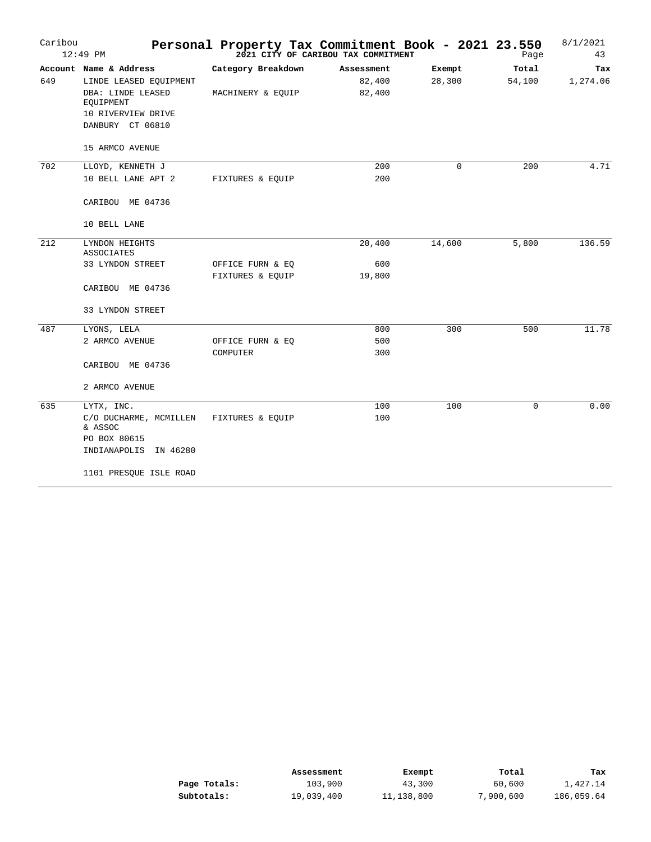| Caribou | $12:49$ PM                          |                    | Personal Property Tax Commitment Book - 2021 23.550<br>2021 CITY OF CARIBOU TAX COMMITMENT |             | Page   | 8/1/2021<br>43 |
|---------|-------------------------------------|--------------------|--------------------------------------------------------------------------------------------|-------------|--------|----------------|
|         | Account Name & Address              | Category Breakdown | Assessment                                                                                 | Exempt      | Total  | Tax            |
| 649     | LINDE LEASED EQUIPMENT              |                    | 82,400                                                                                     | 28,300      | 54,100 | 1,274.06       |
|         | DBA: LINDE LEASED<br>EQUIPMENT      | MACHINERY & EQUIP  | 82,400                                                                                     |             |        |                |
|         | 10 RIVERVIEW DRIVE                  |                    |                                                                                            |             |        |                |
|         | DANBURY CT 06810                    |                    |                                                                                            |             |        |                |
|         | 15 ARMCO AVENUE                     |                    |                                                                                            |             |        |                |
| 702     | LLOYD, KENNETH J                    |                    | 200                                                                                        | $\mathbf 0$ | 200    | 4.71           |
|         | 10 BELL LANE APT 2                  | FIXTURES & EQUIP   | 200                                                                                        |             |        |                |
|         | CARIBOU ME 04736                    |                    |                                                                                            |             |        |                |
|         | 10 BELL LANE                        |                    |                                                                                            |             |        |                |
| 212     | LYNDON HEIGHTS<br><b>ASSOCIATES</b> |                    | 20,400                                                                                     | 14,600      | 5,800  | 136.59         |
|         | 33 LYNDON STREET                    | OFFICE FURN & EQ   | 600                                                                                        |             |        |                |
|         |                                     | FIXTURES & EQUIP   | 19,800                                                                                     |             |        |                |
|         | CARIBOU ME 04736                    |                    |                                                                                            |             |        |                |
|         | 33 LYNDON STREET                    |                    |                                                                                            |             |        |                |
| 487     | LYONS, LELA                         |                    | 800                                                                                        | 300         | 500    | 11.78          |
|         | 2 ARMCO AVENUE                      | OFFICE FURN & EQ   | 500                                                                                        |             |        |                |
|         |                                     | COMPUTER           | 300                                                                                        |             |        |                |
|         | CARIBOU ME 04736                    |                    |                                                                                            |             |        |                |
|         | 2 ARMCO AVENUE                      |                    |                                                                                            |             |        |                |
| 635     | LYTX, INC.                          |                    | 100                                                                                        | 100         | 0      | 0.00           |
|         | C/O DUCHARME, MCMILLEN<br>& ASSOC   | FIXTURES & EQUIP   | 100                                                                                        |             |        |                |
|         | PO BOX 80615                        |                    |                                                                                            |             |        |                |
|         | INDIANAPOLIS IN 46280               |                    |                                                                                            |             |        |                |
|         | 1101 PRESQUE ISLE ROAD              |                    |                                                                                            |             |        |                |

|              | Assessment | Exempt     | Total     | Tax        |
|--------------|------------|------------|-----------|------------|
| Page Totals: | 103,900    | 43,300     | 60,600    | 1,427.14   |
| Subtotals:   | 19,039,400 | 11,138,800 | 7,900,600 | 186,059.64 |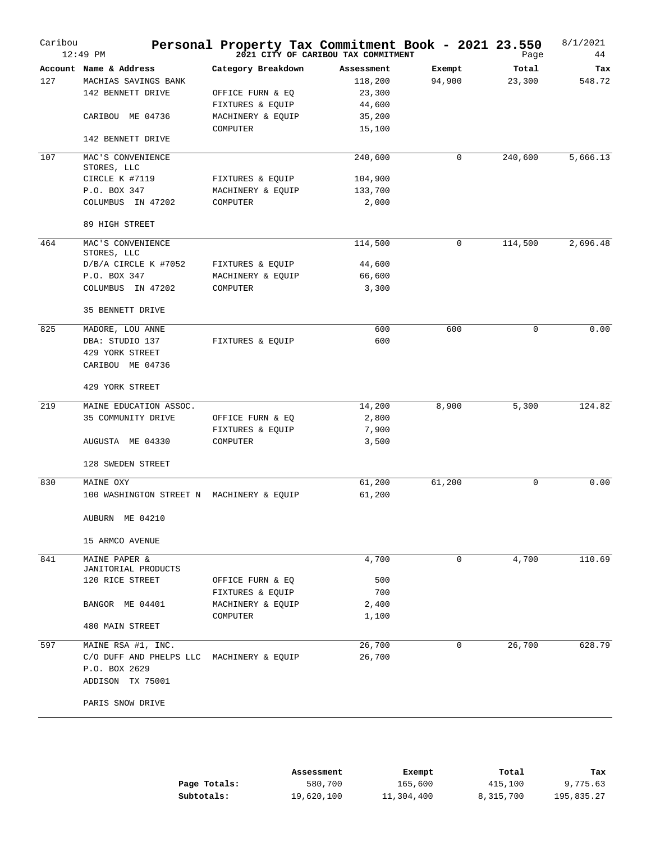| Caribou | $12:49$ PM                                | Personal Property Tax Commitment Book - 2021 23.550 | 2021 CITY OF CARIBOU TAX COMMITMENT |        | Page    | 8/1/2021<br>44 |
|---------|-------------------------------------------|-----------------------------------------------------|-------------------------------------|--------|---------|----------------|
|         | Account Name & Address                    | Category Breakdown                                  | Assessment                          | Exempt | Total   | Tax            |
| 127     | MACHIAS SAVINGS BANK                      |                                                     | 118,200                             | 94,900 | 23,300  | 548.72         |
|         | 142 BENNETT DRIVE                         | OFFICE FURN & EQ                                    | 23,300                              |        |         |                |
|         |                                           | FIXTURES & EQUIP                                    | 44,600                              |        |         |                |
|         | CARIBOU ME 04736                          | MACHINERY & EQUIP                                   | 35,200                              |        |         |                |
|         | 142 BENNETT DRIVE                         | COMPUTER                                            | 15,100                              |        |         |                |
| 107     | MAC'S CONVENIENCE                         |                                                     | 240,600                             | 0      | 240,600 | 5,666.13       |
|         | STORES, LLC                               |                                                     |                                     |        |         |                |
|         | CIRCLE K #7119                            | FIXTURES & EQUIP                                    | 104,900                             |        |         |                |
|         | P.O. BOX 347                              | MACHINERY & EQUIP                                   | 133,700                             |        |         |                |
|         | COLUMBUS IN 47202                         | COMPUTER                                            | 2,000                               |        |         |                |
|         | 89 HIGH STREET                            |                                                     |                                     |        |         |                |
| 464     | MAC'S CONVENIENCE<br>STORES, LLC          |                                                     | 114,500                             | 0      | 114,500 | 2,696.48       |
|         | D/B/A CIRCLE K #7052                      | FIXTURES & EQUIP                                    | 44,600                              |        |         |                |
|         | P.O. BOX 347                              | MACHINERY & EQUIP                                   | 66,600                              |        |         |                |
|         | COLUMBUS IN 47202                         | COMPUTER                                            | 3,300                               |        |         |                |
|         | 35 BENNETT DRIVE                          |                                                     |                                     |        |         |                |
| 825     | MADORE, LOU ANNE                          |                                                     | 600                                 | 600    | 0       | 0.00           |
|         | DBA: STUDIO 137                           | FIXTURES & EOUIP                                    | 600                                 |        |         |                |
|         | 429 YORK STREET                           |                                                     |                                     |        |         |                |
|         | CARIBOU ME 04736                          |                                                     |                                     |        |         |                |
|         | 429 YORK STREET                           |                                                     |                                     |        |         |                |
| 219     | MAINE EDUCATION ASSOC.                    |                                                     | 14,200                              | 8,900  | 5,300   | 124.82         |
|         | 35 COMMUNITY DRIVE                        | OFFICE FURN & EQ                                    | 2,800                               |        |         |                |
|         |                                           | FIXTURES & EQUIP                                    | 7,900                               |        |         |                |
|         | AUGUSTA ME 04330                          | COMPUTER                                            | 3,500                               |        |         |                |
|         | 128 SWEDEN STREET                         |                                                     |                                     |        |         |                |
| 830     | MAINE OXY                                 |                                                     | 61,200                              | 61,200 | 0       | 0.00           |
|         | 100 WASHINGTON STREET N MACHINERY & EQUIP |                                                     | 61,200                              |        |         |                |
|         | AUBURN ME 04210                           |                                                     |                                     |        |         |                |
|         | 15 ARMCO AVENUE                           |                                                     |                                     |        |         |                |
| 841     | MAINE PAPER &                             |                                                     | 4,700                               | 0      | 4,700   | 110.69         |
|         | JANITORIAL PRODUCTS                       |                                                     |                                     |        |         |                |
|         | 120 RICE STREET                           | OFFICE FURN & EQ                                    | 500                                 |        |         |                |
|         |                                           | FIXTURES & EQUIP                                    | 700                                 |        |         |                |
|         | BANGOR ME 04401                           | MACHINERY & EQUIP                                   | 2,400                               |        |         |                |
|         | 480 MAIN STREET                           | COMPUTER                                            | 1,100                               |        |         |                |
| 597     | MAINE RSA #1, INC.                        |                                                     | 26,700                              | 0      | 26,700  | 628.79         |
|         | C/O DUFF AND PHELPS LLC                   | MACHINERY & EQUIP                                   | 26,700                              |        |         |                |
|         | P.O. BOX 2629                             |                                                     |                                     |        |         |                |
|         | ADDISON TX 75001                          |                                                     |                                     |        |         |                |
|         | PARIS SNOW DRIVE                          |                                                     |                                     |        |         |                |
|         |                                           |                                                     |                                     |        |         |                |

|              | Assessment | Exempt     | Total     | Tax        |
|--------------|------------|------------|-----------|------------|
| Page Totals: | 580,700    | 165,600    | 415,100   | 9,775.63   |
| Subtotals:   | 19,620,100 | 11,304,400 | 8,315,700 | 195,835.27 |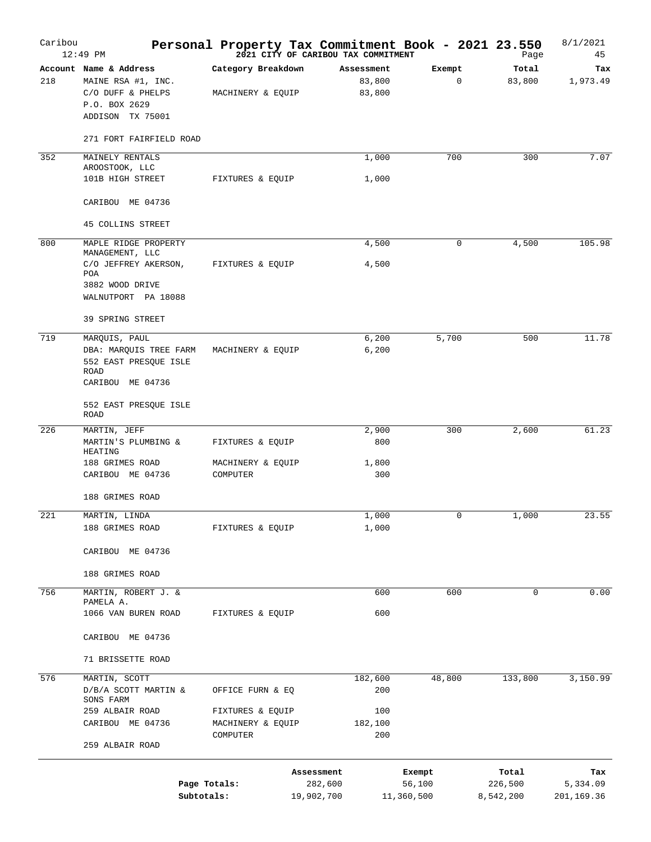| Caribou | $12:49$ PM                                                                                             | Personal Property Tax Commitment Book - 2021 23.550 | 2021 CITY OF CARIBOU TAX COMMITMENT |                                |                       | Page                 | 8/1/2021<br>45         |
|---------|--------------------------------------------------------------------------------------------------------|-----------------------------------------------------|-------------------------------------|--------------------------------|-----------------------|----------------------|------------------------|
| 218     | Account Name & Address<br>MAINE RSA #1, INC.<br>C/O DUFF & PHELPS<br>P.O. BOX 2629<br>ADDISON TX 75001 | Category Breakdown<br>MACHINERY & EQUIP             |                                     | Assessment<br>83,800<br>83,800 | Exempt<br>$\mathbf 0$ | Total<br>83,800      | Tax<br>1,973.49        |
|         | 271 FORT FAIRFIELD ROAD                                                                                |                                                     |                                     |                                |                       |                      |                        |
| 352     | MAINELY RENTALS<br>AROOSTOOK, LLC<br>101B HIGH STREET                                                  | FIXTURES & EQUIP                                    |                                     | 1,000<br>1,000                 | 700                   | 300                  | 7.07                   |
|         | CARIBOU ME 04736                                                                                       |                                                     |                                     |                                |                       |                      |                        |
|         | <b>45 COLLINS STREET</b>                                                                               |                                                     |                                     |                                |                       |                      |                        |
| 800     | MAPLE RIDGE PROPERTY<br>MANAGEMENT, LLC                                                                |                                                     |                                     | 4,500                          | 0                     | 4,500                | 105.98                 |
|         | C/O JEFFREY AKERSON,<br>POA<br>3882 WOOD DRIVE<br>WALNUTPORT PA 18088<br>39 SPRING STREET              | FIXTURES & EQUIP                                    |                                     | 4,500                          |                       |                      |                        |
| 719     | MARQUIS, PAUL                                                                                          |                                                     |                                     | 6,200                          | 5,700                 | 500                  | 11.78                  |
|         | DBA: MARQUIS TREE FARM<br>552 EAST PRESQUE ISLE<br>ROAD<br>CARIBOU ME 04736                            | MACHINERY & EQUIP                                   |                                     | 6,200                          |                       |                      |                        |
|         | 552 EAST PRESQUE ISLE<br>ROAD                                                                          |                                                     |                                     |                                |                       |                      |                        |
| 226     | MARTIN, JEFF                                                                                           |                                                     |                                     | 2,900                          | 300                   | 2,600                | 61.23                  |
|         | MARTIN'S PLUMBING &<br>HEATING                                                                         | FIXTURES & EQUIP                                    |                                     | 800                            |                       |                      |                        |
|         | 188 GRIMES ROAD<br>CARIBOU ME 04736                                                                    | MACHINERY & EQUIP<br>COMPUTER                       |                                     | 1,800<br>300                   |                       |                      |                        |
|         | 188 GRIMES ROAD                                                                                        |                                                     |                                     |                                |                       |                      |                        |
| 221     | MARTIN, LINDA                                                                                          |                                                     |                                     | 1,000                          | 0                     | 1,000                | 23.55                  |
|         | 188 GRIMES ROAD                                                                                        | FIXTURES & EQUIP                                    |                                     | 1,000                          |                       |                      |                        |
|         | CARIBOU ME 04736                                                                                       |                                                     |                                     |                                |                       |                      |                        |
|         | 188 GRIMES ROAD                                                                                        |                                                     |                                     |                                |                       |                      |                        |
| 756     | MARTIN, ROBERT J. &<br>PAMELA A.                                                                       |                                                     |                                     | 600                            | 600                   | 0                    | 0.00                   |
|         | 1066 VAN BUREN ROAD                                                                                    | FIXTURES & EQUIP                                    |                                     | 600                            |                       |                      |                        |
|         | CARIBOU ME 04736                                                                                       |                                                     |                                     |                                |                       |                      |                        |
|         | 71 BRISSETTE ROAD                                                                                      |                                                     |                                     |                                |                       |                      |                        |
| 576     | MARTIN, SCOTT                                                                                          |                                                     |                                     | 182,600                        | 48,800                | 133,800              | 3,150.99               |
|         | D/B/A SCOTT MARTIN &<br>SONS FARM                                                                      | OFFICE FURN & EQ                                    |                                     | 200                            |                       |                      |                        |
|         | 259 ALBAIR ROAD<br>CARIBOU ME 04736                                                                    | FIXTURES & EQUIP<br>MACHINERY & EQUIP               |                                     | 100<br>182,100                 |                       |                      |                        |
|         | 259 ALBAIR ROAD                                                                                        | COMPUTER                                            |                                     | 200                            |                       |                      |                        |
|         |                                                                                                        |                                                     | Assessment                          |                                | Exempt                | Total                | тах                    |
|         | Subtotals:                                                                                             | Page Totals:                                        | 282,600<br>19,902,700               |                                | 56,100<br>11,360,500  | 226,500<br>8,542,200 | 5,334.09<br>201,169.36 |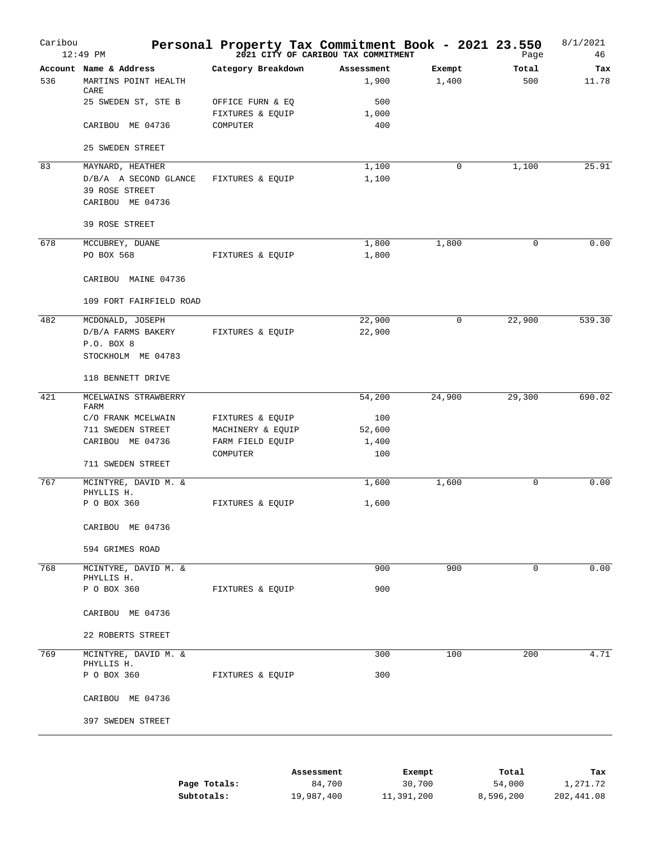| Caribou | $12:49$ PM                         | Personal Property Tax Commitment Book - 2021 23.550 | 2021 CITY OF CARIBOU TAX COMMITMENT |             | Page        | 8/1/2021<br>46 |
|---------|------------------------------------|-----------------------------------------------------|-------------------------------------|-------------|-------------|----------------|
|         | Account Name & Address             | Category Breakdown                                  | Assessment                          | Exempt      | Total       | Tax            |
| 536     | MARTINS POINT HEALTH<br>CARE       |                                                     | 1,900                               | 1,400       | 500         | 11.78          |
|         | 25 SWEDEN ST, STE B                | OFFICE FURN & EQ                                    | 500                                 |             |             |                |
|         |                                    | FIXTURES & EQUIP                                    | 1,000                               |             |             |                |
|         | CARIBOU ME 04736                   | COMPUTER                                            | 400                                 |             |             |                |
|         | 25 SWEDEN STREET                   |                                                     |                                     |             |             |                |
| 83      | MAYNARD, HEATHER                   |                                                     | 1,100                               | $\mathbf 0$ | 1,100       | 25.91          |
|         | D/B/A A SECOND GLANCE              | FIXTURES & EQUIP                                    | 1,100                               |             |             |                |
|         | 39 ROSE STREET                     |                                                     |                                     |             |             |                |
|         | CARIBOU ME 04736                   |                                                     |                                     |             |             |                |
|         | 39 ROSE STREET                     |                                                     |                                     |             |             |                |
| 678     | MCCUBREY, DUANE                    |                                                     | 1,800                               | 1,800       | 0           | 0.00           |
|         | PO BOX 568                         | FIXTURES & EQUIP                                    | 1,800                               |             |             |                |
|         | CARIBOU MAINE 04736                |                                                     |                                     |             |             |                |
|         | 109 FORT FAIRFIELD ROAD            |                                                     |                                     |             |             |                |
| 482     | MCDONALD, JOSEPH                   |                                                     | 22,900                              | $\mathbf 0$ | 22,900      | 539.30         |
|         | D/B/A FARMS BAKERY                 | FIXTURES & EQUIP                                    | 22,900                              |             |             |                |
|         | P.O. BOX 8                         |                                                     |                                     |             |             |                |
|         | STOCKHOLM ME 04783                 |                                                     |                                     |             |             |                |
|         | 118 BENNETT DRIVE                  |                                                     |                                     |             |             |                |
| 421     | MCELWAINS STRAWBERRY               |                                                     | 54,200                              | 24,900      | 29,300      | 690.02         |
|         | FARM                               |                                                     |                                     |             |             |                |
|         | C/O FRANK MCELWAIN                 | FIXTURES & EQUIP                                    | 100                                 |             |             |                |
|         | 711 SWEDEN STREET                  | MACHINERY & EQUIP                                   | 52,600                              |             |             |                |
|         | CARIBOU ME 04736                   | FARM FIELD EQUIP<br>COMPUTER                        | 1,400<br>100                        |             |             |                |
|         | 711 SWEDEN STREET                  |                                                     |                                     |             |             |                |
| 767     | MCINTYRE, DAVID M. &<br>PHYLLIS H. |                                                     | 1,600                               | 1,600       | 0           | 0.00           |
|         | P O BOX 360                        | FIXTURES & EQUIP                                    | 1,600                               |             |             |                |
|         | CARIBOU ME 04736                   |                                                     |                                     |             |             |                |
|         | 594 GRIMES ROAD                    |                                                     |                                     |             |             |                |
| 768     | MCINTYRE, DAVID M. &               |                                                     | 900                                 | 900         | $\mathbf 0$ | 0.00           |
|         | PHYLLIS H.                         |                                                     |                                     |             |             |                |
|         | P O BOX 360                        | FIXTURES & EQUIP                                    | 900                                 |             |             |                |
|         | CARIBOU ME 04736                   |                                                     |                                     |             |             |                |
|         | 22 ROBERTS STREET                  |                                                     |                                     |             |             |                |
| 769     | MCINTYRE, DAVID M. &<br>PHYLLIS H. |                                                     | 300                                 | 100         | 200         | 4.71           |
|         | P O BOX 360                        | FIXTURES & EQUIP                                    | 300                                 |             |             |                |
|         | CARIBOU ME 04736                   |                                                     |                                     |             |             |                |
|         | 397 SWEDEN STREET                  |                                                     |                                     |             |             |                |
|         |                                    |                                                     |                                     |             |             |                |
|         |                                    | $\lambda$ aaaaamant                                 |                                     | $E$ womnt   | $T - + -$   | mas.           |

|              | Assessment | Exempt     | Total     | Tax        |
|--------------|------------|------------|-----------|------------|
| Page Totals: | 84,700     | 30,700     | 54,000    | 1,271.72   |
| Subtotals:   | 19,987,400 | 11,391,200 | 8,596,200 | 202,441.08 |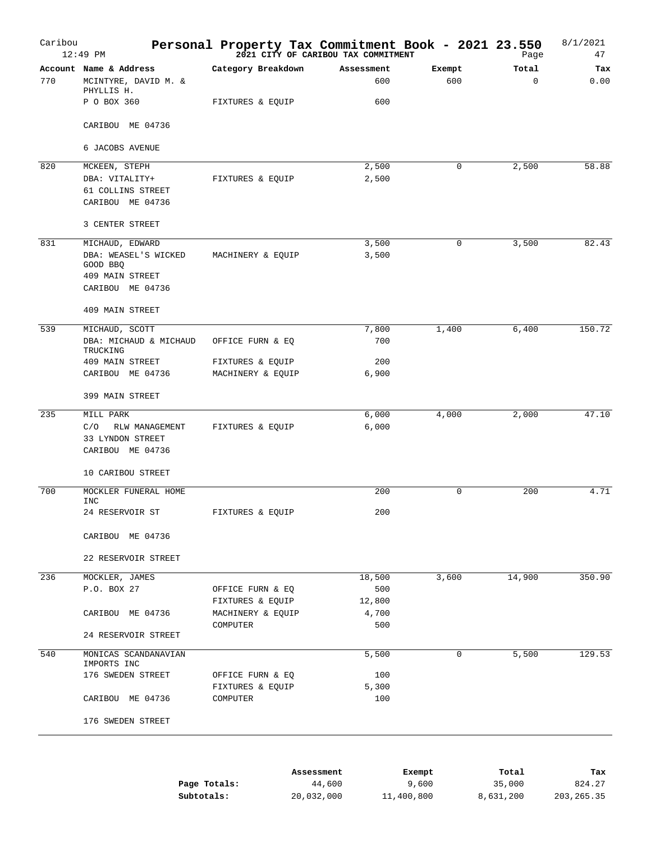| Caribou | $12:49$ PM                                |                                      | Personal Property Tax Commitment Book - 2021 23.550<br>2021 CITY OF CARIBOU TAX COMMITMENT |             | Page     | 8/1/2021<br>47 |
|---------|-------------------------------------------|--------------------------------------|--------------------------------------------------------------------------------------------|-------------|----------|----------------|
|         | Account Name & Address                    | Category Breakdown                   | Assessment                                                                                 | Exempt      | Total    | Tax            |
| 770     | MCINTYRE, DAVID M. &                      |                                      | 600                                                                                        | 600         | $\Omega$ | 0.00           |
|         | PHYLLIS H.                                |                                      |                                                                                            |             |          |                |
|         | P O BOX 360                               | FIXTURES & EQUIP                     | 600                                                                                        |             |          |                |
|         | CARIBOU ME 04736                          |                                      |                                                                                            |             |          |                |
|         | 6 JACOBS AVENUE                           |                                      |                                                                                            |             |          |                |
| 820     | MCKEEN, STEPH                             |                                      | 2,500                                                                                      | $\mathbf 0$ | 2,500    | 58.88          |
|         | DBA: VITALITY+                            | FIXTURES & EQUIP                     | 2,500                                                                                      |             |          |                |
|         | 61 COLLINS STREET                         |                                      |                                                                                            |             |          |                |
|         | CARIBOU ME 04736                          |                                      |                                                                                            |             |          |                |
|         | 3 CENTER STREET                           |                                      |                                                                                            |             |          |                |
| 831     | MICHAUD, EDWARD                           |                                      | 3,500                                                                                      | $\mathbf 0$ | 3,500    | 82.43          |
|         | DBA: WEASEL'S WICKED                      | MACHINERY & EQUIP                    | 3,500                                                                                      |             |          |                |
|         | GOOD BBQ                                  |                                      |                                                                                            |             |          |                |
|         | 409 MAIN STREET<br>CARIBOU ME 04736       |                                      |                                                                                            |             |          |                |
|         |                                           |                                      |                                                                                            |             |          |                |
|         | 409 MAIN STREET                           |                                      |                                                                                            |             |          |                |
| 539     | MICHAUD, SCOTT                            |                                      | 7,800                                                                                      | 1,400       | 6,400    | 150.72         |
|         | DBA: MICHAUD & MICHAUD                    | OFFICE FURN & EQ                     | 700                                                                                        |             |          |                |
|         | TRUCKING<br>409 MAIN STREET               | FIXTURES & EQUIP                     | 200                                                                                        |             |          |                |
|         | CARIBOU ME 04736                          | MACHINERY & EQUIP                    | 6,900                                                                                      |             |          |                |
|         | 399 MAIN STREET                           |                                      |                                                                                            |             |          |                |
|         |                                           |                                      |                                                                                            |             |          |                |
| 235     | MILL PARK                                 |                                      | 6,000                                                                                      | 4,000       | 2,000    | 47.10          |
|         | C/O<br>RLW MANAGEMENT<br>33 LYNDON STREET | FIXTURES & EQUIP                     | 6,000                                                                                      |             |          |                |
|         | CARIBOU ME 04736                          |                                      |                                                                                            |             |          |                |
|         |                                           |                                      |                                                                                            |             |          |                |
|         | 10 CARIBOU STREET                         |                                      |                                                                                            |             |          |                |
| 700     | MOCKLER FUNERAL HOME                      |                                      | 200                                                                                        | $\mathbf 0$ | 200      | 4.71           |
|         | INC<br>24 RESERVOIR ST                    | FIXTURES & EQUIP                     | 200                                                                                        |             |          |                |
|         |                                           |                                      |                                                                                            |             |          |                |
|         | CARIBOU ME 04736                          |                                      |                                                                                            |             |          |                |
|         | 22 RESERVOIR STREET                       |                                      |                                                                                            |             |          |                |
|         |                                           |                                      |                                                                                            |             |          |                |
| 236     | MOCKLER, JAMES                            |                                      | 18,500                                                                                     | 3,600       | 14,900   | 350.90         |
|         | P.O. BOX 27                               | OFFICE FURN & EQ<br>FIXTURES & EQUIP | 500<br>12,800                                                                              |             |          |                |
|         | CARIBOU ME 04736                          | MACHINERY & EQUIP                    | 4,700                                                                                      |             |          |                |
|         |                                           | COMPUTER                             | 500                                                                                        |             |          |                |
|         | 24 RESERVOIR STREET                       |                                      |                                                                                            |             |          |                |
| 540     | MONICAS SCANDANAVIAN                      |                                      | 5,500                                                                                      | 0           | 5,500    | 129.53         |
|         | IMPORTS INC                               |                                      |                                                                                            |             |          |                |
|         | 176 SWEDEN STREET                         | OFFICE FURN & EQ                     | 100                                                                                        |             |          |                |
|         | CARIBOU ME 04736                          | FIXTURES & EQUIP<br>COMPUTER         | 5,300<br>100                                                                               |             |          |                |
|         |                                           |                                      |                                                                                            |             |          |                |
|         | 176 SWEDEN STREET                         |                                      |                                                                                            |             |          |                |
|         |                                           |                                      |                                                                                            |             |          |                |
|         |                                           |                                      | Assessment                                                                                 | Exempt      | Total    | Tax            |
|         |                                           | Page Totals:                         | 44,600                                                                                     | 9,600       | 35,000   | 824.27         |

|              | ----------------- | ---------- |           |              |
|--------------|-------------------|------------|-----------|--------------|
| Page Totals: | 44,600            | 9,600      | 35,000    | 824.27       |
| Subtotals:   | 20,032,000        | 11,400,800 | 8,631,200 | 203, 265. 35 |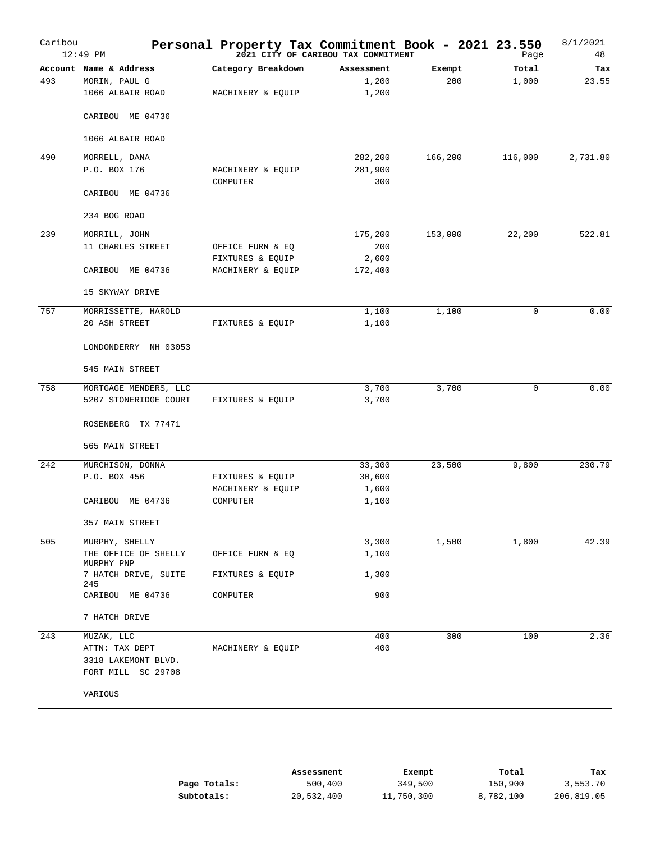| Caribou | $12:49$ PM                         | Personal Property Tax Commitment Book - 2021 23.550 | 2021 CITY OF CARIBOU TAX COMMITMENT |         | Page        | 8/1/2021<br>48 |
|---------|------------------------------------|-----------------------------------------------------|-------------------------------------|---------|-------------|----------------|
|         | Account Name & Address             | Category Breakdown                                  | Assessment                          | Exempt  | Total       | Tax            |
| 493     | MORIN, PAUL G                      |                                                     | 1,200                               | 200     | 1,000       | 23.55          |
|         | 1066 ALBAIR ROAD                   | MACHINERY & EQUIP                                   | 1,200                               |         |             |                |
|         | CARIBOU ME 04736                   |                                                     |                                     |         |             |                |
|         | 1066 ALBAIR ROAD                   |                                                     |                                     |         |             |                |
| 490     | MORRELL, DANA                      |                                                     | 282,200                             | 166,200 | 116,000     | 2,731.80       |
|         | P.O. BOX 176                       | MACHINERY & EQUIP                                   | 281,900                             |         |             |                |
|         |                                    | COMPUTER                                            | 300                                 |         |             |                |
|         | CARIBOU ME 04736                   |                                                     |                                     |         |             |                |
|         | 234 BOG ROAD                       |                                                     |                                     |         |             |                |
| 239     | MORRILL, JOHN                      |                                                     | 175,200                             | 153,000 | 22,200      | 522.81         |
|         | 11 CHARLES STREET                  | OFFICE FURN & EQ                                    | 200                                 |         |             |                |
|         |                                    | FIXTURES & EQUIP                                    | 2,600                               |         |             |                |
|         | CARIBOU ME 04736                   | MACHINERY & EQUIP                                   | 172,400                             |         |             |                |
|         | 15 SKYWAY DRIVE                    |                                                     |                                     |         |             |                |
| 757     | MORRISSETTE, HAROLD                |                                                     | 1,100                               | 1,100   | $\mathbf 0$ | 0.00           |
|         | 20 ASH STREET                      | FIXTURES & EQUIP                                    | 1,100                               |         |             |                |
|         | LONDONDERRY NH 03053               |                                                     |                                     |         |             |                |
|         | 545 MAIN STREET                    |                                                     |                                     |         |             |                |
| 758     | MORTGAGE MENDERS, LLC              |                                                     | 3,700                               | 3,700   | $\mathbf 0$ | 0.00           |
|         | 5207 STONERIDGE COURT              | FIXTURES & EQUIP                                    | 3,700                               |         |             |                |
|         | ROSENBERG TX 77471                 |                                                     |                                     |         |             |                |
|         | 565 MAIN STREET                    |                                                     |                                     |         |             |                |
| 242     | MURCHISON, DONNA                   |                                                     | 33,300                              | 23,500  | 9,800       | 230.79         |
|         | P.O. BOX 456                       | FIXTURES & EQUIP                                    | 30,600                              |         |             |                |
|         |                                    | MACHINERY & EQUIP                                   | 1,600                               |         |             |                |
|         | CARIBOU ME 04736                   | COMPUTER                                            | 1,100                               |         |             |                |
|         | 357 MAIN STREET                    |                                                     |                                     |         |             |                |
| 505     | MURPHY, SHELLY                     |                                                     | 3,300                               | 1,500   | 1,800       | 42.39          |
|         | THE OFFICE OF SHELLY<br>MURPHY PNP | OFFICE FURN & EQ                                    | 1,100                               |         |             |                |
|         | 7 HATCH DRIVE, SUITE<br>245        | FIXTURES & EQUIP                                    | 1,300                               |         |             |                |
|         | CARIBOU ME 04736                   | COMPUTER                                            | 900                                 |         |             |                |
|         | 7 HATCH DRIVE                      |                                                     |                                     |         |             |                |
| 243     | MUZAK, LLC                         |                                                     | 400                                 | 300     | 100         | 2.36           |
|         | ATTN: TAX DEPT                     | MACHINERY & EQUIP                                   | 400                                 |         |             |                |
|         | 3318 LAKEMONT BLVD.                |                                                     |                                     |         |             |                |
|         | FORT MILL SC 29708                 |                                                     |                                     |         |             |                |
|         | VARIOUS                            |                                                     |                                     |         |             |                |
|         |                                    |                                                     |                                     |         |             |                |

|              | Assessment | Exempt     | Total     | Tax        |
|--------------|------------|------------|-----------|------------|
| Page Totals: | 500,400    | 349,500    | 150,900   | 3,553.70   |
| Subtotals:   | 20,532,400 | 11,750,300 | 8,782,100 | 206,819.05 |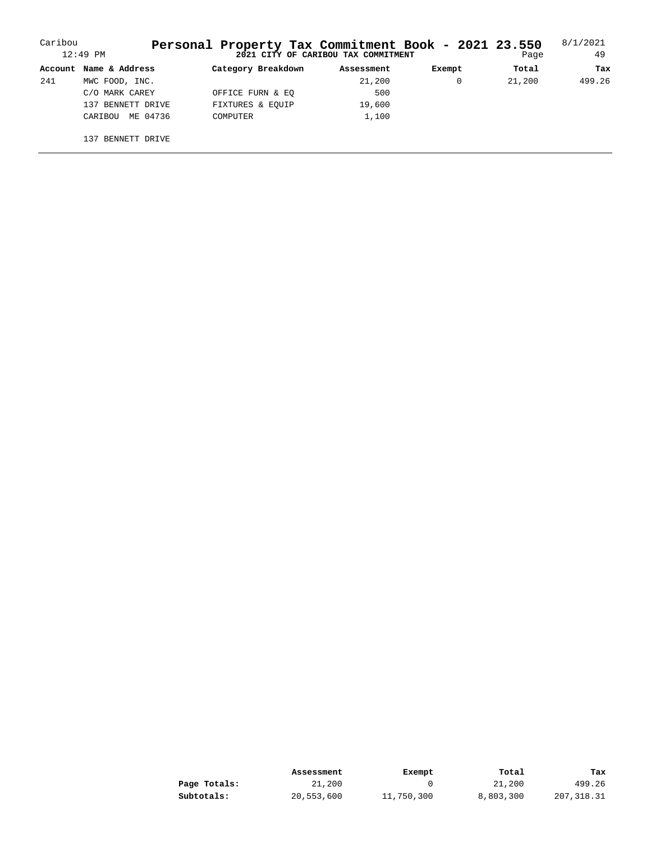| Caribou | $12:49$ PM             | Personal Property Tax Commitment Book - 2021 23.550 | 2021 CITY OF CARIBOU TAX COMMITMENT |        | Page   | 8/1/2021<br>49 |
|---------|------------------------|-----------------------------------------------------|-------------------------------------|--------|--------|----------------|
|         | Account Name & Address | Category Breakdown                                  | Assessment                          | Exempt | Total  | Tax            |
| 241     | MWC FOOD, INC.         |                                                     | 21,200                              |        | 21,200 | 499.26         |
|         | C/O MARK CAREY         | OFFICE FURN & EO                                    | 500                                 |        |        |                |
|         | 137 BENNETT DRIVE      | FIXTURES & EOUIP                                    | 19,600                              |        |        |                |
|         | ME 04736<br>CARIBOU    | COMPUTER                                            | 1,100                               |        |        |                |
|         | BENNETT DRIVE<br>137   |                                                     |                                     |        |        |                |

|              | Assessment | Exempt     | Total     | Tax        |
|--------------|------------|------------|-----------|------------|
| Page Totals: | 21,200     |            | 21,200    | 499.26     |
| Subtotals:   | 20,553,600 | 11,750,300 | 8,803,300 | 207,318.31 |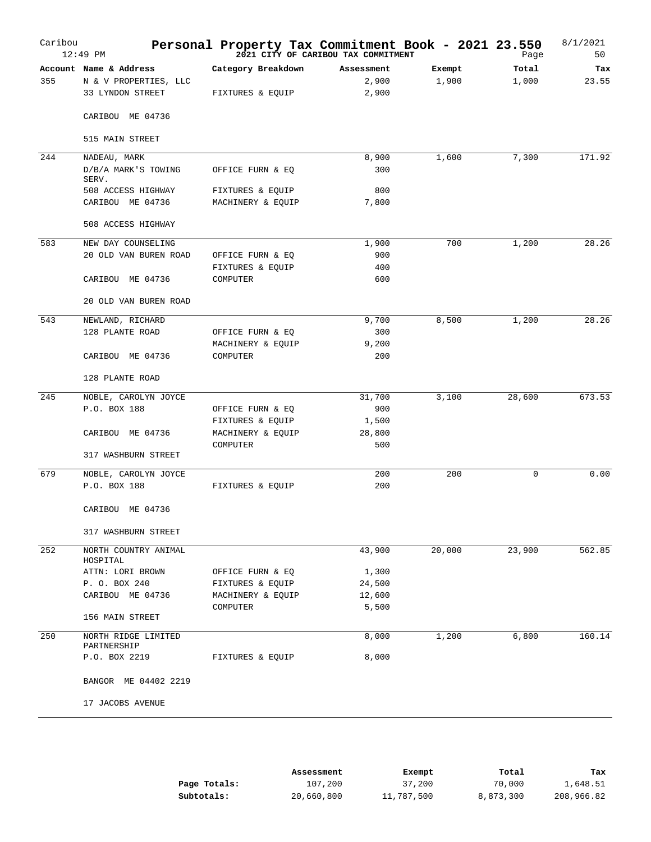| Caribou | $12:49$ PM                         | Personal Property Tax Commitment Book - 2021 23.550 | 2021 CITY OF CARIBOU TAX COMMITMENT |        | Page     | 8/1/2021<br>50 |
|---------|------------------------------------|-----------------------------------------------------|-------------------------------------|--------|----------|----------------|
|         | Account Name & Address             | Category Breakdown                                  | Assessment                          | Exempt | Total    | Tax            |
| 355     | N & V PROPERTIES, LLC              |                                                     | 2,900                               | 1,900  | 1,000    | 23.55          |
|         | 33 LYNDON STREET                   | FIXTURES & EQUIP                                    | 2,900                               |        |          |                |
|         | CARIBOU ME 04736                   |                                                     |                                     |        |          |                |
|         | 515 MAIN STREET                    |                                                     |                                     |        |          |                |
| 244     | NADEAU, MARK                       |                                                     | 8,900                               | 1,600  | 7,300    | 171.92         |
|         | D/B/A MARK'S TOWING<br>SERV.       | OFFICE FURN & EQ                                    | 300                                 |        |          |                |
|         | 508 ACCESS HIGHWAY                 | FIXTURES & EQUIP                                    | 800                                 |        |          |                |
|         | CARIBOU ME 04736                   | MACHINERY & EQUIP                                   | 7,800                               |        |          |                |
|         | 508 ACCESS HIGHWAY                 |                                                     |                                     |        |          |                |
| 583     | NEW DAY COUNSELING                 |                                                     | 1,900                               | 700    | 1,200    | 28.26          |
|         | 20 OLD VAN BUREN ROAD              | OFFICE FURN & EQ                                    | 900                                 |        |          |                |
|         |                                    | FIXTURES & EQUIP                                    | 400                                 |        |          |                |
|         | CARIBOU ME 04736                   | COMPUTER                                            | 600                                 |        |          |                |
|         | 20 OLD VAN BUREN ROAD              |                                                     |                                     |        |          |                |
| 543     | NEWLAND, RICHARD                   |                                                     | 9,700                               | 8,500  | 1,200    | 28.26          |
|         | 128 PLANTE ROAD                    | OFFICE FURN & EQ                                    | 300                                 |        |          |                |
|         |                                    |                                                     | 9,200                               |        |          |                |
|         | CARIBOU ME 04736                   | MACHINERY & EQUIP<br>COMPUTER                       | 200                                 |        |          |                |
|         | 128 PLANTE ROAD                    |                                                     |                                     |        |          |                |
| 245     | NOBLE, CAROLYN JOYCE               |                                                     | 31,700                              | 3,100  | 28,600   | 673.53         |
|         | P.O. BOX 188                       | OFFICE FURN & EQ                                    | 900                                 |        |          |                |
|         |                                    | FIXTURES & EQUIP                                    | 1,500                               |        |          |                |
|         | CARIBOU ME 04736                   | MACHINERY & EQUIP                                   | 28,800                              |        |          |                |
|         |                                    | COMPUTER                                            | 500                                 |        |          |                |
|         | 317 WASHBURN STREET                |                                                     |                                     |        |          |                |
| 679     | NOBLE, CAROLYN JOYCE               |                                                     | 200                                 | 200    | $\Omega$ | 0.00           |
|         | P.O. BOX 188                       | FIXTURES & EQUIP                                    | 200                                 |        |          |                |
|         |                                    |                                                     |                                     |        |          |                |
|         | CARIBOU ME 04736                   |                                                     |                                     |        |          |                |
|         | 317 WASHBURN STREET                |                                                     |                                     |        |          |                |
| 252     | NORTH COUNTRY ANIMAL<br>HOSPITAL   |                                                     | 43,900                              | 20,000 | 23,900   | 562.85         |
|         | ATTN: LORI BROWN                   | OFFICE FURN & EQ                                    | 1,300                               |        |          |                |
|         | P. O. BOX 240                      | FIXTURES & EQUIP                                    | 24,500                              |        |          |                |
|         | CARIBOU ME 04736                   | MACHINERY & EQUIP                                   | 12,600                              |        |          |                |
|         |                                    | COMPUTER                                            | 5,500                               |        |          |                |
|         | 156 MAIN STREET                    |                                                     |                                     |        |          |                |
| 250     | NORTH RIDGE LIMITED<br>PARTNERSHIP |                                                     | 8,000                               | 1,200  | 6,800    | 160.14         |
|         | P.O. BOX 2219                      | FIXTURES & EQUIP                                    | 8,000                               |        |          |                |
|         | BANGOR ME 04402 2219               |                                                     |                                     |        |          |                |
|         | 17 JACOBS AVENUE                   |                                                     |                                     |        |          |                |
|         |                                    |                                                     |                                     |        |          |                |

|              | Assessment | Exempt     | Total     | Tax        |
|--------------|------------|------------|-----------|------------|
| Page Totals: | 107,200    | 37,200     | 70,000    | 1,648.51   |
| Subtotals:   | 20,660,800 | 11,787,500 | 8,873,300 | 208,966.82 |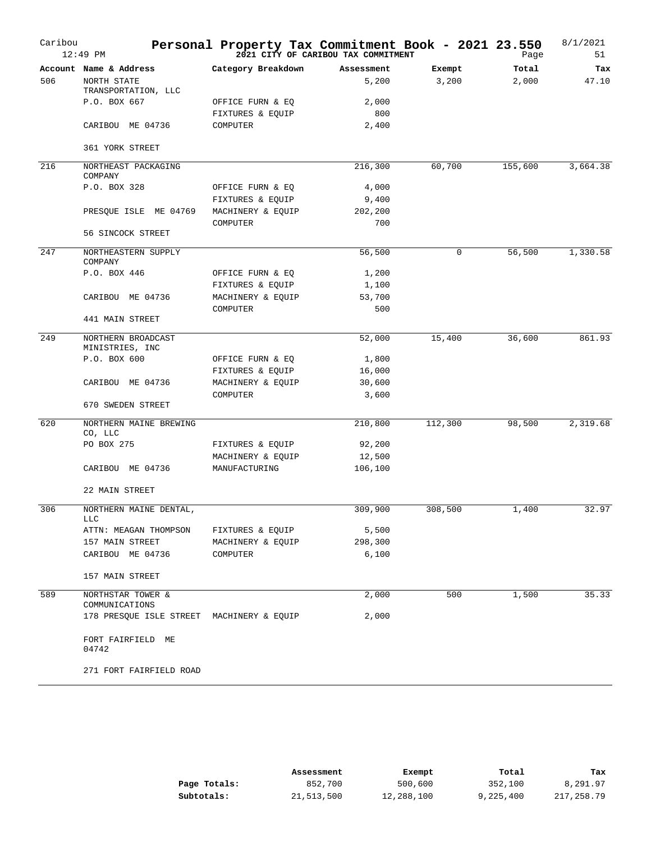| Caribou | $12:49$ PM                                                  | Personal Property Tax Commitment Book - 2021 23.550 | 2021 CITY OF CARIBOU TAX COMMITMENT |         | Page    | 8/1/2021<br>51 |
|---------|-------------------------------------------------------------|-----------------------------------------------------|-------------------------------------|---------|---------|----------------|
|         | Account Name & Address                                      | Category Breakdown                                  | Assessment                          | Exempt  | Total   | Tax            |
| 506     | NORTH STATE<br>TRANSPORTATION, LLC                          |                                                     | 5,200                               | 3,200   | 2,000   | 47.10          |
|         | P.O. BOX 667                                                | OFFICE FURN & EQ                                    | 2,000                               |         |         |                |
|         |                                                             | FIXTURES & EQUIP                                    | 800                                 |         |         |                |
|         | CARIBOU ME 04736                                            | COMPUTER                                            | 2,400                               |         |         |                |
|         | 361 YORK STREET                                             |                                                     |                                     |         |         |                |
| 216     | NORTHEAST PACKAGING<br>COMPANY                              |                                                     | 216,300                             | 60,700  | 155,600 | 3,664.38       |
|         | P.O. BOX 328                                                | OFFICE FURN & EQ                                    | 4,000                               |         |         |                |
|         |                                                             | FIXTURES & EQUIP                                    | 9,400                               |         |         |                |
|         | PRESQUE ISLE ME 04769                                       | MACHINERY & EQUIP                                   | 202,200                             |         |         |                |
|         |                                                             | COMPUTER                                            | 700                                 |         |         |                |
|         | 56 SINCOCK STREET                                           |                                                     |                                     |         |         |                |
| 247     | NORTHEASTERN SUPPLY<br>COMPANY                              |                                                     | 56,500                              | 0       | 56,500  | 1,330.58       |
|         | P.O. BOX 446                                                | OFFICE FURN & EQ                                    | 1,200                               |         |         |                |
|         |                                                             | FIXTURES & EQUIP                                    | 1,100                               |         |         |                |
|         | CARIBOU ME 04736                                            | MACHINERY & EQUIP                                   | 53,700                              |         |         |                |
|         |                                                             | COMPUTER                                            | 500                                 |         |         |                |
|         | 441 MAIN STREET                                             |                                                     |                                     |         |         |                |
| 249     | NORTHERN BROADCAST                                          |                                                     | 52,000                              | 15,400  | 36,600  | 861.93         |
|         | MINISTRIES, INC<br>P.O. BOX 600                             | OFFICE FURN & EQ                                    | 1,800                               |         |         |                |
|         |                                                             | FIXTURES & EQUIP                                    | 16,000                              |         |         |                |
|         | CARIBOU ME 04736                                            | MACHINERY & EQUIP                                   | 30,600                              |         |         |                |
|         |                                                             | COMPUTER                                            | 3,600                               |         |         |                |
|         | 670 SWEDEN STREET                                           |                                                     |                                     |         |         |                |
| 620     | NORTHERN MAINE BREWING<br>CO, LLC                           |                                                     | 210,800                             | 112,300 | 98,500  | 2,319.68       |
|         | PO BOX 275                                                  | FIXTURES & EQUIP                                    | 92,200                              |         |         |                |
|         |                                                             | MACHINERY & EQUIP                                   | 12,500                              |         |         |                |
|         | CARIBOU ME 04736                                            | MANUFACTURING                                       | 106,100                             |         |         |                |
|         | 22 MAIN STREET                                              |                                                     |                                     |         |         |                |
| 306     | NORTHERN MAINE DENTAL,<br><b>LLC</b>                        |                                                     | 309,900                             | 308,500 | 1,400   | 32.97          |
|         | ATTN: MEAGAN THOMPSON                                       | FIXTURES & EQUIP                                    | 5,500                               |         |         |                |
|         | 157 MAIN STREET                                             | MACHINERY & EQUIP                                   | 298,300                             |         |         |                |
|         | CARIBOU ME 04736                                            | COMPUTER                                            | 6,100                               |         |         |                |
|         | 157 MAIN STREET                                             |                                                     |                                     |         |         |                |
| 589     | NORTHSTAR TOWER &                                           |                                                     | 2,000                               | 500     | 1,500   | 35.33          |
|         | COMMUNICATIONS<br>178 PRESQUE ISLE STREET MACHINERY & EQUIP |                                                     | 2,000                               |         |         |                |
|         | FORT FAIRFIELD ME<br>04742                                  |                                                     |                                     |         |         |                |
|         | 271 FORT FAIRFIELD ROAD                                     |                                                     |                                     |         |         |                |

|              | Assessment | Exempt     | Total     | Tax        |
|--------------|------------|------------|-----------|------------|
| Page Totals: | 852,700    | 500,600    | 352,100   | 8,291.97   |
| Subtotals:   | 21,513,500 | 12,288,100 | 9,225,400 | 217,258.79 |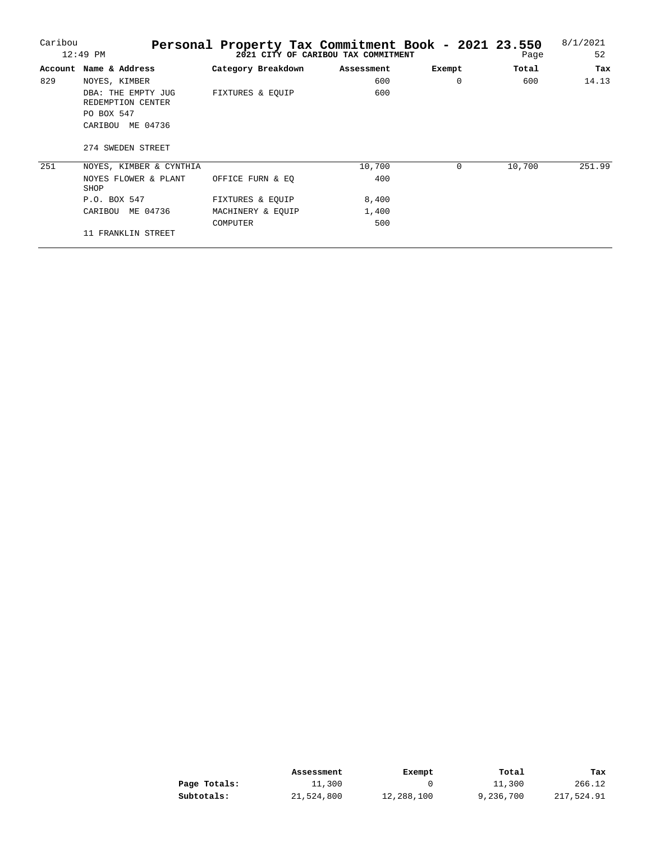| Caribou |                                         | Personal Property Tax Commitment Book - 2021 23.550 |                                     |          |        | 8/1/2021 |
|---------|-----------------------------------------|-----------------------------------------------------|-------------------------------------|----------|--------|----------|
|         | $12:49$ PM                              |                                                     | 2021 CITY OF CARIBOU TAX COMMITMENT |          | Page   | 52       |
| Account | Name & Address                          | Category Breakdown                                  | Assessment                          | Exempt   | Total  | Tax      |
| 829     | NOYES, KIMBER                           |                                                     | 600                                 | $\Omega$ | 600    | 14.13    |
|         | DBA: THE EMPTY JUG<br>REDEMPTION CENTER | FIXTURES & EQUIP                                    | 600                                 |          |        |          |
|         | PO BOX 547                              |                                                     |                                     |          |        |          |
|         | ME 04736<br>CARIBOU                     |                                                     |                                     |          |        |          |
|         | 274 SWEDEN STREET                       |                                                     |                                     |          |        |          |
| 251     | NOYES, KIMBER & CYNTHIA                 |                                                     | 10,700                              | $\Omega$ | 10,700 | 251.99   |
|         | NOYES FLOWER & PLANT<br>SHOP            | OFFICE FURN & EO                                    | 400                                 |          |        |          |
|         | P.O. BOX 547                            | FIXTURES & EOUIP                                    | 8,400                               |          |        |          |
|         | ME 04736<br>CARIBOU                     | MACHINERY & EOUIP                                   | 1,400                               |          |        |          |
|         |                                         | <b>COMPUTER</b>                                     | 500                                 |          |        |          |
|         | 11 FRANKLIN STREET                      |                                                     |                                     |          |        |          |

|              | Assessment | Exempt     | Total     | Tax        |
|--------------|------------|------------|-----------|------------|
| Page Totals: | 11,300     |            | 11,300    | 266.12     |
| Subtotals:   | 21,524,800 | 12,288,100 | 9,236,700 | 217,524.91 |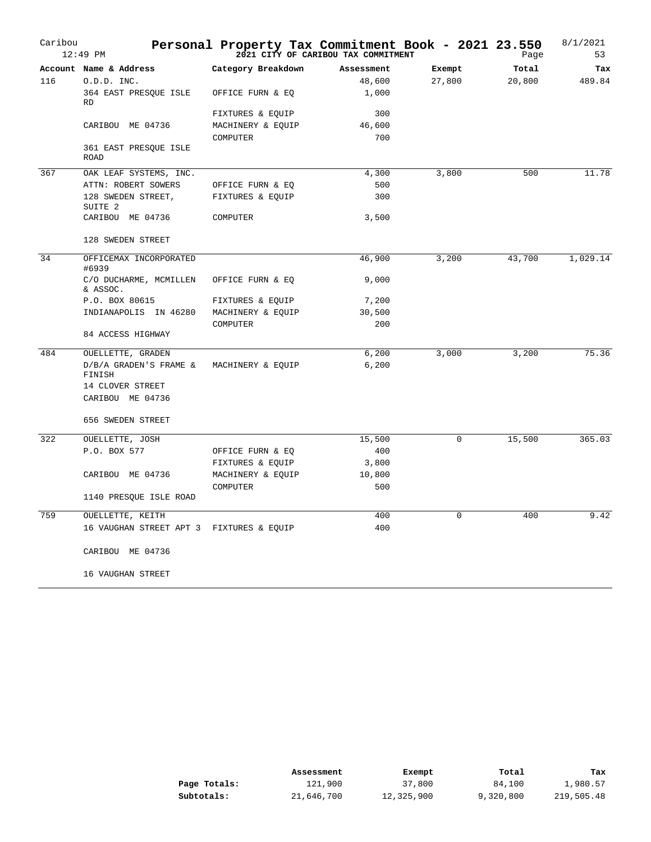| Caribou | $12:49$ PM                               |                    | Personal Property Tax Commitment Book - 2021 23.550<br>2021 CITY OF CARIBOU TAX COMMITMENT |          | Page   | 8/1/2021<br>53 |
|---------|------------------------------------------|--------------------|--------------------------------------------------------------------------------------------|----------|--------|----------------|
|         | Account Name & Address                   | Category Breakdown | Assessment                                                                                 | Exempt   | Total  | Tax            |
| 116     | 0.D.D. INC.                              |                    | 48,600                                                                                     | 27,800   | 20,800 | 489.84         |
|         | 364 EAST PRESQUE ISLE<br><b>RD</b>       | OFFICE FURN & EQ   | 1,000                                                                                      |          |        |                |
|         |                                          | FIXTURES & EQUIP   | 300                                                                                        |          |        |                |
|         | CARIBOU ME 04736                         | MACHINERY & EQUIP  | 46,600                                                                                     |          |        |                |
|         |                                          | COMPUTER           | 700                                                                                        |          |        |                |
|         | 361 EAST PRESQUE ISLE<br><b>ROAD</b>     |                    |                                                                                            |          |        |                |
| 367     | OAK LEAF SYSTEMS, INC.                   |                    | 4,300                                                                                      | 3,800    | 500    | 11.78          |
|         | ATTN: ROBERT SOWERS                      | OFFICE FURN & EQ   | 500                                                                                        |          |        |                |
|         | 128 SWEDEN STREET,<br>SUITE <sub>2</sub> | FIXTURES & EQUIP   | 300                                                                                        |          |        |                |
|         | CARIBOU ME 04736                         | COMPUTER           | 3,500                                                                                      |          |        |                |
|         | 128 SWEDEN STREET                        |                    |                                                                                            |          |        |                |
| 34      | OFFICEMAX INCORPORATED<br>#6939          |                    | 46,900                                                                                     | 3,200    | 43,700 | 1,029.14       |
|         | C/O DUCHARME, MCMILLEN<br>& ASSOC.       | OFFICE FURN & EQ   | 9,000                                                                                      |          |        |                |
|         | P.O. BOX 80615                           | FIXTURES & EQUIP   | 7,200                                                                                      |          |        |                |
|         | INDIANAPOLIS IN 46280                    | MACHINERY & EQUIP  | 30,500                                                                                     |          |        |                |
|         | 84 ACCESS HIGHWAY                        | COMPUTER           | 200                                                                                        |          |        |                |
|         |                                          |                    |                                                                                            |          |        |                |
| 484     | OUELLETTE, GRADEN                        |                    | 6,200                                                                                      | 3,000    | 3,200  | 75.36          |
|         | D/B/A GRADEN'S FRAME &<br>FINISH         | MACHINERY & EQUIP  | 6,200                                                                                      |          |        |                |
|         | 14 CLOVER STREET                         |                    |                                                                                            |          |        |                |
|         | CARIBOU ME 04736                         |                    |                                                                                            |          |        |                |
|         | 656 SWEDEN STREET                        |                    |                                                                                            |          |        |                |
| 322     | OUELLETTE, JOSH                          |                    | 15,500                                                                                     | $\Omega$ | 15,500 | 365.03         |
|         | P.O. BOX 577                             | OFFICE FURN & EQ   | 400                                                                                        |          |        |                |
|         |                                          | FIXTURES & EQUIP   | 3,800                                                                                      |          |        |                |
|         | CARIBOU ME 04736                         | MACHINERY & EQUIP  | 10,800                                                                                     |          |        |                |
|         |                                          | COMPUTER           | 500                                                                                        |          |        |                |
|         | 1140 PRESQUE ISLE ROAD                   |                    |                                                                                            |          |        |                |
| 759     | OUELLETTE, KEITH                         |                    | 400                                                                                        | 0        | 400    | 9.42           |
|         | 16 VAUGHAN STREET APT 3 FIXTURES & EQUIP |                    | 400                                                                                        |          |        |                |
|         | CARIBOU ME 04736                         |                    |                                                                                            |          |        |                |
|         | 16 VAUGHAN STREET                        |                    |                                                                                            |          |        |                |

|              | Assessment | Exempt     | Total     | Tax        |
|--------------|------------|------------|-----------|------------|
| Page Totals: | 121,900    | 37,800     | 84,100    | 1,980.57   |
| Subtotals:   | 21,646,700 | 12,325,900 | 9,320,800 | 219,505.48 |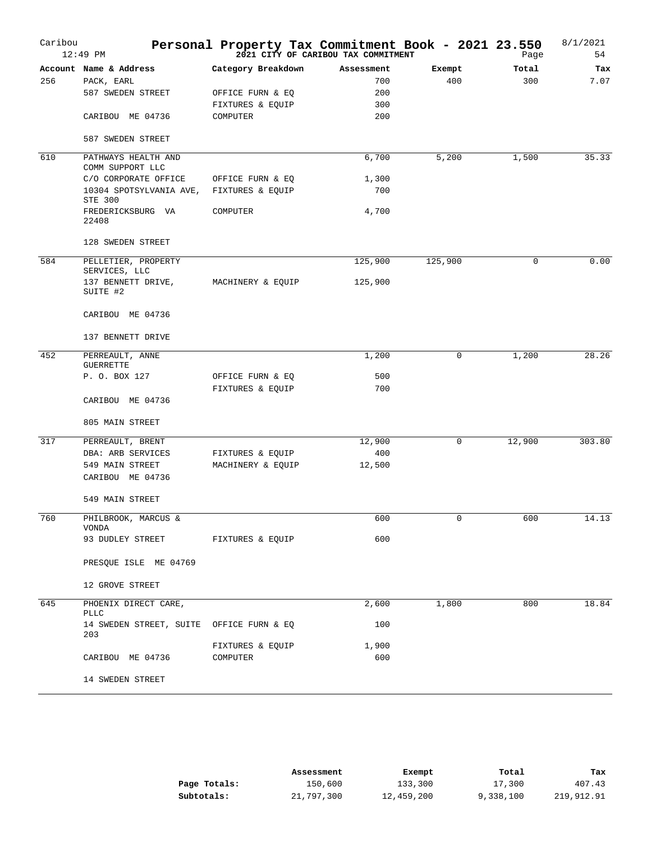| Caribou | $12:49$ PM                                      | Personal Property Tax Commitment Book - 2021 23.550<br><sup>2021</sup> <sup>2021</sup> CITY OF CARIBOU TAX COMMITMENT |            |             | Page        | 8/1/2021<br>54 |
|---------|-------------------------------------------------|-----------------------------------------------------------------------------------------------------------------------|------------|-------------|-------------|----------------|
|         | Account Name & Address                          | Category Breakdown                                                                                                    | Assessment | Exempt      | Total       | Tax            |
| 256     | PACK, EARL                                      |                                                                                                                       | 700        | 400         | 300         | 7.07           |
|         | 587 SWEDEN STREET                               | OFFICE FURN & EQ                                                                                                      | 200        |             |             |                |
|         |                                                 | FIXTURES & EQUIP                                                                                                      | 300        |             |             |                |
|         | CARIBOU ME 04736                                | COMPUTER                                                                                                              | 200        |             |             |                |
|         | 587 SWEDEN STREET                               |                                                                                                                       |            |             |             |                |
| 610     | PATHWAYS HEALTH AND<br>COMM SUPPORT LLC         |                                                                                                                       | 6,700      | 5,200       | 1,500       | 35.33          |
|         | C/O CORPORATE OFFICE                            | OFFICE FURN & EQ                                                                                                      | 1,300      |             |             |                |
|         | 10304 SPOTSYLVANIA AVE,<br>STE 300              | FIXTURES & EQUIP                                                                                                      | 700        |             |             |                |
|         | FREDERICKSBURG VA<br>22408                      | COMPUTER                                                                                                              | 4,700      |             |             |                |
|         | 128 SWEDEN STREET                               |                                                                                                                       |            |             |             |                |
| 584     | PELLETIER, PROPERTY                             |                                                                                                                       | 125,900    | 125,900     | $\mathbf 0$ | 0.00           |
|         | SERVICES, LLC<br>137 BENNETT DRIVE,<br>SUITE #2 | MACHINERY & EQUIP                                                                                                     | 125,900    |             |             |                |
|         | CARIBOU ME 04736                                |                                                                                                                       |            |             |             |                |
|         | 137 BENNETT DRIVE                               |                                                                                                                       |            |             |             |                |
| 452     | PERREAULT, ANNE<br><b>GUERRETTE</b>             |                                                                                                                       | 1,200      | 0           | 1,200       | 28.26          |
|         | P. O. BOX 127                                   | OFFICE FURN & EQ                                                                                                      | 500        |             |             |                |
|         |                                                 | FIXTURES & EQUIP                                                                                                      | 700        |             |             |                |
|         | CARIBOU ME 04736                                |                                                                                                                       |            |             |             |                |
|         | 805 MAIN STREET                                 |                                                                                                                       |            |             |             |                |
| 317     | PERREAULT, BRENT                                |                                                                                                                       | 12,900     | $\mathbf 0$ | 12,900      | 303.80         |
|         | DBA: ARB SERVICES                               | FIXTURES & EQUIP                                                                                                      | 400        |             |             |                |
|         | 549 MAIN STREET                                 | MACHINERY & EQUIP                                                                                                     | 12,500     |             |             |                |
|         | CARIBOU ME 04736                                |                                                                                                                       |            |             |             |                |
|         | 549 MAIN STREET                                 |                                                                                                                       |            |             |             |                |
| 760     | PHILBROOK, MARCUS &<br>VONDA                    |                                                                                                                       | 600        | 0           | 600         | 14.13          |
|         | 93 DUDLEY STREET                                | FIXTURES & EQUIP                                                                                                      | 600        |             |             |                |
|         | PRESQUE ISLE ME 04769                           |                                                                                                                       |            |             |             |                |
|         | 12 GROVE STREET                                 |                                                                                                                       |            |             |             |                |
| 645     | PHOENIX DIRECT CARE,<br>PLLC                    |                                                                                                                       | 2,600      | 1,800       | 800         | 18.84          |
|         | 14 SWEDEN STREET, SUITE OFFICE FURN & EQ<br>203 |                                                                                                                       | 100        |             |             |                |
|         |                                                 | FIXTURES & EQUIP                                                                                                      | 1,900      |             |             |                |
|         | CARIBOU ME 04736                                | COMPUTER                                                                                                              | 600        |             |             |                |
|         | 14 SWEDEN STREET                                |                                                                                                                       |            |             |             |                |

|              | Assessment | Exempt     | Total     | Tax        |
|--------------|------------|------------|-----------|------------|
| Page Totals: | 150,600    | 133,300    | 17,300    | 407.43     |
| Subtotals:   | 21,797,300 | 12,459,200 | 9,338,100 | 219,912.91 |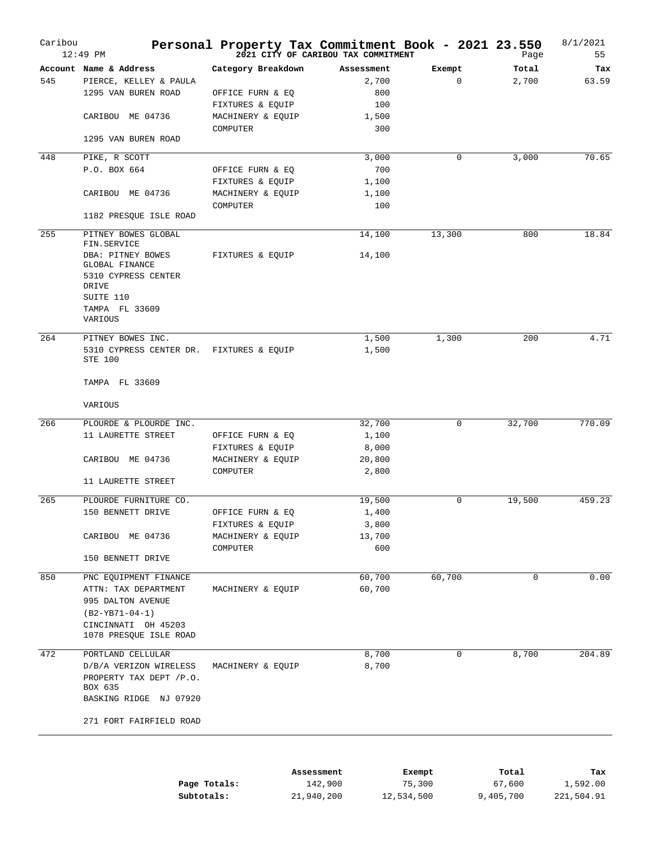| Caribou | $12:49$ PM                                                 | Personal Property Tax Commitment Book - 2021 23.550 | 2021 CITY OF CARIBOU TAX COMMITMENT |        | Page   | 8/1/2021<br>55 |
|---------|------------------------------------------------------------|-----------------------------------------------------|-------------------------------------|--------|--------|----------------|
|         | Account Name & Address                                     | Category Breakdown                                  | Assessment                          | Exempt | Total  | Tax            |
| 545     | PIERCE, KELLEY & PAULA                                     |                                                     | 2,700                               | 0      | 2,700  | 63.59          |
|         | 1295 VAN BUREN ROAD                                        | OFFICE FURN & EQ                                    | 800                                 |        |        |                |
|         |                                                            | FIXTURES & EQUIP                                    | 100                                 |        |        |                |
|         | CARIBOU ME 04736                                           | MACHINERY & EQUIP                                   | 1,500                               |        |        |                |
|         |                                                            |                                                     | 300                                 |        |        |                |
|         | 1295 VAN BUREN ROAD                                        | COMPUTER                                            |                                     |        |        |                |
| 448     | PIKE, R SCOTT                                              |                                                     | 3,000                               | 0      | 3,000  | 70.65          |
|         | P.O. BOX 664                                               |                                                     | 700                                 |        |        |                |
|         |                                                            | OFFICE FURN & EQ                                    |                                     |        |        |                |
|         |                                                            | FIXTURES & EQUIP                                    | 1,100                               |        |        |                |
|         | CARIBOU ME 04736                                           | MACHINERY & EQUIP                                   | 1,100                               |        |        |                |
|         | 1182 PRESQUE ISLE ROAD                                     | COMPUTER                                            | 100                                 |        |        |                |
|         |                                                            |                                                     |                                     |        |        |                |
| 255     | PITNEY BOWES GLOBAL<br>FIN.SERVICE                         |                                                     | 14,100                              | 13,300 | 800    | 18.84          |
|         | DBA: PITNEY BOWES<br><b>GLOBAL FINANCE</b>                 | FIXTURES & EQUIP                                    | 14,100                              |        |        |                |
|         | 5310 CYPRESS CENTER<br>DRIVE                               |                                                     |                                     |        |        |                |
|         | SUITE 110                                                  |                                                     |                                     |        |        |                |
|         | TAMPA FL 33609                                             |                                                     |                                     |        |        |                |
|         | VARIOUS                                                    |                                                     |                                     |        |        |                |
| 264     | PITNEY BOWES INC.                                          |                                                     | 1,500                               | 1,300  | 200    | 4.71           |
|         | 5310 CYPRESS CENTER DR. FIXTURES & EQUIP<br><b>STE 100</b> |                                                     | 1,500                               |        |        |                |
|         | TAMPA FL 33609                                             |                                                     |                                     |        |        |                |
|         | VARIOUS                                                    |                                                     |                                     |        |        |                |
| 266     | PLOURDE & PLOURDE INC.                                     |                                                     | 32,700                              | 0      | 32,700 | 770.09         |
|         | 11 LAURETTE STREET                                         | OFFICE FURN & EQ                                    | 1,100                               |        |        |                |
|         |                                                            | FIXTURES & EQUIP                                    | 8,000                               |        |        |                |
|         | CARIBOU ME 04736                                           |                                                     |                                     |        |        |                |
|         |                                                            | MACHINERY & EQUIP                                   | 20,800                              |        |        |                |
|         | 11 LAURETTE STREET                                         | COMPUTER                                            | 2,800                               |        |        |                |
|         |                                                            |                                                     |                                     |        |        |                |
| 265     | PLOURDE FURNITURE CO.                                      |                                                     | 19,500                              | 0      | 19,500 | 459.23         |
|         | 150 BENNETT DRIVE                                          | OFFICE FURN & EQ                                    | 1,400                               |        |        |                |
|         |                                                            | FIXTURES & EQUIP                                    | 3,800                               |        |        |                |
|         | CARIBOU ME 04736                                           | MACHINERY & EQUIP                                   | 13,700                              |        |        |                |
|         |                                                            | COMPUTER                                            | 600                                 |        |        |                |
|         | 150 BENNETT DRIVE                                          |                                                     |                                     |        |        |                |
| 850     | PNC EQUIPMENT FINANCE                                      |                                                     | 60,700                              | 60,700 | 0      | 0.00           |
|         | ATTN: TAX DEPARTMENT                                       | MACHINERY & EQUIP                                   | 60,700                              |        |        |                |
|         | 995 DALTON AVENUE                                          |                                                     |                                     |        |        |                |
|         | $(B2-YB71-04-1)$                                           |                                                     |                                     |        |        |                |
|         | CINCINNATI OH 45203                                        |                                                     |                                     |        |        |                |
|         | 1078 PRESQUE ISLE ROAD                                     |                                                     |                                     |        |        |                |
|         |                                                            |                                                     |                                     |        |        |                |
| 472     | PORTLAND CELLULAR                                          |                                                     | 8,700                               | 0      | 8,700  | 204.89         |
|         | D/B/A VERIZON WIRELESS<br>PROPERTY TAX DEPT /P.O.          | MACHINERY & EQUIP                                   | 8,700                               |        |        |                |
|         | BOX 635<br>BASKING RIDGE NJ 07920                          |                                                     |                                     |        |        |                |
|         | 271 FORT FAIRFIELD ROAD                                    |                                                     |                                     |        |        |                |
|         |                                                            |                                                     |                                     |        |        |                |
|         |                                                            |                                                     |                                     |        |        |                |
|         |                                                            |                                                     | Assessment                          | Exempt | Total  | Tax            |

|              | ------------- | --------   | -------   | ----       |
|--------------|---------------|------------|-----------|------------|
| Page Totals: | 142,900       | 75,300     | 67,600    | 1,592.00   |
| Subtotals:   | 21,940,200    | 12,534,500 | 9,405,700 | 221,504.91 |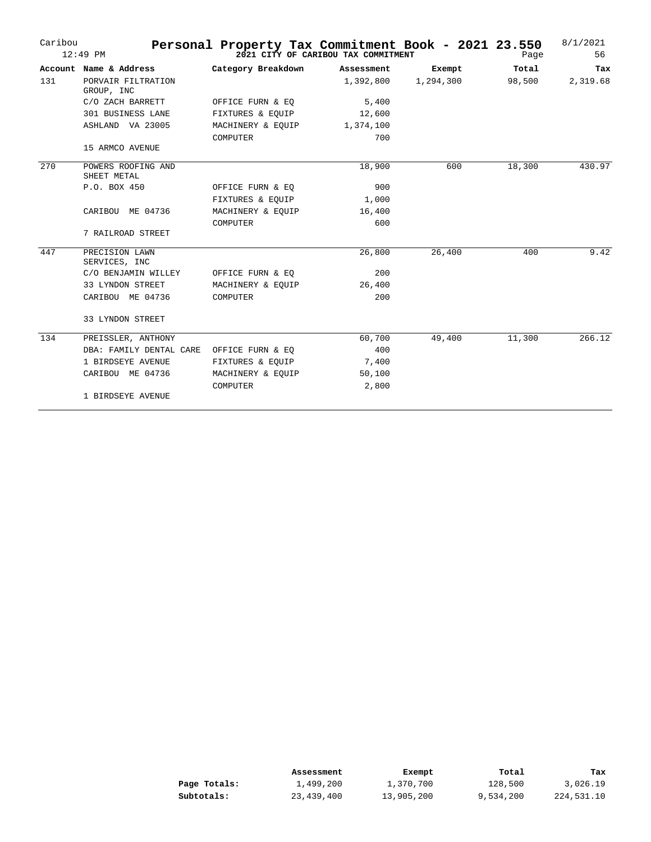| Caribou | $12:49$ PM                        | Personal Property Tax Commitment Book - 2021 23.550 | 2021 CITY OF CARIBOU TAX COMMITMENT |           | Page   | 8/1/2021<br>56 |
|---------|-----------------------------------|-----------------------------------------------------|-------------------------------------|-----------|--------|----------------|
|         | Account Name & Address            | Category Breakdown                                  | Assessment                          | Exempt    | Total  | Tax            |
| 131     | PORVAIR FILTRATION<br>GROUP, INC  |                                                     | 1,392,800                           | 1,294,300 | 98,500 | 2,319.68       |
|         | C/O ZACH BARRETT                  | OFFICE FURN & EQ                                    | 5,400                               |           |        |                |
|         | 301 BUSINESS LANE                 | FIXTURES & EQUIP                                    | 12,600                              |           |        |                |
|         | ASHLAND VA 23005                  | MACHINERY & EQUIP                                   | 1,374,100                           |           |        |                |
|         |                                   | COMPUTER                                            | 700                                 |           |        |                |
|         | 15 ARMCO AVENUE                   |                                                     |                                     |           |        |                |
| 270     | POWERS ROOFING AND<br>SHEET METAL |                                                     | 18,900                              | 600       | 18,300 | 430.97         |
|         | P.O. BOX 450                      | OFFICE FURN & EQ                                    | 900                                 |           |        |                |
|         |                                   | FIXTURES & EQUIP                                    | 1,000                               |           |        |                |
|         | CARIBOU ME 04736                  | MACHINERY & EQUIP                                   | 16,400                              |           |        |                |
|         |                                   | COMPUTER                                            | 600                                 |           |        |                |
|         | 7 RAILROAD STREET                 |                                                     |                                     |           |        |                |
| 447     | PRECISION LAWN<br>SERVICES, INC   |                                                     | 26,800                              | 26,400    | 400    | 9.42           |
|         | C/O BENJAMIN WILLEY               | OFFICE FURN & EQ                                    | 200                                 |           |        |                |
|         | 33 LYNDON STREET                  | MACHINERY & EQUIP                                   | 26,400                              |           |        |                |
|         | CARIBOU ME 04736                  | <b>COMPUTER</b>                                     | 200                                 |           |        |                |
|         | 33 LYNDON STREET                  |                                                     |                                     |           |        |                |
| 134     | PREISSLER, ANTHONY                |                                                     | 60,700                              | 49,400    | 11,300 | 266.12         |
|         | DBA: FAMILY DENTAL CARE           | OFFICE FURN & EQ                                    | 400                                 |           |        |                |
|         | 1 BIRDSEYE AVENUE                 | FIXTURES & EQUIP                                    | 7,400                               |           |        |                |
|         | CARIBOU ME 04736                  | MACHINERY & EQUIP                                   | 50,100                              |           |        |                |
|         |                                   | COMPUTER                                            | 2,800                               |           |        |                |
|         | 1 BIRDSEYE AVENUE                 |                                                     |                                     |           |        |                |

|              | Assessment | Exempt     | Total     | Tax        |
|--------------|------------|------------|-----------|------------|
| Page Totals: | 1,499,200  | 1,370,700  | 128,500   | 3,026.19   |
| Subtotals:   | 23,439,400 | 13,905,200 | 9,534,200 | 224,531.10 |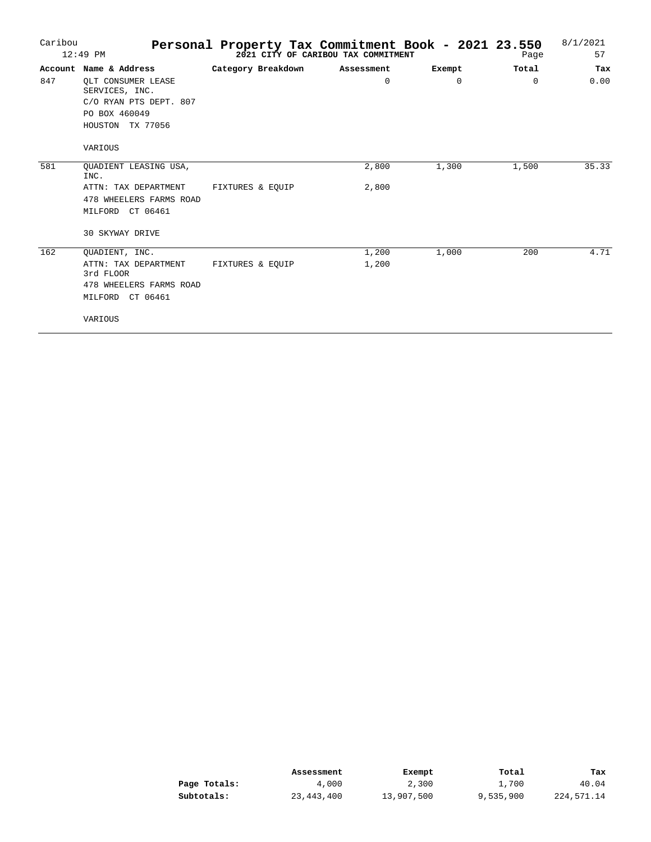| Caribou | $12:49$ PM                           | Personal Property Tax Commitment Book - 2021 23.550 | 2021 CITY OF CARIBOU TAX COMMITMENT |          | Page     | 8/1/2021<br>57 |
|---------|--------------------------------------|-----------------------------------------------------|-------------------------------------|----------|----------|----------------|
|         | Account Name & Address               | Category Breakdown                                  | Assessment                          | Exempt   | Total    | Tax            |
| 847     | OLT CONSUMER LEASE<br>SERVICES, INC. |                                                     | $\mathbf 0$                         | $\Omega$ | $\Omega$ | 0.00           |
|         | C/O RYAN PTS DEPT. 807               |                                                     |                                     |          |          |                |
|         | PO BOX 460049                        |                                                     |                                     |          |          |                |
|         | HOUSTON TX 77056                     |                                                     |                                     |          |          |                |
|         | VARIOUS                              |                                                     |                                     |          |          |                |
| 581     | QUADIENT LEASING USA,<br>INC.        |                                                     | 2,800                               | 1,300    | 1,500    | 35.33          |
|         | ATTN: TAX DEPARTMENT                 | FIXTURES & EOUIP                                    | 2,800                               |          |          |                |
|         | 478 WHEELERS FARMS ROAD              |                                                     |                                     |          |          |                |
|         | MILFORD CT 06461                     |                                                     |                                     |          |          |                |
|         | <b>30 SKYWAY DRIVE</b>               |                                                     |                                     |          |          |                |
| 162     | QUADIENT, INC.                       |                                                     | 1,200                               | 1,000    | 200      | 4.71           |
|         | ATTN: TAX DEPARTMENT<br>3rd FLOOR    | FIXTURES & EOUIP                                    | 1,200                               |          |          |                |
|         | 478 WHEELERS FARMS ROAD              |                                                     |                                     |          |          |                |
|         | MILFORD CT 06461                     |                                                     |                                     |          |          |                |
|         | VARIOUS                              |                                                     |                                     |          |          |                |

|              | Assessment | Exempt     | Total     | Tax        |
|--------------|------------|------------|-----------|------------|
| Page Totals: | 4,000      | 2,300      | 1,700     | 40.04      |
| Subtotals:   | 23,443,400 | 13,907,500 | 9,535,900 | 224,571.14 |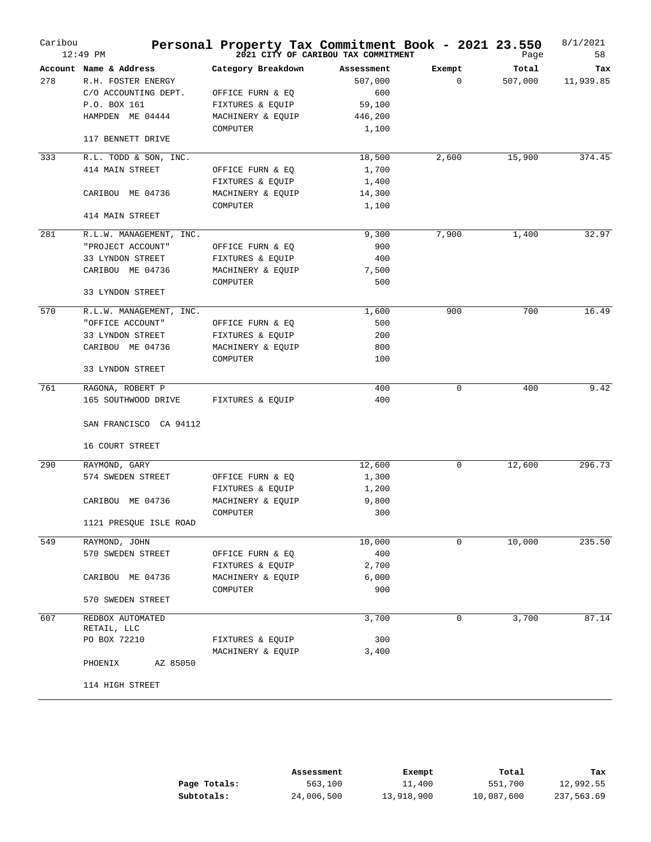| Caribou | $12:49$ PM              | Personal Property Tax Commitment Book - 2021 23.550 | 2021 CITY OF CARIBOU TAX COMMITMENT |             | Page    | 8/1/2021<br>58 |
|---------|-------------------------|-----------------------------------------------------|-------------------------------------|-------------|---------|----------------|
|         | Account Name & Address  | Category Breakdown                                  | Assessment                          | Exempt      | Total   | Tax            |
| 278     | R.H. FOSTER ENERGY      |                                                     | 507,000                             | $\mathbf 0$ | 507,000 | 11,939.85      |
|         | C/O ACCOUNTING DEPT.    | OFFICE FURN & EQ                                    | 600                                 |             |         |                |
|         | P.O. BOX 161            | FIXTURES & EQUIP                                    | 59,100                              |             |         |                |
|         | HAMPDEN ME 04444        | MACHINERY & EQUIP                                   | 446,200                             |             |         |                |
|         | 117 BENNETT DRIVE       | COMPUTER                                            | 1,100                               |             |         |                |
| 333     | R.L. TODD & SON, INC.   |                                                     | 18,500                              | 2,600       | 15,900  | 374.45         |
|         | 414 MAIN STREET         | OFFICE FURN & EQ                                    | 1,700                               |             |         |                |
|         |                         | FIXTURES & EQUIP                                    | 1,400                               |             |         |                |
|         | CARIBOU ME 04736        | MACHINERY & EQUIP                                   | 14,300                              |             |         |                |
|         |                         | COMPUTER                                            | 1,100                               |             |         |                |
|         | 414 MAIN STREET         |                                                     |                                     |             |         |                |
| 281     | R.L.W. MANAGEMENT, INC. |                                                     | 9,300                               | 7,900       | 1,400   | 32.97          |
|         | "PROJECT ACCOUNT"       | OFFICE FURN & EQ                                    | 900                                 |             |         |                |
|         | 33 LYNDON STREET        | FIXTURES & EQUIP                                    | 400                                 |             |         |                |
|         | CARIBOU ME 04736        | MACHINERY & EQUIP                                   | 7,500                               |             |         |                |
|         |                         | COMPUTER                                            | 500                                 |             |         |                |
|         | 33 LYNDON STREET        |                                                     |                                     |             |         |                |
| 570     | R.L.W. MANAGEMENT, INC. |                                                     | 1,600                               | 900         | 700     | 16.49          |
|         | "OFFICE ACCOUNT"        | OFFICE FURN & EQ                                    | 500                                 |             |         |                |
|         | 33 LYNDON STREET        | FIXTURES & EQUIP                                    | 200                                 |             |         |                |
|         | CARIBOU ME 04736        | MACHINERY & EQUIP                                   | 800                                 |             |         |                |
|         | 33 LYNDON STREET        | COMPUTER                                            | 100                                 |             |         |                |
|         |                         |                                                     |                                     |             |         |                |
| 761     | RAGONA, ROBERT P        |                                                     | 400                                 | $\mathbf 0$ | 400     | 9.42           |
|         | 165 SOUTHWOOD DRIVE     | FIXTURES & EQUIP                                    | 400                                 |             |         |                |
|         | SAN FRANCISCO CA 94112  |                                                     |                                     |             |         |                |
|         | 16 COURT STREET         |                                                     |                                     |             |         |                |
| 290     | RAYMOND, GARY           |                                                     | 12,600                              | $\mathbf 0$ | 12,600  | 296.73         |
|         | 574 SWEDEN STREET       | OFFICE FURN & EQ                                    | 1,300                               |             |         |                |
|         |                         | FIXTURES & EQUIP                                    | 1,200                               |             |         |                |
|         | CARIBOU ME 04736        | MACHINERY & EQUIP                                   | 9,800                               |             |         |                |
|         |                         | COMPUTER                                            | 300                                 |             |         |                |
|         | 1121 PRESQUE ISLE ROAD  |                                                     |                                     |             |         |                |
| 549     | RAYMOND, JOHN           |                                                     | 10,000                              | 0           | 10,000  | 235.50         |
|         | 570 SWEDEN STREET       | OFFICE FURN & EQ                                    | 400                                 |             |         |                |
|         |                         | FIXTURES & EQUIP                                    | 2,700                               |             |         |                |
|         | CARIBOU ME 04736        | MACHINERY & EQUIP                                   | 6,000                               |             |         |                |
|         |                         | COMPUTER                                            | 900                                 |             |         |                |
|         | 570 SWEDEN STREET       |                                                     |                                     |             |         |                |
| 607     | REDBOX AUTOMATED        |                                                     | 3,700                               | 0           | 3,700   | 87.14          |
|         | RETAIL, LLC             |                                                     |                                     |             |         |                |
|         | PO BOX 72210            | FIXTURES & EQUIP                                    | 300                                 |             |         |                |
|         | AZ 85050<br>PHOENIX     | MACHINERY & EQUIP                                   | 3,400                               |             |         |                |
|         |                         |                                                     |                                     |             |         |                |
|         | 114 HIGH STREET         |                                                     |                                     |             |         |                |

|              | Assessment | Exempt     | Total      | Tax        |
|--------------|------------|------------|------------|------------|
| Page Totals: | 563,100    | 11,400     | 551,700    | 12,992.55  |
| Subtotals:   | 24,006,500 | 13,918,900 | 10,087,600 | 237,563.69 |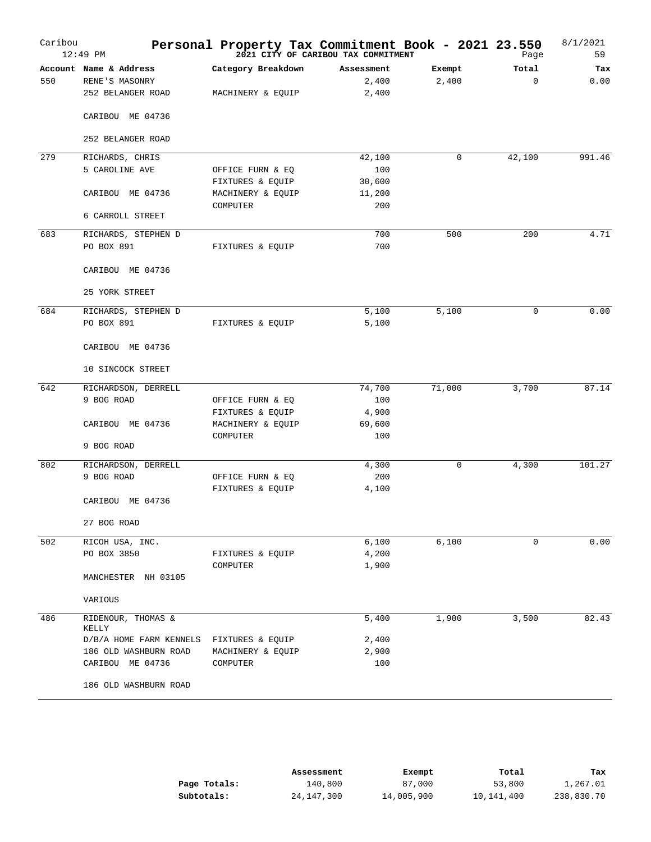| Caribou | 12:49 PM                | Personal Property Tax Commitment Book - 2021 23.550 | 2021 CITY OF CARIBOU TAX COMMITMENT |        | Page     | 8/1/2021<br>59 |
|---------|-------------------------|-----------------------------------------------------|-------------------------------------|--------|----------|----------------|
|         | Account Name & Address  | Category Breakdown                                  | Assessment                          | Exempt | Total    | Tax            |
| 550     | RENE'S MASONRY          |                                                     | 2,400                               | 2,400  | $\Omega$ | 0.00           |
|         | 252 BELANGER ROAD       | MACHINERY & EQUIP                                   | 2,400                               |        |          |                |
|         | CARIBOU ME 04736        |                                                     |                                     |        |          |                |
|         | 252 BELANGER ROAD       |                                                     |                                     |        |          |                |
| 279     | RICHARDS, CHRIS         |                                                     | 42,100                              | 0      | 42,100   | 991.46         |
|         | 5 CAROLINE AVE          | OFFICE FURN & EQ                                    | 100                                 |        |          |                |
|         |                         | FIXTURES & EQUIP                                    | 30,600                              |        |          |                |
|         | CARIBOU ME 04736        | MACHINERY & EQUIP                                   | 11,200                              |        |          |                |
|         |                         | COMPUTER                                            | 200                                 |        |          |                |
|         | 6 CARROLL STREET        |                                                     |                                     |        |          |                |
| 683     | RICHARDS, STEPHEN D     |                                                     | 700                                 | 500    | 200      | 4.71           |
|         | PO BOX 891              | FIXTURES & EQUIP                                    | 700                                 |        |          |                |
|         |                         |                                                     |                                     |        |          |                |
|         | CARIBOU ME 04736        |                                                     |                                     |        |          |                |
|         | 25 YORK STREET          |                                                     |                                     |        |          |                |
| 684     | RICHARDS, STEPHEN D     |                                                     | 5,100                               | 5,100  | 0        | 0.00           |
|         | PO BOX 891              | FIXTURES & EQUIP                                    | 5,100                               |        |          |                |
|         | CARIBOU ME 04736        |                                                     |                                     |        |          |                |
|         | 10 SINCOCK STREET       |                                                     |                                     |        |          |                |
| 642     | RICHARDSON, DERRELL     |                                                     | 74,700                              | 71,000 | 3,700    | 87.14          |
|         | 9 BOG ROAD              | OFFICE FURN & EQ                                    | 100                                 |        |          |                |
|         |                         | FIXTURES & EQUIP                                    | 4,900                               |        |          |                |
|         | CARIBOU ME 04736        | MACHINERY & EQUIP                                   | 69,600                              |        |          |                |
|         |                         | COMPUTER                                            | 100                                 |        |          |                |
|         | 9 BOG ROAD              |                                                     |                                     |        |          |                |
| 802     | RICHARDSON, DERRELL     |                                                     | 4,300                               | 0      | 4,300    | 101.27         |
|         | 9 BOG ROAD              | OFFICE FURN & EQ                                    | 200                                 |        |          |                |
|         |                         | FIXTURES & EQUIP                                    | 4,100                               |        |          |                |
|         | CARIBOU ME 04736        |                                                     |                                     |        |          |                |
|         | 27 BOG ROAD             |                                                     |                                     |        |          |                |
| 502     | RICOH USA, INC.         |                                                     | 6,100                               | 6,100  | 0        | 0.00           |
|         | PO BOX 3850             | FIXTURES & EQUIP                                    | 4,200                               |        |          |                |
|         |                         | COMPUTER                                            | 1,900                               |        |          |                |
|         | MANCHESTER NH 03105     |                                                     |                                     |        |          |                |
|         | VARIOUS                 |                                                     |                                     |        |          |                |
| 486     | RIDENOUR, THOMAS &      |                                                     | 5,400                               | 1,900  | 3,500    | 82.43          |
|         | KELLY                   |                                                     |                                     |        |          |                |
|         | D/B/A HOME FARM KENNELS | FIXTURES & EQUIP                                    | 2,400                               |        |          |                |
|         | 186 OLD WASHBURN ROAD   | MACHINERY & EQUIP                                   | 2,900                               |        |          |                |
|         | CARIBOU ME 04736        | COMPUTER                                            | 100                                 |        |          |                |
|         | 186 OLD WASHBURN ROAD   |                                                     |                                     |        |          |                |

|              | Assessment | Exempt     | Total      | Tax        |
|--------------|------------|------------|------------|------------|
| Page Totals: | 140,800    | 87,000     | 53,800     | 1,267.01   |
| Subtotals:   | 24,147,300 | 14,005,900 | 10,141,400 | 238,830.70 |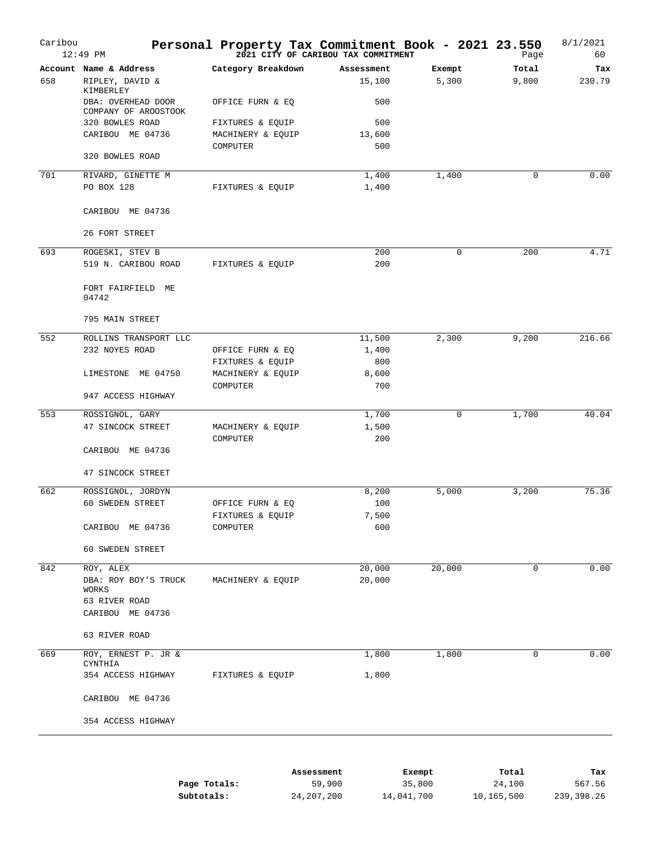| Caribou | $12:49$ PM                                              | Personal Property Tax Commitment Book - 2021 23.550 | 2021 CITY OF CARIBOU TAX COMMITMENT |                 | Page           | 8/1/2021<br>60 |
|---------|---------------------------------------------------------|-----------------------------------------------------|-------------------------------------|-----------------|----------------|----------------|
| 658     | Account Name & Address<br>RIPLEY, DAVID &               | Category Breakdown                                  | Assessment<br>15,100                | Exempt<br>5,300 | Total<br>9,800 | Tax<br>230.79  |
|         | KIMBERLEY<br>DBA: OVERHEAD DOOR<br>COMPANY OF AROOSTOOK | OFFICE FURN & EQ                                    | 500                                 |                 |                |                |
|         | 320 BOWLES ROAD                                         | FIXTURES & EQUIP                                    | 500                                 |                 |                |                |
|         | CARIBOU ME 04736                                        | MACHINERY & EQUIP                                   | 13,600                              |                 |                |                |
|         | 320 BOWLES ROAD                                         | COMPUTER                                            | 500                                 |                 |                |                |
|         |                                                         |                                                     |                                     |                 |                |                |
| 701     | RIVARD, GINETTE M                                       |                                                     | 1,400                               | 1,400           | 0              | 0.00           |
|         | PO BOX 128                                              | FIXTURES & EQUIP                                    | 1,400                               |                 |                |                |
|         | CARIBOU ME 04736                                        |                                                     |                                     |                 |                |                |
|         | 26 FORT STREET                                          |                                                     |                                     |                 |                |                |
| 693     | ROGESKI, STEV B                                         |                                                     | 200                                 | $\mathbf 0$     | 200            | 4.71           |
|         | 519 N. CARIBOU ROAD                                     | FIXTURES & EQUIP                                    | 200                                 |                 |                |                |
|         | FORT FAIRFIELD ME<br>04742                              |                                                     |                                     |                 |                |                |
|         | 795 MAIN STREET                                         |                                                     |                                     |                 |                |                |
| 552     | ROLLINS TRANSPORT LLC                                   |                                                     | 11,500                              | 2,300           | 9,200          | 216.66         |
|         | 232 NOYES ROAD                                          | OFFICE FURN & EQ                                    | 1,400                               |                 |                |                |
|         |                                                         | FIXTURES & EQUIP                                    | 800                                 |                 |                |                |
|         | LIMESTONE ME 04750                                      | MACHINERY & EQUIP                                   | 8,600                               |                 |                |                |
|         | 947 ACCESS HIGHWAY                                      | COMPUTER                                            | 700                                 |                 |                |                |
| 553     | ROSSIGNOL, GARY                                         |                                                     | 1,700                               | 0               | 1,700          | 40.04          |
|         | 47 SINCOCK STREET                                       | MACHINERY & EQUIP<br>COMPUTER                       | 1,500<br>200                        |                 |                |                |
|         | CARIBOU ME 04736                                        |                                                     |                                     |                 |                |                |
|         | 47 SINCOCK STREET                                       |                                                     |                                     |                 |                |                |
| 662     | ROSSIGNOL, JORDYN                                       |                                                     | 8,200                               | 5,000           | 3,200          | 75.36          |
|         | 60 SWEDEN STREET                                        | OFFICE FURN & EQ                                    | 100                                 |                 |                |                |
|         |                                                         | FIXTURES & EQUIP                                    | 7,500                               |                 |                |                |
|         | CARIBOU ME 04736                                        | COMPUTER                                            | 600                                 |                 |                |                |
|         | 60 SWEDEN STREET                                        |                                                     |                                     |                 |                |                |
| 842     | ROY, ALEX                                               |                                                     | 20,000                              | 20,000          | $\mathbf 0$    | 0.00           |
|         | DBA: ROY BOY'S TRUCK<br>WORKS                           | MACHINERY & EQUIP                                   | 20,000                              |                 |                |                |
|         | 63 RIVER ROAD                                           |                                                     |                                     |                 |                |                |
|         | CARIBOU ME 04736                                        |                                                     |                                     |                 |                |                |
|         | 63 RIVER ROAD                                           |                                                     |                                     |                 |                |                |
| 669     | ROY, ERNEST P. JR &<br>CYNTHIA                          |                                                     | 1,800                               | 1,800           | 0              | 0.00           |
|         | 354 ACCESS HIGHWAY                                      | FIXTURES & EQUIP                                    | 1,800                               |                 |                |                |
|         | CARIBOU ME 04736                                        |                                                     |                                     |                 |                |                |
|         | 354 ACCESS HIGHWAY                                      |                                                     |                                     |                 |                |                |
|         |                                                         |                                                     |                                     |                 |                |                |
|         |                                                         |                                                     |                                     |                 |                |                |
|         |                                                         | Assessment                                          |                                     | Exempt          | Total          | Tax            |

|              | ASSessment | LXEIIDL    | TOLAT      | rax        |
|--------------|------------|------------|------------|------------|
| Page Totals: | 59,900     | 35,800     | 24,100     | 567.56     |
| Subtotals:   | 24,207,200 | 14,041,700 | 10,165,500 | 239,398.26 |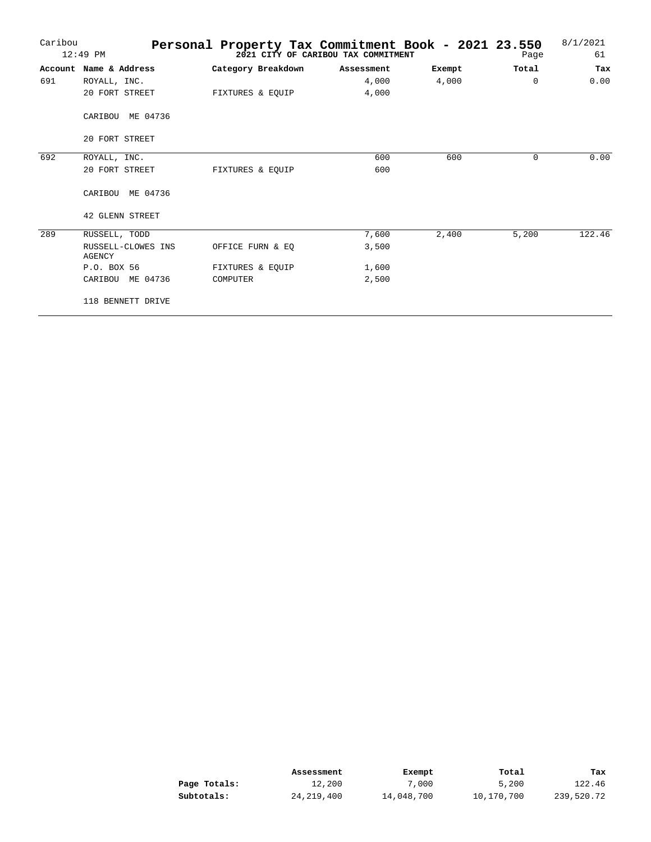| Caribou | $12:49$ PM                   | Personal Property Tax Commitment Book - 2021 23.550 | 2021 CITY OF CARIBOU TAX COMMITMENT |        | Page     | 8/1/2021<br>61 |
|---------|------------------------------|-----------------------------------------------------|-------------------------------------|--------|----------|----------------|
|         |                              |                                                     |                                     |        |          |                |
|         | Account Name & Address       | Category Breakdown                                  | Assessment                          | Exempt | Total    | Tax            |
| 691     | ROYALL, INC.                 |                                                     | 4,000                               | 4,000  | $\Omega$ | 0.00           |
|         | 20 FORT STREET               | FIXTURES & EQUIP                                    | 4,000                               |        |          |                |
|         | CARIBOU ME 04736             |                                                     |                                     |        |          |                |
|         | 20 FORT STREET               |                                                     |                                     |        |          |                |
| 692     | ROYALL, INC.                 |                                                     | 600                                 | 600    | 0        | 0.00           |
|         | 20 FORT STREET               | FIXTURES & EOUIP                                    | 600                                 |        |          |                |
|         | CARIBOU ME 04736             |                                                     |                                     |        |          |                |
|         | 42 GLENN STREET              |                                                     |                                     |        |          |                |
| 289     | RUSSELL, TODD                |                                                     | 7,600                               | 2,400  | 5,200    | 122.46         |
|         | RUSSELL-CLOWES INS<br>AGENCY | OFFICE FURN & EO                                    | 3,500                               |        |          |                |
|         | P.O. BOX 56                  | FIXTURES & EOUIP                                    | 1,600                               |        |          |                |
|         | CARIBOU ME 04736             | COMPUTER                                            | 2,500                               |        |          |                |
|         | 118 BENNETT DRIVE            |                                                     |                                     |        |          |                |

|              | Assessment   | Exempt     | Total      | Tax        |
|--------------|--------------|------------|------------|------------|
| Page Totals: | 12,200       | 7,000      | 5,200      | 122.46     |
| Subtotals:   | 24, 219, 400 | 14,048,700 | 10,170,700 | 239,520.72 |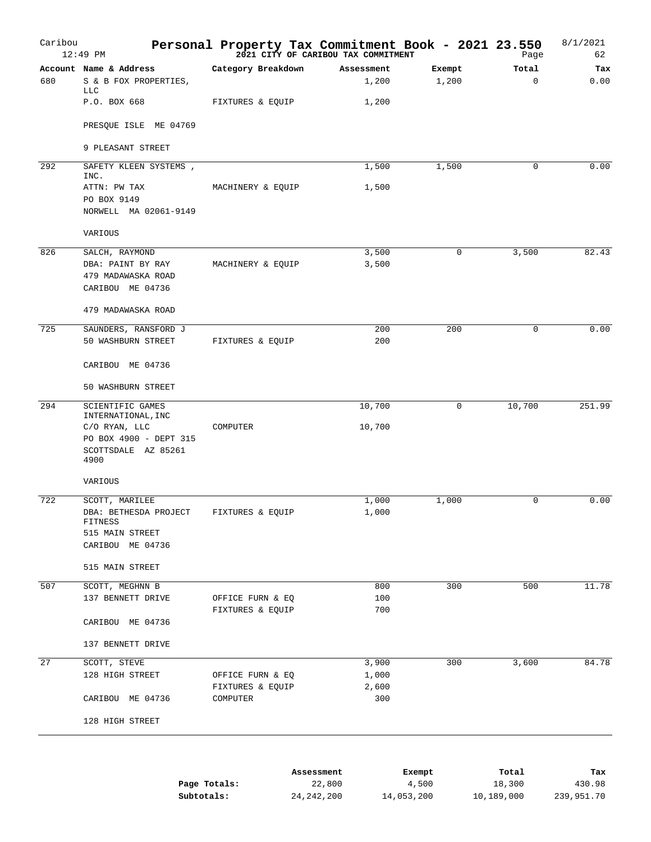| Caribou | $12:49$ PM                             | Personal Property Tax Commitment Book - 2021 23.550<br>2021 23:550 Page 2021 CITY OF CARIBOU TAX COMMITMENT |            |              |        | Page        | 8/1/2021<br>62 |
|---------|----------------------------------------|-------------------------------------------------------------------------------------------------------------|------------|--------------|--------|-------------|----------------|
|         | Account Name & Address                 | Category Breakdown                                                                                          |            | Assessment   | Exempt | Total       | Tax            |
| 680     | S & B FOX PROPERTIES,<br><b>LLC</b>    |                                                                                                             |            | 1,200        | 1,200  | $\mathbf 0$ | 0.00           |
|         | P.O. BOX 668                           | FIXTURES & EQUIP                                                                                            |            | 1,200        |        |             |                |
|         | PRESQUE ISLE ME 04769                  |                                                                                                             |            |              |        |             |                |
|         | 9 PLEASANT STREET                      |                                                                                                             |            |              |        |             |                |
| 292     | SAFETY KLEEN SYSTEMS,<br>INC.          |                                                                                                             |            | 1,500        | 1,500  | 0           | 0.00           |
|         | ATTN: PW TAX                           | MACHINERY & EQUIP                                                                                           |            | 1,500        |        |             |                |
|         | PO BOX 9149                            |                                                                                                             |            |              |        |             |                |
|         | NORWELL MA 02061-9149                  |                                                                                                             |            |              |        |             |                |
|         | VARIOUS                                |                                                                                                             |            |              |        |             |                |
| 826     | SALCH, RAYMOND                         |                                                                                                             |            | 3,500        | 0      | 3,500       | 82.43          |
|         | DBA: PAINT BY RAY                      | MACHINERY & EQUIP                                                                                           |            | 3,500        |        |             |                |
|         | 479 MADAWASKA ROAD<br>CARIBOU ME 04736 |                                                                                                             |            |              |        |             |                |
|         |                                        |                                                                                                             |            |              |        |             |                |
|         | 479 MADAWASKA ROAD                     |                                                                                                             |            |              |        |             |                |
| 725     | SAUNDERS, RANSFORD J                   |                                                                                                             |            | 200          | 200    | 0           | 0.00           |
|         | 50 WASHBURN STREET                     | FIXTURES & EQUIP                                                                                            |            | 200          |        |             |                |
|         | CARIBOU ME 04736                       |                                                                                                             |            |              |        |             |                |
|         | 50 WASHBURN STREET                     |                                                                                                             |            |              |        |             |                |
| 294     | SCIENTIFIC GAMES                       |                                                                                                             |            | 10,700       | 0      | 10,700      | 251.99         |
|         | INTERNATIONAL, INC<br>C/O RYAN, LLC    | COMPUTER                                                                                                    |            | 10,700       |        |             |                |
|         | PO BOX 4900 - DEPT 315                 |                                                                                                             |            |              |        |             |                |
|         | SCOTTSDALE AZ 85261<br>4900            |                                                                                                             |            |              |        |             |                |
|         |                                        |                                                                                                             |            |              |        |             |                |
|         | VARIOUS                                |                                                                                                             |            |              |        |             |                |
| 722     | SCOTT, MARILEE                         |                                                                                                             |            | 1,000        | 1,000  | $\mathbf 0$ | 0.00           |
|         | DBA: BETHESDA PROJECT<br>FITNESS       | FIXTURES & EQUIP                                                                                            |            | 1,000        |        |             |                |
|         | 515 MAIN STREET                        |                                                                                                             |            |              |        |             |                |
|         | CARIBOU ME 04736                       |                                                                                                             |            |              |        |             |                |
|         | 515 MAIN STREET                        |                                                                                                             |            |              |        |             |                |
| 507     | SCOTT, MEGHNN B                        |                                                                                                             |            | 800          | 300    | 500         | 11.78          |
|         | 137 BENNETT DRIVE                      | OFFICE FURN & EQ                                                                                            |            | 100          |        |             |                |
|         |                                        | FIXTURES & EQUIP                                                                                            |            | 700          |        |             |                |
|         | CARIBOU ME 04736                       |                                                                                                             |            |              |        |             |                |
|         | 137 BENNETT DRIVE                      |                                                                                                             |            |              |        |             |                |
| 27      | SCOTT, STEVE                           |                                                                                                             |            | 3,900        | 300    | 3,600       | 84.78          |
|         | 128 HIGH STREET                        | OFFICE FURN & EQ                                                                                            |            | 1,000        |        |             |                |
|         | CARIBOU ME 04736                       | FIXTURES & EQUIP<br>COMPUTER                                                                                |            | 2,600<br>300 |        |             |                |
|         |                                        |                                                                                                             |            |              |        |             |                |
|         | 128 HIGH STREET                        |                                                                                                             |            |              |        |             |                |
|         |                                        |                                                                                                             |            |              |        |             |                |
|         |                                        |                                                                                                             | Assessment |              | Exempt | Total       | Tax            |
|         |                                        | Page Totals:                                                                                                | 22,800     |              | 4,500  | 18,300      | 430.98         |

**Subtotals:**  $24,242,200$   $14,053,200$   $10,189,000$   $239,951.70$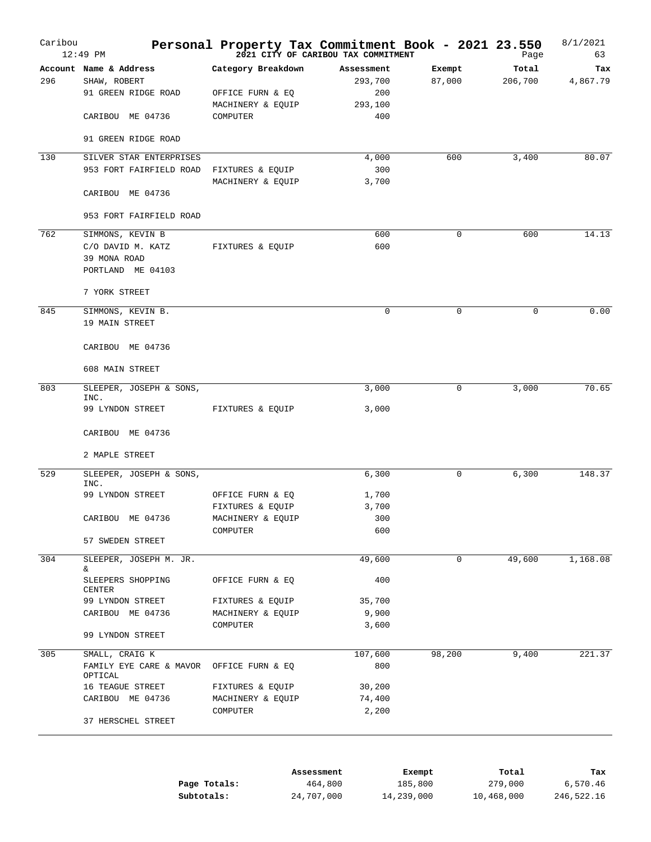| Caribou | $12:49$ PM                      | Personal Property Tax Commitment Book - 2021 23.550 | 2021 CITY OF CARIBOU TAX COMMITMENT |          |             | Page     | 8/1/2021<br>63 |
|---------|---------------------------------|-----------------------------------------------------|-------------------------------------|----------|-------------|----------|----------------|
|         | Account Name & Address          | Category Breakdown                                  | Assessment                          |          | Exempt      | Total    | Tax            |
| 296     | SHAW, ROBERT                    |                                                     |                                     | 293,700  | 87,000      | 206,700  | 4,867.79       |
|         | 91 GREEN RIDGE ROAD             | OFFICE FURN & EQ                                    |                                     | 200      |             |          |                |
|         |                                 | MACHINERY & EQUIP                                   |                                     | 293,100  |             |          |                |
|         | CARIBOU ME 04736                | COMPUTER                                            |                                     | 400      |             |          |                |
|         | 91 GREEN RIDGE ROAD             |                                                     |                                     |          |             |          |                |
| 130     | SILVER STAR ENTERPRISES         |                                                     |                                     | 4,000    | 600         | 3,400    | 80.07          |
|         | 953 FORT FAIRFIELD ROAD         | FIXTURES & EQUIP                                    |                                     | 300      |             |          |                |
|         |                                 | MACHINERY & EQUIP                                   |                                     | 3,700    |             |          |                |
|         | CARIBOU ME 04736                |                                                     |                                     |          |             |          |                |
|         | 953 FORT FAIRFIELD ROAD         |                                                     |                                     |          |             |          |                |
| 762     | SIMMONS, KEVIN B                |                                                     |                                     | 600      | $\mathbf 0$ | 600      | 14.13          |
|         | C/O DAVID M. KATZ               | FIXTURES & EQUIP                                    |                                     | 600      |             |          |                |
|         | 39 MONA ROAD                    |                                                     |                                     |          |             |          |                |
|         | PORTLAND ME 04103               |                                                     |                                     |          |             |          |                |
|         | 7 YORK STREET                   |                                                     |                                     |          |             |          |                |
| 845     | SIMMONS, KEVIN B.               |                                                     |                                     | $\Omega$ | $\Omega$    | $\Omega$ | 0.00           |
|         | 19 MAIN STREET                  |                                                     |                                     |          |             |          |                |
|         | CARIBOU ME 04736                |                                                     |                                     |          |             |          |                |
|         |                                 |                                                     |                                     |          |             |          |                |
|         | 608 MAIN STREET                 |                                                     |                                     |          |             |          |                |
| 803     | SLEEPER, JOSEPH & SONS,         |                                                     |                                     | 3,000    | 0           | 3,000    | 70.65          |
|         | INC.<br>99 LYNDON STREET        | FIXTURES & EQUIP                                    |                                     | 3,000    |             |          |                |
|         | CARIBOU ME 04736                |                                                     |                                     |          |             |          |                |
|         |                                 |                                                     |                                     |          |             |          |                |
|         | 2 MAPLE STREET                  |                                                     |                                     |          |             |          |                |
| 529     | SLEEPER, JOSEPH & SONS,<br>INC. |                                                     |                                     | 6,300    | 0           | 6,300    | 148.37         |
|         | 99 LYNDON STREET                | OFFICE FURN & EQ                                    |                                     | 1,700    |             |          |                |
|         |                                 | FIXTURES & EQUIP                                    |                                     | 3,700    |             |          |                |
|         | CARIBOU ME 04736                | MACHINERY & EQUIP                                   |                                     | 300      |             |          |                |
|         |                                 | COMPUTER                                            |                                     | 600      |             |          |                |
|         | 57 SWEDEN STREET                |                                                     |                                     |          |             |          |                |
| 304     | SLEEPER, JOSEPH M. JR.<br>&     |                                                     |                                     | 49,600   | $\mathbf 0$ | 49,600   | 1,168.08       |
|         | SLEEPERS SHOPPING               | OFFICE FURN & EQ                                    |                                     | 400      |             |          |                |
|         | CENTER                          |                                                     |                                     |          |             |          |                |
|         | 99 LYNDON STREET                | FIXTURES & EQUIP                                    |                                     | 35,700   |             |          |                |
|         | CARIBOU ME 04736                | MACHINERY & EQUIP                                   |                                     | 9,900    |             |          |                |
|         | 99 LYNDON STREET                | COMPUTER                                            |                                     | 3,600    |             |          |                |
| 305     | SMALL, CRAIG K                  |                                                     |                                     | 107,600  | 98,200      | 9,400    | 221.37         |
|         | FAMILY EYE CARE & MAVOR         | OFFICE FURN & EQ                                    |                                     | 800      |             |          |                |
|         | OPTICAL<br>16 TEAGUE STREET     | FIXTURES & EQUIP                                    |                                     | 30,200   |             |          |                |
|         | CARIBOU ME 04736                | MACHINERY & EQUIP                                   |                                     | 74,400   |             |          |                |
|         |                                 | COMPUTER                                            |                                     | 2,200    |             |          |                |
|         | 37 HERSCHEL STREET              |                                                     |                                     |          |             |          |                |
|         |                                 |                                                     |                                     |          |             |          |                |
|         |                                 |                                                     | Assessment                          |          | Exempt      | Total    | Tax            |
|         |                                 | Page Totals:                                        | 464,800                             |          | 185,800     | 279,000  | 6,570.46       |

| Page Totals: | 464,800    | 185,800    | 279,000    | 6,570.46   |
|--------------|------------|------------|------------|------------|
| Subtotals:   | 24,707,000 | 14,239,000 | 10,468,000 | 246,522.16 |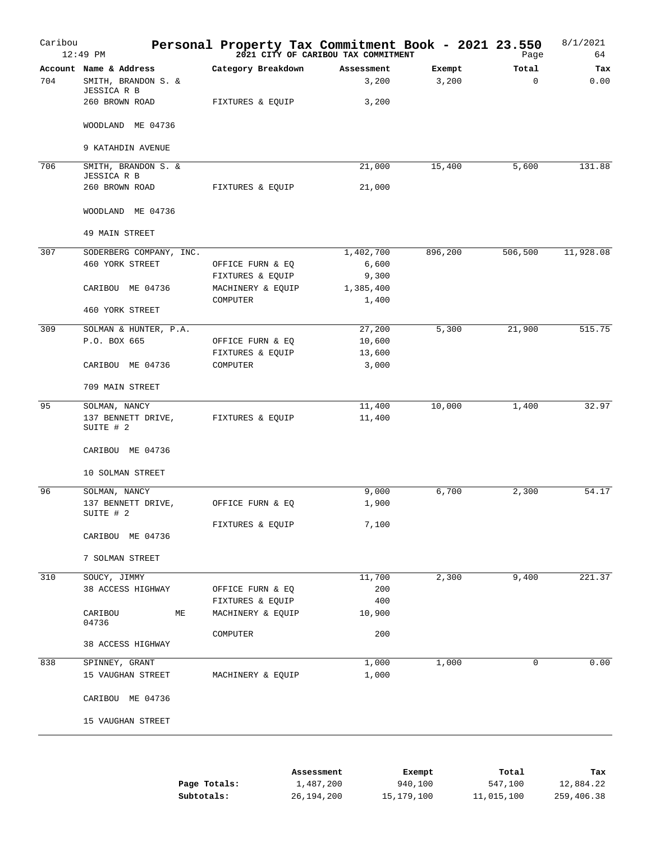| Caribou | $12:49$ PM                                                   | Personal Property Tax Commitment Book - 2021 23.550 | 2021 CITY OF CARIBOU TAX COMMITMENT |                 | Page                 | 8/1/2021<br>64 |
|---------|--------------------------------------------------------------|-----------------------------------------------------|-------------------------------------|-----------------|----------------------|----------------|
| 704     | Account Name & Address<br>SMITH, BRANDON S. &<br>JESSICA R B | Category Breakdown                                  | Assessment<br>3,200                 | Exempt<br>3,200 | Total<br>$\mathbf 0$ | Tax<br>0.00    |
|         | 260 BROWN ROAD                                               | FIXTURES & EQUIP                                    | 3,200                               |                 |                      |                |
|         | WOODLAND ME 04736                                            |                                                     |                                     |                 |                      |                |
|         | 9 KATAHDIN AVENUE                                            |                                                     |                                     |                 |                      |                |
| 706     | SMITH, BRANDON S. &                                          |                                                     | 21,000                              | 15,400          | 5,600                | 131.88         |
|         | JESSICA R B<br>260 BROWN ROAD                                | FIXTURES & EQUIP                                    | 21,000                              |                 |                      |                |
|         | WOODLAND ME 04736                                            |                                                     |                                     |                 |                      |                |
|         | 49 MAIN STREET                                               |                                                     |                                     |                 |                      |                |
| 307     | SODERBERG COMPANY, INC.                                      |                                                     | 1,402,700                           | 896,200         | 506,500              | 11,928.08      |
|         | 460 YORK STREET                                              | OFFICE FURN & EQ                                    | 6,600                               |                 |                      |                |
|         |                                                              | FIXTURES & EQUIP                                    | 9,300                               |                 |                      |                |
|         | CARIBOU ME 04736                                             | MACHINERY & EQUIP                                   | 1,385,400                           |                 |                      |                |
|         | 460 YORK STREET                                              | COMPUTER                                            | 1,400                               |                 |                      |                |
| 309     | SOLMAN & HUNTER, P.A.                                        |                                                     | 27,200                              | 5,300           | 21,900               | 515.75         |
|         | P.O. BOX 665                                                 | OFFICE FURN & EQ                                    | 10,600                              |                 |                      |                |
|         |                                                              | FIXTURES & EQUIP                                    | 13,600                              |                 |                      |                |
|         | CARIBOU ME 04736                                             | COMPUTER                                            | 3,000                               |                 |                      |                |
|         | 709 MAIN STREET                                              |                                                     |                                     |                 |                      |                |
| 95      | SOLMAN, NANCY                                                |                                                     | 11,400                              | 10,000          | 1,400                | 32.97          |
|         | 137 BENNETT DRIVE,<br>SUITE # 2                              | FIXTURES & EQUIP                                    | 11,400                              |                 |                      |                |
|         | CARIBOU ME 04736                                             |                                                     |                                     |                 |                      |                |
|         | 10 SOLMAN STREET                                             |                                                     |                                     |                 |                      |                |
| 96      | SOLMAN, NANCY                                                |                                                     | 9,000                               | 6,700           | 2,300                | 54.17          |
|         | 137 BENNETT DRIVE,<br>SUITE # 2                              | OFFICE FURN & EQ                                    | 1,900                               |                 |                      |                |
|         |                                                              | FIXTURES & EQUIP                                    | 7,100                               |                 |                      |                |
|         | CARIBOU ME 04736                                             |                                                     |                                     |                 |                      |                |
|         | 7 SOLMAN STREET                                              |                                                     |                                     |                 |                      |                |
| 310     | SOUCY, JIMMY                                                 |                                                     | 11,700                              | 2,300           | 9,400                | 221.37         |
|         | 38 ACCESS HIGHWAY                                            | OFFICE FURN & EQ                                    | 200                                 |                 |                      |                |
|         |                                                              | FIXTURES & EQUIP                                    | 400                                 |                 |                      |                |
|         | CARIBOU<br>МE<br>04736                                       | MACHINERY & EQUIP                                   | 10,900                              |                 |                      |                |
|         | 38 ACCESS HIGHWAY                                            | COMPUTER                                            | 200                                 |                 |                      |                |
| 838     | SPINNEY, GRANT                                               |                                                     | 1,000                               | 1,000           | 0                    | 0.00           |
|         | 15 VAUGHAN STREET                                            | MACHINERY & EQUIP                                   | 1,000                               |                 |                      |                |
|         | CARIBOU ME 04736                                             |                                                     |                                     |                 |                      |                |
|         | 15 VAUGHAN STREET                                            |                                                     |                                     |                 |                      |                |
|         |                                                              |                                                     |                                     |                 |                      |                |

|              | Assessment | Exempt     | Total      | Tax        |
|--------------|------------|------------|------------|------------|
| Page Totals: | 1,487,200  | 940,100    | 547,100    | 12,884.22  |
| Subtotals:   | 26,194,200 | 15,179,100 | 11,015,100 | 259,406.38 |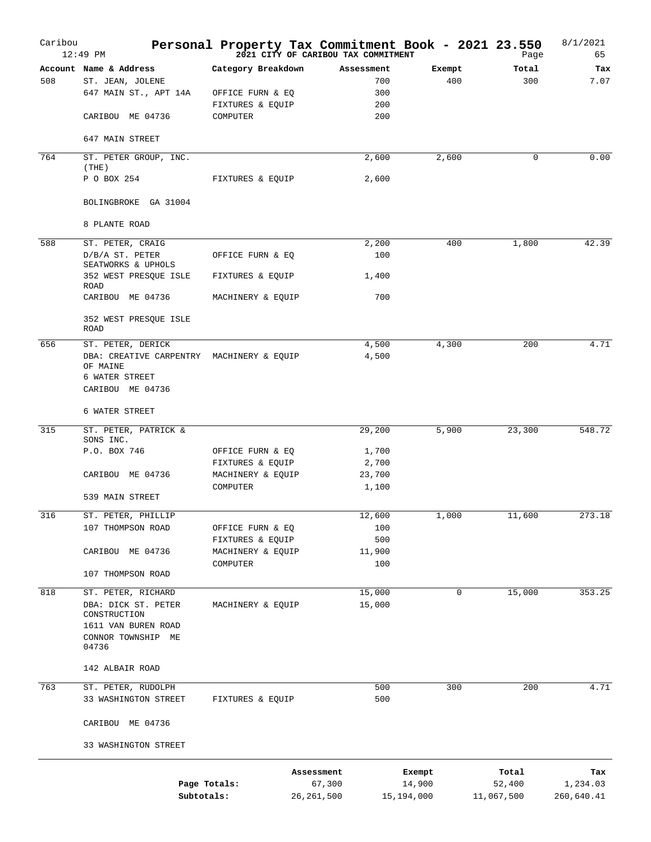| Caribou | 12:49 PM                                              | Personal Property Tax Commitment Book - 2021 23.550 | 2021 CITY OF CARIBOU TAX COMMITMENT |        | Page         | 8/1/2021<br>65 |
|---------|-------------------------------------------------------|-----------------------------------------------------|-------------------------------------|--------|--------------|----------------|
|         | Account Name & Address                                | Category Breakdown                                  | Assessment                          | Exempt | Total        | Tax            |
| 508     | ST. JEAN, JOLENE                                      |                                                     | 700                                 | 400    | 300          | 7.07           |
|         | 647 MAIN ST., APT 14A                                 | OFFICE FURN & EQ                                    | 300                                 |        |              |                |
|         |                                                       | FIXTURES & EQUIP                                    | 200                                 |        |              |                |
|         | CARIBOU ME 04736                                      | COMPUTER                                            | 200                                 |        |              |                |
|         | 647 MAIN STREET                                       |                                                     |                                     |        |              |                |
| 764     | ST. PETER GROUP, INC.<br>(THE)                        |                                                     | 2,600                               | 2,600  | $\mathbf{0}$ | 0.00           |
|         | P O BOX 254                                           | FIXTURES & EQUIP                                    | 2,600                               |        |              |                |
|         | BOLINGBROKE GA 31004                                  |                                                     |                                     |        |              |                |
|         | 8 PLANTE ROAD                                         |                                                     |                                     |        |              |                |
|         |                                                       |                                                     |                                     |        |              |                |
| 588     | ST. PETER, CRAIG                                      |                                                     | 2,200                               | 400    | 1,800        | 42.39          |
|         | D/B/A ST. PETER<br>SEATWORKS & UPHOLS                 | OFFICE FURN & EQ                                    | 100                                 |        |              |                |
|         | 352 WEST PRESQUE ISLE                                 | FIXTURES & EQUIP                                    | 1,400                               |        |              |                |
|         | ROAD<br>CARIBOU ME 04736                              | MACHINERY & EQUIP                                   | 700                                 |        |              |                |
|         |                                                       |                                                     |                                     |        |              |                |
|         | 352 WEST PRESQUE ISLE<br>ROAD                         |                                                     |                                     |        |              |                |
| 656     | ST. PETER, DERICK                                     |                                                     | 4,500                               | 4,300  | 200          | 4.71           |
|         | DBA: CREATIVE CARPENTRY MACHINERY & EQUIP<br>OF MAINE |                                                     | 4,500                               |        |              |                |
|         | 6 WATER STREET                                        |                                                     |                                     |        |              |                |
|         | CARIBOU ME 04736                                      |                                                     |                                     |        |              |                |
|         | 6 WATER STREET                                        |                                                     |                                     |        |              |                |
| 315     | ST. PETER, PATRICK &                                  |                                                     | 29,200                              | 5,900  | 23,300       | 548.72         |
|         | SONS INC.                                             |                                                     |                                     |        |              |                |
|         | P.O. BOX 746                                          | OFFICE FURN & EQ                                    | 1,700                               |        |              |                |
|         |                                                       | FIXTURES & EQUIP                                    | 2,700                               |        |              |                |
|         | CARIBOU ME 04736                                      | MACHINERY & EQUIP<br>COMPUTER                       | 23,700                              |        |              |                |
|         | 539 MAIN STREET                                       |                                                     | 1,100                               |        |              |                |
| 316     | ST. PETER, PHILLIP                                    |                                                     | 12,600                              | 1,000  | 11,600       | 273.18         |
|         | 107 THOMPSON ROAD                                     | OFFICE FURN & EQ                                    | 100                                 |        |              |                |
|         |                                                       | FIXTURES & EQUIP                                    | 500                                 |        |              |                |
|         | CARIBOU ME 04736                                      | MACHINERY & EQUIP                                   | 11,900                              |        |              |                |
|         |                                                       | COMPUTER                                            | 100                                 |        |              |                |
|         | 107 THOMPSON ROAD                                     |                                                     |                                     |        |              |                |
| 818     | ST. PETER, RICHARD                                    |                                                     | 15,000                              | 0      | 15,000       | 353.25         |
|         | DBA: DICK ST. PETER                                   | MACHINERY & EQUIP                                   | 15,000                              |        |              |                |
|         | CONSTRUCTION<br>1611 VAN BUREN ROAD                   |                                                     |                                     |        |              |                |
|         | CONNOR TOWNSHIP ME                                    |                                                     |                                     |        |              |                |
|         | 04736                                                 |                                                     |                                     |        |              |                |
|         | 142 ALBAIR ROAD                                       |                                                     |                                     |        |              |                |
| 763     | ST. PETER, RUDOLPH                                    |                                                     | 500                                 | 300    | 200          | 4.71           |
|         | 33 WASHINGTON STREET                                  | FIXTURES & EQUIP                                    | 500                                 |        |              |                |
|         | CARIBOU ME 04736                                      |                                                     |                                     |        |              |                |
|         | 33 WASHINGTON STREET                                  |                                                     |                                     |        |              |                |
|         |                                                       | Assessment                                          |                                     | Exempt | Total        | Tax            |
|         |                                                       | Page Totals:                                        | 67,300                              | 14,900 | 52,400       | 1,234.03       |
|         | Subtotals:                                            | 26, 261, 500                                        | 15,194,000                          |        | 11,067,500   | 260,640.41     |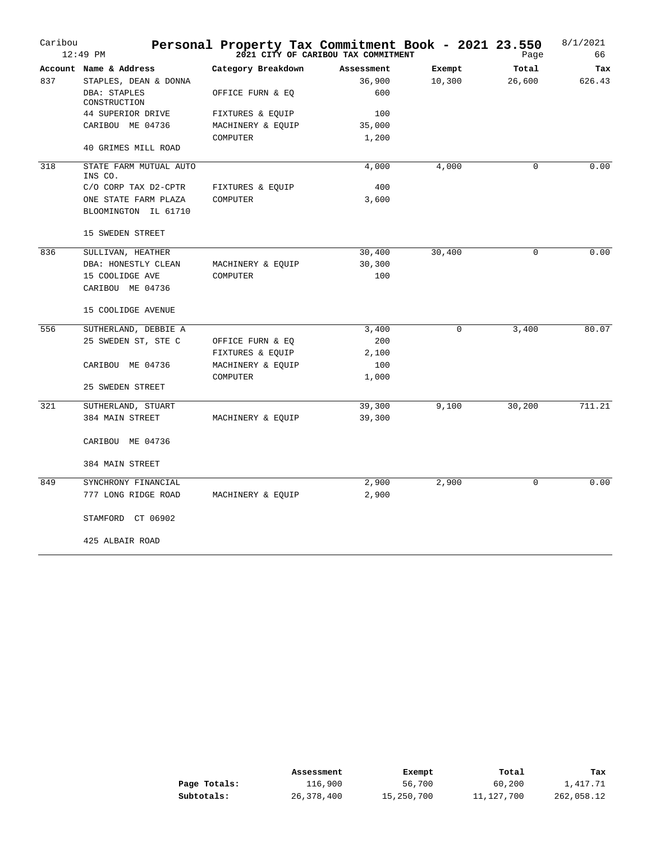| Caribou | $12:49$ PM                        |                    | Personal Property Tax Commitment Book - 2021 23.550<br>2021 CITY OF CARIBOU TAX COMMITMENT |        |   | Page        | 8/1/2021<br>66 |
|---------|-----------------------------------|--------------------|--------------------------------------------------------------------------------------------|--------|---|-------------|----------------|
|         | Account Name & Address            | Category Breakdown | Assessment                                                                                 | Exempt |   | Total       | Tax            |
| 837     | STAPLES, DEAN & DONNA             |                    | 36,900                                                                                     | 10,300 |   | 26,600      | 626.43         |
|         | DBA: STAPLES<br>CONSTRUCTION      | OFFICE FURN & EQ   | 600                                                                                        |        |   |             |                |
|         | 44 SUPERIOR DRIVE                 | FIXTURES & EQUIP   | 100                                                                                        |        |   |             |                |
|         | CARIBOU ME 04736                  | MACHINERY & EQUIP  | 35,000                                                                                     |        |   |             |                |
|         |                                   | COMPUTER           | 1,200                                                                                      |        |   |             |                |
|         | 40 GRIMES MILL ROAD               |                    |                                                                                            |        |   |             |                |
| 318     | STATE FARM MUTUAL AUTO<br>INS CO. |                    | 4,000                                                                                      | 4,000  |   | $\mathbf 0$ | 0.00           |
|         | C/O CORP TAX D2-CPTR              | FIXTURES & EQUIP   | 400                                                                                        |        |   |             |                |
|         | ONE STATE FARM PLAZA              | COMPUTER           | 3,600                                                                                      |        |   |             |                |
|         | BLOOMINGTON IL 61710              |                    |                                                                                            |        |   |             |                |
|         | 15 SWEDEN STREET                  |                    |                                                                                            |        |   |             |                |
| 836     | SULLIVAN, HEATHER                 |                    | 30,400                                                                                     | 30,400 |   | $\Omega$    | 0.00           |
|         | DBA: HONESTLY CLEAN               | MACHINERY & EQUIP  | 30,300                                                                                     |        |   |             |                |
|         | 15 COOLIDGE AVE                   | COMPUTER           | 100                                                                                        |        |   |             |                |
|         | CARIBOU ME 04736                  |                    |                                                                                            |        |   |             |                |
|         | 15 COOLIDGE AVENUE                |                    |                                                                                            |        |   |             |                |
| 556     | SUTHERLAND, DEBBIE A              |                    | 3,400                                                                                      |        | 0 | 3,400       | 80.07          |
|         | 25 SWEDEN ST, STE C               | OFFICE FURN & EQ   | 200                                                                                        |        |   |             |                |
|         |                                   | FIXTURES & EQUIP   | 2,100                                                                                      |        |   |             |                |
|         | CARIBOU ME 04736                  | MACHINERY & EQUIP  | 100                                                                                        |        |   |             |                |
|         |                                   | COMPUTER           | 1,000                                                                                      |        |   |             |                |
|         | 25 SWEDEN STREET                  |                    |                                                                                            |        |   |             |                |
| 321     | SUTHERLAND, STUART                |                    | 39,300                                                                                     | 9,100  |   | 30,200      | 711.21         |
|         | 384 MAIN STREET                   | MACHINERY & EQUIP  | 39,300                                                                                     |        |   |             |                |
|         | CARIBOU ME 04736                  |                    |                                                                                            |        |   |             |                |
|         | 384 MAIN STREET                   |                    |                                                                                            |        |   |             |                |
| 849     | SYNCHRONY FINANCIAL               |                    | 2,900                                                                                      | 2,900  |   | 0           | 0.00           |
|         | 777 LONG RIDGE ROAD               | MACHINERY & EQUIP  | 2,900                                                                                      |        |   |             |                |
|         | STAMFORD CT 06902                 |                    |                                                                                            |        |   |             |                |
|         | 425 ALBAIR ROAD                   |                    |                                                                                            |        |   |             |                |

|              | Assessment | Exempt     | Total      | Tax        |
|--------------|------------|------------|------------|------------|
| Page Totals: | 116,900    | 56,700     | 60,200     | 1,417.71   |
| Subtotals:   | 26,378,400 | 15,250,700 | 11,127,700 | 262,058.12 |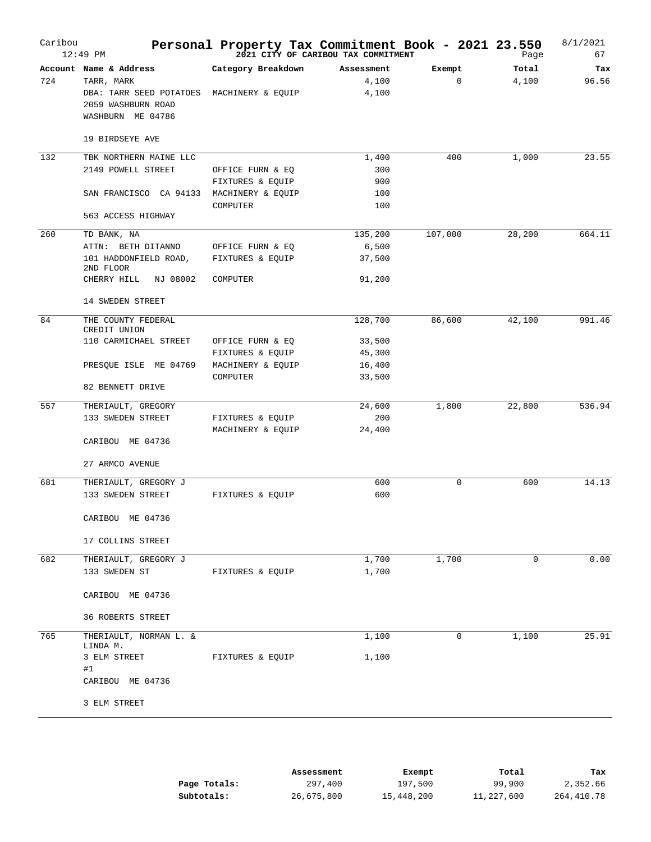| Caribou | $12:49$ PM                                                                                                             | Personal Property Tax Commitment Book - 2021 23.550                   | 2021 CITY OF CARIBOU TAX COMMITMENT             |                       | Page           | 8/1/2021<br>67 |
|---------|------------------------------------------------------------------------------------------------------------------------|-----------------------------------------------------------------------|-------------------------------------------------|-----------------------|----------------|----------------|
| 724     | Account Name & Address<br>TARR, MARK<br>DBA: TARR SEED POTATOES<br>2059 WASHBURN ROAD<br>WASHBURN ME 04786             | Category Breakdown<br>MACHINERY & EQUIP                               | Assessment<br>4,100<br>4,100                    | Exempt<br>$\mathbf 0$ | Total<br>4,100 | Tax<br>96.56   |
|         | 19 BIRDSEYE AVE                                                                                                        |                                                                       |                                                 |                       |                |                |
| 132     | TBK NORTHERN MAINE LLC<br>2149 POWELL STREET<br>SAN FRANCISCO CA 94133<br>563 ACCESS HIGHWAY                           | OFFICE FURN & EQ<br>FIXTURES & EQUIP<br>MACHINERY & EQUIP<br>COMPUTER | 1,400<br>300<br>900<br>100<br>100               | 400                   | 1,000          | 23.55          |
| 260     | TD BANK, NA<br>ATTN: BETH DITANNO<br>101 HADDONFIELD ROAD,<br>2ND FLOOR<br>CHERRY HILL<br>NJ 08002<br>14 SWEDEN STREET | OFFICE FURN & EQ<br>FIXTURES & EQUIP<br>COMPUTER                      | 135,200<br>6,500<br>37,500<br>91,200            | 107,000               | 28,200         | 664.11         |
| 84      | THE COUNTY FEDERAL<br>CREDIT UNION<br>110 CARMICHAEL STREET<br>PRESQUE ISLE ME 04769<br>82 BENNETT DRIVE               | OFFICE FURN & EQ<br>FIXTURES & EQUIP<br>MACHINERY & EQUIP<br>COMPUTER | 128,700<br>33,500<br>45,300<br>16,400<br>33,500 | 86,600                | 42,100         | 991.46         |
| 557     | THERIAULT, GREGORY<br>133 SWEDEN STREET<br>CARIBOU ME 04736<br>27 ARMCO AVENUE                                         | FIXTURES & EQUIP<br>MACHINERY & EQUIP                                 | 24,600<br>200<br>24,400                         | 1,800                 | 22,800         | 536.94         |
| 681     | THERIAULT, GREGORY J<br>133 SWEDEN STREET<br>CARIBOU ME 04736<br>17 COLLINS STREET                                     | FIXTURES & EOUIP                                                      | 600<br>600                                      | 0                     | 600            | 14.13          |
| 682     | THERIAULT, GREGORY J<br>133 SWEDEN ST<br>CARIBOU ME 04736<br><b>36 ROBERTS STREET</b>                                  | FIXTURES & EQUIP                                                      | 1,700<br>1,700                                  | 1,700                 | $\mathbf 0$    | 0.00           |
| 765     | THERIAULT, NORMAN L. &<br>LINDA M.<br>3 ELM STREET<br>#1<br>CARIBOU ME 04736<br>3 ELM STREET                           | FIXTURES & EQUIP                                                      | 1,100<br>1,100                                  | 0                     | 1,100          | 25.91          |

|              | Assessment | Exempt     | Total      | Tax        |
|--------------|------------|------------|------------|------------|
| Page Totals: | 297,400    | 197,500    | 99,900     | 2,352.66   |
| Subtotals:   | 26,675,800 | 15,448,200 | 11,227,600 | 264,410.78 |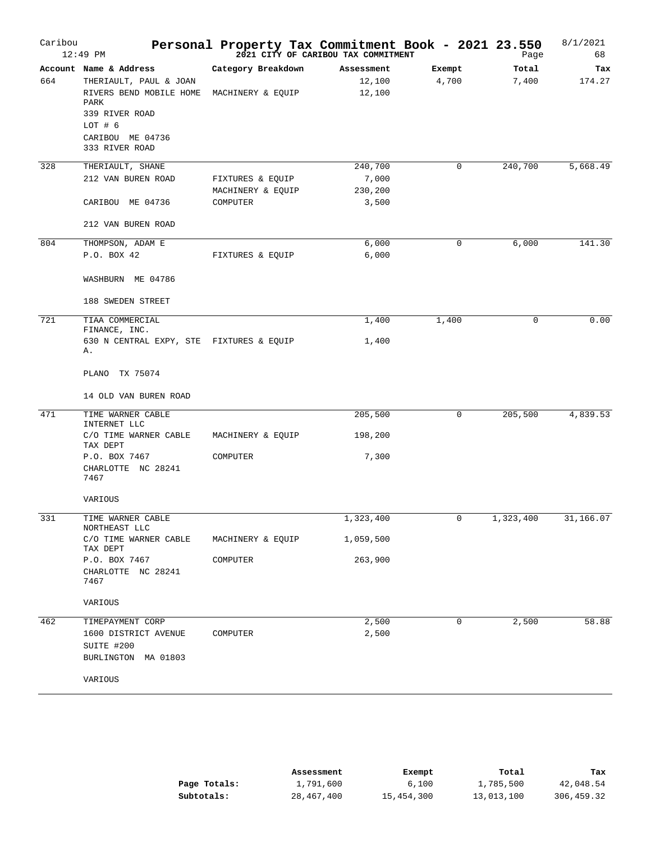| Caribou | $12:49$ PM                                                                                                                                             |                                                   | Personal Property Tax Commitment Book - 2021 23.550<br><sup>2021</sup> <sup>2021</sup> CITY OF CARIBOU TAX COMMITMENT |                 |   | Page           | 8/1/2021<br>68 |
|---------|--------------------------------------------------------------------------------------------------------------------------------------------------------|---------------------------------------------------|-----------------------------------------------------------------------------------------------------------------------|-----------------|---|----------------|----------------|
| 664     | Account Name & Address<br>THERIAULT, PAUL & JOAN<br>RIVERS BEND MOBILE HOME<br>PARK<br>339 RIVER ROAD<br>LOT # 6<br>CARIBOU ME 04736<br>333 RIVER ROAD | Category Breakdown<br>MACHINERY & EQUIP           | Assessment<br>12,100<br>12,100                                                                                        | Exempt<br>4,700 |   | Total<br>7,400 | Tax<br>174.27  |
| 328     | THERIAULT, SHANE<br>212 VAN BUREN ROAD<br>CARIBOU ME 04736<br>212 VAN BUREN ROAD                                                                       | FIXTURES & EQUIP<br>MACHINERY & EQUIP<br>COMPUTER | 240,700<br>7,000<br>230,200<br>3,500                                                                                  |                 | 0 | 240,700        | 5,668.49       |
| 804     | THOMPSON, ADAM E<br>P.O. BOX 42<br>WASHBURN ME 04786<br>188 SWEDEN STREET                                                                              | FIXTURES & EQUIP                                  | 6,000<br>6,000                                                                                                        |                 | 0 | 6,000          | 141.30         |
| 721     | TIAA COMMERCIAL<br>FINANCE, INC.<br>630 N CENTRAL EXPY, STE FIXTURES & EQUIP<br>Α.<br>PLANO TX 75074<br>14 OLD VAN BUREN ROAD                          |                                                   | 1,400<br>1,400                                                                                                        | 1,400           |   | $\mathbf 0$    | 0.00           |
| 471     | TIME WARNER CABLE<br>INTERNET LLC<br>C/O TIME WARNER CABLE<br>TAX DEPT<br>P.O. BOX 7467<br>CHARLOTTE NC 28241<br>7467<br>VARIOUS                       | MACHINERY & EQUIP<br>COMPUTER                     | 205,500<br>198,200<br>7,300                                                                                           |                 | 0 | 205,500        | 4,839.53       |
| 331     | TIME WARNER CABLE<br>NORTHEAST LLC<br>C/O TIME WARNER CABLE<br>TAX DEPT<br>P.O. BOX 7467<br>CHARLOTTE NC 28241<br>7467<br>VARIOUS                      | MACHINERY & EQUIP<br>COMPUTER                     | 1,323,400<br>1,059,500<br>263,900                                                                                     |                 | 0 | 1,323,400      | 31,166.07      |
| 462     | TIMEPAYMENT CORP<br>1600 DISTRICT AVENUE<br>SUITE #200<br>BURLINGTON MA 01803<br>VARIOUS                                                               | COMPUTER                                          | 2,500<br>2,500                                                                                                        |                 | 0 | 2,500          | 58.88          |

|              | Assessment | Exempt     | Total      | Tax        |
|--------------|------------|------------|------------|------------|
| Page Totals: | 1,791,600  | 6,100      | 1,785,500  | 42,048.54  |
| Subtotals:   | 28,467,400 | 15,454,300 | 13,013,100 | 306,459.32 |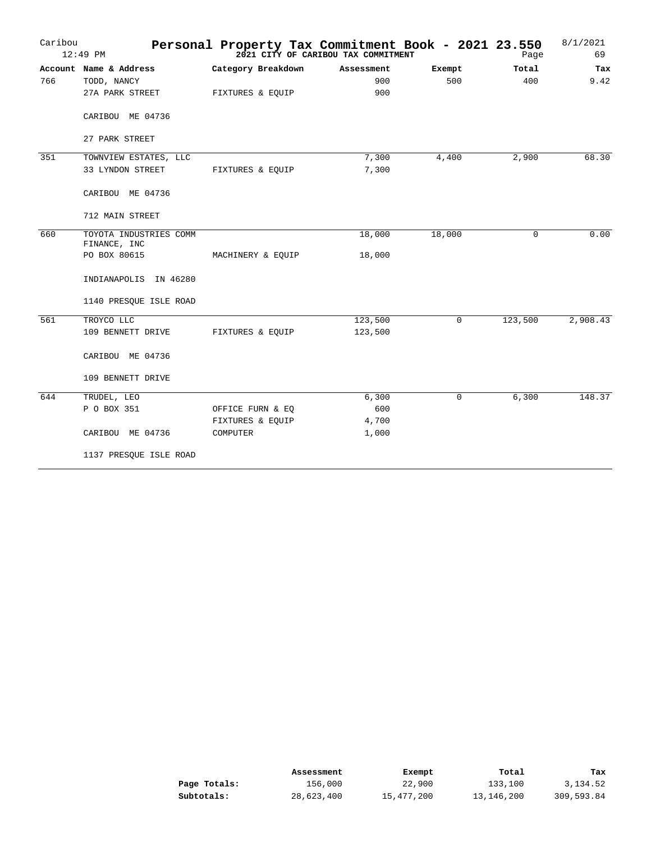| Caribou | 12:49 PM               |                    | Personal Property Tax Commitment Book - 2021 23.550<br>2021 CITY OF CARIBOU TAX COMMITMENT |             | Page     | 8/1/2021<br>69 |
|---------|------------------------|--------------------|--------------------------------------------------------------------------------------------|-------------|----------|----------------|
|         | Account Name & Address | Category Breakdown | Assessment                                                                                 | Exempt      | Total    | Tax            |
| 766     | TODD, NANCY            |                    | 900                                                                                        | 500         | 400      | 9.42           |
|         | 27A PARK STREET        | FIXTURES & EQUIP   | 900                                                                                        |             |          |                |
|         | CARIBOU ME 04736       |                    |                                                                                            |             |          |                |
|         | 27 PARK STREET         |                    |                                                                                            |             |          |                |
| 351     | TOWNVIEW ESTATES, LLC  |                    | 7,300                                                                                      | 4,400       | 2,900    | 68.30          |
|         | 33 LYNDON STREET       | FIXTURES & EQUIP   | 7,300                                                                                      |             |          |                |
|         | CARIBOU ME 04736       |                    |                                                                                            |             |          |                |
|         | 712 MAIN STREET        |                    |                                                                                            |             |          |                |
| 660     | TOYOTA INDUSTRIES COMM |                    | 18,000                                                                                     | 18,000      | $\Omega$ | 0.00           |
|         | FINANCE, INC           |                    |                                                                                            |             |          |                |
|         | PO BOX 80615           | MACHINERY & EQUIP  | 18,000                                                                                     |             |          |                |
|         | INDIANAPOLIS IN 46280  |                    |                                                                                            |             |          |                |
|         | 1140 PRESQUE ISLE ROAD |                    |                                                                                            |             |          |                |
| 561     | TROYCO LLC             |                    | 123,500                                                                                    | $\mathbf 0$ | 123,500  | 2,908.43       |
|         | 109 BENNETT DRIVE      | FIXTURES & EQUIP   | 123,500                                                                                    |             |          |                |
|         | CARIBOU ME 04736       |                    |                                                                                            |             |          |                |
|         | 109 BENNETT DRIVE      |                    |                                                                                            |             |          |                |
| 644     | TRUDEL, LEO            |                    | 6,300                                                                                      | $\Omega$    | 6,300    | 148.37         |
|         | P O BOX 351            | OFFICE FURN & EQ   | 600                                                                                        |             |          |                |
|         |                        | FIXTURES & EQUIP   | 4,700                                                                                      |             |          |                |
|         | CARIBOU ME 04736       | COMPUTER           | 1,000                                                                                      |             |          |                |
|         | 1137 PRESQUE ISLE ROAD |                    |                                                                                            |             |          |                |

|              | Assessment | Exempt     | Total      | Tax        |
|--------------|------------|------------|------------|------------|
| Page Totals: | 156,000    | 22,900     | 133,100    | 3,134.52   |
| Subtotals:   | 28,623,400 | 15,477,200 | 13,146,200 | 309,593.84 |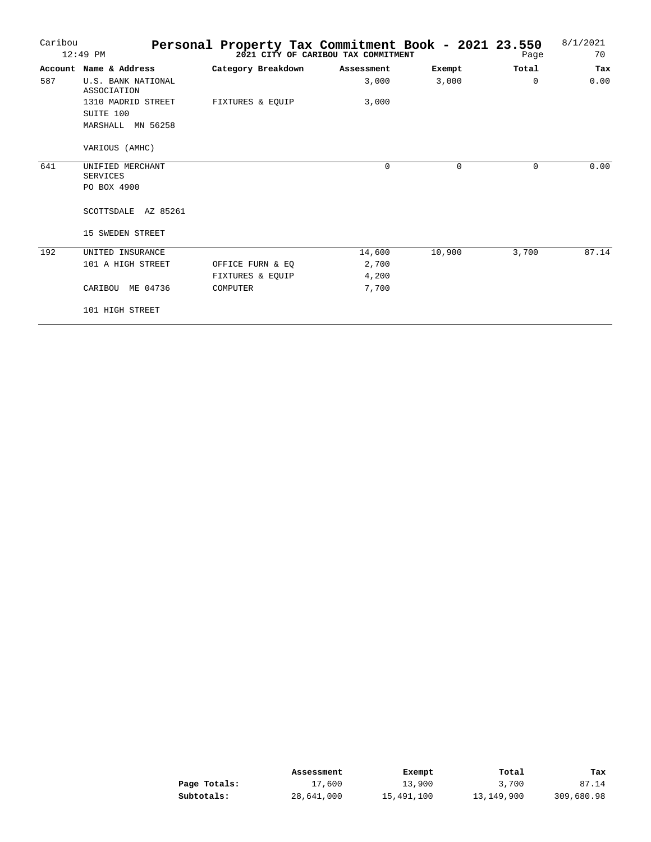| Caribou | $12:49$ PM                                           | Personal Property Tax Commitment Book - 2021 23.550 | 2021 CITY OF CARIBOU TAX COMMITMENT |             | Page     | 8/1/2021<br>70 |
|---------|------------------------------------------------------|-----------------------------------------------------|-------------------------------------|-------------|----------|----------------|
|         | Account Name & Address                               | Category Breakdown                                  | Assessment                          | Exempt      | Total    | Tax            |
| 587     | U.S. BANK NATIONAL<br>ASSOCIATION                    |                                                     | 3,000                               | 3,000       | $\Omega$ | 0.00           |
|         | 1310 MADRID STREET<br>SUITE 100<br>MARSHALL MN 56258 | FIXTURES & EOUIP                                    | 3,000                               |             |          |                |
|         | VARIOUS (AMHC)                                       |                                                     |                                     |             |          |                |
| 641     | UNIFIED MERCHANT<br><b>SERVICES</b>                  |                                                     | $\mathbf 0$                         | $\mathbf 0$ | 0        | 0.00           |
|         | PO BOX 4900                                          |                                                     |                                     |             |          |                |
|         | SCOTTSDALE AZ 85261                                  |                                                     |                                     |             |          |                |
|         | 15 SWEDEN STREET                                     |                                                     |                                     |             |          |                |
| 192     | UNITED INSURANCE                                     |                                                     | 14,600                              | 10,900      | 3,700    | 87.14          |
|         | 101 A HIGH STREET                                    | OFFICE FURN & EQ                                    | 2,700                               |             |          |                |
|         |                                                      | FIXTURES & EQUIP                                    | 4,200                               |             |          |                |
|         | CARIBOU<br>ME 04736                                  | COMPUTER                                            | 7,700                               |             |          |                |
|         | 101 HIGH STREET                                      |                                                     |                                     |             |          |                |

|              | Assessment | Exempt     | Total      | Tax        |
|--------------|------------|------------|------------|------------|
| Page Totals: | 17,600     | 13,900     | 3,700      | 87.14      |
| Subtotals:   | 28,641,000 | 15,491,100 | 13,149,900 | 309,680.98 |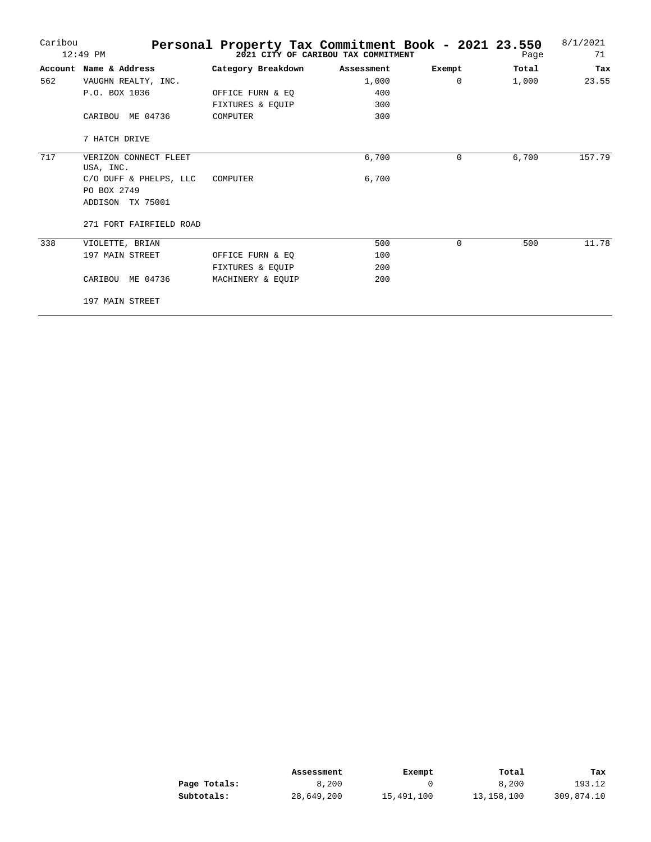| Caribou | $12:49$ PM                         | Personal Property Tax Commitment Book - 2021 23.550 | 2021 CITY OF CARIBOU TAX COMMITMENT |          | Page  | 8/1/2021<br>71 |
|---------|------------------------------------|-----------------------------------------------------|-------------------------------------|----------|-------|----------------|
| Account | Name & Address                     | Category Breakdown                                  | Assessment                          | Exempt   | Total | Tax            |
| 562     | VAUGHN REALTY, INC.                |                                                     | 1,000                               | $\Omega$ | 1,000 | 23.55          |
|         | P.O. BOX 1036                      | OFFICE FURN & EO                                    | 400                                 |          |       |                |
|         |                                    | FIXTURES & EOUIP                                    | 300                                 |          |       |                |
|         | ME 04736<br>CARIBOU                | COMPUTER                                            | 300                                 |          |       |                |
|         | 7 HATCH DRIVE                      |                                                     |                                     |          |       |                |
| 717     | VERIZON CONNECT FLEET<br>USA, INC. |                                                     | 6,700                               | $\Omega$ | 6,700 | 157.79         |
|         | C/O DUFF & PHELPS, LLC             | COMPUTER                                            | 6,700                               |          |       |                |
|         | PO BOX 2749                        |                                                     |                                     |          |       |                |
|         | ADDISON TX 75001                   |                                                     |                                     |          |       |                |
|         | 271 FORT FAIRFIELD ROAD            |                                                     |                                     |          |       |                |
| 338     | VIOLETTE, BRIAN                    |                                                     | 500                                 | $\Omega$ | 500   | 11.78          |
|         | 197 MAIN STREET                    | OFFICE FURN & EQ                                    | 100                                 |          |       |                |
|         |                                    | FIXTURES & EOUIP                                    | 200                                 |          |       |                |
|         | ME 04736<br>CARIBOU                | MACHINERY & EOUIP                                   | 200                                 |          |       |                |
|         | 197 MAIN STREET                    |                                                     |                                     |          |       |                |

|              | Assessment | Exempt     | Total      | Tax        |
|--------------|------------|------------|------------|------------|
| Page Totals: | 8,200      |            | 8,200      | 193.12     |
| Subtotals:   | 28,649,200 | 15,491,100 | 13,158,100 | 309,874.10 |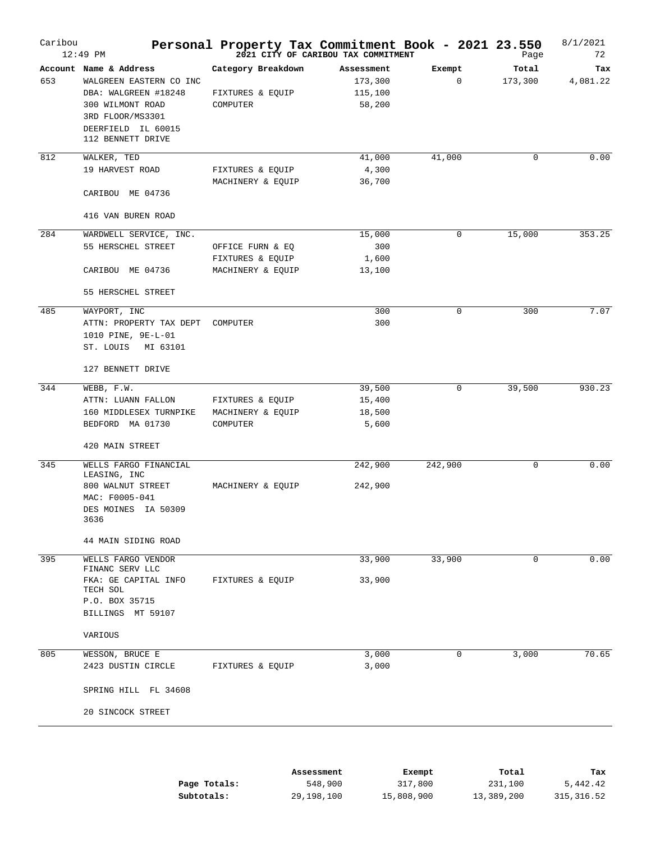| Caribou | $12:49$ PM                              | Personal Property Tax Commitment Book - 2021 23.550 | 2021 CITY OF CARIBOU TAX COMMITMENT |             | Page        | 8/1/2021<br>72 |
|---------|-----------------------------------------|-----------------------------------------------------|-------------------------------------|-------------|-------------|----------------|
|         | Account Name & Address                  | Category Breakdown                                  | Assessment                          | Exempt      | Total       | Tax            |
| 653     | WALGREEN EASTERN CO INC                 |                                                     | 173,300                             | $\mathbf 0$ | 173,300     | 4,081.22       |
|         | DBA: WALGREEN #18248                    | FIXTURES & EQUIP                                    | 115,100                             |             |             |                |
|         | 300 WILMONT ROAD                        | COMPUTER                                            | 58,200                              |             |             |                |
|         | 3RD FLOOR/MS3301                        |                                                     |                                     |             |             |                |
|         | DEERFIELD IL 60015<br>112 BENNETT DRIVE |                                                     |                                     |             |             |                |
| 812     | WALKER, TED                             |                                                     | 41,000                              | 41,000      | 0           | 0.00           |
|         | 19 HARVEST ROAD                         | FIXTURES & EQUIP                                    | 4,300                               |             |             |                |
|         |                                         | MACHINERY & EQUIP                                   | 36,700                              |             |             |                |
|         | CARIBOU ME 04736                        |                                                     |                                     |             |             |                |
|         | 416 VAN BUREN ROAD                      |                                                     |                                     |             |             |                |
| 284     | WARDWELL SERVICE, INC.                  |                                                     | 15,000                              | 0           | 15,000      | 353.25         |
|         | 55 HERSCHEL STREET                      | OFFICE FURN & EQ                                    | 300                                 |             |             |                |
|         |                                         | FIXTURES & EQUIP                                    | 1,600                               |             |             |                |
|         | CARIBOU ME 04736                        | MACHINERY & EQUIP                                   | 13,100                              |             |             |                |
|         | 55 HERSCHEL STREET                      |                                                     |                                     |             |             |                |
| 485     | WAYPORT, INC                            |                                                     | 300                                 | $\mathbf 0$ | 300         | 7.07           |
|         | ATTN: PROPERTY TAX DEPT                 | COMPUTER                                            | 300                                 |             |             |                |
|         | 1010 PINE, 9E-L-01                      |                                                     |                                     |             |             |                |
|         | ST. LOUIS<br>MI 63101                   |                                                     |                                     |             |             |                |
|         | 127 BENNETT DRIVE                       |                                                     |                                     |             |             |                |
| 344     | WEBB, F.W.                              |                                                     | 39,500                              | 0           | 39,500      | 930.23         |
|         | ATTN: LUANN FALLON                      | FIXTURES & EQUIP                                    | 15,400                              |             |             |                |
|         | 160 MIDDLESEX TURNPIKE                  | MACHINERY & EQUIP                                   | 18,500                              |             |             |                |
|         | BEDFORD MA 01730                        | COMPUTER                                            | 5,600                               |             |             |                |
|         | 420 MAIN STREET                         |                                                     |                                     |             |             |                |
| 345     | WELLS FARGO FINANCIAL                   |                                                     | 242,900                             | 242,900     | $\mathbf 0$ | 0.00           |
|         | LEASING, INC                            |                                                     |                                     |             |             |                |
|         | 800 WALNUT STREET<br>MAC: F0005-041     | MACHINERY & EQUIP                                   | 242,900                             |             |             |                |
|         | DES MOINES IA 50309                     |                                                     |                                     |             |             |                |
|         | 3636                                    |                                                     |                                     |             |             |                |
|         | 44 MAIN SIDING ROAD                     |                                                     |                                     |             |             |                |
| 395     | WELLS FARGO VENDOR                      |                                                     | 33,900                              | 33,900      | 0           | 0.00           |
|         | FINANC SERV LLC                         |                                                     |                                     |             |             |                |
|         | FKA: GE CAPITAL INFO                    | FIXTURES & EQUIP                                    | 33,900                              |             |             |                |
|         | TECH SOL<br>P.O. BOX 35715              |                                                     |                                     |             |             |                |
|         | BILLINGS MT 59107                       |                                                     |                                     |             |             |                |
|         | VARIOUS                                 |                                                     |                                     |             |             |                |
| 805     | WESSON, BRUCE E                         |                                                     | 3,000                               | 0           | 3,000       | 70.65          |
|         | 2423 DUSTIN CIRCLE                      | FIXTURES & EQUIP                                    | 3,000                               |             |             |                |
|         |                                         |                                                     |                                     |             |             |                |
|         | SPRING HILL FL 34608                    |                                                     |                                     |             |             |                |
|         | 20 SINCOCK STREET                       |                                                     |                                     |             |             |                |
|         |                                         |                                                     |                                     |             |             |                |
|         |                                         |                                                     |                                     |             |             |                |

|              | Assessment | Exempt     | Total      | Тах        |
|--------------|------------|------------|------------|------------|
| Page Totals: | 548,900    | 317,800    | 231,100    | 5,442.42   |
| Subtotals:   | 29,198,100 | 15,808,900 | 13,389,200 | 315,316.52 |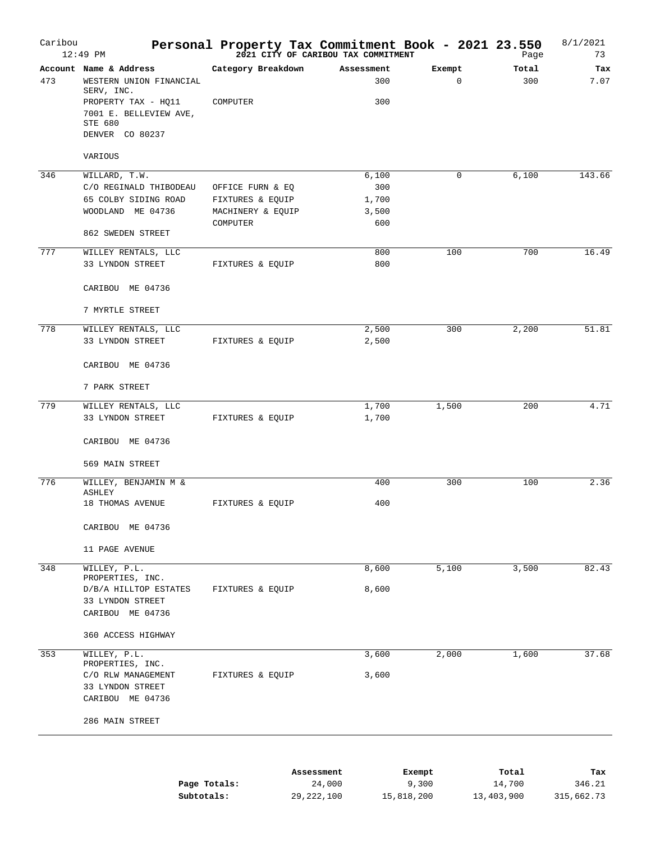| Caribou | 12:49 PM                                       | Personal Property Tax Commitment Book - 2021 23.550 | 2021 CITY OF CARIBOU TAX COMMITMENT |             | Page  | 8/1/2021<br>73 |
|---------|------------------------------------------------|-----------------------------------------------------|-------------------------------------|-------------|-------|----------------|
|         | Account Name & Address                         | Category Breakdown                                  | Assessment                          | Exempt      | Total | Tax            |
| 473     | WESTERN UNION FINANCIAL<br>SERV, INC.          |                                                     | 300                                 | $\mathbf 0$ | 300   | 7.07           |
|         | PROPERTY TAX - HQ11<br>7001 E. BELLEVIEW AVE,  | COMPUTER                                            | 300                                 |             |       |                |
|         | STE 680                                        |                                                     |                                     |             |       |                |
|         | DENVER CO 80237                                |                                                     |                                     |             |       |                |
|         | VARIOUS                                        |                                                     |                                     |             |       |                |
| 346     | WILLARD, T.W.                                  |                                                     | 6,100                               | 0           | 6,100 | 143.66         |
|         | C/O REGINALD THIBODEAU<br>65 COLBY SIDING ROAD | OFFICE FURN & EQ                                    | 300                                 |             |       |                |
|         | WOODLAND ME 04736                              | FIXTURES & EQUIP<br>MACHINERY & EQUIP               | 1,700<br>3,500                      |             |       |                |
|         |                                                | COMPUTER                                            | 600                                 |             |       |                |
|         | 862 SWEDEN STREET                              |                                                     |                                     |             |       |                |
| 777     | WILLEY RENTALS, LLC                            |                                                     | 800                                 | 100         | 700   | 16.49          |
|         | 33 LYNDON STREET                               | FIXTURES & EQUIP                                    | 800                                 |             |       |                |
|         | CARIBOU ME 04736                               |                                                     |                                     |             |       |                |
|         | 7 MYRTLE STREET                                |                                                     |                                     |             |       |                |
| 778     | WILLEY RENTALS, LLC                            |                                                     | 2,500                               | 300         | 2,200 | 51.81          |
|         | 33 LYNDON STREET                               | FIXTURES & EQUIP                                    | 2,500                               |             |       |                |
|         | CARIBOU ME 04736                               |                                                     |                                     |             |       |                |
|         | 7 PARK STREET                                  |                                                     |                                     |             |       |                |
| 779     | WILLEY RENTALS, LLC                            |                                                     | 1,700                               | 1,500       | 200   | 4.71           |
|         | 33 LYNDON STREET                               | FIXTURES & EQUIP                                    | 1,700                               |             |       |                |
|         | CARIBOU ME 04736                               |                                                     |                                     |             |       |                |
|         | 569 MAIN STREET                                |                                                     |                                     |             |       |                |
| 776     | WILLEY, BENJAMIN M &<br>ASHLEY                 |                                                     | 400                                 | 300         | 100   | 2.36           |
|         | 18 THOMAS AVENUE                               | FIXTURES & EQUIP                                    | 400                                 |             |       |                |
|         | CARIBOU ME 04736                               |                                                     |                                     |             |       |                |
|         | 11 PAGE AVENUE                                 |                                                     |                                     |             |       |                |
| 348     | WILLEY, P.L.<br>PROPERTIES, INC.               |                                                     | 8,600                               | 5,100       | 3,500 | 82.43          |
|         | D/B/A HILLTOP ESTATES                          | FIXTURES & EQUIP                                    | 8,600                               |             |       |                |
|         | 33 LYNDON STREET                               |                                                     |                                     |             |       |                |
|         | CARIBOU ME 04736                               |                                                     |                                     |             |       |                |
|         | 360 ACCESS HIGHWAY                             |                                                     |                                     |             |       |                |
| 353     | WILLEY, P.L.                                   |                                                     | 3,600                               | 2,000       | 1,600 | 37.68          |
|         | PROPERTIES, INC.<br>C/O RLW MANAGEMENT         | FIXTURES & EQUIP                                    | 3,600                               |             |       |                |
|         | 33 LYNDON STREET                               |                                                     |                                     |             |       |                |
|         | CARIBOU ME 04736                               |                                                     |                                     |             |       |                |
|         | 286 MAIN STREET                                |                                                     |                                     |             |       |                |
|         |                                                |                                                     |                                     |             |       |                |
|         |                                                |                                                     | Assessment                          | Exempt      | Total | Tax            |

|              | ASSESSMENT   | <b>LACINUL</b> | TOLAT      | ⊥a∧        |
|--------------|--------------|----------------|------------|------------|
| Page Totals: | 24,000       | 9,300          | 14,700     | 346.21     |
| Subtotals:   | 29, 222, 100 | 15,818,200     | 13,403,900 | 315,662.73 |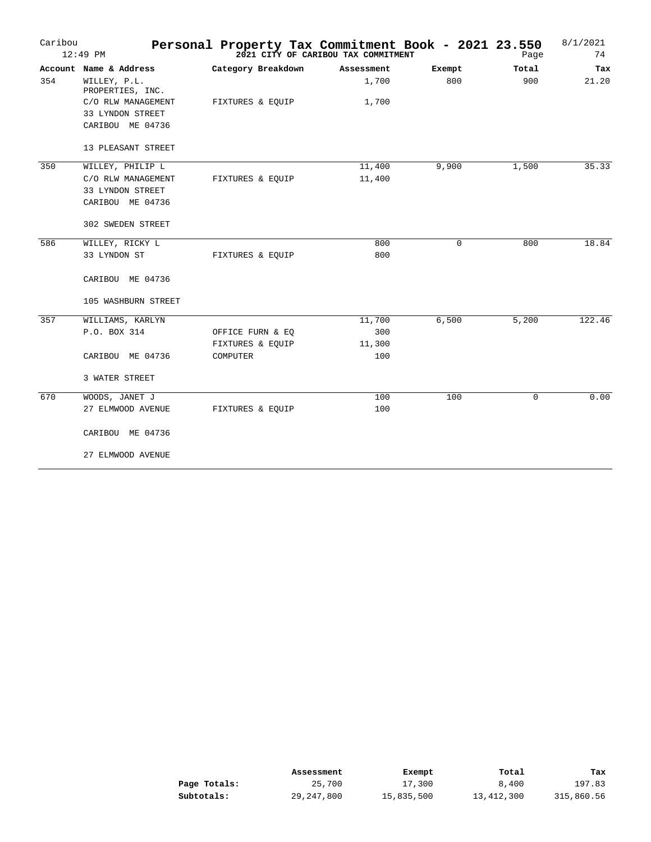| Caribou | $12:49$ PM                       |                    | Personal Property Tax Commitment Book - 2021 23.550<br>2021 CITY OF CARIBOU TAX COMMITMENT |        | Page  | 8/1/2021<br>74 |
|---------|----------------------------------|--------------------|--------------------------------------------------------------------------------------------|--------|-------|----------------|
|         | Account Name & Address           | Category Breakdown | Assessment                                                                                 | Exempt | Total | Tax            |
| 354     | WILLEY, P.L.<br>PROPERTIES, INC. |                    | 1,700                                                                                      | 800    | 900   | 21.20          |
|         | C/O RLW MANAGEMENT               | FIXTURES & EQUIP   | 1,700                                                                                      |        |       |                |
|         | 33 LYNDON STREET                 |                    |                                                                                            |        |       |                |
|         | CARIBOU ME 04736                 |                    |                                                                                            |        |       |                |
|         | 13 PLEASANT STREET               |                    |                                                                                            |        |       |                |
| 350     | WILLEY, PHILIP L                 |                    | 11,400                                                                                     | 9,900  | 1,500 | 35.33          |
|         | C/O RLW MANAGEMENT               | FIXTURES & EQUIP   | 11,400                                                                                     |        |       |                |
|         | 33 LYNDON STREET                 |                    |                                                                                            |        |       |                |
|         | CARIBOU ME 04736                 |                    |                                                                                            |        |       |                |
|         | 302 SWEDEN STREET                |                    |                                                                                            |        |       |                |
| 586     | WILLEY, RICKY L                  |                    | 800                                                                                        | 0      | 800   | 18.84          |
|         | 33 LYNDON ST                     | FIXTURES & EQUIP   | 800                                                                                        |        |       |                |
|         | CARIBOU ME 04736                 |                    |                                                                                            |        |       |                |
|         | 105 WASHBURN STREET              |                    |                                                                                            |        |       |                |
| 357     | WILLIAMS, KARLYN                 |                    | 11,700                                                                                     | 6,500  | 5,200 | 122.46         |
|         | P.O. BOX 314                     | OFFICE FURN & EQ   | 300                                                                                        |        |       |                |
|         |                                  | FIXTURES & EQUIP   | 11,300                                                                                     |        |       |                |
|         | CARIBOU ME 04736                 | COMPUTER           | 100                                                                                        |        |       |                |
|         | 3 WATER STREET                   |                    |                                                                                            |        |       |                |
| 670     | WOODS, JANET J                   |                    | 100                                                                                        | 100    | 0     | 0.00           |
|         | 27 ELMWOOD AVENUE                | FIXTURES & EQUIP   | 100                                                                                        |        |       |                |
|         | CARIBOU ME 04736                 |                    |                                                                                            |        |       |                |
|         | 27 ELMWOOD AVENUE                |                    |                                                                                            |        |       |                |

|              | Assessment | Exempt     | Total      | тах        |
|--------------|------------|------------|------------|------------|
| Page Totals: | 25,700     | 17,300     | 8,400      | 197.83     |
| Subtotals:   | 29,247,800 | 15,835,500 | 13,412,300 | 315,860.56 |